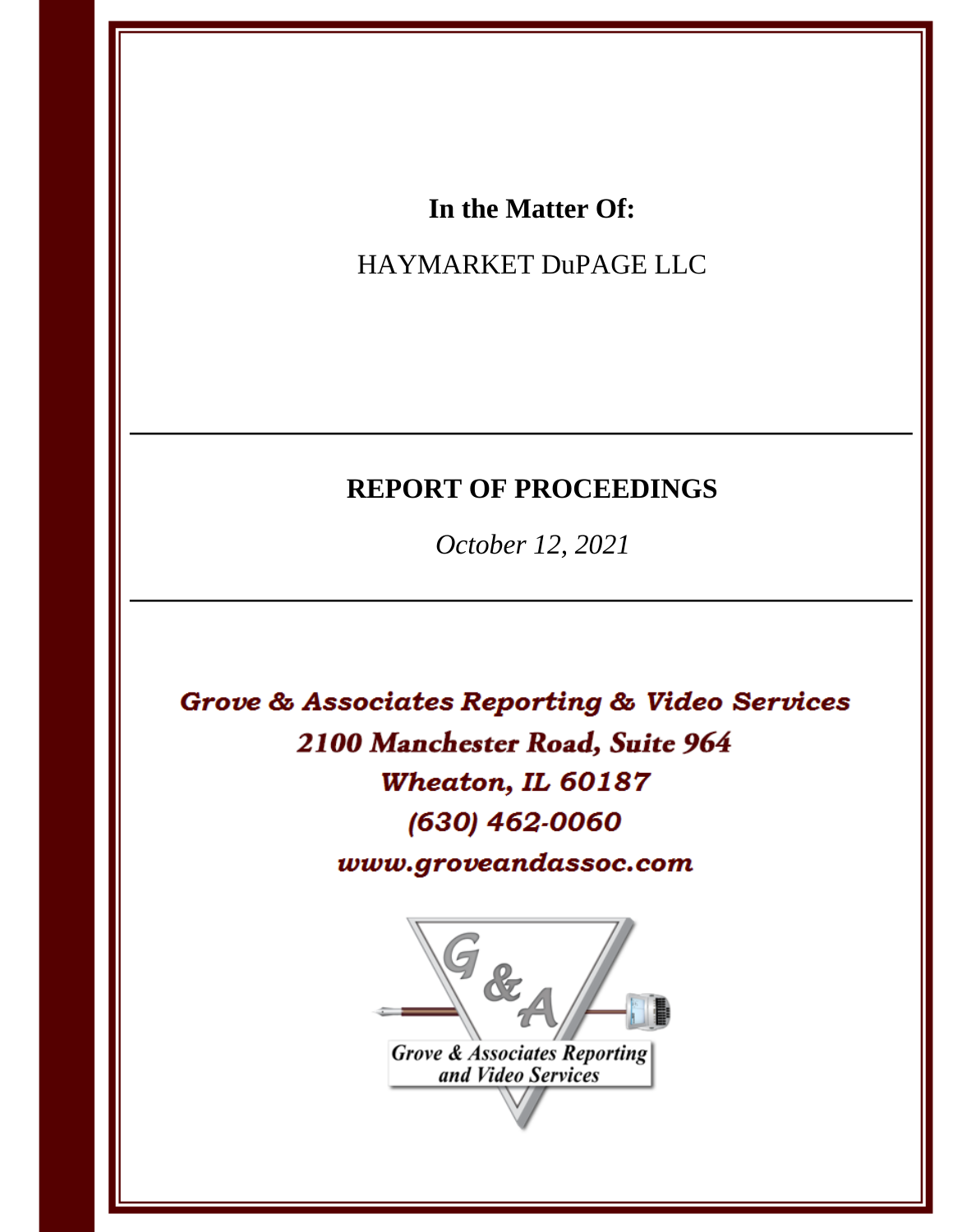# In the Matter Of:

# HAYMARKET DuPAGE LLC

# **REPORT OF PROCEEDINGS**

October 12, 2021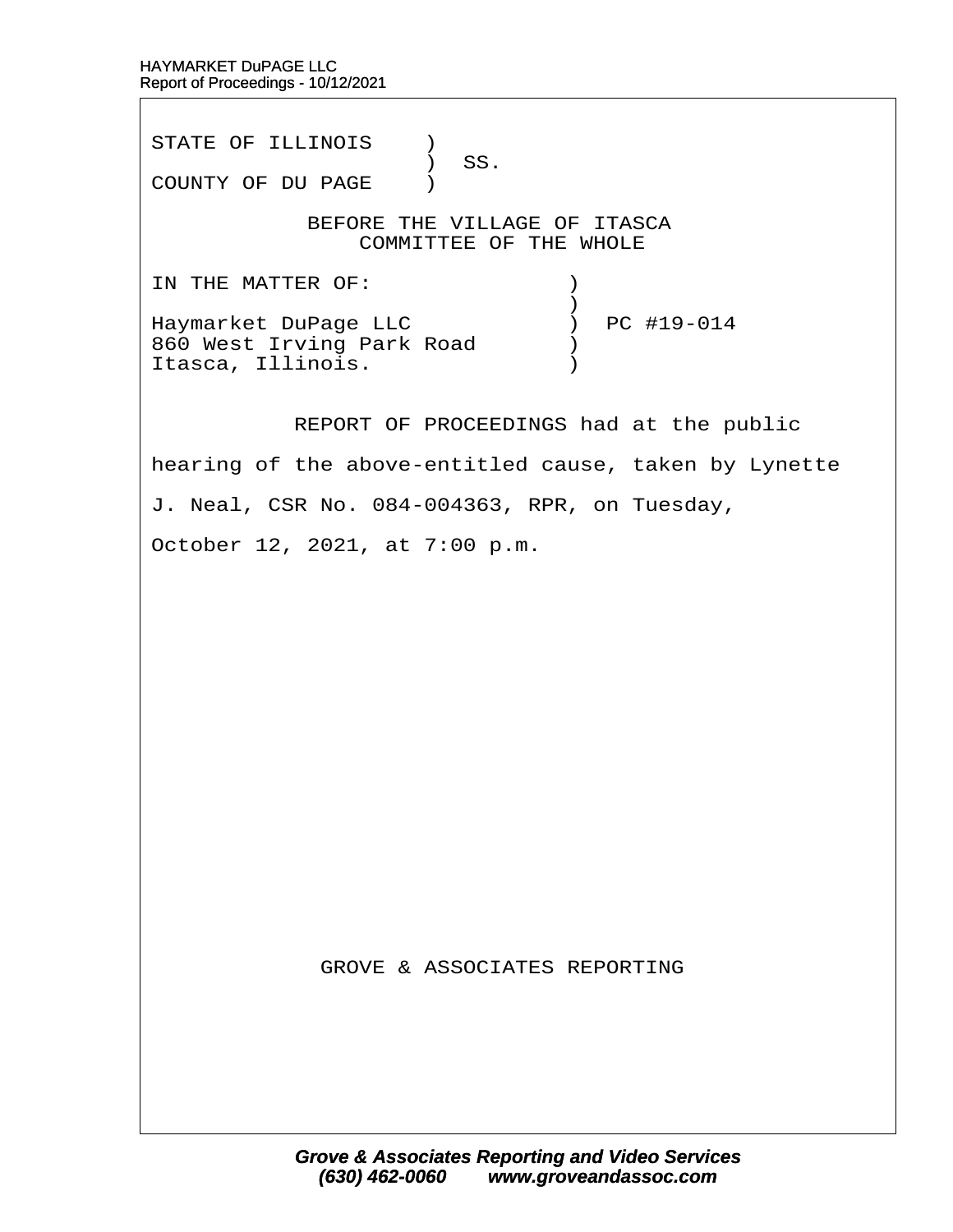STATE OF ILLINOIS )  $\prime$  SS. COUNTY OF DU PAGE )

BEFORE THE VILLAGE OF ITASCA COMMITTEE OF THE WHOLE

IN THE MATTER OF:  $\qquad \qquad$  )  $\hspace{0.5cm}$   $\hspace{0.5cm}$   $\hspace{0.5cm}$   $\hspace{0.5cm}$   $\hspace{0.5cm}$   $\hspace{0.5cm}$   $\hspace{0.5cm}$   $\hspace{0.5cm}$   $\hspace{0.5cm}$   $\hspace{0.5cm}$   $\hspace{0.5cm}$   $\hspace{0.5cm}$   $\hspace{0.5cm}$   $\hspace{0.5cm}$   $\hspace{0.5cm}$   $\hspace{0.5cm}$   $\hspace{0.5cm}$   $\hspace{0.5cm}$   $\hspace{$ Haymarket DuPage LLC  $\qquad \qquad$  ) PC #19-014 860 West Irving Park Road  $\qquad$ Itasca, Illinois. (a)

REPORT OF PROCEEDINGS had at the public

hearing of the above-entitled cause, taken by Lynette

J. Neal, CSR No. 084-004363, RPR, on Tuesday,

October 12, 2021, at 7:00 p.m.

**GROVE & ASSOCIATES REPORTING**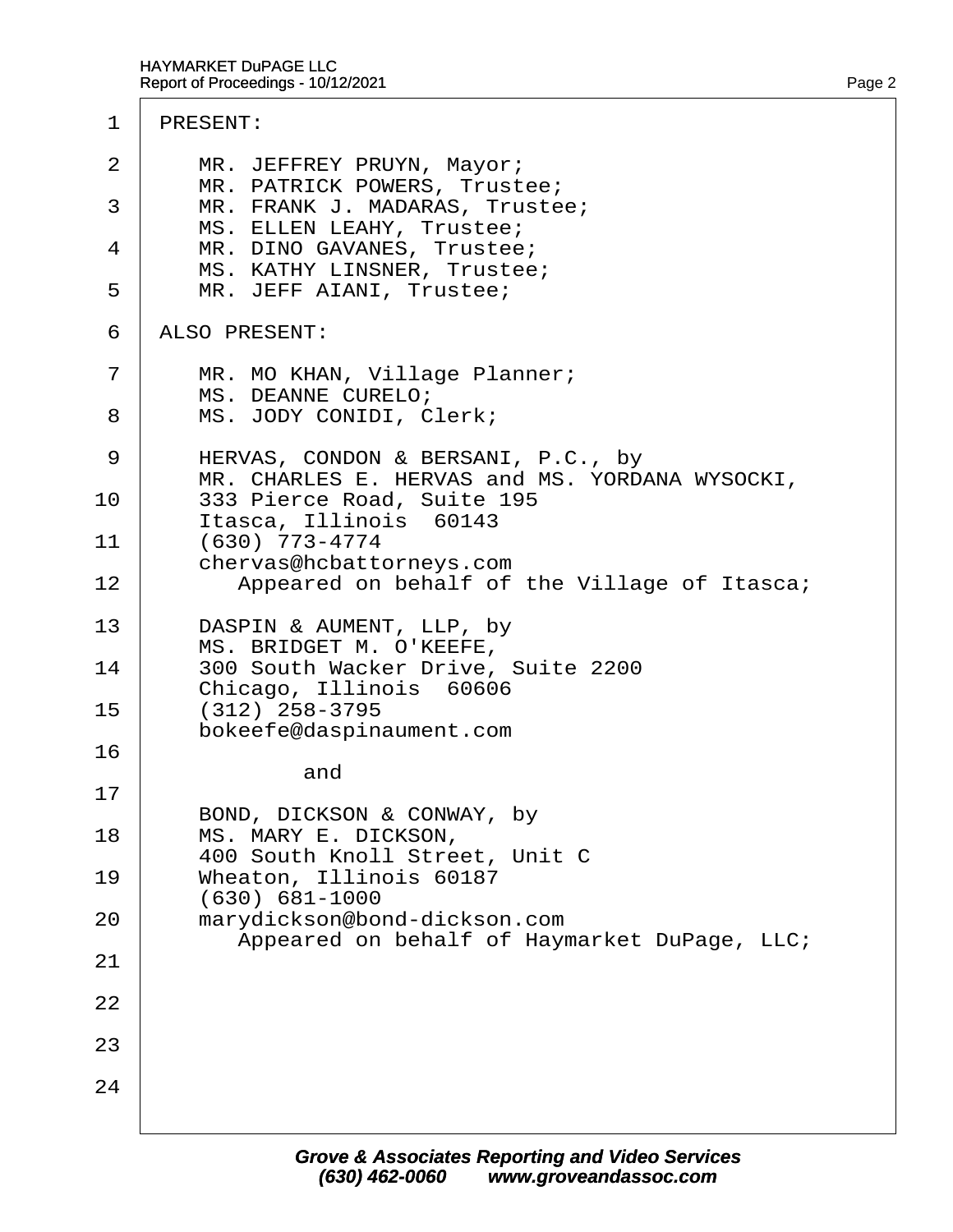- 2 | MR. JEFFREY PRUYN, Mayor; MR. PATRICK POWERS, Trustee;
- 3 | MR. FRANK J. MADARAS, Trustee; MS. ELLEN LEAHY, Trustee;
- 4 | MR. DINO GAVANES, Trustee; MS. KATHY LINSNER, Trustee;
- 5 | MR. JEFF AIANI, Trustee;
- 6 ALSO PRESENT:
- 7 | MR. MO KHAN, Village Planner; MS. DEANNE CURELO;
- 8 | MS. JODY CONIDI, Clerk;
- 9 | HERVAS, CONDON & BERSANI, P.C., by MR. CHARLES E. HERVAS and MS. YORDANA WYSOCKI,
- 10 | 333 Pierce Road, Suite 195 ltasca, Illinois 60143<br>11 (630) 773-4774
- (630) 773-4774 chervas@hcbattorneys.com 12 | Appeared on behalf of the Village of Itasca;
- 13 | DASPIN & AUMENT, LLP, by MS. BRIDGET M. O'KEEFE,
- 14 | 300 South Wacker Drive, Suite 2200 Chicago, Illinois 60606
- $15 \cdot (312)$  258-3795 · · · · bokeefe@daspinaument.com 16

and

17

22

23

24

- BOND, DICKSON & CONWAY, by
- 18 | MS. MARY E. DICKSON, · · · · 400 South Knoll Street, Unit C
- 19 | Wheaton, Illinois 60187 · · · · (630) 681-1000 20 | marydickson@bond-dickson.com
- Appeared on behalf of Haymarket DuPage, LLC; 21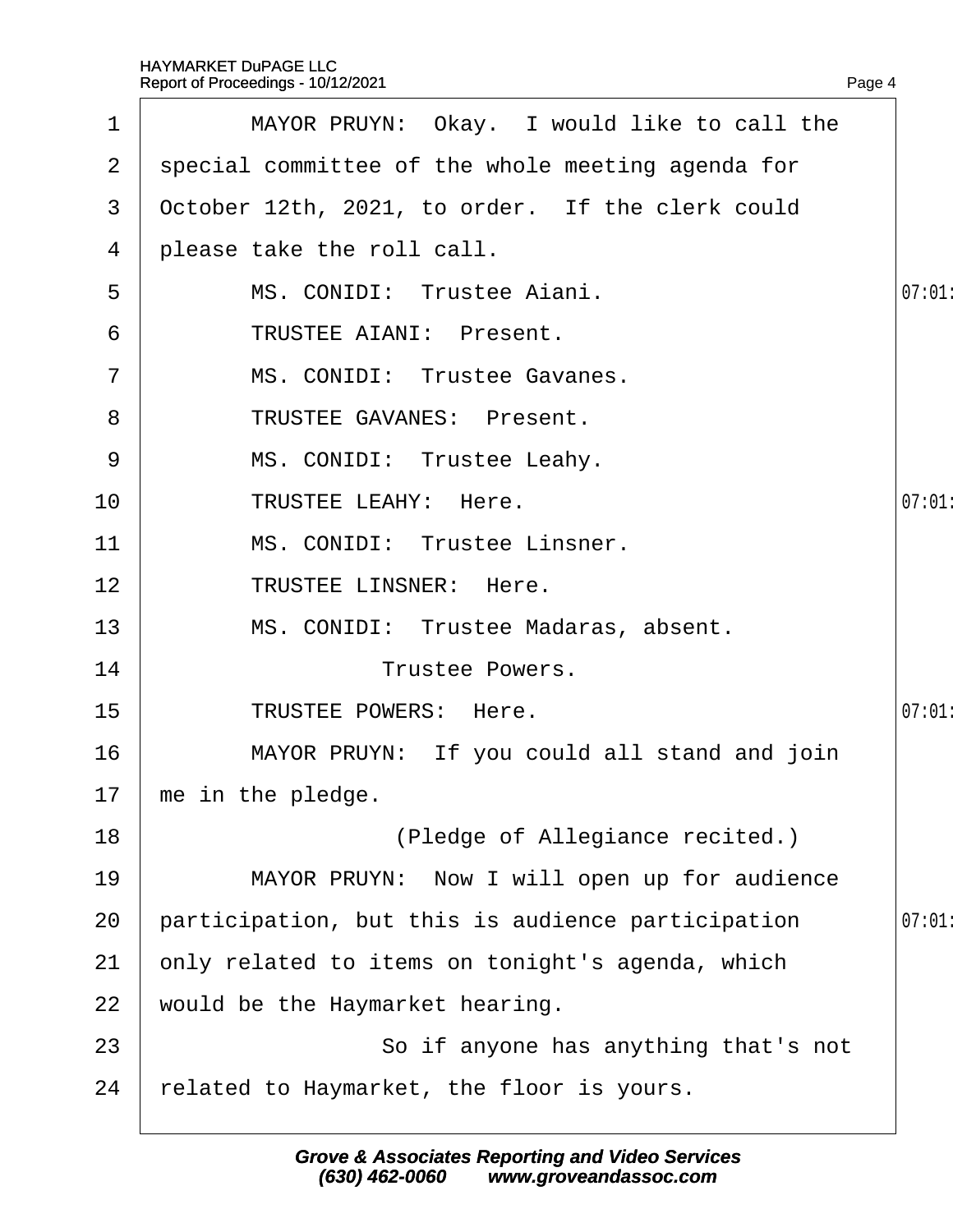|                | Report of Proceedings - 10/12/2021                | Page 4 |
|----------------|---------------------------------------------------|--------|
| 1              | MAYOR PRUYN: Okay. I would like to call the       |        |
| $\mathbf{2}$   | special committee of the whole meeting agenda for |        |
| 3              | October 12th, 2021, to order. If the clerk could  |        |
| 4              | please take the roll call.                        |        |
| 5              | MS. CONIDI: Trustee Aiani.                        | 07:01  |
| 6              | <b>TRUSTEE AIANI: Present.</b>                    |        |
| $\overline{7}$ | MS. CONIDI: Trustee Gavanes.                      |        |
| 8              | <b>TRUSTEE GAVANES: Present.</b>                  |        |
| 9              | MS. CONIDI: Trustee Leahy.                        |        |
| 10             | <b>TRUSTEE LEAHY: Here.</b>                       | 07:01  |
| 11             | MS. CONIDI: Trustee Linsner.                      |        |
| 12             | <b>TRUSTEE LINSNER: Here.</b>                     |        |
| 13             | MS. CONIDI: Trustee Madaras, absent.              |        |
| 14             | <b>Trustee Powers.</b>                            |        |
| 15             | <b>TRUSTEE POWERS: Here.</b>                      | 07:01  |
| 16             | MAYOR PRUYN: If you could all stand and join      |        |
| 17             | me in the pledge.                                 |        |
| 18             | (Pledge of Allegiance recited.)                   |        |
| 19             | MAYOR PRUYN: Now I will open up for audience      |        |
| 20             | participation, but this is audience participation | 07:01  |
| 21             | only related to items on tonight's agenda, which  |        |
| 22             | would be the Haymarket hearing.                   |        |
| 23             | So if anyone has anything that's not              |        |
| 24             | elated to Haymarket, the floor is yours.          |        |
|                |                                                   |        |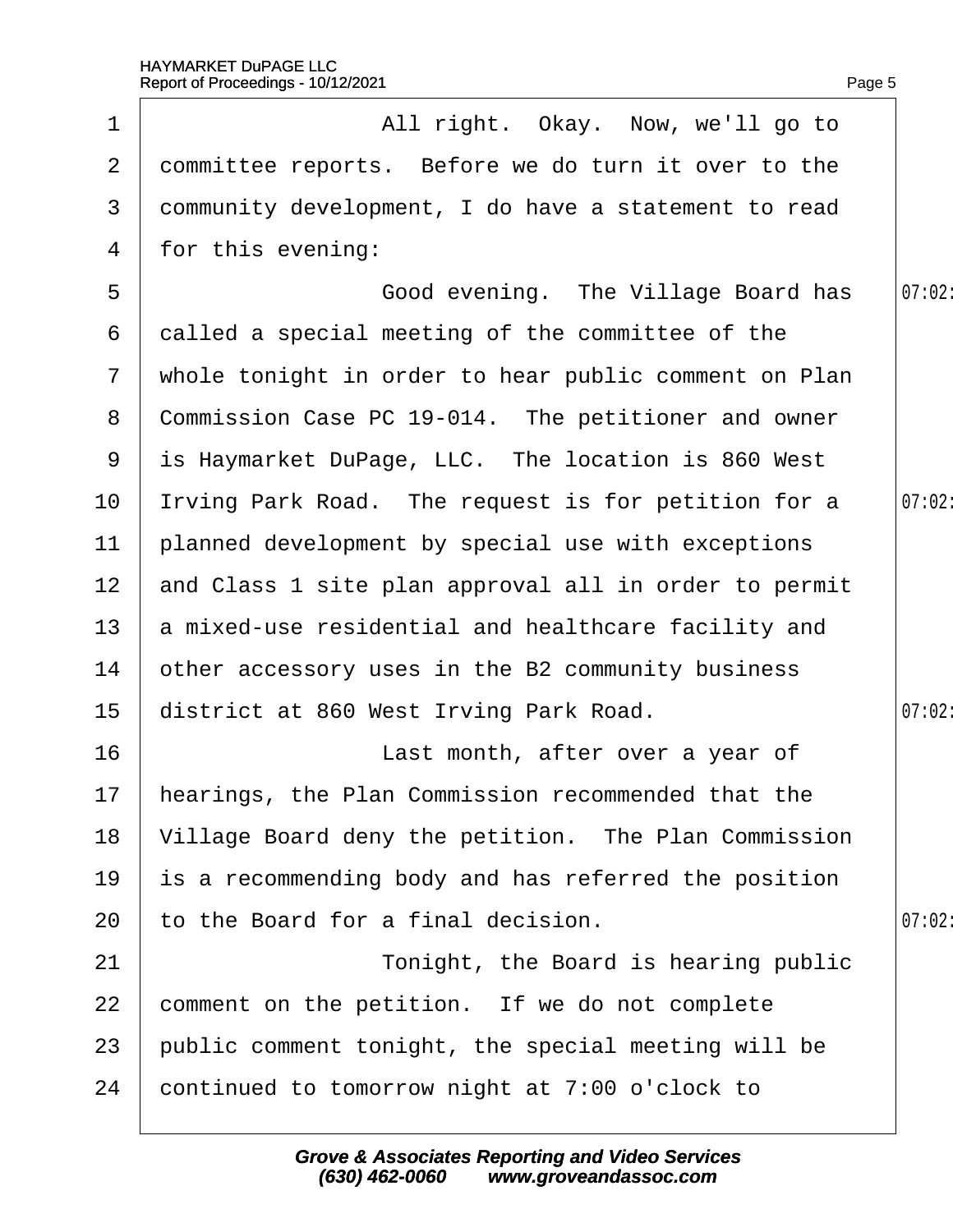|                 | Report of Proceedings - 10/12/2021                    | Page 5 |
|-----------------|-------------------------------------------------------|--------|
| 1               | All right. Okay. Now, we'll go to                     |        |
| $\mathbf{2}$    | dommittee reports. Before we do turn it over to the   |        |
| 3               | dommunity development, I do have a statement to read  |        |
| 4               | for this evening:                                     |        |
| 5               | Good evening. The Village Board has                   | 07:02: |
| 6               | dalled a special meeting of the committee of the      |        |
| $\mathcal{I}$   | whole tonight in order to hear public comment on Plan |        |
| 8               | Commission Case PC 19-014. The petitioner and owner   |        |
| 9               | is Haymarket DuPage, LLC. The location is 860 West    |        |
| 10              | Irving Park Road. The request is for petition for a   | 07:02: |
| 11              | planned development by special use with exceptions    |        |
| 12 <sup>°</sup> | and Class 1 site plan approval all in order to permit |        |
| 13              | a mixed-use residential and healthcare facility and   |        |
| 14              | other accessory uses in the B2 community business     |        |
| 15              | district at 860 West Irving Park Road.                | 07:02: |
| 16              | Last month, after over a year of                      |        |
| 17              | hearings, the Plan Commission recommended that the    |        |
| 18              | Village Board deny the petition. The Plan Commission  |        |
| 19              | is a recommending body and has referred the position  |        |
| 20              | to the Board for a final decision.                    | 07:02  |
| 21              | Tonight, the Board is hearing public                  |        |
| 22              | comment on the petition. If we do not complete        |        |
| 23              | public comment tonight, the special meeting will be   |        |
| 24              | continued to tomorrow night at 7:00 o'clock to        |        |
|                 |                                                       |        |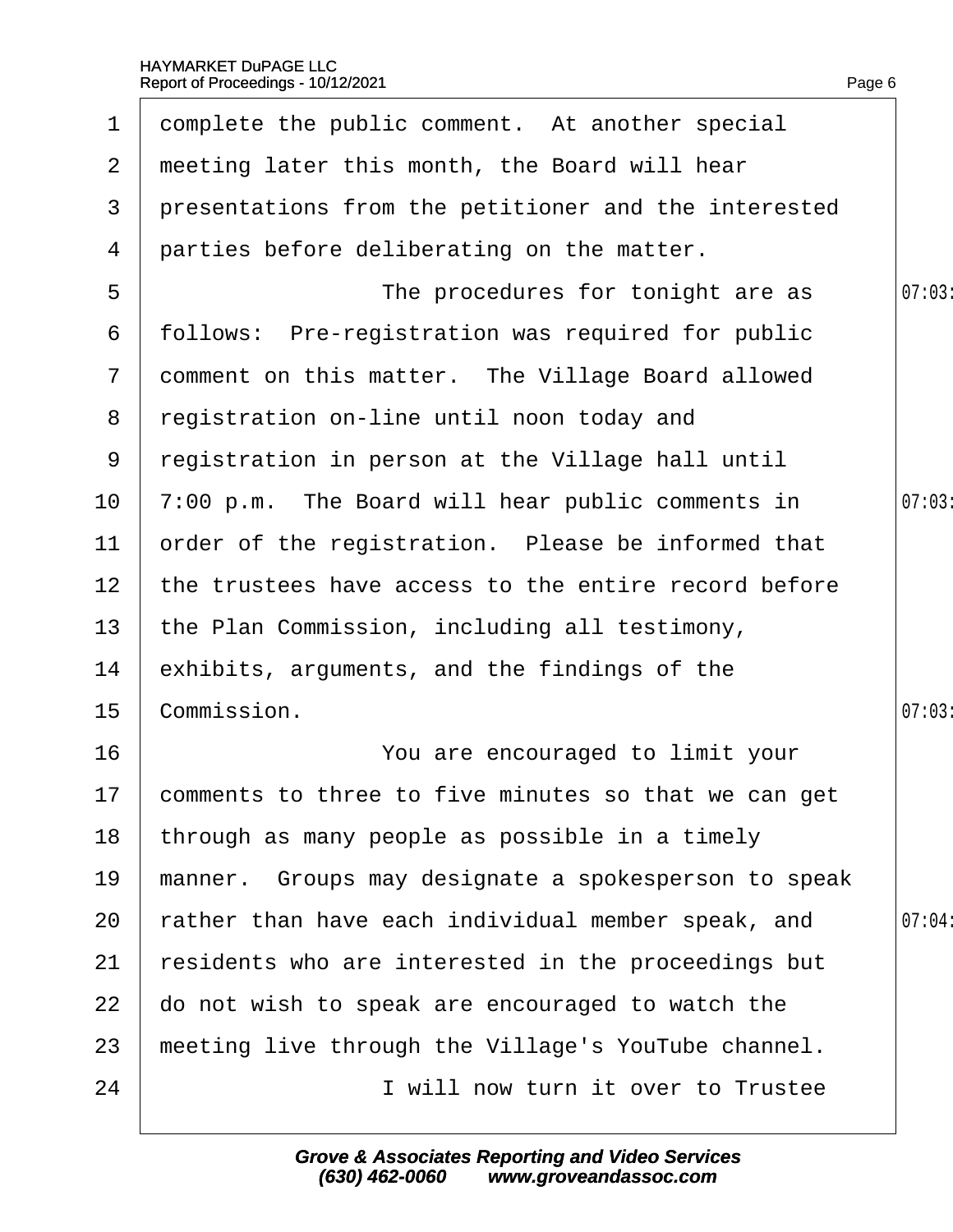| 1               | domplete the public comment. At another special         |        |
|-----------------|---------------------------------------------------------|--------|
| 2               | meeting later this month, the Board will hear           |        |
| 3               | presentations from the petitioner and the interested    |        |
| 4               | parties before deliberating on the matter.              |        |
| 5               | The procedures for tonight are as                       | 07:03  |
| 6               | follows: Pre-registration was required for public       |        |
|                 | 7 domment on this matter. The Village Board allowed     |        |
| 8               | registration on-line until noon today and               |        |
| 9               | registration in person at the Village hall until        |        |
| 10 <sub>1</sub> | 7:00 p.m. The Board will hear public comments in        | 07:03  |
| 11              | order of the registration. Please be informed that      |        |
| 12 <sub>2</sub> | the trustees have access to the entire record before    |        |
| 13 <sup>°</sup> | the Plan Commission, including all testimony,           |        |
| 14              | exhibits, arguments, and the findings of the            |        |
| 15              | Commission.                                             | 07:03  |
| 16              | You are encouraged to limit your                        |        |
|                 | 17 comments to three to five minutes so that we can get |        |
| 18              | through as many people as possible in a timely          |        |
| 19              | manner. Groups may designate a spokesperson to speak    |        |
| 20              | ather than have each individual member speak, and       | 07:04: |
| 21              | residents who are interested in the proceedings but     |        |
| 22              | do not wish to speak are encouraged to watch the        |        |
| 23              | meeting live through the Village's YouTube channel.     |        |
| 24              | I will now turn it over to Trustee                      |        |
|                 |                                                         |        |

Page 6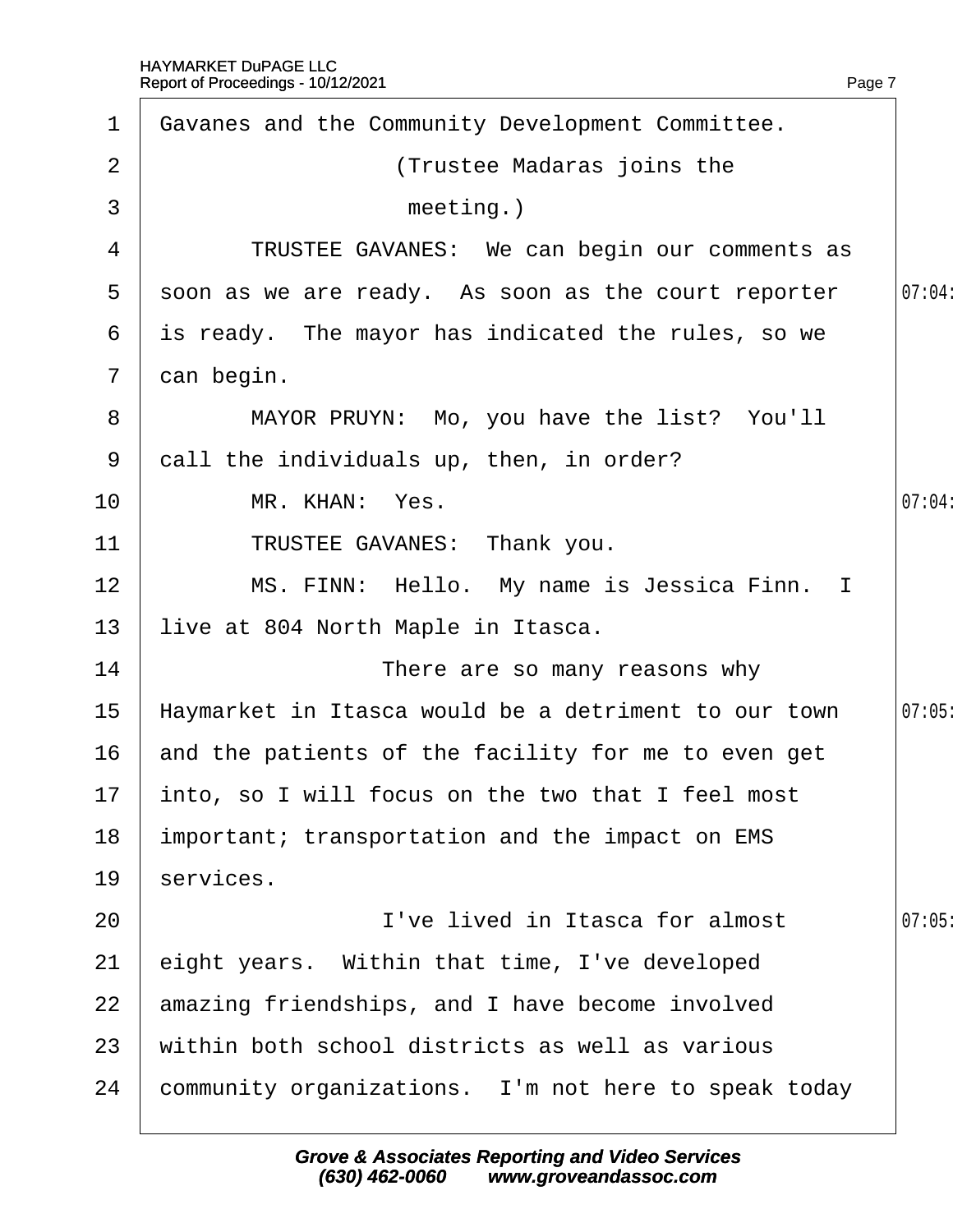| $\mathbf 1$    | Gavanes and the Community Development Committee.     |        |
|----------------|------------------------------------------------------|--------|
| 2              | (Trustee Madaras joins the                           |        |
| 3              | meeting.)                                            |        |
| 4              | TRUSTEE GAVANES: We can begin our comments as        |        |
| 5              | soon as we are ready. As soon as the court reporter  | 07:04: |
| 6              | is ready. The mayor has indicated the rules, so we   |        |
| $\overline{7}$ | dan begin.                                           |        |
| 8              | MAYOR PRUYN: Mo, you have the list? You'll           |        |
| 9              | dall the individuals up, then, in order?             |        |
| 10             | MR. KHAN: Yes.                                       | 07:04: |
| 11             | TRUSTEE GAVANES: Thank you.                          |        |
| 12             | MS. FINN: Hello. My name is Jessica Finn. I          |        |
| 13             | live at 804 North Maple in Itasca.                   |        |
| 14             | There are so many reasons why                        |        |
| 15             | Haymarket in Itasca would be a detriment to our town | 07:05  |
| 16             | and the patients of the facility for me to even get  |        |
|                | 17 into, so I will focus on the two that I feel most |        |
| 18             | important; transportation and the impact on EMS      |        |
| 19             | services.                                            |        |
| 20             | I've lived in Itasca for almost                      | 07:05  |
| 21             | eight years. Within that time, I've developed        |        |
| 22             | amazing friendships, and I have become involved      |        |
| 23             | within both school districts as well as various      |        |
| 24             | community organizations. I'm not here to speak today |        |
|                |                                                      |        |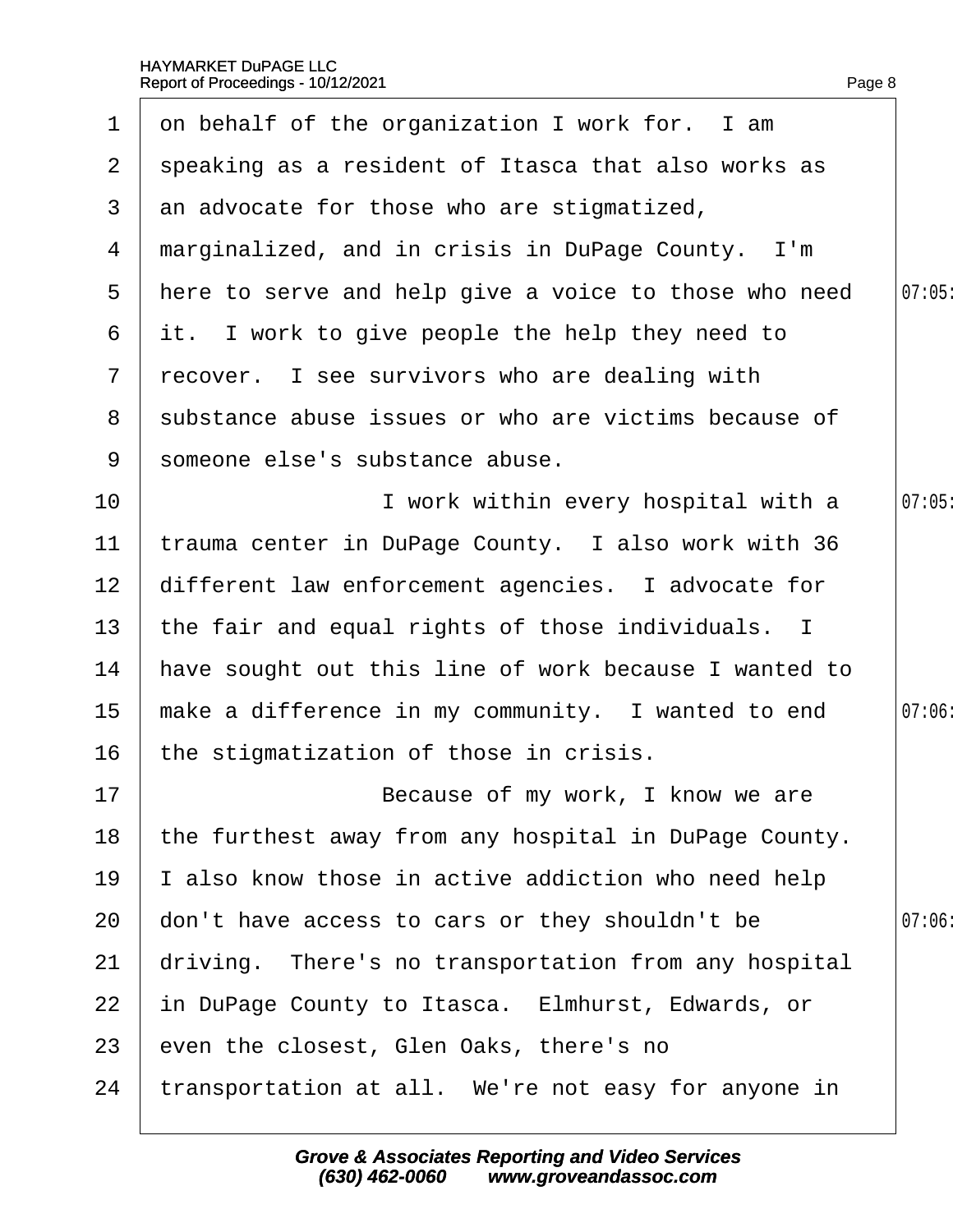| $\mathbf 1$     | on behalf of the organization I work for. I am         |        |
|-----------------|--------------------------------------------------------|--------|
| $\mathbf{2}$    | speaking as a resident of Itasca that also works as    |        |
|                 | 3 an advocate for those who are stigmatized,           |        |
|                 | 4 marginalized, and in crisis in DuPage County. I'm    |        |
| 5               | there to serve and help give a voice to those who need | 07:05  |
|                 | 6 it. I work to give people the help they need to      |        |
|                 | 7 recover. I see survivors who are dealing with        |        |
|                 | 8 substance abuse issues or who are victims because of |        |
| 9               | someone else's substance abuse.                        |        |
| 10              | I work within every hospital with a                    | 07:05  |
| 11              | trauma center in DuPage County. I also work with 36    |        |
| 12 <sup>7</sup> | different law enforcement agencies. I advocate for     |        |
| 13              | the fair and equal rights of those individuals. I      |        |
| 14              | have sought out this line of work because I wanted to  |        |
| 15 <sub>1</sub> | make a difference in my community. I wanted to end     | 07:06: |
| 16              | the stigmatization of those in crisis.                 |        |
| 17              | Because of my work, I know we are                      |        |
| 18              | the furthest away from any hospital in DuPage County.  |        |
| 19              | also know those in active addiction who need help      |        |
| 20              | don't have access to cars or they shouldn't be         | 07:06  |
| 21              | driving. There's no transportation from any hospital   |        |
| 22              | in DuPage County to Itasca. Elmhurst, Edwards, or      |        |
| 23              | even the closest, Glen Oaks, there's no                |        |
| 24              | transportation at all. We're not easy for anyone in    |        |
|                 |                                                        |        |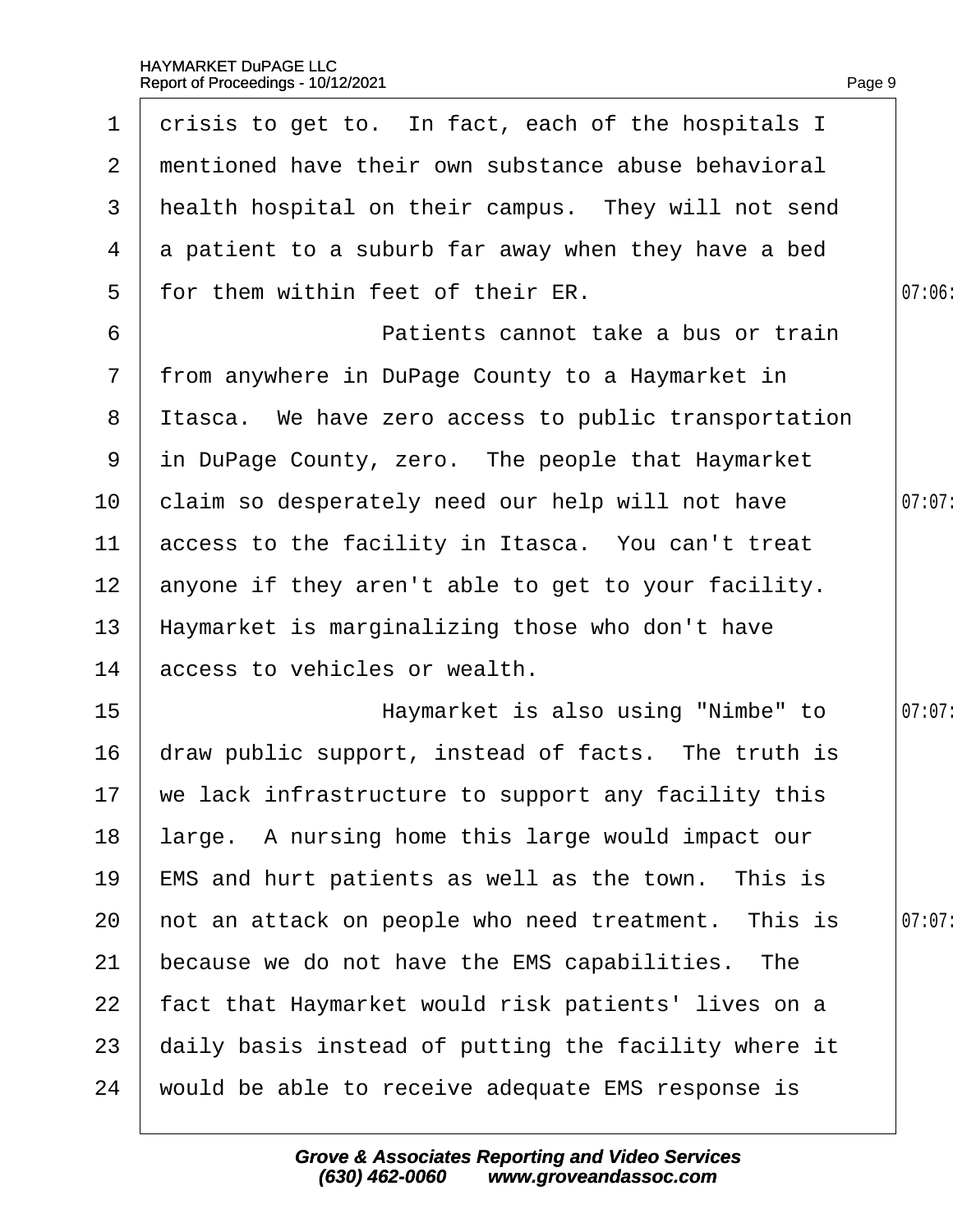| $\mathbf 1$     | drisis to get to. In fact, each of the hospitals I     |        |
|-----------------|--------------------------------------------------------|--------|
| 2 <sup>1</sup>  | mentioned have their own substance abuse behavioral    |        |
| 3               | health hospital on their campus. They will not send    |        |
| 4               | a patient to a suburb far away when they have a bed    |        |
| 5               | for them within feet of their ER.                      | 07:06  |
| 6               | Patients cannot take a bus or train                    |        |
|                 | 7 from anywhere in DuPage County to a Haymarket in     |        |
|                 | 8 Itasca. We have zero access to public transportation |        |
|                 | 9 in DuPage County, zero. The people that Haymarket    |        |
| 10 <sup>°</sup> | claim so desperately need our help will not have       | 07:07  |
|                 | 11 access to the facility in Itasca. You can't treat   |        |
|                 | 12 anyone if they aren't able to get to your facility. |        |
| 13              | Haymarket is marginalizing those who don't have        |        |
| 14              | access to vehicles or wealth.                          |        |
| 15 <sub>1</sub> | Haymarket is also using "Nimbe" to                     | 07:07: |
| 16              | draw public support, instead of facts. The truth is    |        |
|                 | 17 we lack infrastructure to support any facility this |        |
| 18              | large. A nursing home this large would impact our      |        |
| 19              | EMS and hurt patients as well as the town. This is     |        |
| 20              | not an attack on people who need treatment. This is    | 07:07  |
| 21              | because we do not have the EMS capabilities. The       |        |
| 22              | fact that Haymarket would risk patients' lives on a    |        |
| 23              | daily basis instead of putting the facility where it   |        |
| 24              | would be able to receive adequate EMS response is      |        |
|                 |                                                        |        |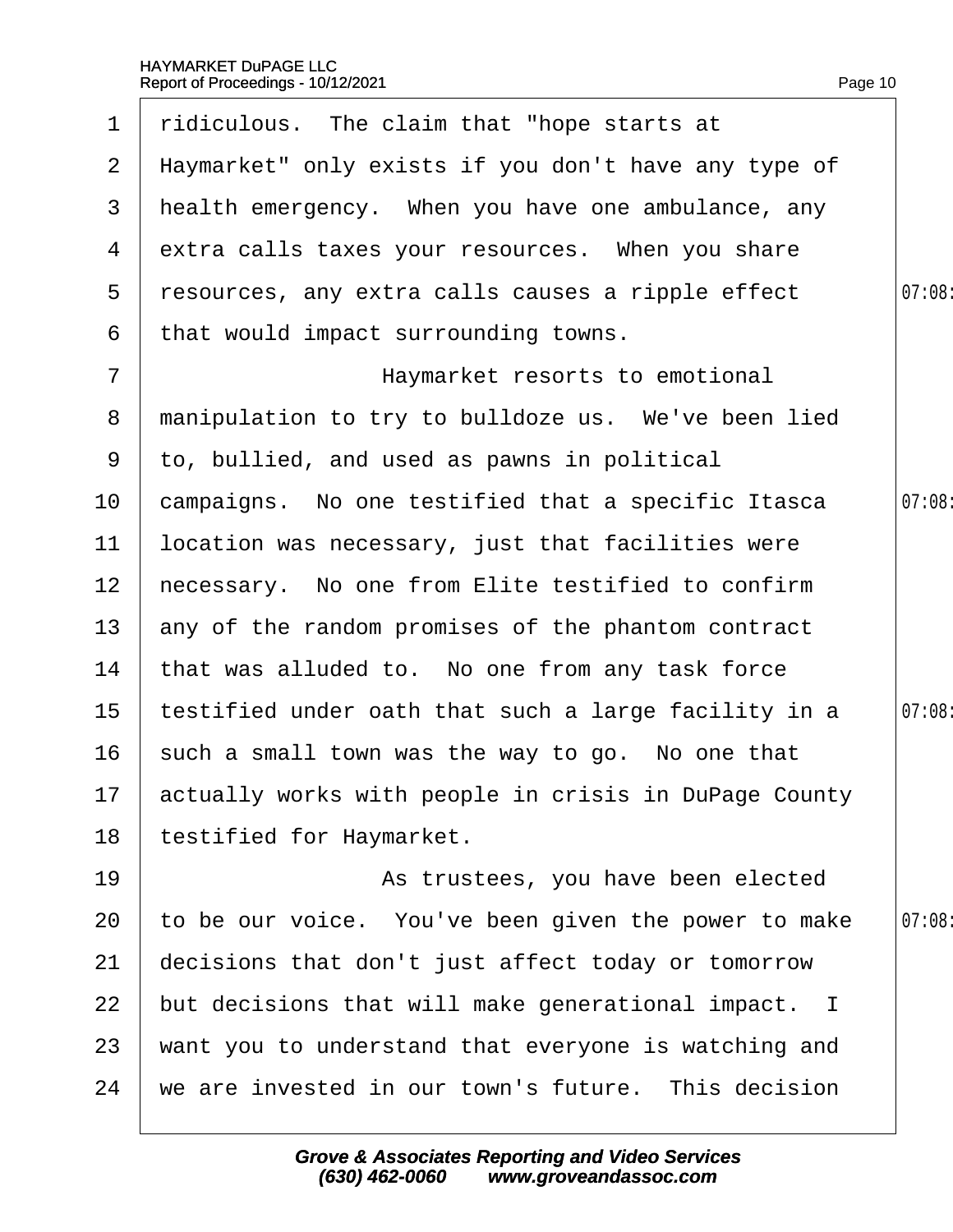|                 | 1 ridiculous. The claim that "hope starts at             |        |
|-----------------|----------------------------------------------------------|--------|
|                 | 2 Haymarket" only exists if you don't have any type of   |        |
|                 | 3 health emergency. When you have one ambulance, any     |        |
|                 | 4 extra calls taxes your resources. When you share       |        |
| 5               | resources, any extra calls causes a ripple effect        | 07:08  |
| 6               | that would impact surrounding towns.                     |        |
| $\overline{7}$  | Haymarket resorts to emotional                           |        |
| 8               | manipulation to try to bulldoze us. We've been lied      |        |
|                 | 9 to, bullied, and used as pawns in political            |        |
| 10 <sub>1</sub> | campaigns. No one testified that a specific Itasca       | 07:08  |
| 11              | location was necessary, just that facilities were        |        |
| 12 <sub>2</sub> | hecessary. No one from Elite testified to confirm        |        |
| 13 <sup>°</sup> | any of the random promises of the phantom contract       |        |
| 14              | that was alluded to. No one from any task force          |        |
| 15 <sub>1</sub> | testified under oath that such a large facility in a     | 07:08: |
| 16              | such a small town was the way to go. No one that         |        |
|                 | 17 actually works with people in crisis in DuPage County |        |
| 18              | testified for Haymarket.                                 |        |
| 19              | As trustees, you have been elected                       |        |
| 20              | to be our voice. You've been given the power to make     | 07:08  |
| 21              | decisions that don't just affect today or tomorrow       |        |
| 22              | but decisions that will make generational impact. I      |        |
| 23              | want you to understand that everyone is watching and     |        |
| 24              | we are invested in our town's future. This decision      |        |
|                 |                                                          |        |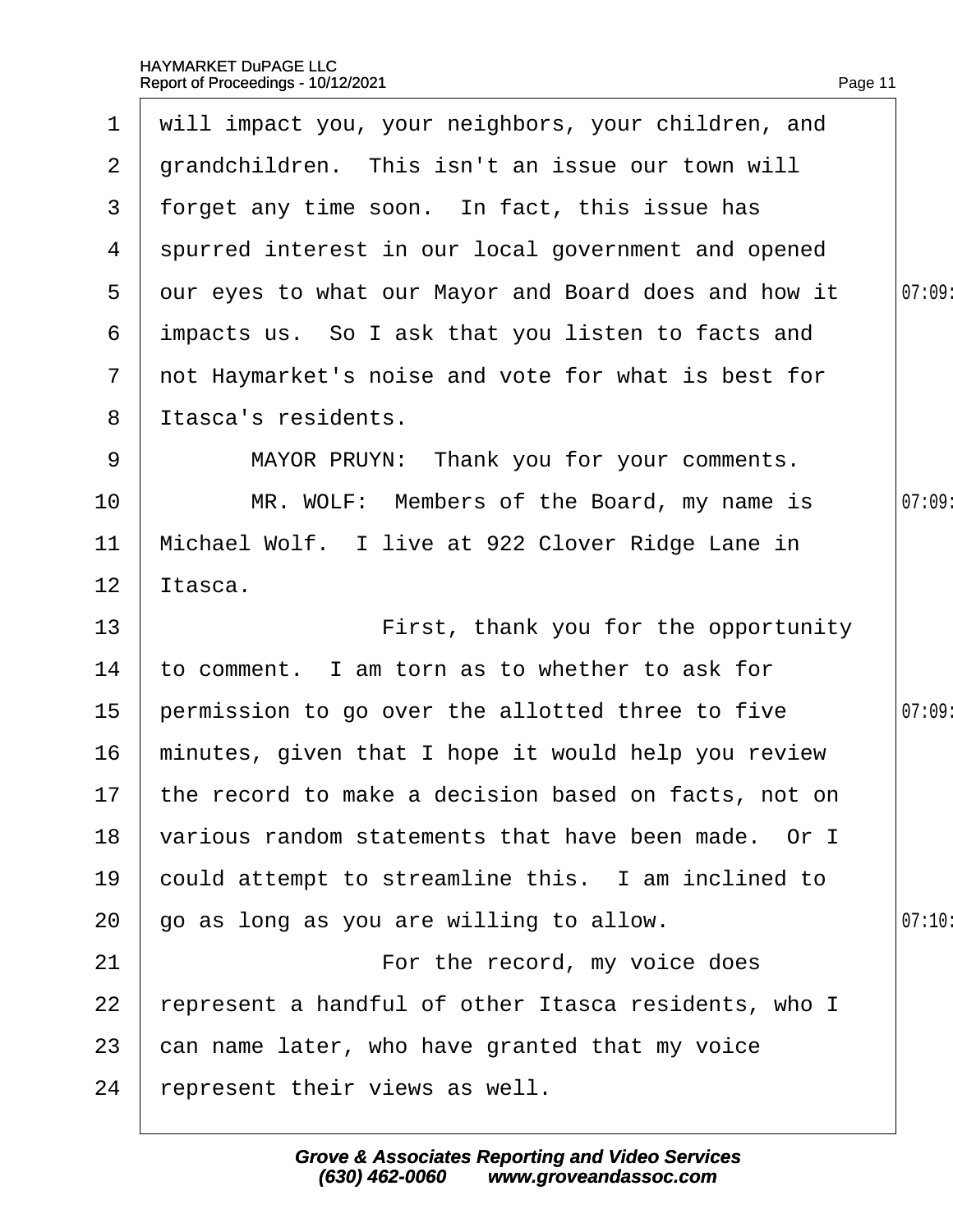| $\mathbf 1$    | will impact you, your neighbors, your children, and     |       |
|----------------|---------------------------------------------------------|-------|
| $\mathbf{2}$   | grandchildren. This isn't an issue our town will        |       |
| 3 <sup>1</sup> | forget any time soon. In fact, this issue has           |       |
| 4              | spurred interest in our local government and opened     |       |
| 5              | dur eyes to what our Mayor and Board does and how it    | 07:09 |
| 6              | impacts us. So I ask that you listen to facts and       |       |
| $\mathbf{7}$   | not Haymarket's noise and vote for what is best for     |       |
| 8              | Itasca's residents.                                     |       |
| 9              | MAYOR PRUYN: Thank you for your comments.               |       |
| 10             | MR. WOLF: Members of the Board, my name is              | 07:09 |
| 11             | Michael Wolf. I live at 922 Clover Ridge Lane in        |       |
| 12             | ltasca.                                                 |       |
| 13             | First, thank you for the opportunity                    |       |
| 14             | to comment. I am torn as to whether to ask for          |       |
| 15             | permission to go over the allotted three to five        | 07:09 |
| 16             | minutes, given that I hope it would help you review     |       |
|                | 17 the record to make a decision based on facts, not on |       |
| 18             | various random statements that have been made. Or I     |       |
| 19             | could attempt to streamline this. I am inclined to      |       |
| 20             | go as long as you are willing to allow.                 | 07:10 |
| 21             | For the record, my voice does                           |       |
| 22             | represent a handful of other Itasca residents, who I    |       |
| 23             | can name later, who have granted that my voice          |       |
| 24             | represent their views as well.                          |       |
|                |                                                         |       |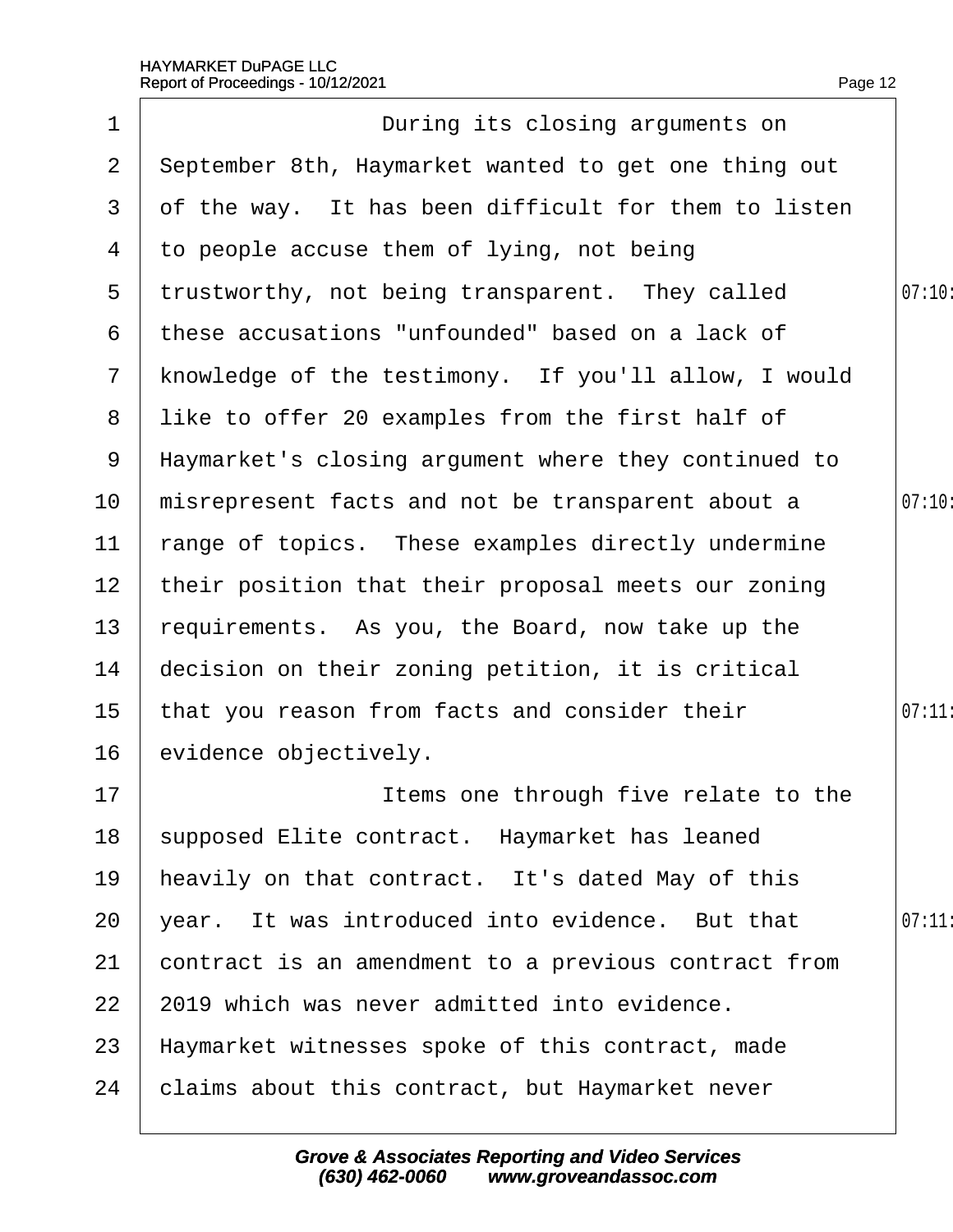|                 | Report of Proceedings - 10/12/2021                   | Page 12 |
|-----------------|------------------------------------------------------|---------|
| 1               | During its closing arguments on                      |         |
| $\overline{2}$  | September 8th, Haymarket wanted to get one thing out |         |
| 3               | of the way. It has been difficult for them to listen |         |
| 4               | to people accuse them of lying, not being            |         |
| 5               | trustworthy, not being transparent. They called      | 07:10:  |
| 6               | these accusations "unfounded" based on a lack of     |         |
| 7 <sup>7</sup>  | knowledge of the testimony. If you'll allow, I would |         |
| 8               | like to offer 20 examples from the first half of     |         |
| 9               | Haymarket's closing argument where they continued to |         |
| 10              | misrepresent facts and not be transparent about a    | 07:10   |
| 11              | range of topics. These examples directly undermine   |         |
| 12 <sub>2</sub> | their position that their proposal meets our zoning  |         |
| 13 <sub>2</sub> | requirements. As you, the Board, now take up the     |         |
| 14              | decision on their zoning petition, it is critical    |         |
| 15              | that you reason from facts and consider their        | 07:11:  |
| 16              | evidence objectively.                                |         |
| 17              | Items one through five relate to the                 |         |
| 18              | supposed Elite contract. Haymarket has leaned        |         |
| 19              | heavily on that contract. It's dated May of this     |         |
| 20              | year. It was introduced into evidence. But that      | 07:11   |
| 21              | contract is an amendment to a previous contract from |         |
| 22              | 2019 which was never admitted into evidence.         |         |
| 23              | Haymarket witnesses spoke of this contract, made     |         |
| 24              | claims about this contract, but Haymarket never      |         |
|                 |                                                      |         |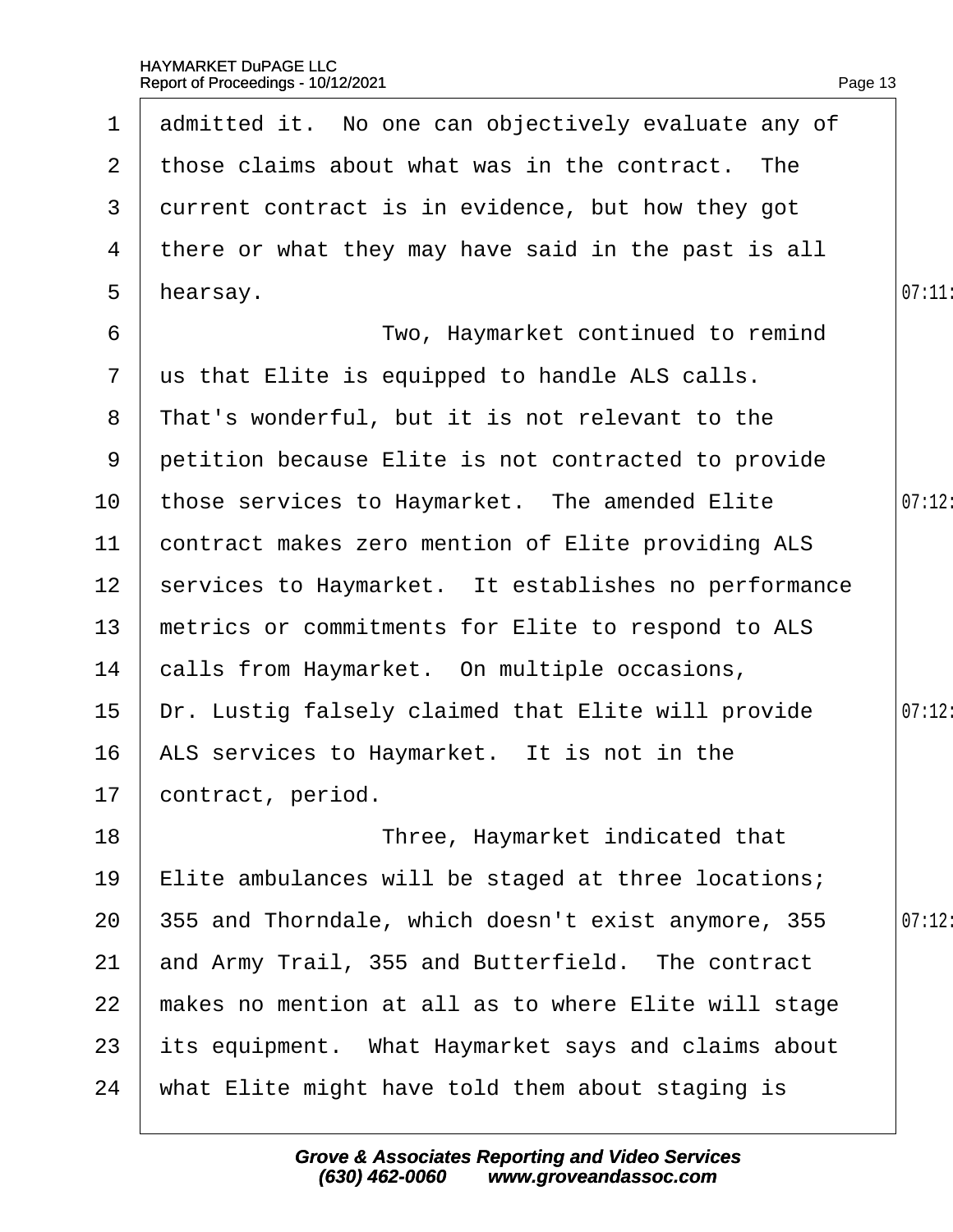|                  | 1 admitted it. No one can objectively evaluate any of |        |
|------------------|-------------------------------------------------------|--------|
| 2                | those claims about what was in the contract. The      |        |
| 3                | durrent contract is in evidence, but how they got     |        |
| 4                | there or what they may have said in the past is all   |        |
| 5                | hearsay.                                              | 07:11  |
| 6                | Two, Haymarket continued to remind                    |        |
| $\overline{7}$   | us that Elite is equipped to handle ALS calls.        |        |
| 8                | That's wonderful, but it is not relevant to the       |        |
| 9                | petition because Elite is not contracted to provide   |        |
| 10               | those services to Haymarket. The amended Elite        | 07:12: |
| 11               | contract makes zero mention of Elite providing ALS    |        |
| 12 <sub>2</sub>  | services to Haymarket. It establishes no performance  |        |
| 13 <sup>°</sup>  | metrics or commitments for Elite to respond to ALS    |        |
| 14               | calls from Haymarket. On multiple occasions,          |        |
| 15 <sub>15</sub> | Dr. Lustig falsely claimed that Elite will provide    | 07:12: |
| 16               | ALS services to Haymarket. It is not in the           |        |
|                  | 17 contract, period.                                  |        |
| 18               | Three, Haymarket indicated that                       |        |
| 19               | Elite ambulances will be staged at three locations;   |        |
| 20               | 355 and Thorndale, which doesn't exist anymore, 355   | 07:12: |
| 21               | and Army Trail, 355 and Butterfield. The contract     |        |
| 22               | makes no mention at all as to where Elite will stage  |        |
| 23               | its equipment. What Haymarket says and claims about   |        |
| 24               | what Elite might have told them about staging is      |        |
|                  |                                                       |        |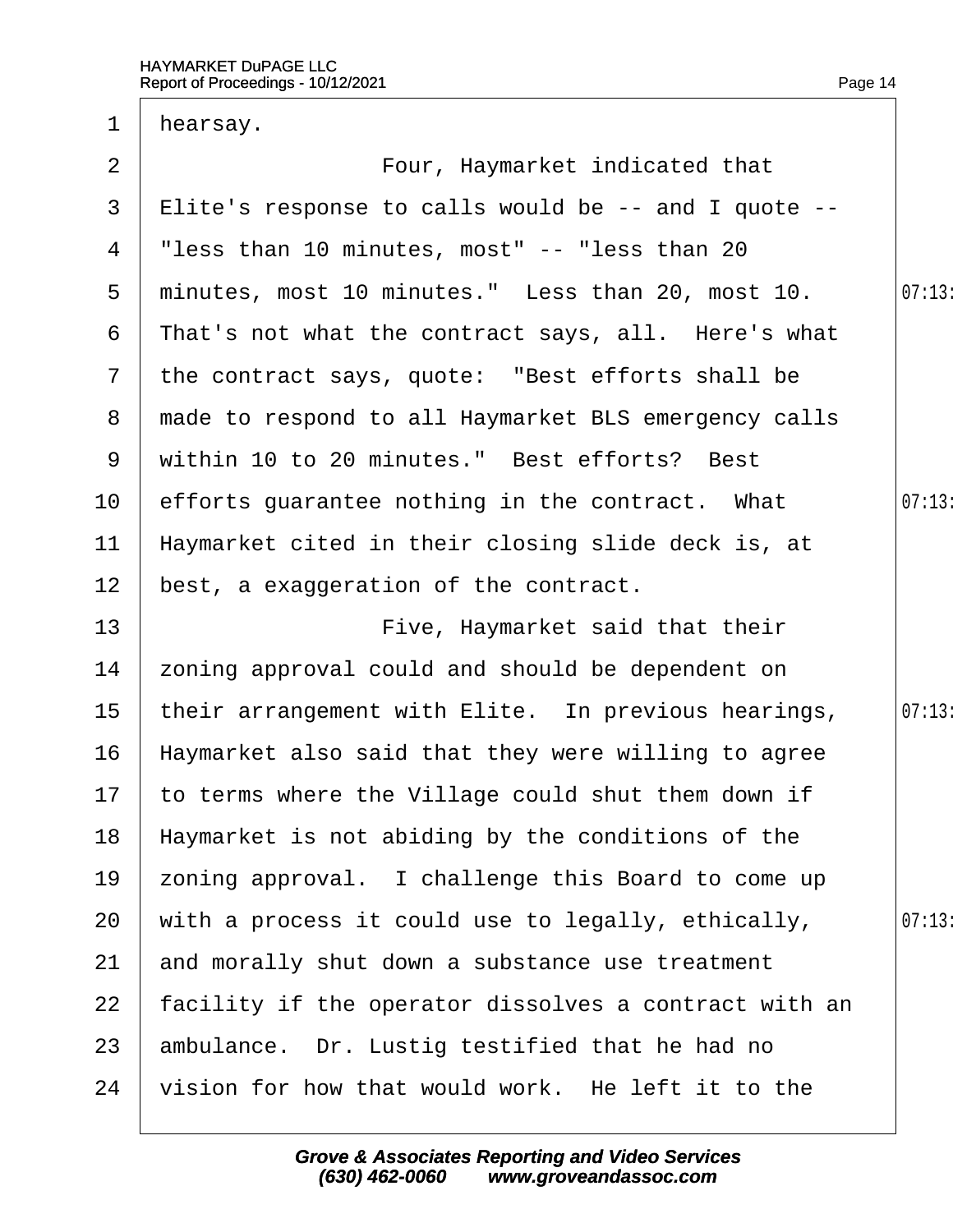| hearsay.                                               |       |
|--------------------------------------------------------|-------|
| Four, Haymarket indicated that                         |       |
| Elite's response to calls would be -- and I quote --   |       |
| "less than 10 minutes, most" -- "less than 20"         |       |
| minutes, most 10 minutes." Less than 20, most 10.      | 07:13 |
| That's not what the contract says, all. Here's what    |       |
| the contract says, quote: "Best efforts shall be       |       |
| 8 made to respond to all Haymarket BLS emergency calls |       |
| within 10 to 20 minutes." Best efforts? Best           |       |
| efforts guarantee nothing in the contract. What        | 07:13 |
| Haymarket cited in their closing slide deck is, at     |       |
| best, a exaggeration of the contract.                  |       |
| Five, Haymarket said that their                        |       |
| zoning approval could and should be dependent on       |       |
| their arrangement with Elite. In previous hearings,    | 07:13 |
| Haymarket also said that they were willing to agree    |       |
| 17 to terms where the Village could shut them down if  |       |
| Haymarket is not abiding by the conditions of the      |       |
| zoning approval. I challenge this Board to come up     |       |
| with a process it could use to legally, ethically,     | 07:13 |
| and morally shut down a substance use treatment        |       |
| facility if the operator dissolves a contract with an  |       |
| ambulance. Dr. Lustig testified that he had no         |       |
| vision for how that would work. He left it to the      |       |
|                                                        |       |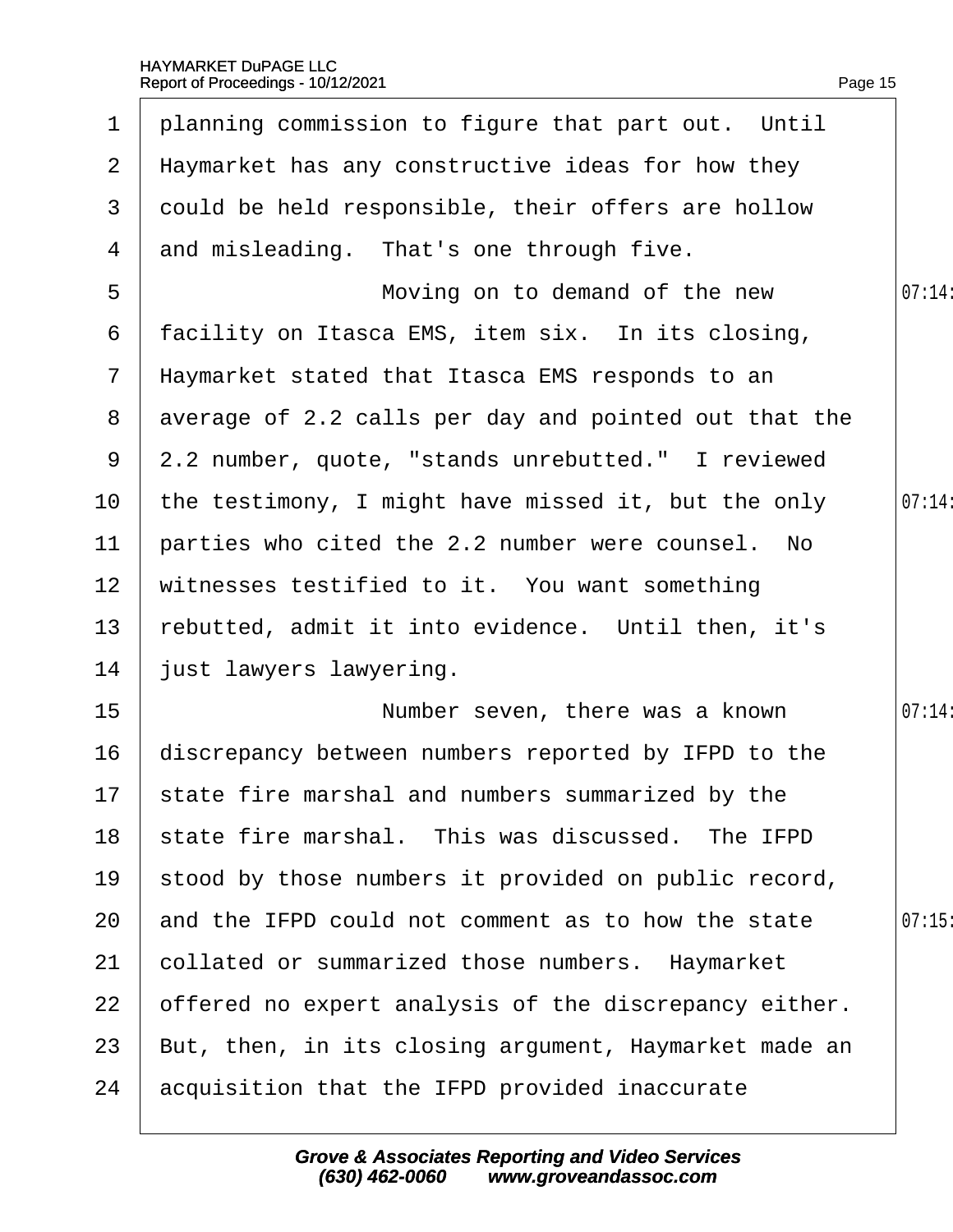| $\mathbf 1$     | planning commission to figure that part out. Until      |        |
|-----------------|---------------------------------------------------------|--------|
| $\mathbf{2}$    | Haymarket has any constructive ideas for how they       |        |
| 3               | dould be held responsible, their offers are hollow      |        |
| 4               | and misleading. That's one through five.                |        |
| 5               | Moving on to demand of the new                          | 07:14: |
| 6               | facility on Itasca EMS, item six. In its closing,       |        |
| $7\phantom{.}$  | Haymarket stated that Itasca EMS responds to an         |        |
|                 | 8 average of 2.2 calls per day and pointed out that the |        |
|                 | 9 2.2 number, quote, "stands unrebutted." I reviewed    |        |
| 10              | the testimony, I might have missed it, but the only     | 07:14: |
| 11              | parties who cited the 2.2 number were counsel. No       |        |
| 12 <sub>2</sub> | witnesses testified to it. You want something           |        |
| 13              | rebutted, admit it into evidence. Until then, it's      |        |
| 14              | just lawyers lawyering.                                 |        |
| 15              | Number seven, there was a known                         | 07:14: |
| 16              | discrepancy between numbers reported by IFPD to the     |        |
|                 | 17 state fire marshal and numbers summarized by the     |        |
| 18              | state fire marshal. This was discussed. The IFPD        |        |
| 19              | stood by those numbers it provided on public record,    |        |
| 20              | and the IFPD could not comment as to how the state      | 07:15  |
| 21              | collated or summarized those numbers. Haymarket         |        |
| 22              | offered no expert analysis of the discrepancy either.   |        |
| 23              | But, then, in its closing argument, Haymarket made an   |        |
| 24              | acquisition that the IFPD provided inaccurate           |        |
|                 |                                                         |        |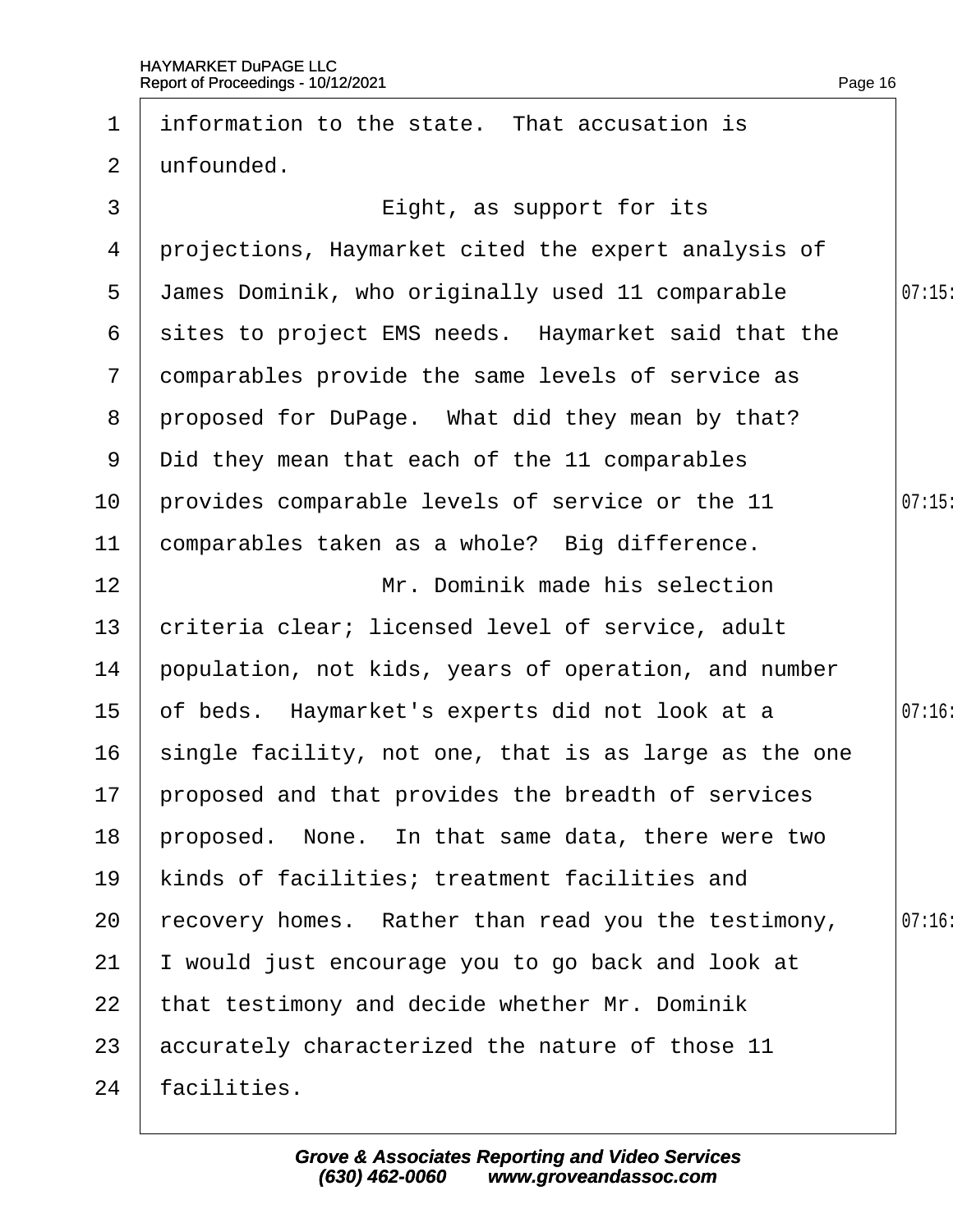| 1              | information to the state. That accusation is          |        |
|----------------|-------------------------------------------------------|--------|
| $\overline{2}$ | unfounded.                                            |        |
| 3              | Eight, as support for its                             |        |
| 4              | projections, Haymarket cited the expert analysis of   |        |
| 5              | James Dominik, who originally used 11 comparable      | 07:15  |
| 6              | sites to project EMS needs. Haymarket said that the   |        |
| $\mathbf{7}$   | domparables provide the same levels of service as     |        |
| 8              | proposed for DuPage. What did they mean by that?      |        |
| 9              | Did they mean that each of the 11 comparables         |        |
| 10             | provides comparable levels of service or the 11       | 07:15  |
| 11             | comparables taken as a whole? Big difference.         |        |
| 12             | Mr. Dominik made his selection                        |        |
| 13             | criteria clear; licensed level of service, adult      |        |
| 14             | population, not kids, years of operation, and number  |        |
| 15             | of beds. Haymarket's experts did not look at a        | 07:16  |
| 16             | single facility, not one, that is as large as the one |        |
| 17             | proposed and that provides the breadth of services    |        |
| 18             | proposed. None. In that same data, there were two     |        |
| 19             | kinds of facilities; treatment facilities and         |        |
| 20             | recovery homes. Rather than read you the testimony,   | 07:16: |
| 21             | would just encourage you to go back and look at       |        |
| 22             | that testimony and decide whether Mr. Dominik         |        |
| 23             | accurately characterized the nature of those 11       |        |
| 24             | facilities.                                           |        |
|                |                                                       |        |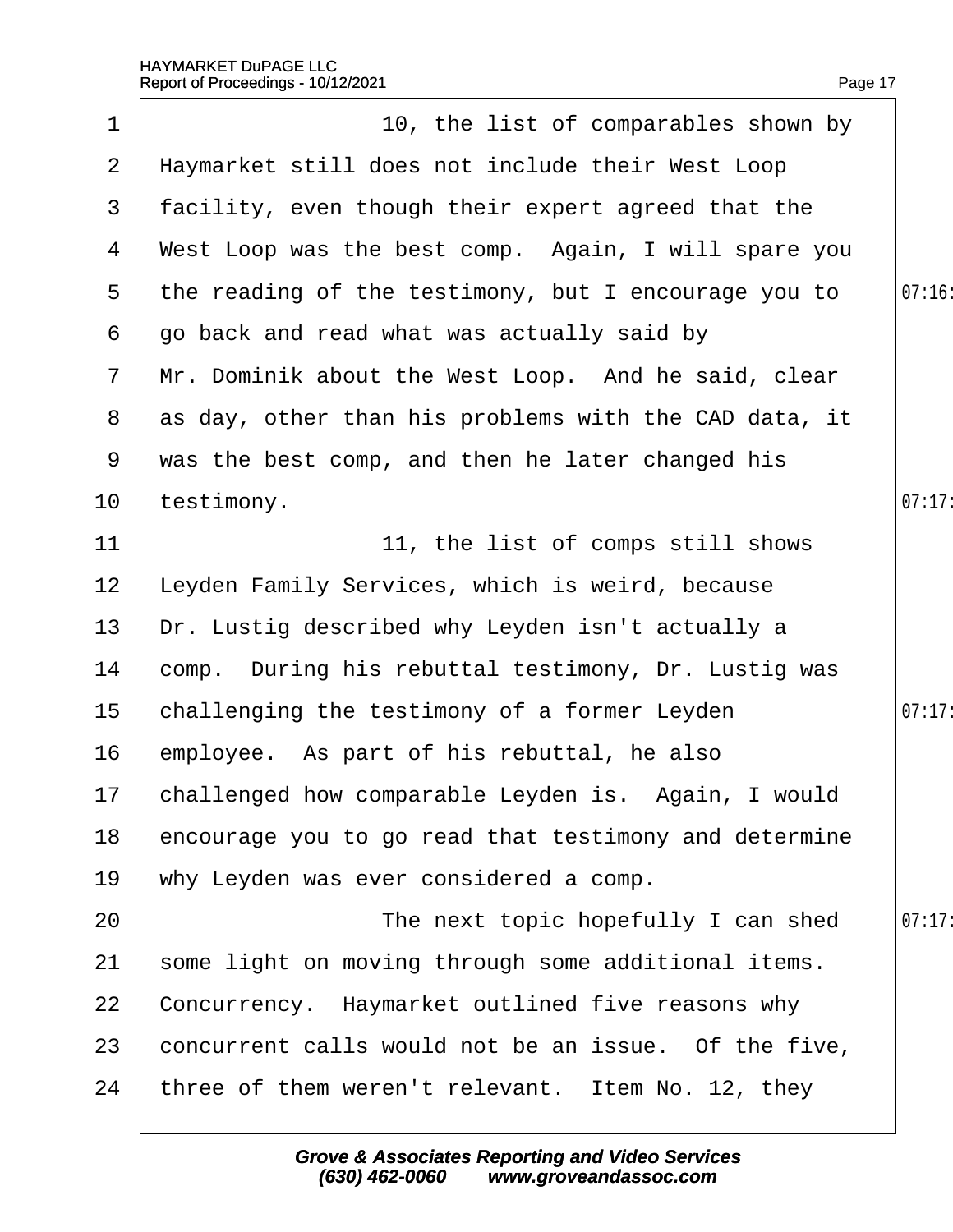|                | Report of Proceedings - 10/12/2021                    | Page 17 |
|----------------|-------------------------------------------------------|---------|
| 1              | 10, the list of comparables shown by                  |         |
| $\overline{2}$ | Haymarket still does not include their West Loop      |         |
| 3              | facility, even though their expert agreed that the    |         |
| 4              | West Loop was the best comp. Again, I will spare you  |         |
| 5              | the reading of the testimony, but I encourage you to  | 07:16   |
| 6              | go back and read what was actually said by            |         |
|                | 7 Mr. Dominik about the West Loop. And he said, clear |         |
| 8              | as day, other than his problems with the CAD data, it |         |
| 9              | was the best comp, and then he later changed his      |         |
| 10             | testimony.                                            | 07:17   |
| 11             | 11, the list of comps still shows                     |         |
| 12             | eyden Family Services, which is weird, because.       |         |
| 13             | Dr. Lustig described why Leyden isn't actually a      |         |
| 14             | comp. During his rebuttal testimony, Dr. Lustig was   |         |
| 15             | challenging the testimony of a former Leyden          | 07:17   |
| 16             | employee. As part of his rebuttal, he also            |         |
| 17             | challenged how comparable Leyden is. Again, I would   |         |
| 18             | encourage you to go read that testimony and determine |         |
| 19             | why Leyden was ever considered a comp.                |         |
| 20             | The next topic hopefully I can shed                   | 07:17   |
| 21             | some light on moving through some additional items.   |         |
| 22             | Concurrency. Haymarket outlined five reasons why      |         |
| 23             | concurrent calls would not be an issue. Of the five,  |         |
| 24             | three of them weren't relevant. Item No. 12, they     |         |
|                |                                                       |         |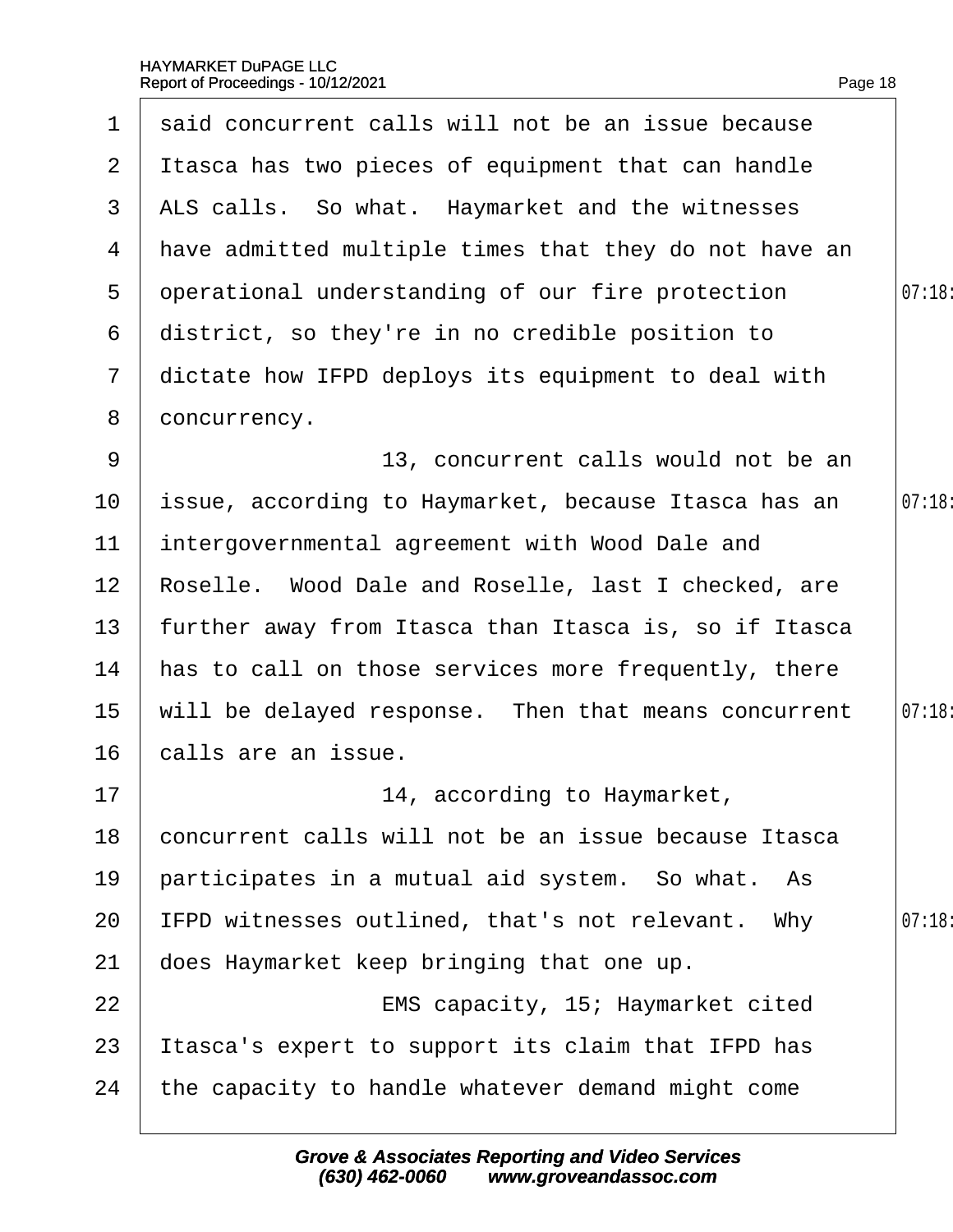| $\mathbf 1$     | said concurrent calls will not be an issue because       |        |
|-----------------|----------------------------------------------------------|--------|
| $\overline{2}$  | It as a has two pieces of equipment that can handle      |        |
| 3               | ALS calls. So what. Haymarket and the witnesses          |        |
| 4               | have admitted multiple times that they do not have an    |        |
| 5               | operational understanding of our fire protection         | 07:18: |
| 6               | district, so they're in no credible position to          |        |
| $7\phantom{.}$  | dictate how IFPD deploys its equipment to deal with      |        |
| 8               | doncurrency.                                             |        |
| 9               | 13, concurrent calls would not be an                     |        |
| 10              | issue, according to Haymarket, because Itasca has an     | 07:18: |
| 11              | intergovernmental agreement with Wood Dale and           |        |
| 12 <sub>2</sub> | Roselle. Wood Dale and Roselle, last I checked, are      |        |
| 13              | further away from Itasca than Itasca is, so if Itasca    |        |
| 14              | has to call on those services more frequently, there     |        |
| 15              | will be delayed response. Then that means concurrent     | 07:18: |
| 16              | calls are an issue.                                      |        |
| 17              | 14, according to Haymarket,                              |        |
| 18              | concurrent calls will not be an issue because Itasca     |        |
| 19              | participates in a mutual aid system. So what. As         |        |
| 20              | <b>IFPD witnesses outlined, that's not relevant. Why</b> | 07:18  |
| 21              | does Haymarket keep bringing that one up.                |        |
| 22              | EMS capacity, 15; Haymarket cited                        |        |
| 23              | Itasca's expert to support its claim that IFPD has       |        |
| 24              | the capacity to handle whatever demand might come        |        |
|                 |                                                          |        |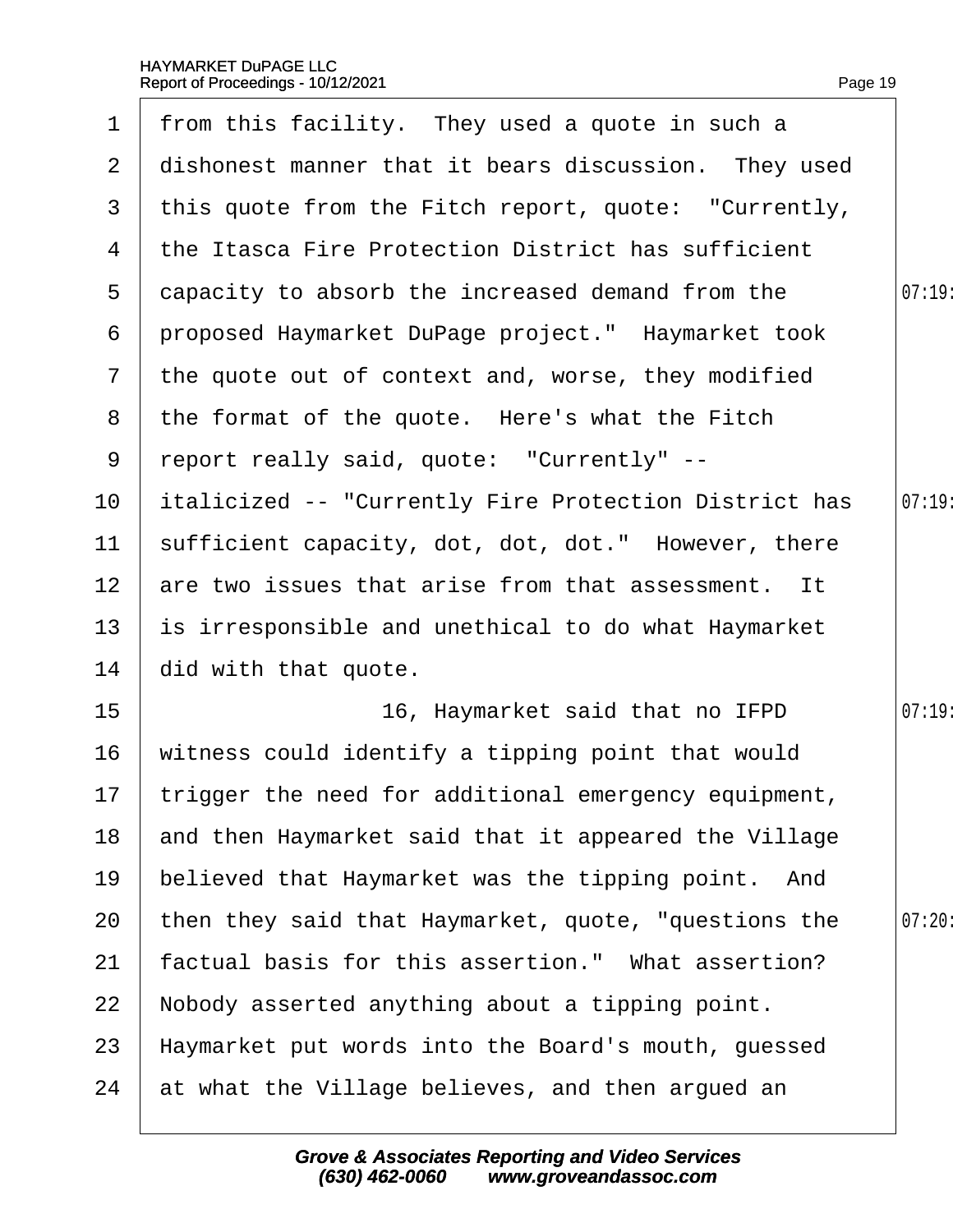|                 | 1 from this facility. They used a quote in such a            |        |
|-----------------|--------------------------------------------------------------|--------|
| $\mathbf{2}$    | dishonest manner that it bears discussion. They used         |        |
|                 | 3 this quote from the Fitch report, quote: "Currently,       |        |
| 4               | the Itasca Fire Protection District has sufficient           |        |
| 5               | dapacity to absorb the increased demand from the             | 07:19: |
| 6               | proposed Haymarket DuPage project." Haymarket took           |        |
|                 | 7 the quote out of context and, worse, they modified         |        |
|                 | 8 the format of the quote. Here's what the Fitch             |        |
| 9               | report really said, quote: "Currently" --                    |        |
| 10              | <b>italicized -- "Currently Fire Protection District has</b> | 07:19  |
| 11              | sufficient capacity, dot, dot, dot." However, there          |        |
| 12 <sup>1</sup> | are two issues that arise from that assessment. It           |        |
| 13              | is irresponsible and unethical to do what Haymarket          |        |
| 14              | did with that quote.                                         |        |
| 15 <sub>1</sub> | 16, Haymarket said that no IFPD                              | 07:19  |
| 16              | witness could identify a tipping point that would            |        |
|                 | 17 trigger the need for additional emergency equipment,      |        |
| 18              | and then Haymarket said that it appeared the Village         |        |
| 19              | believed that Haymarket was the tipping point. And           |        |
| 20              | then they said that Haymarket, quote, "questions the         | 07:20  |
| 21              | factual basis for this assertion." What assertion?           |        |
| 22              | Nobody asserted anything about a tipping point.              |        |
| 23              | Haymarket put words into the Board's mouth, guessed          |        |
| 24              | at what the Village believes, and then argued an             |        |
|                 |                                                              |        |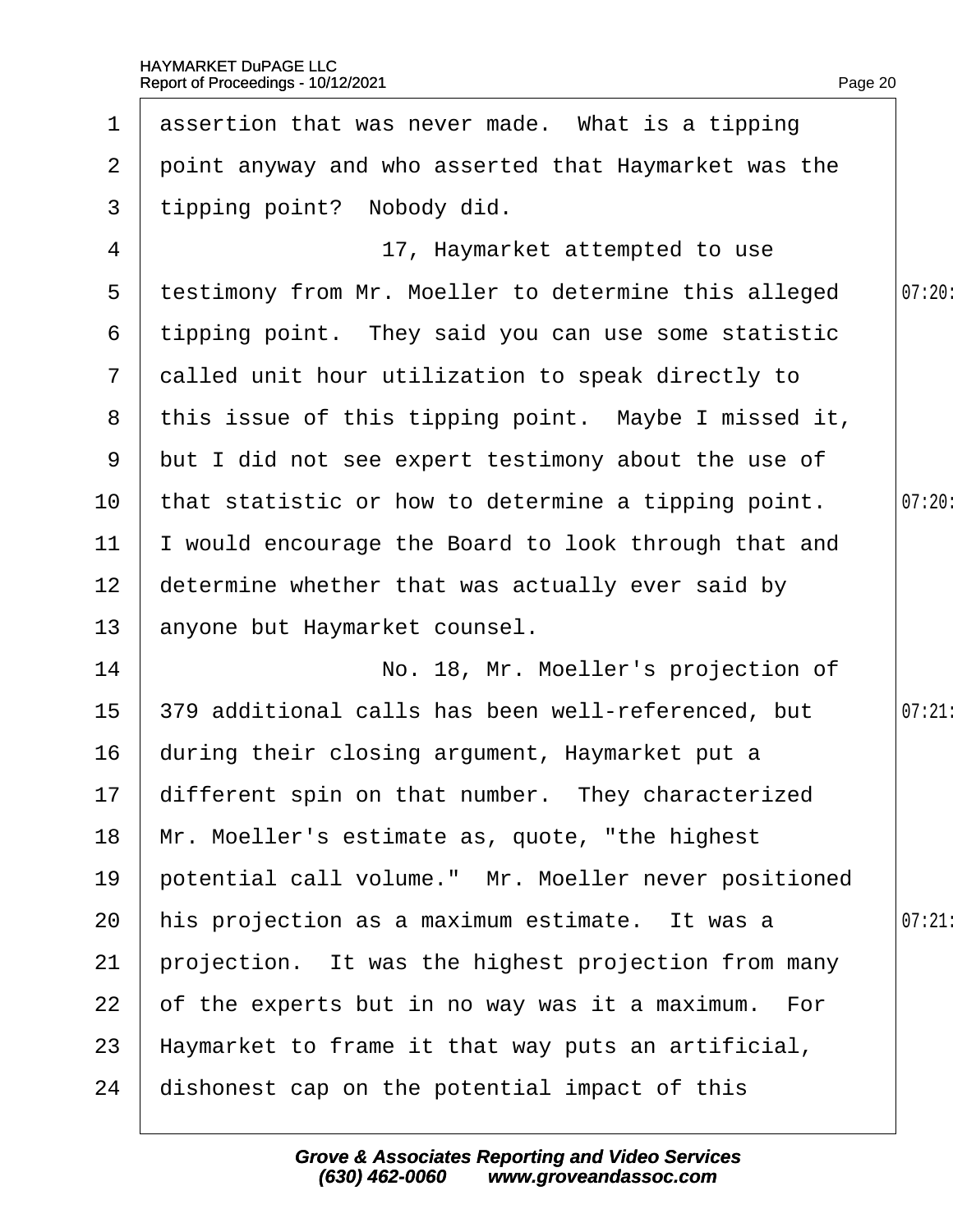|                 | 1 assertion that was never made. What is a tipping     |       |
|-----------------|--------------------------------------------------------|-------|
| $\mathbf{2}$    | point anyway and who asserted that Haymarket was the   |       |
| 3               | tipping point? Nobody did.                             |       |
| 4               | 17, Haymarket attempted to use                         |       |
| 5               | testimony from Mr. Moeller to determine this alleged   | 07:20 |
| 6               | tipping point. They said you can use some statistic    |       |
|                 | 7 dalled unit hour utilization to speak directly to    |       |
|                 | 8 this issue of this tipping point. Maybe I missed it, |       |
|                 | 9 but I did not see expert testimony about the use of  |       |
| 10 <sup>°</sup> | that statistic or how to determine a tipping point.    | 07:20 |
| 11              | would encourage the Board to look through that and     |       |
| 12 <sub>2</sub> | determine whether that was actually ever said by       |       |
| 13 <sup>°</sup> | anyone but Haymarket counsel.                          |       |
| 14              | No. 18, Mr. Moeller's projection of                    |       |
| 15 <sub>1</sub> | 379 additional calls has been well-referenced, but     | 07:21 |
| 16              | during their closing argument, Haymarket put a         |       |
|                 | 17 different spin on that number. They characterized   |       |
| 18              | Mr. Moeller's estimate as, quote, "the highest         |       |
| 19              | potential call volume." Mr. Moeller never positioned   |       |
| 20              | his projection as a maximum estimate. It was a         | 07:21 |
| 21              | projection. It was the highest projection from many    |       |
| 22              | of the experts but in no way was it a maximum. For     |       |
| 23              | Haymarket to frame it that way puts an artificial,     |       |
| 24              | dishonest cap on the potential impact of this          |       |
|                 |                                                        |       |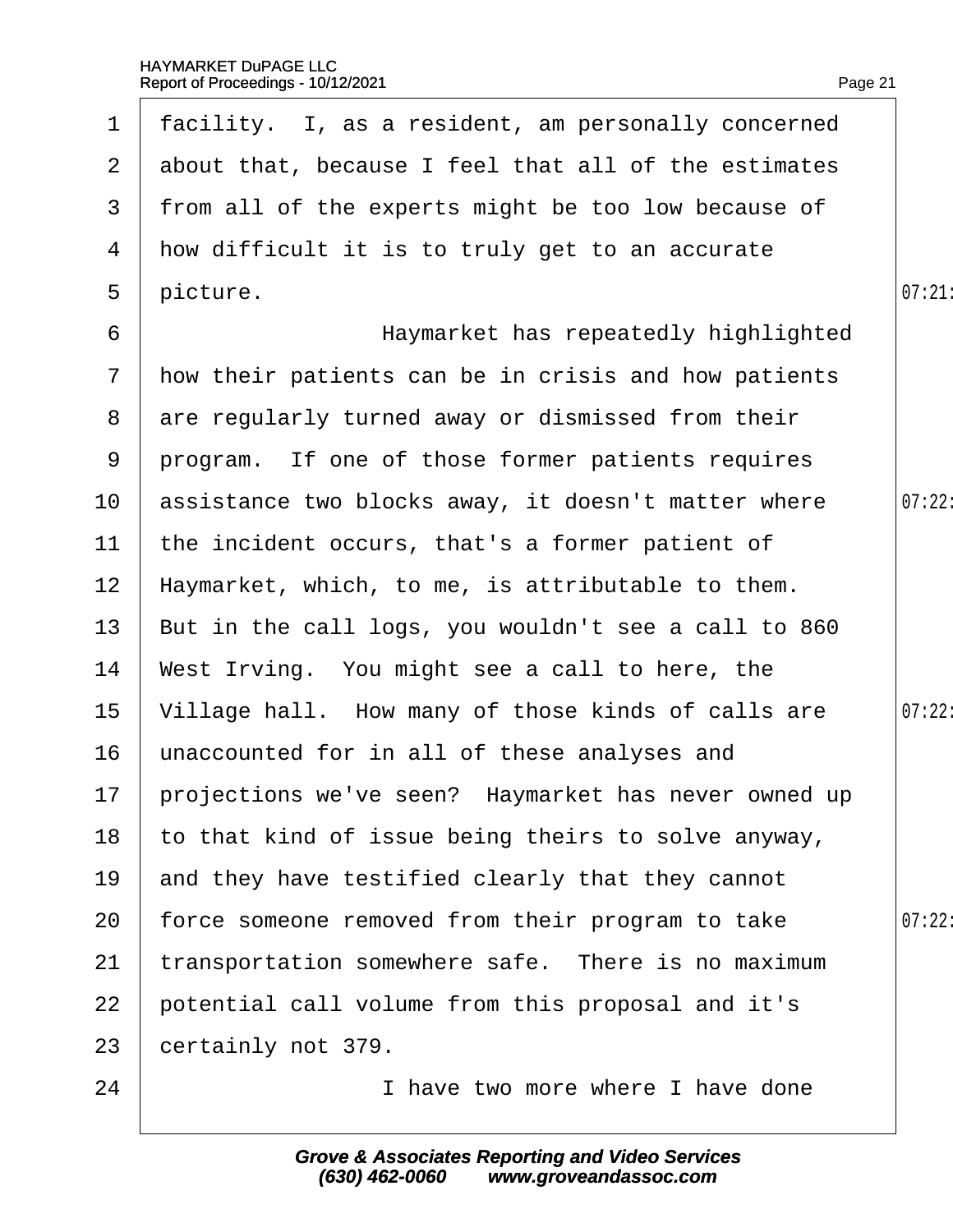| $\mathbf 1$     | facility. I, as a resident, am personally concerned     |        |
|-----------------|---------------------------------------------------------|--------|
|                 | 2 about that, because I feel that all of the estimates  |        |
| 3               | from all of the experts might be too low because of     |        |
| 4               | how difficult it is to truly get to an accurate         |        |
| 5               | picture.                                                | 07:21  |
| 6               | Haymarket has repeatedly highlighted                    |        |
|                 | 7 How their patients can be in crisis and how patients  |        |
|                 | 8 are regularly turned away or dismissed from their     |        |
|                 | 9 program. If one of those former patients requires     |        |
| 10 <sup>°</sup> | assistance two blocks away, it doesn't matter where     | 07:22: |
| 11              | the incident occurs, that's a former patient of         |        |
| 12 <sub>2</sub> | Haymarket, which, to me, is attributable to them.       |        |
| 13 <sup>7</sup> | But in the call logs, you wouldn't see a call to 860    |        |
| 14              | West Irving. You might see a call to here, the          |        |
| 15 <sub>1</sub> | Village hall. How many of those kinds of calls are      | 07:22: |
| 16 <sup>°</sup> | unaccounted for in all of these analyses and            |        |
|                 | 17 projections we've seen? Haymarket has never owned up |        |
| 18              | to that kind of issue being theirs to solve anyway,     |        |
| 19              | and they have testified clearly that they cannot        |        |
| 20              | force someone removed from their program to take        | 07:22: |
| 21              | transportation somewhere safe. There is no maximum      |        |
| 22              | potential call volume from this proposal and it's       |        |
| 23              | certainly not 379.                                      |        |
| 24              | I have two more where I have done                       |        |
|                 |                                                         |        |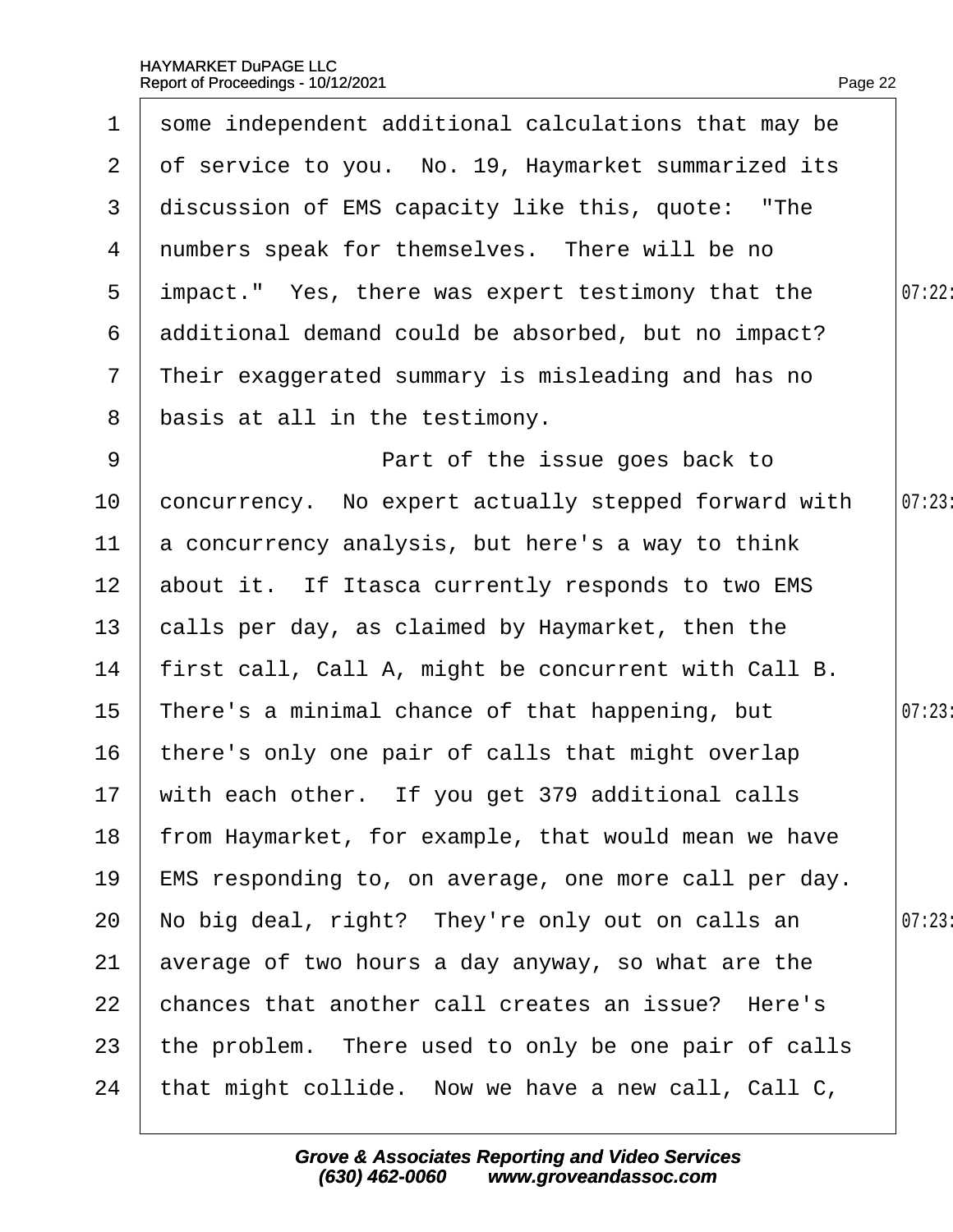|                 | 1 some independent additional calculations that may be |        |
|-----------------|--------------------------------------------------------|--------|
| $\mathbf{2}$    | of service to you. No. 19, Haymarket summarized its    |        |
| 3               | discussion of EMS capacity like this, quote: "The      |        |
| 4               | numbers speak for themselves. There will be no         |        |
| $5^{\circ}$     | impact." Yes, there was expert testimony that the      | 07:22: |
| 6               | additional demand could be absorbed, but no impact?    |        |
| $\overline{7}$  | Their exaggerated summary is misleading and has no     |        |
| 8               | basis at all in the testimony.                         |        |
| 9               | Part of the issue goes back to                         |        |
| 10              | concurrency. No expert actually stepped forward with   | 07:23  |
| 11              | a concurrency analysis, but here's a way to think      |        |
| 12 <sub>2</sub> | about it. If Itasca currently responds to two EMS      |        |
| 13 <sup>°</sup> | calls per day, as claimed by Haymarket, then the       |        |
| 14              | first call, Call A, might be concurrent with Call B.   |        |
| 15 <sub>1</sub> | There's a minimal chance of that happening, but        | 07:23  |
| 16              | there's only one pair of calls that might overlap      |        |
|                 | 17 with each other. If you get 379 additional calls    |        |
| 18              | from Haymarket, for example, that would mean we have   |        |
| 19              | EMS responding to, on average, one more call per day.  |        |
| 20              | No big deal, right? They're only out on calls an       | 07:23  |
| 21              | average of two hours a day anyway, so what are the     |        |
| 22              | chances that another call creates an issue? Here's     |        |
| 23              | the problem. There used to only be one pair of calls   |        |
| 24              | that might collide. Now we have a new call, Call C,    |        |
|                 |                                                        |        |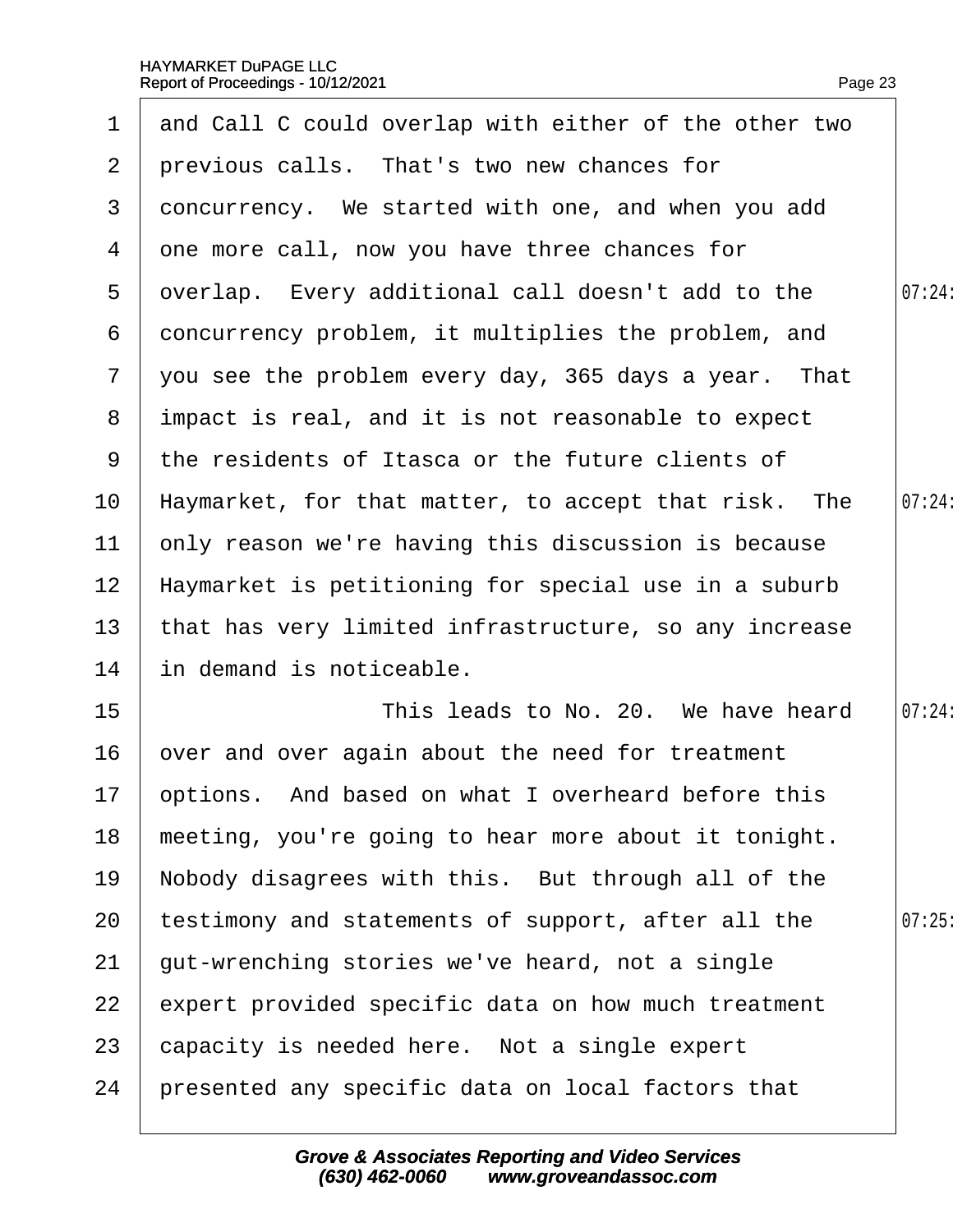|                 | 1 and Call C could overlap with either of the other two |        |
|-----------------|---------------------------------------------------------|--------|
|                 | 2 previous calls. That's two new chances for            |        |
| 3               | doncurrency. We started with one, and when you add      |        |
|                 | 4 dne more call, now you have three chances for         |        |
| 5               | qverlap. Every additional call doesn't add to the       | 07:24: |
| 6               | doncurrency problem, it multiplies the problem, and     |        |
|                 | 7 you see the problem every day, 365 days a year. That  |        |
|                 | 8 impact is real, and it is not reasonable to expect    |        |
|                 | 9 the residents of Itasca or the future clients of      |        |
| 10 <sub>1</sub> | Haymarket, for that matter, to accept that risk. The    | 07:24: |
| 11              | only reason we're having this discussion is because     |        |
| 12 <sub>2</sub> | Haymarket is petitioning for special use in a suburb    |        |
| 13 <sup>°</sup> | that has very limited infrastructure, so any increase   |        |
| 14              | in demand is noticeable.                                |        |
| 15 <sub>1</sub> | This leads to No. 20. We have heard                     | 07:24: |
| 16              | over and over again about the need for treatment        |        |
|                 | 17 pptions. And based on what I overheard before this   |        |
| 18              | meeting, you're going to hear more about it tonight.    |        |
| 19              | Nobody disagrees with this. But through all of the      |        |
| 20              | testimony and statements of support, after all the      | 07:25  |
| 21              | gut-wrenching stories we've heard, not a single         |        |
| 22              | expert provided specific data on how much treatment     |        |
| 23              | capacity is needed here. Not a single expert            |        |
| 24              | presented any specific data on local factors that       |        |
|                 |                                                         |        |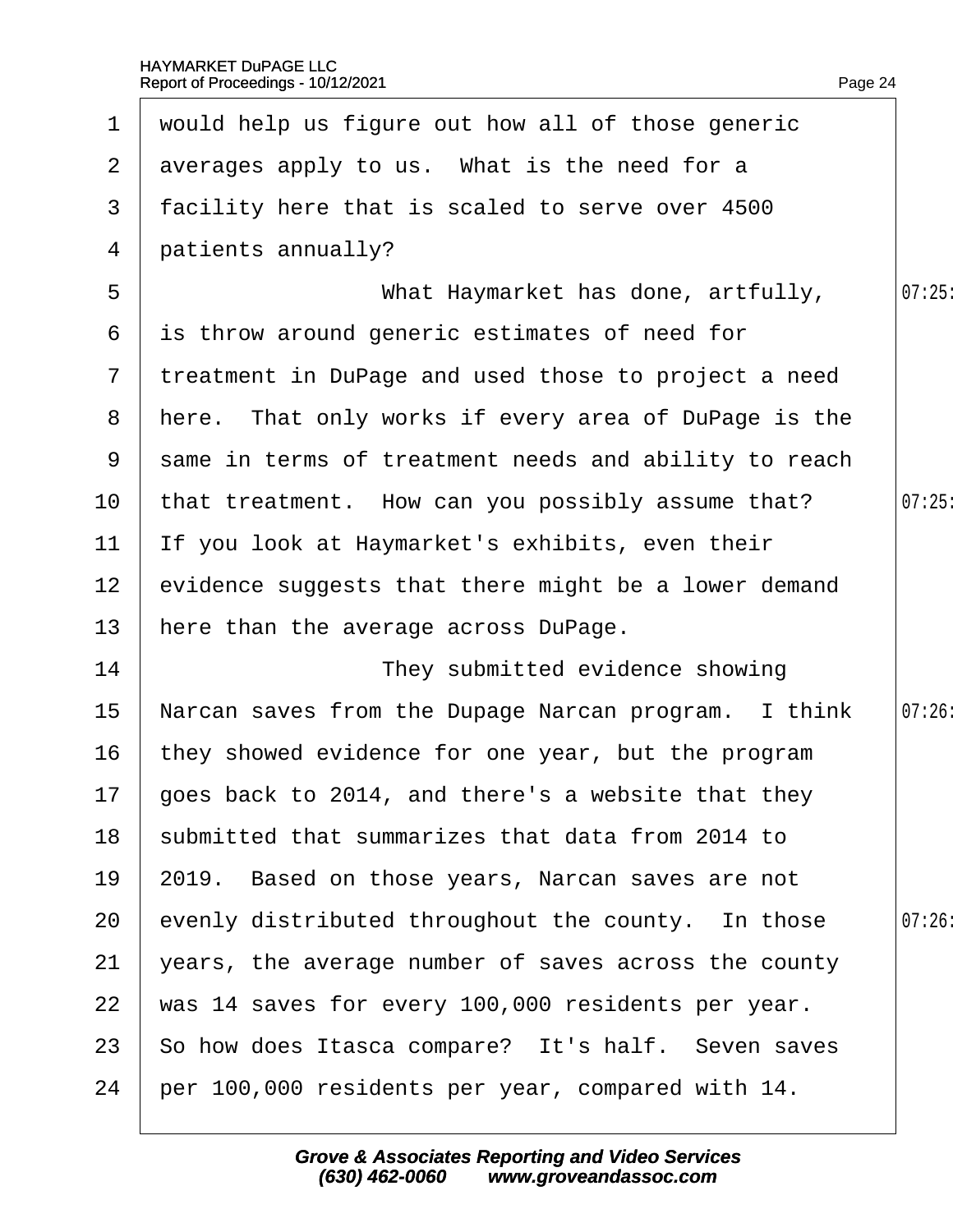|                 | 1 would help us figure out how all of those generic    |        |
|-----------------|--------------------------------------------------------|--------|
|                 | 2 averages apply to us. What is the need for a         |        |
| 3               | facility here that is scaled to serve over 4500        |        |
| 4               | patients annually?                                     |        |
| 5               | What Haymarket has done, artfully,                     | 07:25  |
| 6               | is throw around generic estimates of need for          |        |
|                 | 7 treatment in DuPage and used those to project a need |        |
|                 | 8 Here. That only works if every area of DuPage is the |        |
| 9               | same in terms of treatment needs and ability to reach  |        |
| 10              | that treatment. How can you possibly assume that?      | 07:25  |
| 11              | If you look at Haymarket's exhibits, even their        |        |
| 12 <sub>2</sub> | evidence suggests that there might be a lower demand   |        |
| 13              | here than the average across DuPage.                   |        |
| 14              | They submitted evidence showing                        |        |
| 15              | Narcan saves from the Dupage Narcan program. I think   | 07:26: |
| 16              | they showed evidence for one year, but the program     |        |
|                 | 17 goes back to 2014, and there's a website that they  |        |
| 18              | submitted that summarizes that data from 2014 to       |        |
| 19              | 2019. Based on those years, Narcan saves are not       |        |
| 20              | evenly distributed throughout the county. In those     | 07:26  |
| 21              | years, the average number of saves across the county   |        |
| 22              | was 14 saves for every 100,000 residents per year.     |        |
| 23              | So how does Itasca compare? It's half. Seven saves     |        |
| 24              | per 100,000 residents per year, compared with 14.      |        |
|                 |                                                        |        |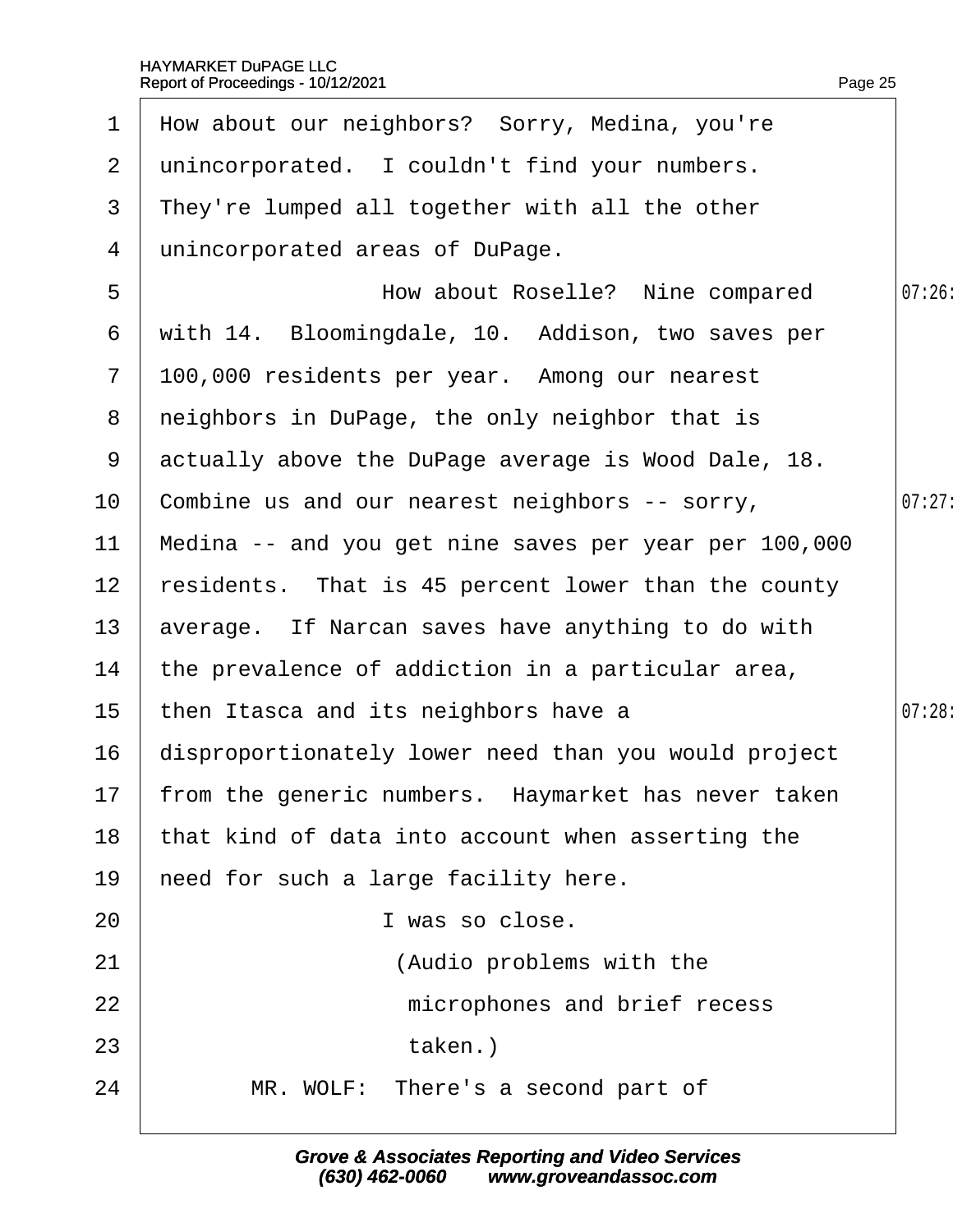| $\mathbf 1$     | How about our neighbors? Sorry, Medina, you're         |        |
|-----------------|--------------------------------------------------------|--------|
| 2 <sup>1</sup>  | unincorporated. I couldn't find your numbers.          |        |
| 3               | They're lumped all together with all the other         |        |
| 4               | unincorporated areas of DuPage.                        |        |
| 5               | How about Roselle? Nine compared                       | 07:26  |
| 6               | with 14. Bloomingdale, 10. Addison, two saves per      |        |
| $\overline{7}$  | 100,000 residents per year. Among our nearest          |        |
| 8               | neighbors in DuPage, the only neighbor that is         |        |
| 9               | actually above the DuPage average is Wood Dale, 18.    |        |
| 10 <sup>°</sup> | Combine us and our nearest neighbors -- sorry,         | 07:27  |
| 11              | Medina -- and you get nine saves per year per 100,000  |        |
| 12 <sub>2</sub> | residents. That is 45 percent lower than the county    |        |
| 13              | average. If Narcan saves have anything to do with      |        |
| 14              | the prevalence of addiction in a particular area,      |        |
| 15 <sub>2</sub> | then Itasca and its neighbors have a                   | 07:28: |
| 16              | disproportionately lower need than you would project   |        |
|                 | 17 from the generic numbers. Haymarket has never taken |        |
| 18              | that kind of data into account when asserting the      |        |
| 19              | heed for such a large facility here.                   |        |
| 20              | I was so close.                                        |        |
| 21              | (Audio problems with the                               |        |
| 22              | microphones and brief recess                           |        |
| 23              | taken.)                                                |        |
| 24              | MR. WOLF: There's a second part of                     |        |
|                 |                                                        |        |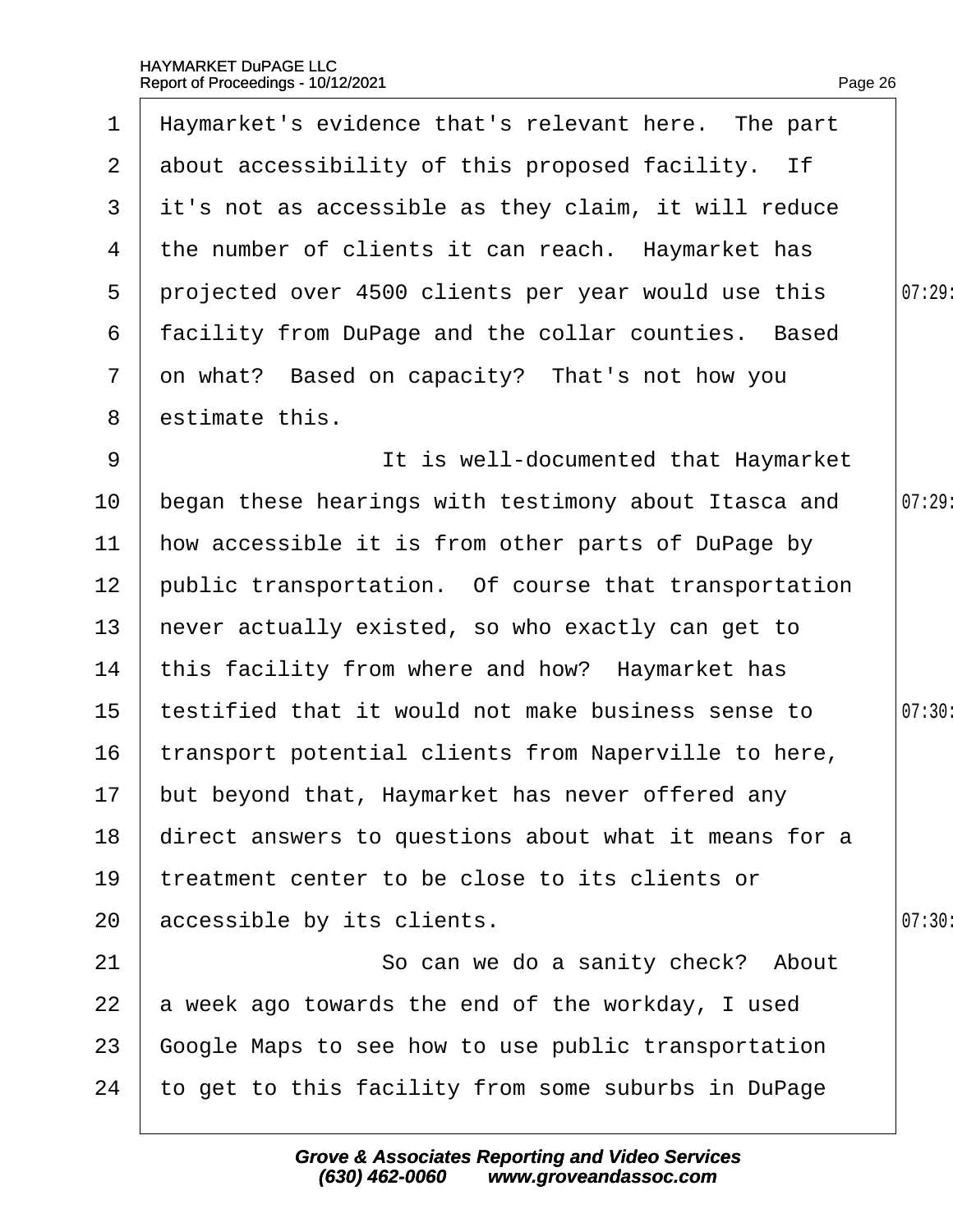|                | Report of Proceedings - 10/12/2021                    | Page 26 |
|----------------|-------------------------------------------------------|---------|
| $\mathbf 1$    | Haymarket's evidence that's relevant here. The part   |         |
| $\overline{2}$ | about accessibility of this proposed facility. If     |         |
| 3              | it's not as accessible as they claim, it will reduce  |         |
| 4              | the number of clients it can reach. Haymarket has     |         |
| 5              | projected over 4500 clients per year would use this   | 07:29:  |
| 6              | facility from DuPage and the collar counties. Based   |         |
| $\overline{7}$ | on what? Based on capacity? That's not how you        |         |
| 8              | estimate this.                                        |         |
| 9              | It is well-documented that Haymarket                  |         |
| 10             | began these hearings with testimony about Itasca and  | 07:29   |
| 11             | how accessible it is from other parts of DuPage by    |         |
| 12             | public transportation. Of course that transportation  |         |
| 13             | hever actually existed, so who exactly can get to     |         |
| 14             | this facility from where and how? Haymarket has       |         |
| 15             | testified that it would not make business sense to    | 07:30:  |
| 16             | transport potential clients from Naperville to here,  |         |
| 17             | but beyond that, Haymarket has never offered any      |         |
| 18             | direct answers to questions about what it means for a |         |
| 19             | treatment center to be close to its clients or        |         |
| 20             | accessible by its clients.                            | 07:30   |
| 21             | So can we do a sanity check? About                    |         |
| 22             | a week ago towards the end of the workday, I used     |         |
| 23             | Google Maps to see how to use public transportation   |         |
| 24             | to get to this facility from some suburbs in DuPage   |         |
|                |                                                       |         |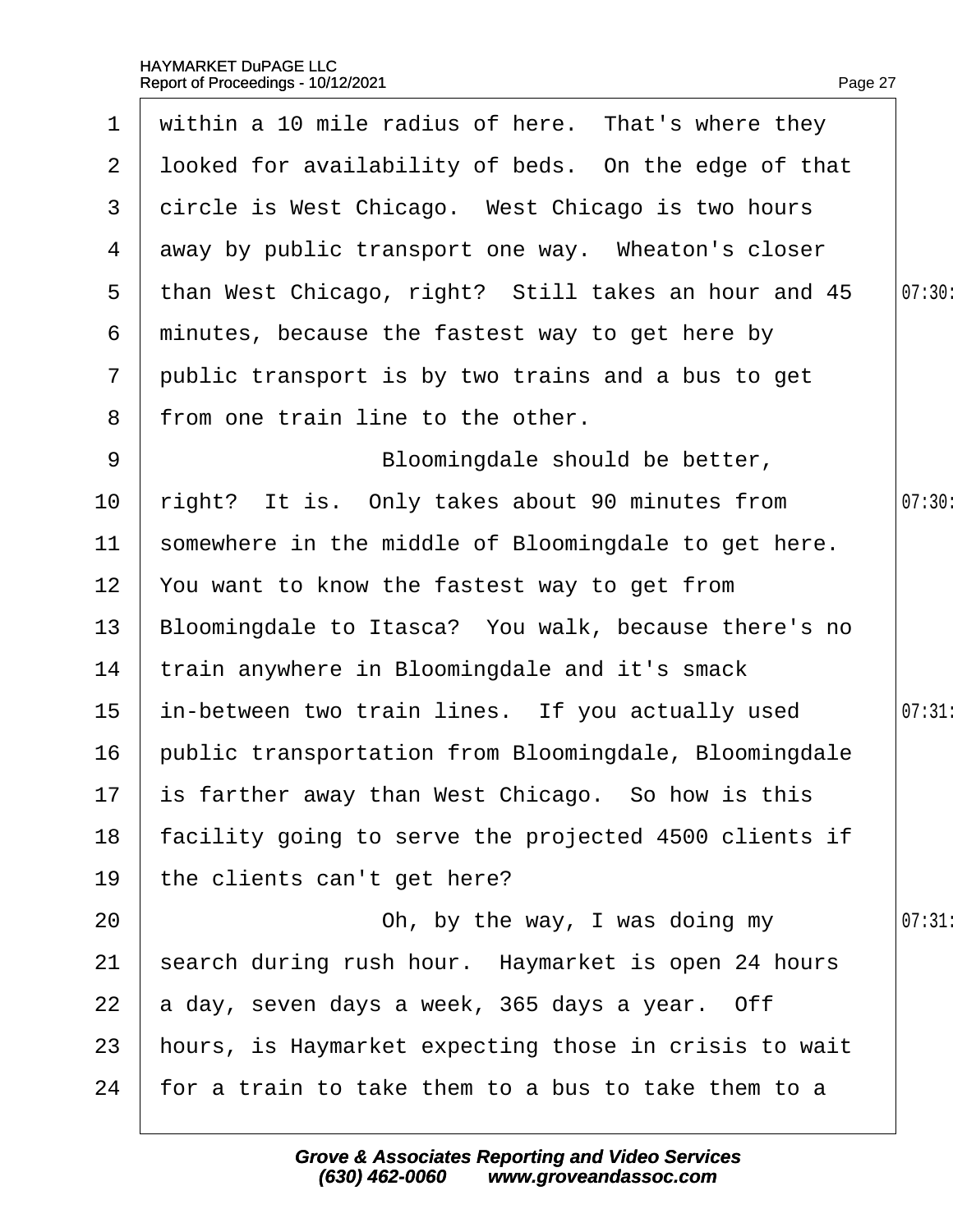$\overline{\phantom{a}}$ 

|                 | 1 within a 10 mile radius of here. That's where they   |        |
|-----------------|--------------------------------------------------------|--------|
|                 | 2 Iboked for availability of beds. On the edge of that |        |
|                 | 3 dircle is West Chicago. West Chicago is two hours    |        |
| 4               | away by public transport one way. Wheaton's closer     |        |
| 5               | than West Chicago, right? Still takes an hour and 45   | 07:30: |
|                 | 6 minutes, because the fastest way to get here by      |        |
| 7 <sup>1</sup>  | public transport is by two trains and a bus to get     |        |
| 8               | from one train line to the other.                      |        |
| 9               | Bloomingdale should be better,                         |        |
| 10 <sub>1</sub> | right? It is. Only takes about 90 minutes from         | 07:30  |
| 11              | somewhere in the middle of Bloomingdale to get here.   |        |
| 12 <sub>2</sub> | You want to know the fastest way to get from           |        |
| 13 <sup>°</sup> | Bloomingdale to Itasca? You walk, because there's no   |        |
| 14              | train anywhere in Bloomingdale and it's smack          |        |
| 15 <sub>1</sub> | in-between two train lines. If you actually used       | 07:31: |
| 16              | public transportation from Bloomingdale, Bloomingdale  |        |
| 17              | is farther away than West Chicago. So how is this      |        |
| 18              | facility going to serve the projected 4500 clients if  |        |
| 19              | the clients can't get here?                            |        |
| 20              | Oh, by the way, I was doing my                         | 07:31  |
| 21              | search during rush hour. Haymarket is open 24 hours    |        |
| 22              | a day, seven days a week, 365 days a year. Off         |        |
| 23              | hours, is Haymarket expecting those in crisis to wait  |        |
| 24              | for a train to take them to a bus to take them to a    |        |
|                 |                                                        |        |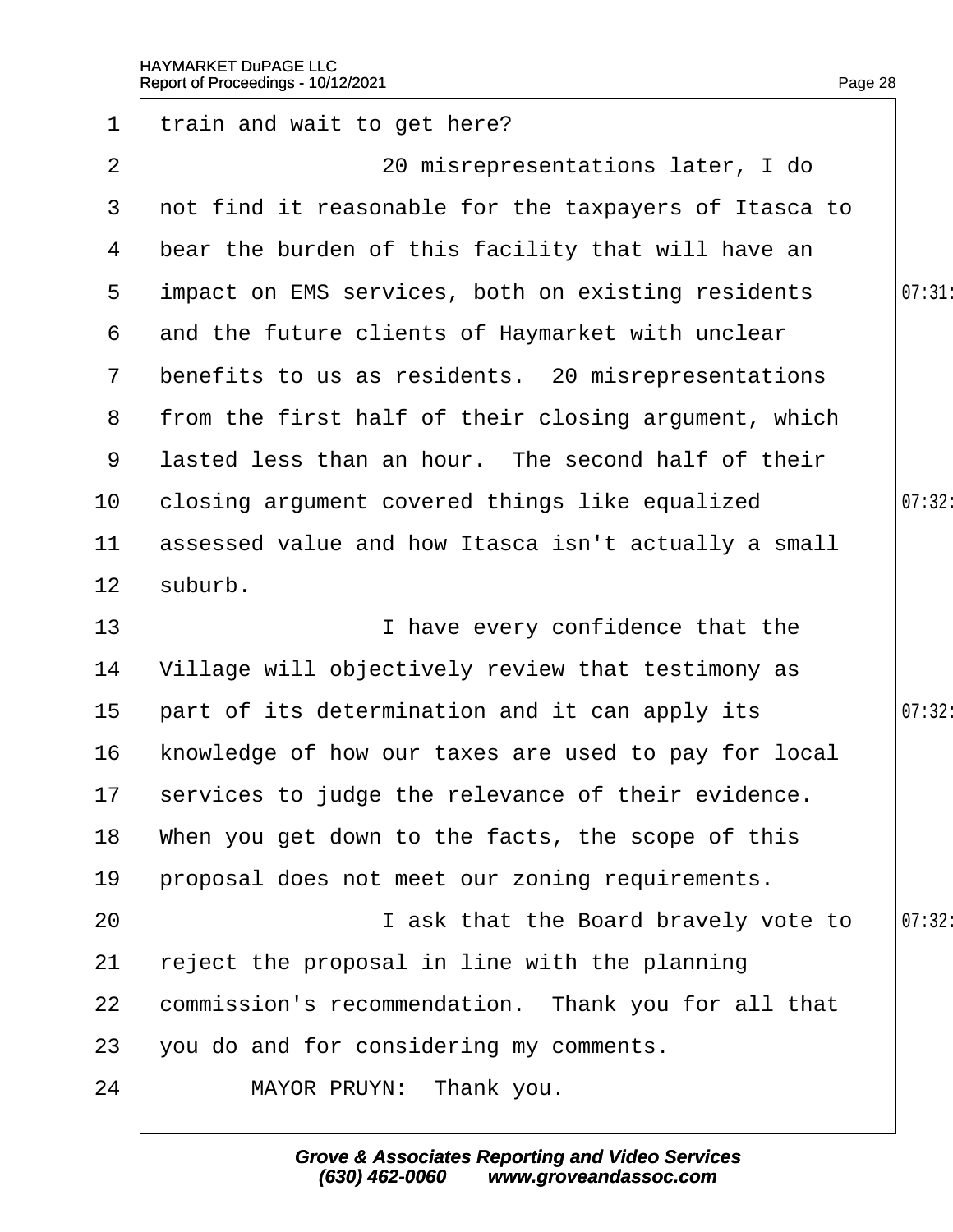| $\mathbf 1$     | train and wait to get here?                            |        |
|-----------------|--------------------------------------------------------|--------|
| 2               | 20 misrepresentations later, I do                      |        |
| 3 <sup>1</sup>  | not find it reasonable for the taxpayers of Itasca to  |        |
|                 | 4 bear the burden of this facility that will have an   |        |
| 5               | impact on EMS services, both on existing residents     | 07:31: |
| 6               | and the future clients of Haymarket with unclear       |        |
|                 | 7 benefits to us as residents. 20 misrepresentations   |        |
|                 | 8 from the first half of their closing argument, which |        |
| 9               | lasted less than an hour. The second half of their     |        |
| 10              | closing argument covered things like equalized         | 07:32: |
| 11              | assessed value and how Itasca isn't actually a small   |        |
| 12 <sup>2</sup> | suburb.                                                |        |
| 13              | I have every confidence that the                       |        |
| 14              | Village will objectively review that testimony as      |        |
| 15              | part of its determination and it can apply its         | 07:32: |
| 16              | knowledge of how our taxes are used to pay for local   |        |
|                 | 17 services to judge the relevance of their evidence.  |        |
| 18              | When you get down to the facts, the scope of this      |        |
| 19              | proposal does not meet our zoning requirements.        |        |
| 20              | I ask that the Board bravely vote to                   | 07:32  |
| 21              | eject the proposal in line with the planning           |        |
| 22              | commission's recommendation. Thank you for all that    |        |
| 23              | you do and for considering my comments.                |        |
| 24              | MAYOR PRUYN: Thank you.                                |        |
|                 |                                                        |        |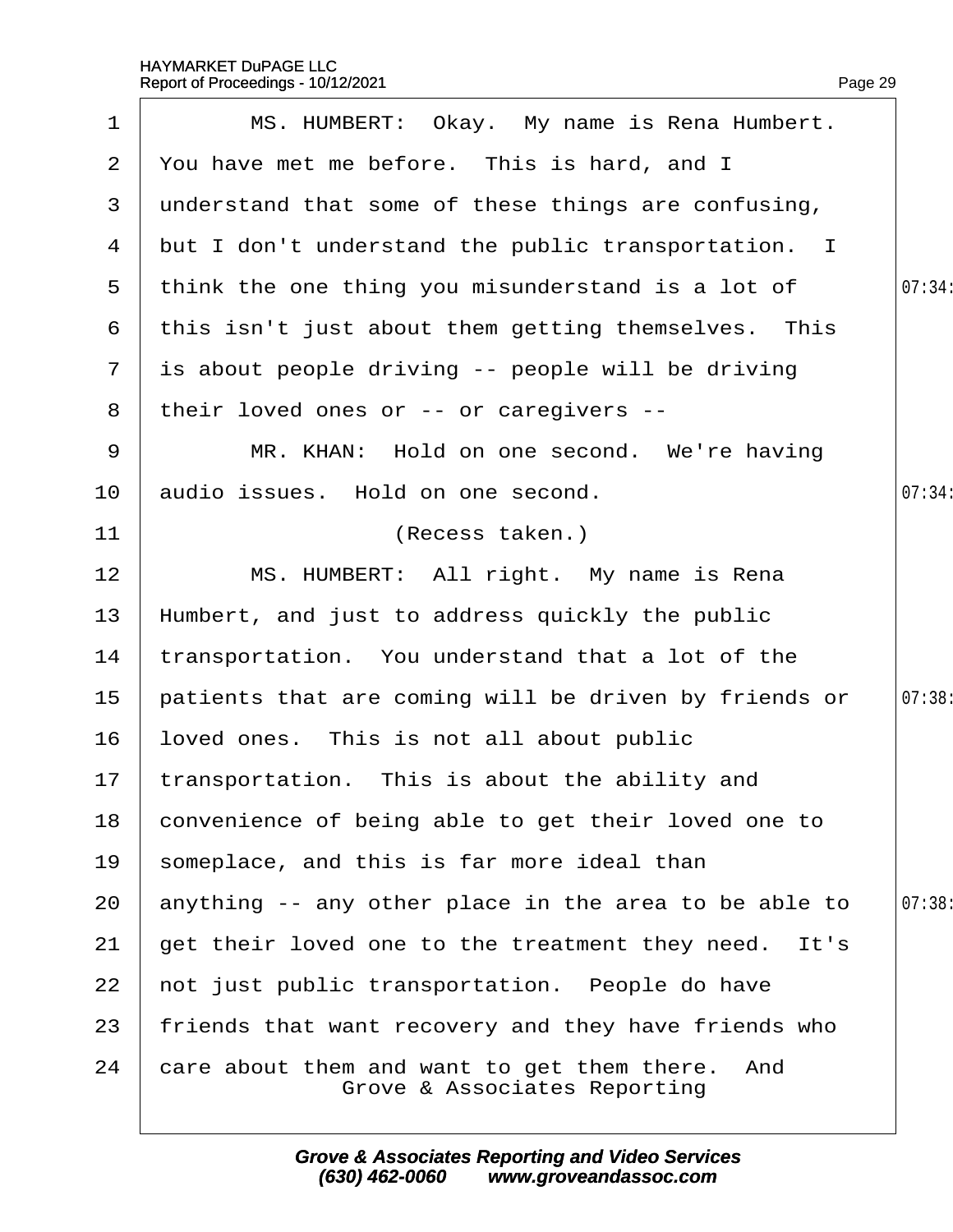| 1              | MS. HUMBERT: Okay. My name is Rena Humbert.                                     |        |
|----------------|---------------------------------------------------------------------------------|--------|
| $\overline{2}$ | You have met me before. This is hard, and I                                     |        |
| 3              | understand that some of these things are confusing,                             |        |
| 4              | but I don't understand the public transportation. I                             |        |
| 5              | think the one thing you misunderstand is a lot of                               | 07:34: |
| 6              | this isn't just about them getting themselves. This                             |        |
| $\mathbf{7}$   | is about people driving -- people will be driving                               |        |
| 8              | their loved ones or -- or caregivers --                                         |        |
| 9              | MR. KHAN: Hold on one second. We're having                                      |        |
| 10             | audio issues. Hold on one second.                                               | 07:34: |
| 11             | (Recess taken.)                                                                 |        |
| 12             | MS. HUMBERT: All right. My name is Rena                                         |        |
| 13             | Humbert, and just to address quickly the public                                 |        |
| 14             | transportation. You understand that a lot of the                                |        |
| 15             | patients that are coming will be driven by friends or                           | 07:38: |
| 16             | loved ones. This is not all about public                                        |        |
| 17             | transportation. This is about the ability and                                   |        |
| 18             | convenience of being able to get their loved one to                             |        |
| 19             | someplace, and this is far more ideal than                                      |        |
| 20             | anything -- any other place in the area to be able to                           | 07:38: |
| 21             | get their loved one to the treatment they need. It's                            |        |
| 22             | not just public transportation. People do have                                  |        |
| 23             | friends that want recovery and they have friends who                            |        |
| 24             | care about them and want to get them there. And<br>Grove & Associates Reporting |        |
|                |                                                                                 |        |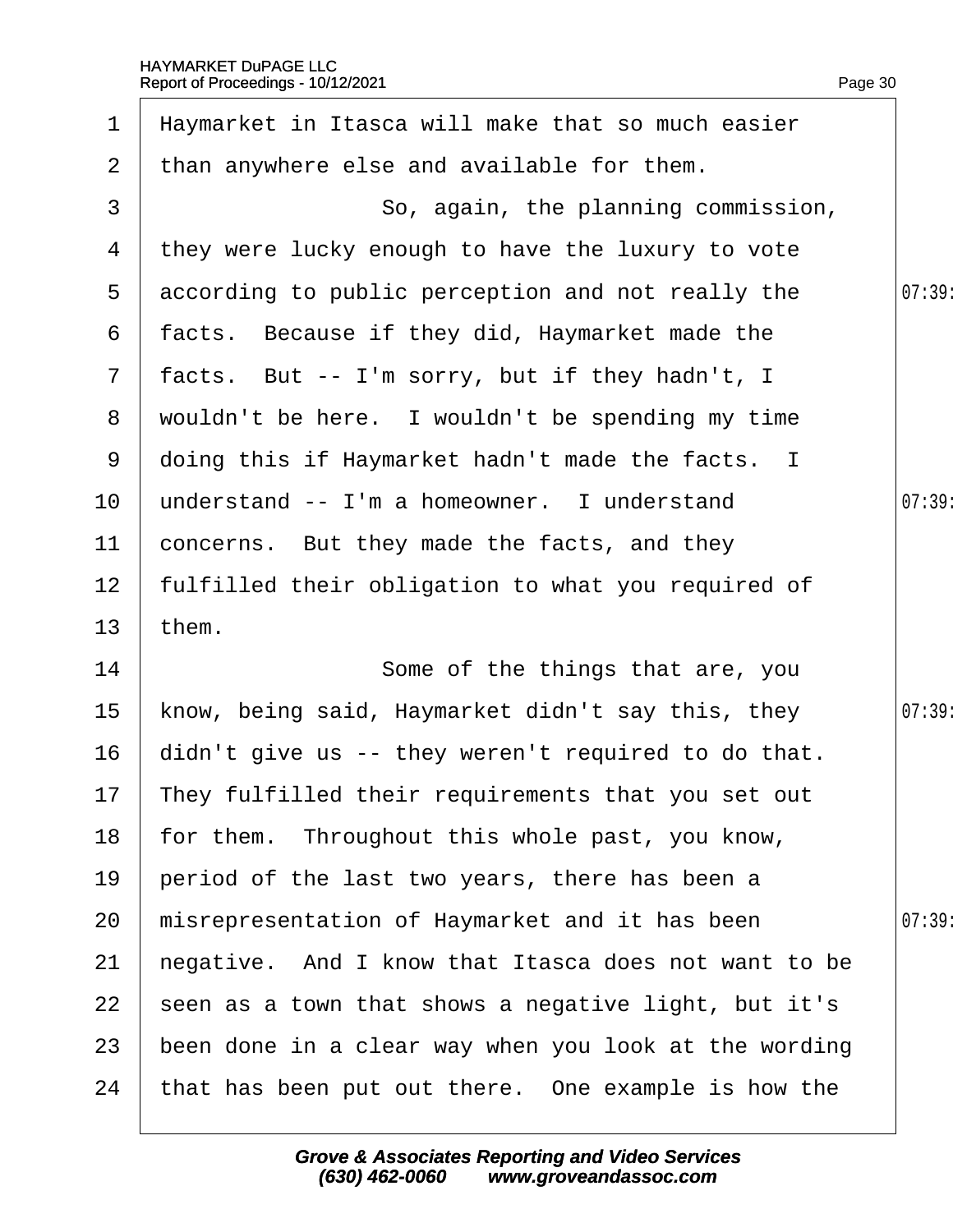| $\mathbf 1$     | Haymarket in Itasca will make that so much easier     |        |
|-----------------|-------------------------------------------------------|--------|
| $\overline{2}$  | than anywhere else and available for them.            |        |
| 3               | So, again, the planning commission,                   |        |
| 4               | they were lucky enough to have the luxury to vote     |        |
|                 | 5 according to public perception and not really the   | 07:39: |
| 6               | facts. Because if they did, Haymarket made the        |        |
|                 | 7 facts. But -- I'm sorry, but if they hadn't, I      |        |
|                 | 8 wouldn't be here. I wouldn't be spending my time    |        |
|                 | 9 doing this if Haymarket hadn't made the facts. I    |        |
| 10 <sup>°</sup> | understand -- I'm a homeowner. I understand           | 07:39  |
| 11              | concerns. But they made the facts, and they           |        |
| 12 <sub>2</sub> | fulfilled their obligation to what you required of    |        |
| 13              | them.                                                 |        |
| 14              | Some of the things that are, you                      |        |
| 15 <sub>1</sub> | know, being said, Haymarket didn't say this, they     | 07:39  |
| 16 <sup>°</sup> | didn't give us -- they weren't required to do that.   |        |
|                 | 17 They fulfilled their requirements that you set out |        |
| 18              | for them. Throughout this whole past, you know,       |        |
| 19              | period of the last two years, there has been a        |        |
| 20              | misrepresentation of Haymarket and it has been        | 07:39  |
| 21              | hegative. And I know that Itasca does not want to be  |        |
| 22              | seen as a town that shows a negative light, but it's  |        |
| 23              | been done in a clear way when you look at the wording |        |
| 24              | that has been put out there. One example is how the   |        |
|                 |                                                       |        |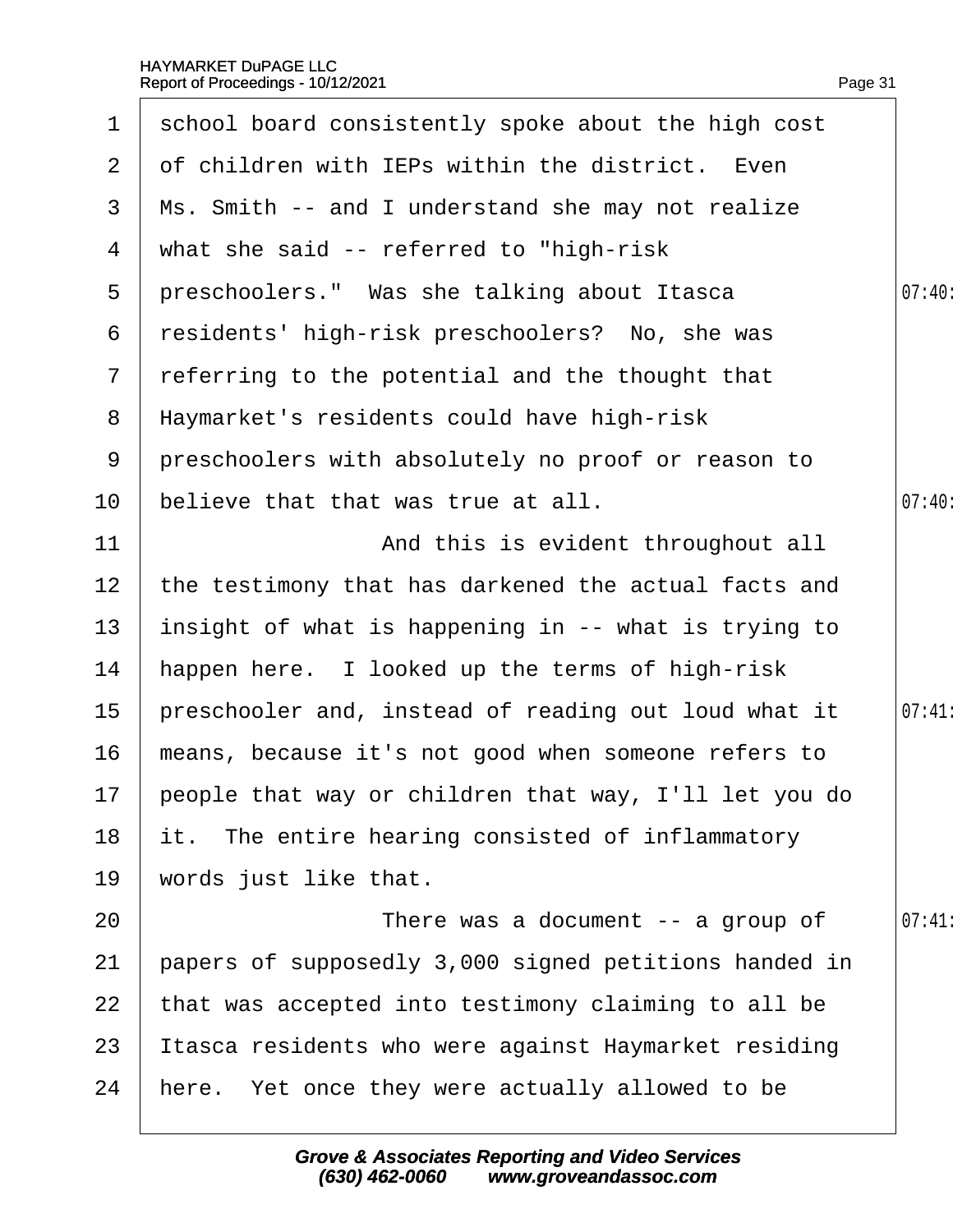| 1               | school board consistently spoke about the high cost      |        |
|-----------------|----------------------------------------------------------|--------|
| 2 <sup>1</sup>  | of children with IEPs within the district. Even          |        |
| 3               | Ms. Smith -- and I understand she may not realize        |        |
| 4               | what she said -- referred to "high-risk"                 |        |
| 5               | preschoolers." Was she talking about Itasca              | 07:40: |
| 6               | residents' high-risk preschoolers? No, she was           |        |
| $\mathbf{7}$    | referring to the potential and the thought that          |        |
| 8               | Haymarket's residents could have high-risk               |        |
| 9               | preschoolers with absolutely no proof or reason to       |        |
| 10 <sup>°</sup> | believe that that was true at all.                       | 07:40  |
| 11              | And this is evident throughout all                       |        |
| 12              | the testimony that has darkened the actual facts and     |        |
| 13              | insight of what is happening in -- what is trying to     |        |
| 14              | happen here. I looked up the terms of high-risk          |        |
| 15              | preschooler and, instead of reading out loud what it     | 07:41  |
| 16              | means, because it's not good when someone refers to      |        |
|                 | 17 people that way or children that way, I'll let you do |        |
| 18              | it. The entire hearing consisted of inflammatory         |        |
| 19              | words just like that.                                    |        |
| 20              | There was a document -- a group of                       | 07:41  |
| 21              | papers of supposedly 3,000 signed petitions handed in    |        |
| 22              | that was accepted into testimony claiming to all be      |        |
| 23              | tasca residents who were against Haymarket residing      |        |
| 24              | here. Yet once they were actually allowed to be          |        |
|                 |                                                          |        |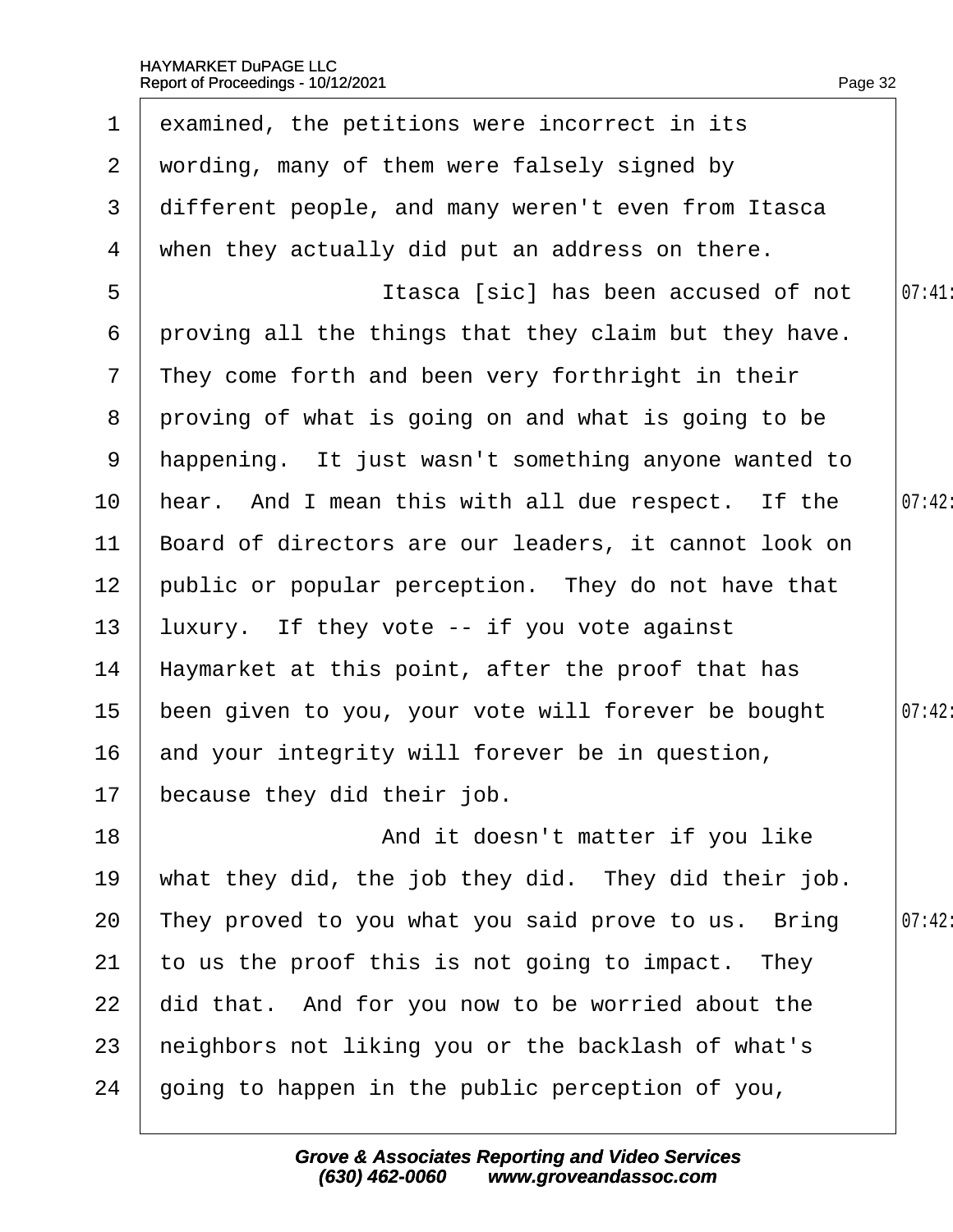| 1              | examined, the petitions were incorrect in its         |        |
|----------------|-------------------------------------------------------|--------|
| $\overline{2}$ | wording, many of them were falsely signed by          |        |
| 3              | different people, and many weren't even from Itasca   |        |
| 4              | when they actually did put an address on there.       |        |
| 5              | Itasca [sic] has been accused of not                  | 07:41  |
| 6              | proving all the things that they claim but they have. |        |
| $\overline{7}$ | They come forth and been very forthright in their     |        |
| 8              | proving of what is going on and what is going to be   |        |
| 9              | happening. It just wasn't something anyone wanted to  |        |
| 10             | hear. And I mean this with all due respect. If the    | 07:42: |
| 11             | Board of directors are our leaders, it cannot look on |        |
| 12             | public or popular perception. They do not have that   |        |
| 13             | luxury. If they vote -- if you vote against           |        |
| 14             | Haymarket at this point, after the proof that has     |        |
| 15             | been given to you, your vote will forever be bought   | 07:42: |
| 16             | and your integrity will forever be in question,       |        |
| 17             | because they did their job.                           |        |
| 18             | And it doesn't matter if you like                     |        |
| 19             | what they did, the job they did. They did their job.  |        |
| 20             | They proved to you what you said prove to us. Bring   | 07:42: |
| 21             | to us the proof this is not going to impact. They     |        |
| 22             | did that. And for you now to be worried about the     |        |
| 23             | heighbors not liking you or the backlash of what's    |        |
| 24             | going to happen in the public perception of you,      |        |
|                |                                                       |        |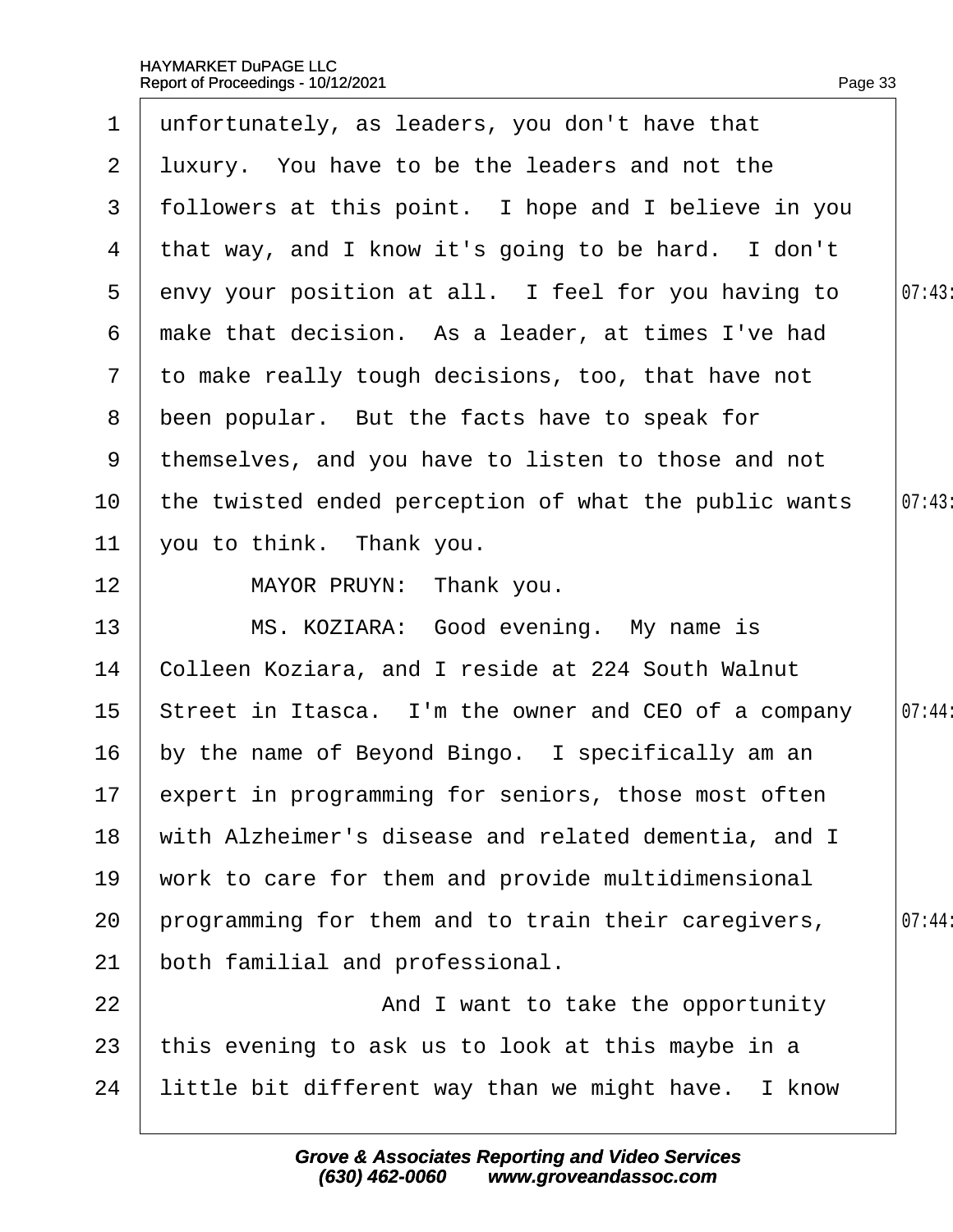|                 | 1 unfortunately, as leaders, you don't have that       |        |
|-----------------|--------------------------------------------------------|--------|
|                 | 2 Iuxury. You have to be the leaders and not the       |        |
| 3               | followers at this point. I hope and I believe in you   |        |
|                 | 4 that way, and I know it's going to be hard. I don't  |        |
| $5^{\circ}$     | envy your position at all. I feel for you having to    | 07:43  |
| 6               | make that decision. As a leader, at times I've had     |        |
| $7\overline{ }$ | to make really tough decisions, too, that have not     |        |
| 8               | been popular. But the facts have to speak for          |        |
| 9               | themselves, and you have to listen to those and not    |        |
| 10              | the twisted ended perception of what the public wants  | 07:43  |
| 11              | you to think. Thank you.                               |        |
| 12              | MAYOR PRUYN: Thank you.                                |        |
| 13              | MS. KOZIARA: Good evening. My name is                  |        |
| 14              | Colleen Koziara, and I reside at 224 South Walnut      |        |
| 15 <sub>1</sub> | Street in Itasca. I'm the owner and CEO of a company   | 07:44: |
| 16              | by the name of Beyond Bingo. I specifically am an      |        |
|                 | 17 expert in programming for seniors, those most often |        |
| 18              | with Alzheimer's disease and related dementia, and I   |        |
| 19              | work to care for them and provide multidimensional     |        |
| 20              | programming for them and to train their caregivers,    | 07:44  |
| 21              | both familial and professional.                        |        |
| 22              | And I want to take the opportunity                     |        |
| 23              | this evening to ask us to look at this maybe in a      |        |
| 24              | little bit different way than we might have. I know    |        |
|                 |                                                        |        |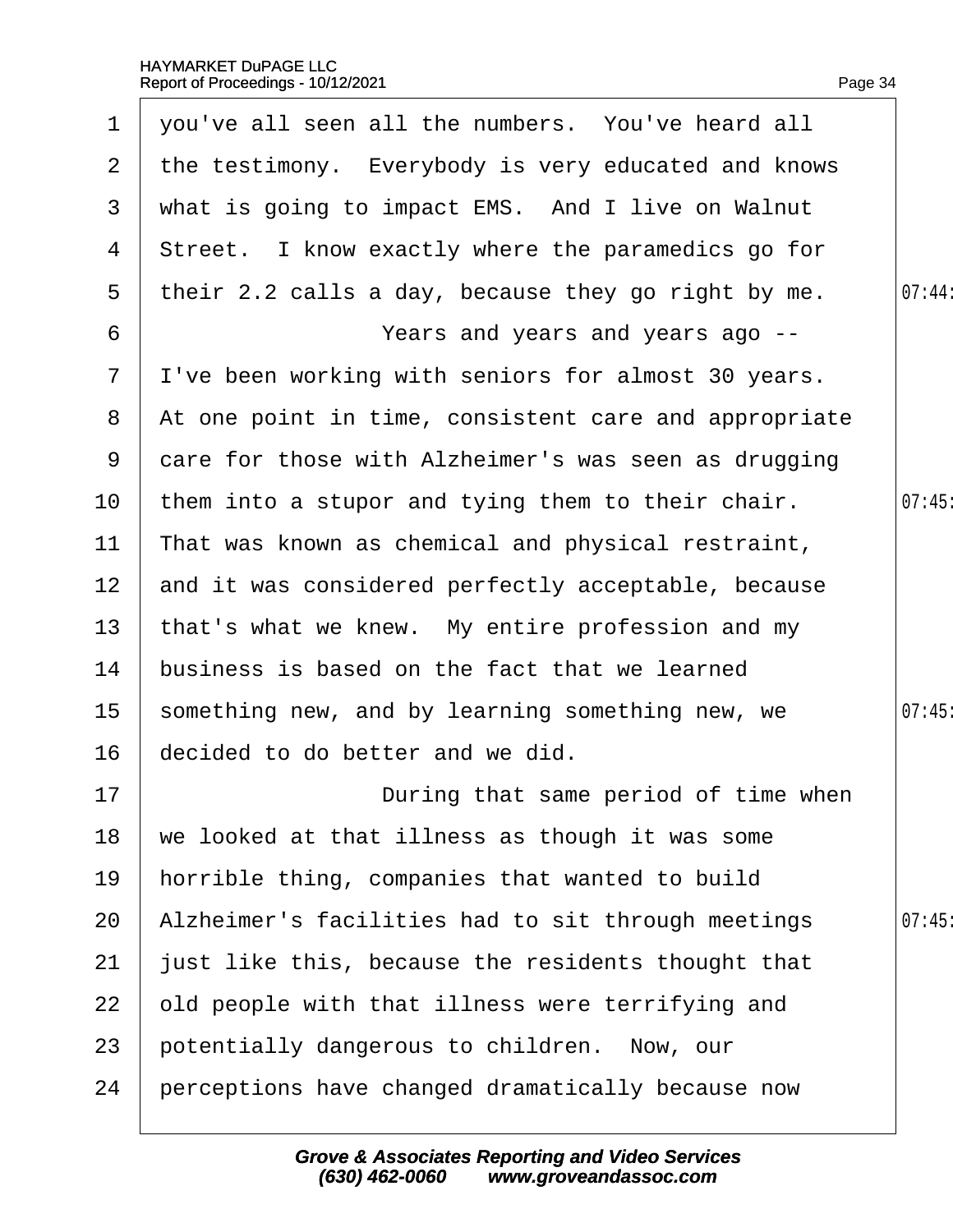| $\mathbf 1$     | you've all seen all the numbers. You've heard all     |        |
|-----------------|-------------------------------------------------------|--------|
| $\overline{2}$  | the testimony. Everybody is very educated and knows   |        |
| 3               | what is going to impact EMS. And I live on Walnut     |        |
| 4               | Street. I know exactly where the paramedics go for    |        |
| 5               | their 2.2 calls a day, because they go right by me.   | 07:44: |
| 6               | Years and years and years ago --                      |        |
| $7\overline{ }$ | I've been working with seniors for almost 30 years.   |        |
| 8               | At one point in time, consistent care and appropriate |        |
| 9               | dare for those with Alzheimer's was seen as drugging  |        |
| 10              | them into a stupor and tying them to their chair.     | 07:45  |
| 11              | That was known as chemical and physical restraint,    |        |
| 12 <sup>7</sup> | and it was considered perfectly acceptable, because   |        |
| 13              | that's what we knew. My entire profession and my      |        |
| 14              | business is based on the fact that we learned         |        |
| 15 <sub>1</sub> | something new, and by learning something new, we      | 07:45  |
| 16              | decided to do better and we did.                      |        |
| 17              | During that same period of time when                  |        |
| 18              | we looked at that illness as though it was some       |        |
| 19              | horrible thing, companies that wanted to build        |        |
| 20              | Alzheimer's facilities had to sit through meetings    | 07:45  |
| 21              | just like this, because the residents thought that    |        |
| 22              | old people with that illness were terrifying and      |        |
| 23              | potentially dangerous to children. Now, our           |        |
| 24              | perceptions have changed dramatically because now     |        |
|                 |                                                       |        |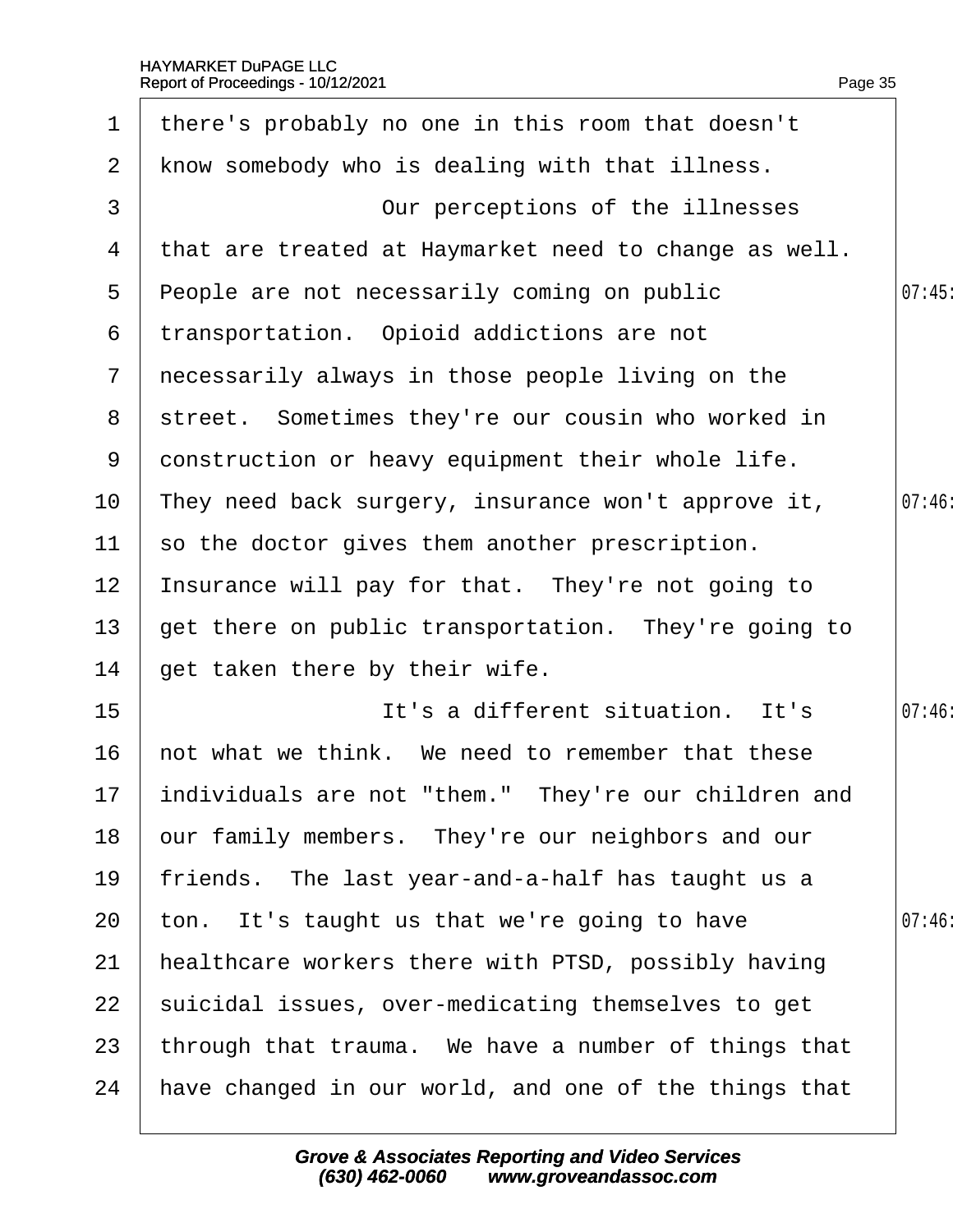| 1             | there's probably no one in this room that doesn't       |       |
|---------------|---------------------------------------------------------|-------|
| $\mathbf{2}$  | know somebody who is dealing with that illness.         |       |
| 3             | Our perceptions of the illnesses                        |       |
| 4             | that are treated at Haymarket need to change as well.   |       |
| 5             | People are not necessarily coming on public             | 07:45 |
| 6             | transportation. Opioid addictions are not               |       |
| $\mathcal{I}$ | necessarily always in those people living on the        |       |
| 8             | street. Sometimes they're our cousin who worked in      |       |
| 9             | donstruction or heavy equipment their whole life.       |       |
| 10            | They need back surgery, insurance won't approve it,     | 07:46 |
| 11            | so the doctor gives them another prescription.          |       |
| 12            | Insurance will pay for that. They're not going to       |       |
| 13            | get there on public transportation. They're going to    |       |
| 14            | get taken there by their wife.                          |       |
| 15            | It's a different situation. It's                        | 07:46 |
| 16            | hot what we think. We need to remember that these       |       |
|               | 17 individuals are not "them." They're our children and |       |
| 18            | bur family members. They're our neighbors and our       |       |
| 19            | friends. The last year-and-a-half has taught us a       |       |
| 20            | ton. It's taught us that we're going to have            | 07:46 |
| 21            | healthcare workers there with PTSD, possibly having     |       |
| 22            | suicidal issues, over-medicating themselves to get      |       |
| 23            | through that trauma. We have a number of things that    |       |
| 24            | have changed in our world, and one of the things that   |       |
|               |                                                         |       |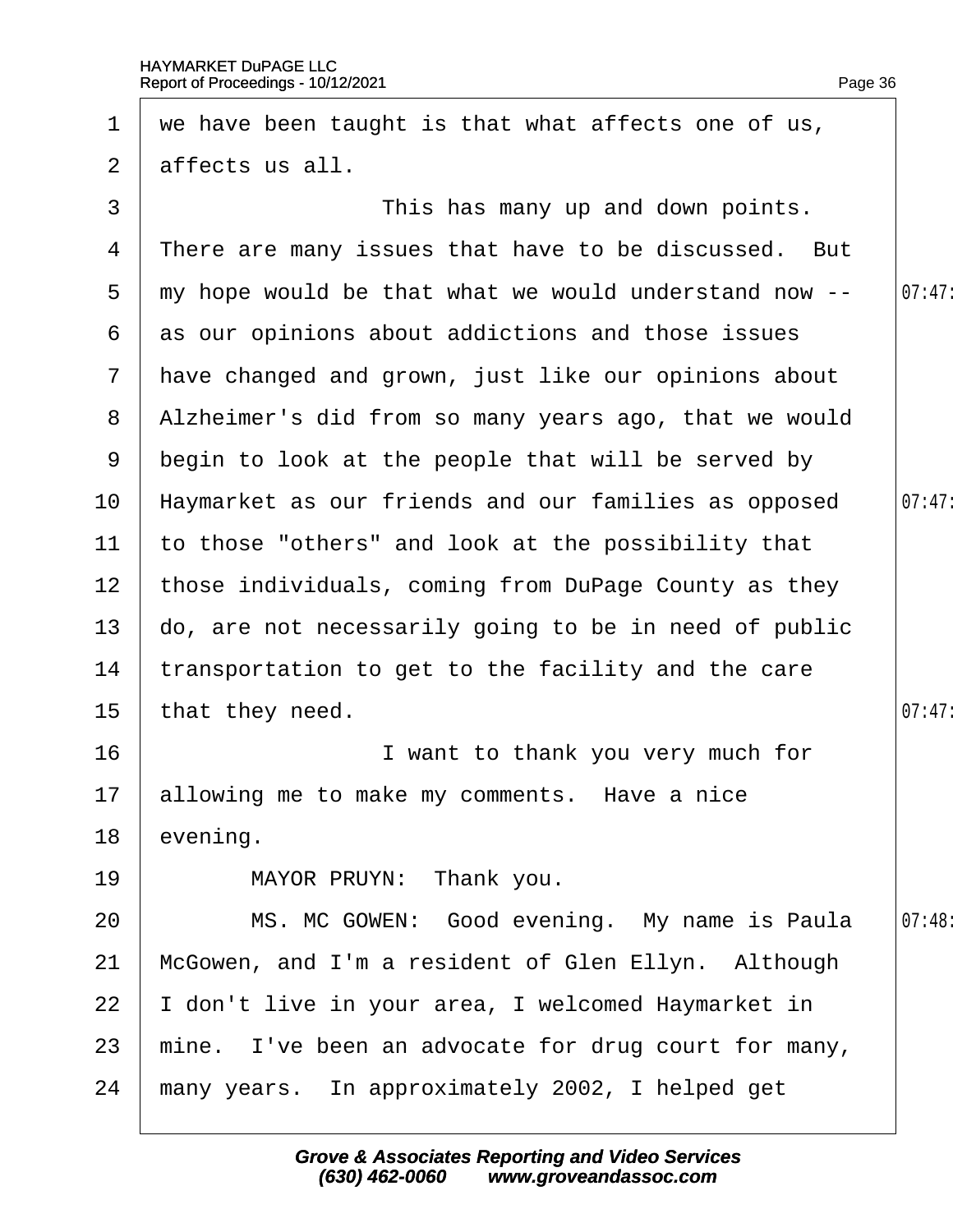<span id="page-36-0"></span>

| 1               | we have been taught is that what affects one of us,   |        |
|-----------------|-------------------------------------------------------|--------|
| $\overline{2}$  | affects us all.                                       |        |
| 3               | This has many up and down points.                     |        |
| 4               | There are many issues that have to be discussed. But  |        |
| 5               | my hope would be that what we would understand now -- | 07:47  |
| 6               | as our opinions about addictions and those issues     |        |
| $7\phantom{.}$  | have changed and grown, just like our opinions about  |        |
| 8               | Alzheimer's did from so many years ago, that we would |        |
| 9               | begin to look at the people that will be served by    |        |
| 10 <sup>°</sup> | Haymarket as our friends and our families as opposed  | 07:47  |
| 11              | to those "others" and look at the possibility that    |        |
| 12 <sub>2</sub> | those individuals, coming from DuPage County as they  |        |
| 13 <sup>°</sup> | do, are not necessarily going to be in need of public |        |
| 14              | transportation to get to the facility and the care    |        |
| 15              | that they need.                                       | 07:47  |
| 16              | I want to thank you very much for                     |        |
|                 | 17 allowing me to make my comments. Have a nice       |        |
| 18              | evening.                                              |        |
| 19              | MAYOR PRUYN: Thank you.                               |        |
| 20              | MS. MC GOWEN: Good evening. My name is Paula          | 07:48: |
| 21              | McGowen, and I'm a resident of Glen Ellyn. Although   |        |
| 22              | don't live in your area, I welcomed Haymarket in      |        |
| 23              | mine. I've been an advocate for drug court for many,  |        |
| 24              | many years. In approximately 2002, I helped get       |        |
|                 |                                                       |        |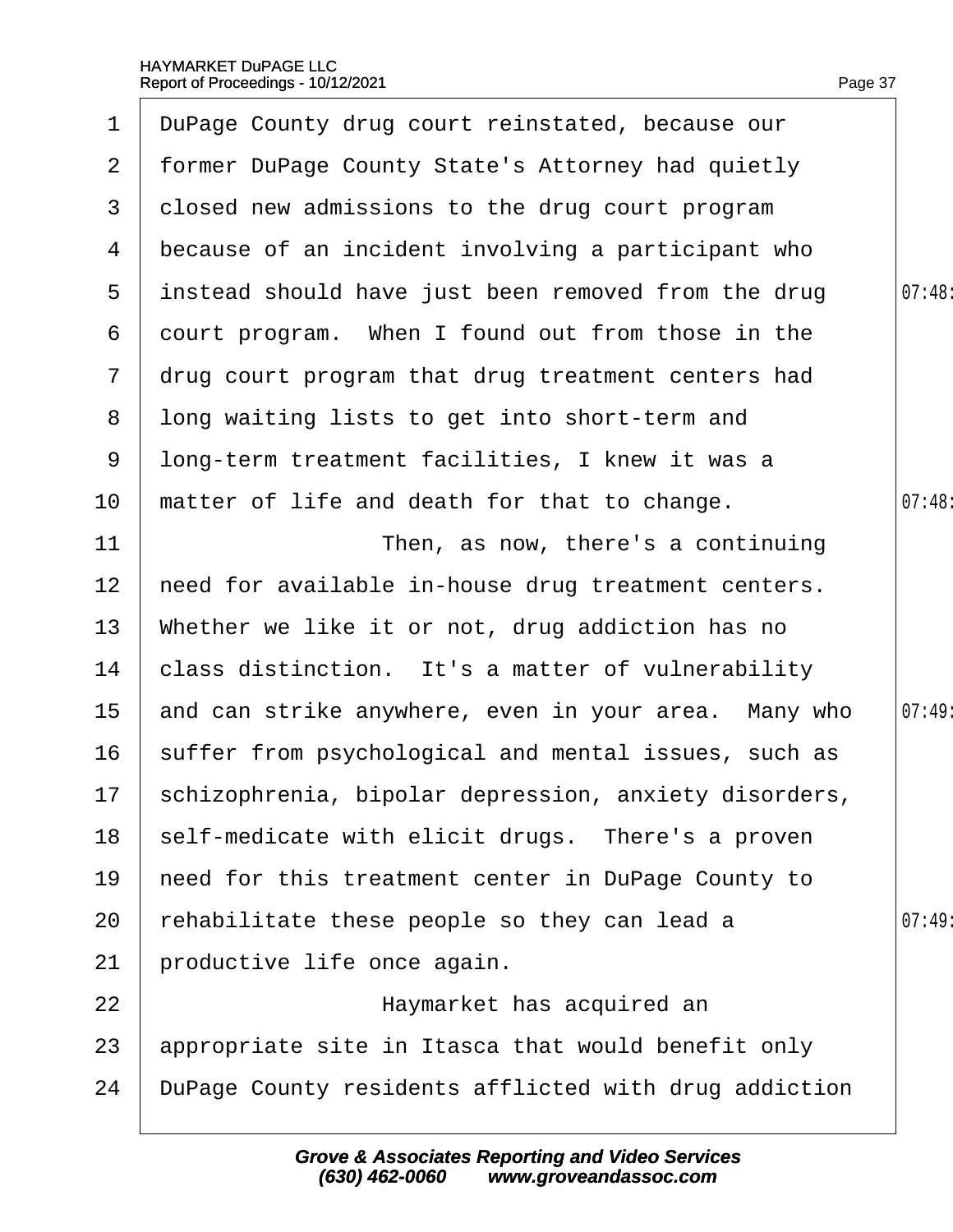<span id="page-37-0"></span>

| $\mathbf 1$     | DuPage County drug court reinstated, because our        |       |
|-----------------|---------------------------------------------------------|-------|
| $\mathbf{2}$    | former DuPage County State's Attorney had quietly       |       |
| 3               | dosed new admissions to the drug court program          |       |
| 4               | because of an incident involving a participant who      |       |
| $5^{\circ}$     | instead should have just been removed from the drug     | 07:48 |
| 6               | dourt program. When I found out from those in the       |       |
| $\mathbf{7}$    | drug court program that drug treatment centers had      |       |
| 8               | Iong waiting lists to get into short-term and           |       |
| 9               | Iong-term treatment facilities, I knew it was a         |       |
| 10              | matter of life and death for that to change.            | 07:48 |
| 11              | Then, as now, there's a continuing                      |       |
| 12              | heed for available in-house drug treatment centers.     |       |
| 13              | Whether we like it or not, drug addiction has no        |       |
| 14              | class distinction. It's a matter of vulnerability       |       |
| 15 <sub>1</sub> | and can strike anywhere, even in your area. Many who    | 07:49 |
| 16              | suffer from psychological and mental issues, such as    |       |
|                 | 17 schizophrenia, bipolar depression, anxiety disorders |       |
| 18              | self-medicate with elicit drugs. There's a proven       |       |
| 19              | heed for this treatment center in DuPage County to      |       |
| 20              | rehabilitate these people so they can lead a            | 07:49 |
| 21              | productive life once again.                             |       |
| 22              | Haymarket has acquired an                               |       |
| 23              | appropriate site in Itasca that would benefit only      |       |
| 24              | DuPage County residents afflicted with drug addiction   |       |
|                 |                                                         |       |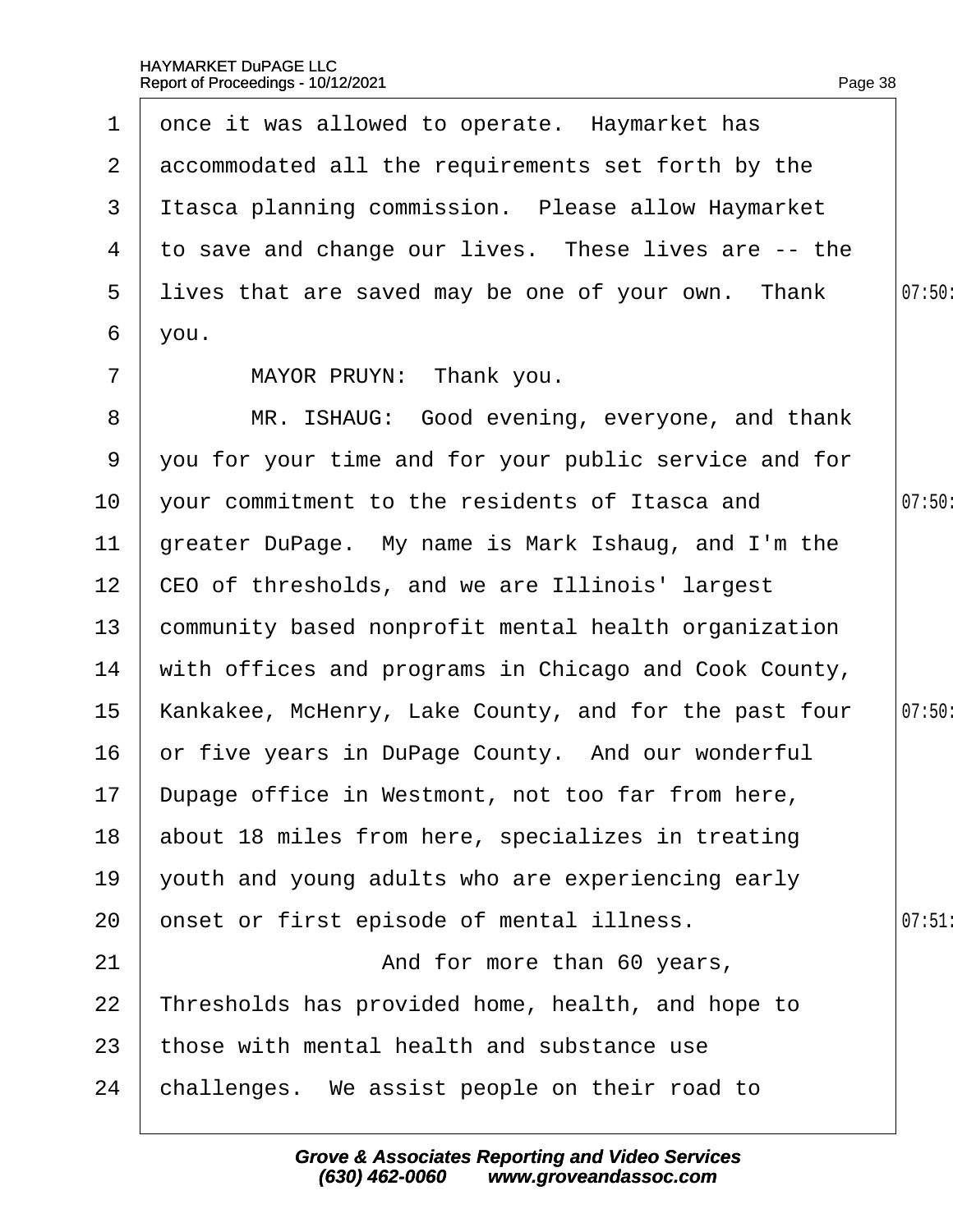<span id="page-38-0"></span>

|                 | 1 dnce it was allowed to operate. Haymarket has        |        |
|-----------------|--------------------------------------------------------|--------|
|                 | 2 accommodated all the requirements set forth by the   |        |
| 3 <sup>1</sup>  | Itasca planning commission. Please allow Haymarket     |        |
|                 | 4 to save and change our lives. These lives are -- the |        |
|                 | 5 lives that are saved may be one of your own. Thank   | 07:50  |
| 6               | you.                                                   |        |
| $\overline{7}$  | MAYOR PRUYN: Thank you.                                |        |
| 8               | MR. ISHAUG: Good evening, everyone, and thank          |        |
| 9               | you for your time and for your public service and for  |        |
| 10              | your commitment to the residents of Itasca and         | 07:50: |
| 11              | greater DuPage. My name is Mark Ishaug, and I'm the    |        |
|                 | 12 CEO of thresholds, and we are Illinois' largest     |        |
| 13 <sup>°</sup> | community based nonprofit mental health organization   |        |
| 14              | with offices and programs in Chicago and Cook County,  |        |
| 15              | Kankakee, McHenry, Lake County, and for the past four  | 07:50: |
| 16              | or five years in DuPage County. And our wonderful      |        |
|                 | 17 Dupage office in Westmont, not too far from here,   |        |
| 18              | about 18 miles from here, specializes in treating      |        |
| 19              | youth and young adults who are experiencing early      |        |
| 20              | onset or first episode of mental illness.              | 07:51  |
| 21              | And for more than 60 years,                            |        |
| 22              | Thresholds has provided home, health, and hope to      |        |
| 23              | those with mental health and substance use             |        |
| 24              | challenges. We assist people on their road to          |        |
|                 |                                                        |        |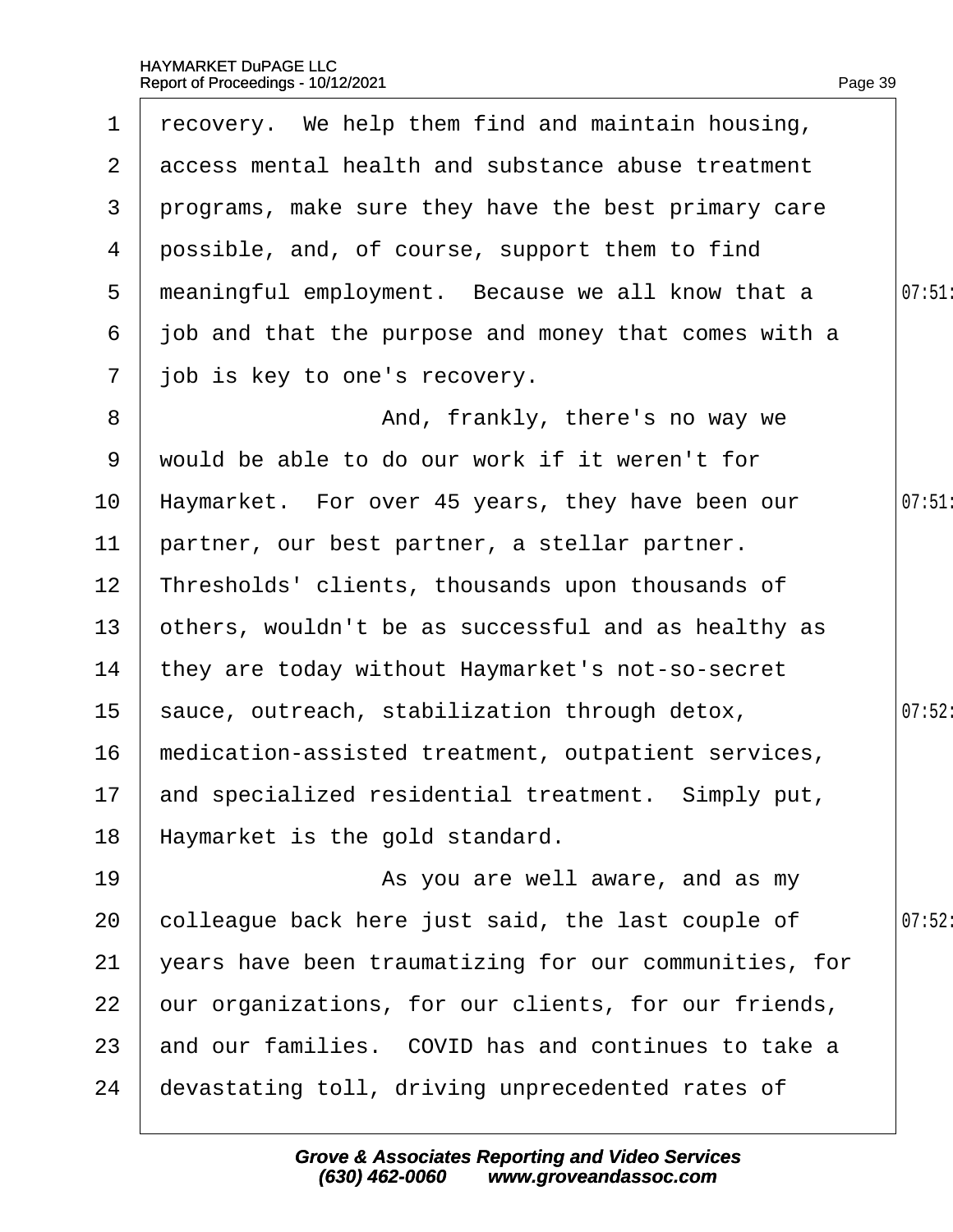<span id="page-39-0"></span>

| 1                     | recovery. We help them find and maintain housing,     |        |
|-----------------------|-------------------------------------------------------|--------|
| $\mathbf{2}^{\prime}$ | access mental health and substance abuse treatment    |        |
| 3                     | programs, make sure they have the best primary care   |        |
| 4                     | possible, and, of course, support them to find        |        |
| 5                     | meaningful employment. Because we all know that a     | 07:51  |
| 6                     | job and that the purpose and money that comes with a  |        |
| $\mathbf{7}$          | job is key to one's recovery.                         |        |
| 8                     | And, frankly, there's no way we                       |        |
| 9                     | would be able to do our work if it weren't for        |        |
| 10                    | Haymarket. For over 45 years, they have been our      | 07:51  |
| 11                    | partner, our best partner, a stellar partner.         |        |
| 12 <sub>2</sub>       | Thresholds' clients, thousands upon thousands of      |        |
| 13                    | others, wouldn't be as successful and as healthy as   |        |
| 14                    | they are today without Haymarket's not-so-secret      |        |
| 15 <sub>1</sub>       | sauce, outreach, stabilization through detox,         | 07:52: |
| 16                    | medication-assisted treatment, outpatient services,   |        |
|                       | 17 and specialized residential treatment. Simply put, |        |
| 18                    | Haymarket is the gold standard.                       |        |
| 19                    | As you are well aware, and as my                      |        |
| 20                    | colleague back here just said, the last couple of     | 07:52: |
| 21                    | years have been traumatizing for our communities, for |        |
| 22                    | our organizations, for our clients, for our friends,  |        |
| 23                    | and our families. COVID has and continues to take a   |        |
| 24                    | devastating toll, driving unprecedented rates of      |        |
|                       |                                                       |        |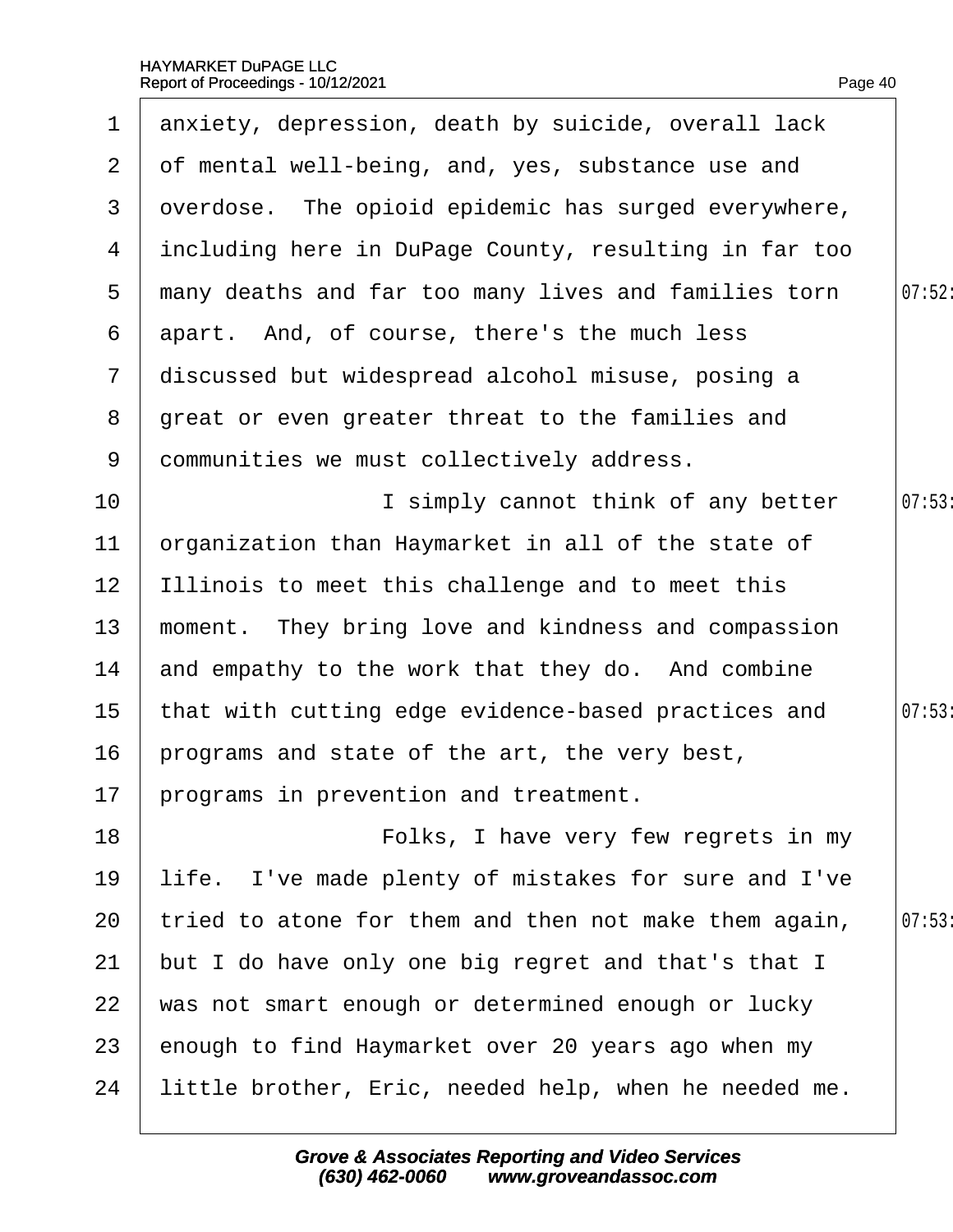<span id="page-40-0"></span>

| 1              | anxiety, depression, death by suicide, overall lack   |        |
|----------------|-------------------------------------------------------|--------|
| $\overline{2}$ | of mental well-being, and, yes, substance use and     |        |
| 3              | dverdose. The opioid epidemic has surged everywhere,  |        |
| 4              | including here in DuPage County, resulting in far too |        |
| 5              | many deaths and far too many lives and families torn  | 07:52: |
| 6              | apart. And, of course, there's the much less          |        |
| $\overline{7}$ | discussed but widespread alcohol misuse, posing a     |        |
| 8              | great or even greater threat to the families and      |        |
| 9              | dommunities we must collectively address.             |        |
| 10             | I simply cannot think of any better                   | 07:53  |
| $11$           | prganization than Haymarket in all of the state of    |        |
| 12             | Illinois to meet this challenge and to meet this      |        |
| 13             | moment. They bring love and kindness and compassion   |        |
| 14             | and empathy to the work that they do. And combine     |        |
| 15             | that with cutting edge evidence-based practices and   | 07:53  |
| 16             | programs and state of the art, the very best,         |        |
|                | 17 programs in prevention and treatment.              |        |
| 18             | Folks, I have very few regrets in my                  |        |
| 19             | life. I've made plenty of mistakes for sure and I've  |        |
| 20             | tried to atone for them and then not make them again, | 07:53  |
| 21             | but I do have only one big regret and that's that I   |        |
| 22             | was not smart enough or determined enough or lucky    |        |
| 23             | enough to find Haymarket over 20 years ago when my    |        |
| 24             | little brother, Eric, needed help, when he needed me. |        |
|                |                                                       |        |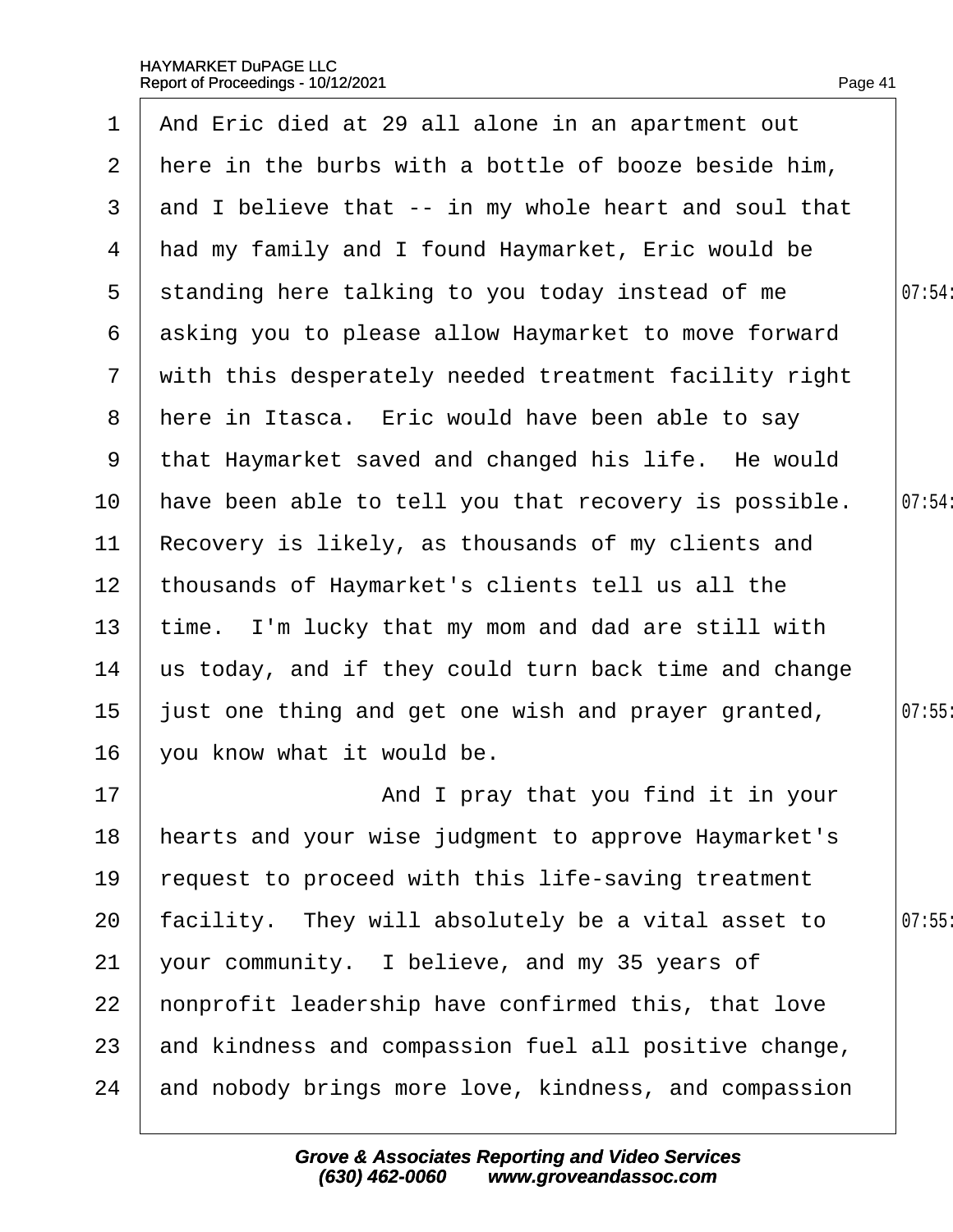<span id="page-41-0"></span>

| 1                     | And Eric died at 29 all alone in an apartment out     |        |
|-----------------------|-------------------------------------------------------|--------|
| $\mathbf{2}^{\prime}$ | here in the burbs with a bottle of booze beside him,  |        |
| 3                     | and I believe that -- in my whole heart and soul that |        |
| 4                     | had my family and I found Haymarket, Eric would be    |        |
| 5                     | standing here talking to you today instead of me      | 07:54: |
| 6                     | asking you to please allow Haymarket to move forward  |        |
| $7\phantom{.}$        | with this desperately needed treatment facility right |        |
| 8                     | here in Itasca. Eric would have been able to say      |        |
| 9                     | that Haymarket saved and changed his life. He would   |        |
| 10                    | have been able to tell you that recovery is possible. | 07:54: |
| 11                    | Recovery is likely, as thousands of my clients and    |        |
| 12 <sub>2</sub>       | thousands of Haymarket's clients tell us all the      |        |
| 13                    | time. I'm lucky that my mom and dad are still with    |        |
| 14                    | us today, and if they could turn back time and change |        |
| 15                    | just one thing and get one wish and prayer granted,   | 07:55  |
| 16                    | you know what it would be.                            |        |
| 17                    | And I pray that you find it in your                   |        |
| 18                    | hearts and your wise judgment to approve Haymarket's  |        |
| 19                    | equest to proceed with this life-saving treatment     |        |
| 20                    | acility. They will absolutely be a vital asset to     | 07:55  |
| 21                    | your community. I believe, and my 35 years of         |        |
| 22                    | honprofit leadership have confirmed this, that love   |        |
| 23                    | and kindness and compassion fuel all positive change, |        |
| 24                    | and nobody brings more love, kindness, and compassion |        |
|                       |                                                       |        |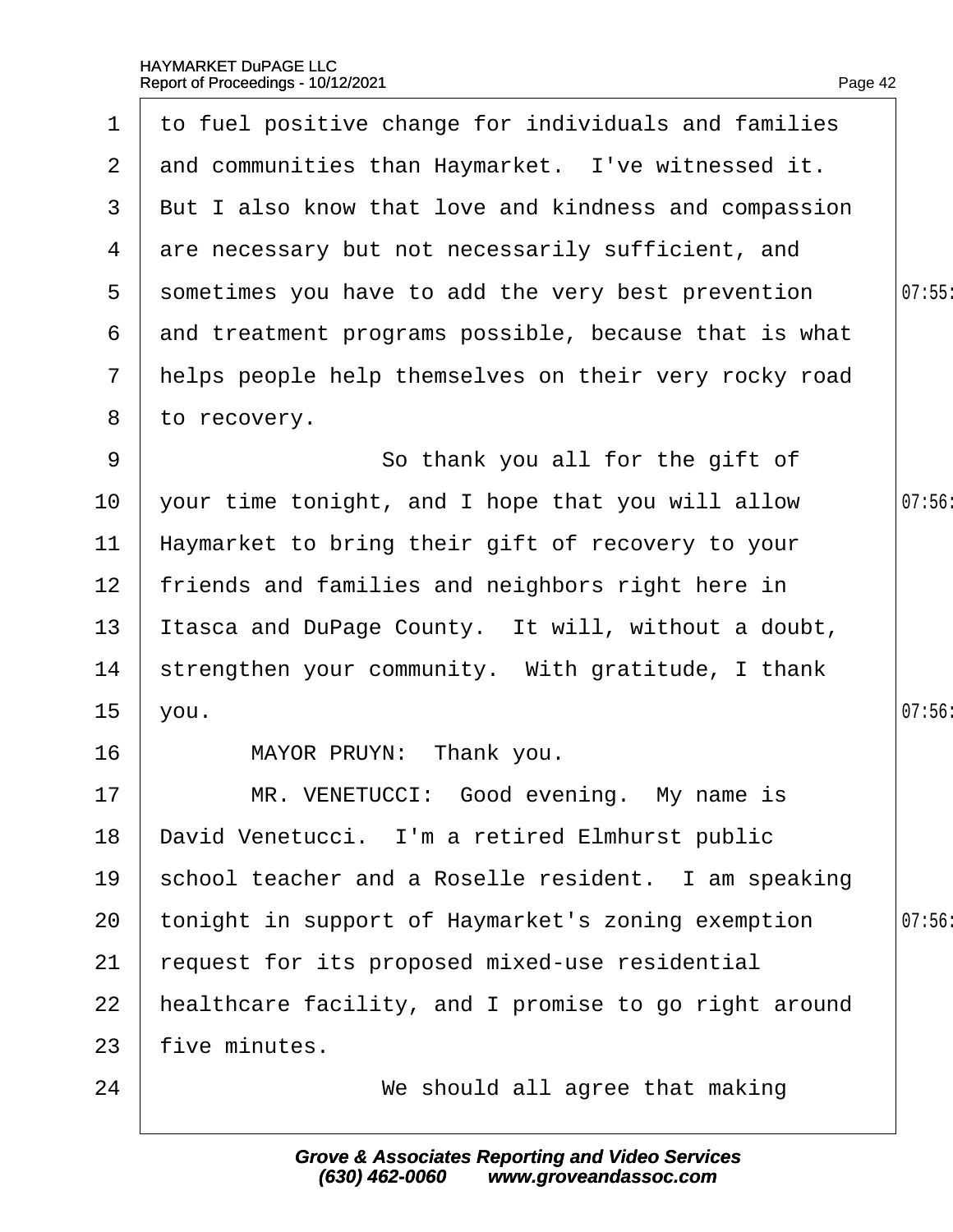<span id="page-42-0"></span>

| $\mathbf 1$     | to fuel positive change for individuals and families  |       |
|-----------------|-------------------------------------------------------|-------|
| 2 <sup>1</sup>  | and communities than Haymarket. I've witnessed it.    |       |
| 3               | But I also know that love and kindness and compassion |       |
| 4               | are necessary but not necessarily sufficient, and     |       |
| 5               | sometimes you have to add the very best prevention    | 07:55 |
| 6               | and treatment programs possible, because that is what |       |
| $7\phantom{.}$  | helps people help themselves on their very rocky road |       |
| 8               | to recovery.                                          |       |
| 9               | So thank you all for the gift of                      |       |
| 10              | your time tonight, and I hope that you will allow     | 07:56 |
| 11              | Haymarket to bring their gift of recovery to your     |       |
| 12 <sub>2</sub> | friends and families and neighbors right here in      |       |
| 13              | Itasca and DuPage County. It will, without a doubt,   |       |
| 14              | strengthen your community. With gratitude, I thank    |       |
| 15 <sub>2</sub> | you.                                                  | 07:56 |
| 16              | MAYOR PRUYN: Thank you.                               |       |
| 17              | MR. VENETUCCI: Good evening. My name is               |       |
| 18              | David Venetucci. I'm a retired Elmhurst public        |       |
| 19              | school teacher and a Roselle resident. I am speaking  |       |
| 20              | tonight in support of Haymarket's zoning exemption    | 07:56 |
| 21              | request for its proposed mixed-use residential        |       |
| 22              | healthcare facility, and I promise to go right around |       |
| 23              | five minutes.                                         |       |
| 24              | We should all agree that making                       |       |
|                 |                                                       |       |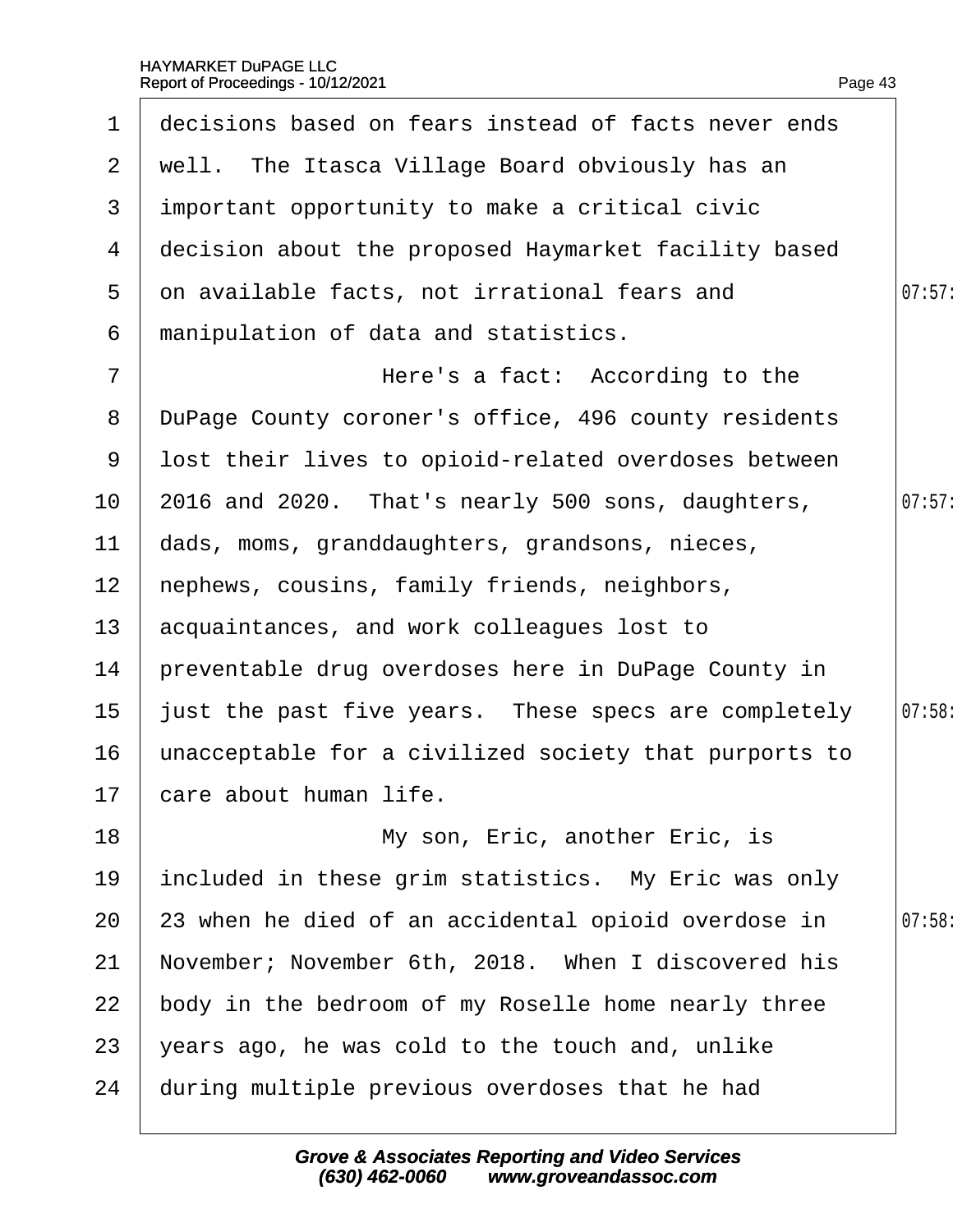<span id="page-43-0"></span>

| 1              | decisions based on fears instead of facts never ends  |       |
|----------------|-------------------------------------------------------|-------|
| $\mathbf{2}$   | well. The Itasca Village Board obviously has an       |       |
| 3              | important opportunity to make a critical civic        |       |
| 4              | decision about the proposed Haymarket facility based  |       |
| 5              | on available facts, not irrational fears and          | 07:57 |
| 6              | manipulation of data and statistics.                  |       |
| $\overline{7}$ | Here's a fact: According to the                       |       |
| 8              | DuPage County coroner's office, 496 county residents  |       |
| 9              | lost their lives to opioid-related overdoses between  |       |
| 10             | 2016 and 2020. That's nearly 500 sons, daughters,     | 07:57 |
| 11             | dads, moms, granddaughters, grandsons, nieces,        |       |
| 12             | hephews, cousins, family friends, neighbors,          |       |
| 13             | acquaintances, and work colleagues lost to            |       |
| 14             | preventable drug overdoses here in DuPage County in   |       |
| 15             | just the past five years. These specs are completely  | 07:58 |
| 16             | unacceptable for a civilized society that purports to |       |
|                | 17 care about human life.                             |       |
| 18             | My son, Eric, another Eric, is                        |       |
| 19             | included in these grim statistics. My Eric was only   |       |
| 20             | 23 when he died of an accidental opioid overdose in   | 07:58 |
| 21             | November; November 6th, 2018. When I discovered his   |       |
| 22             | body in the bedroom of my Roselle home nearly three   |       |
| 23             | years ago, he was cold to the touch and, unlike       |       |
| 24             | during multiple previous overdoses that he had        |       |
|                |                                                       |       |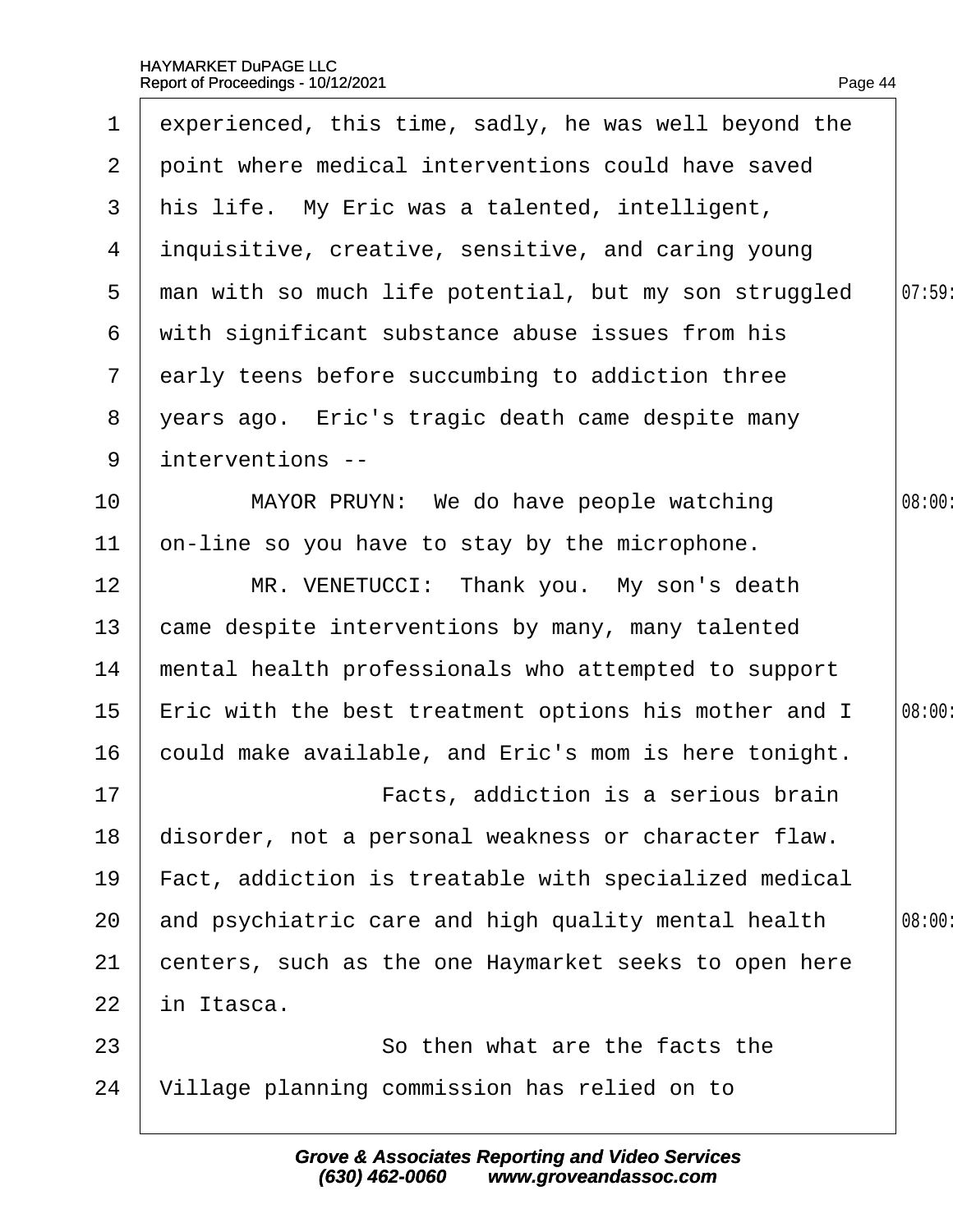<span id="page-44-0"></span>

| $\mathbf 1$      | experienced, this time, sadly, he was well beyond the |        |
|------------------|-------------------------------------------------------|--------|
| $\mathbf{2}$     | point where medical interventions could have saved    |        |
| 3                | his life. My Eric was a talented, intelligent,        |        |
| 4                | inquisitive, creative, sensitive, and caring young    |        |
| 5                | man with so much life potential, but my son struggled | 07:59  |
| 6                | with significant substance abuse issues from his      |        |
| $\overline{7}$   | early teens before succumbing to addiction three      |        |
| 8                | years ago. Eric's tragic death came despite many      |        |
| 9                | interventions --                                      |        |
| 10               | MAYOR PRUYN: We do have people watching               | 08:00: |
| 11               | on-line so you have to stay by the microphone.        |        |
| 12               | MR. VENETUCCI: Thank you. My son's death              |        |
| 13               | came despite interventions by many, many talented     |        |
| 14               | mental health professionals who attempted to support  |        |
| 15 <sub>15</sub> | Eric with the best treatment options his mother and I | 08:00: |
| 16               | could make available, and Eric's mom is here tonight. |        |
| 17               | Facts, addiction is a serious brain                   |        |
| 18               | disorder, not a personal weakness or character flaw.  |        |
| 19               | Fact, addiction is treatable with specialized medical |        |
| 20               | and psychiatric care and high quality mental health   | 08:00: |
| 21               | centers, such as the one Haymarket seeks to open here |        |
| 22               | in Itasca.                                            |        |
| 23               | So then what are the facts the                        |        |
| 24               | Village planning commission has relied on to          |        |
|                  |                                                       |        |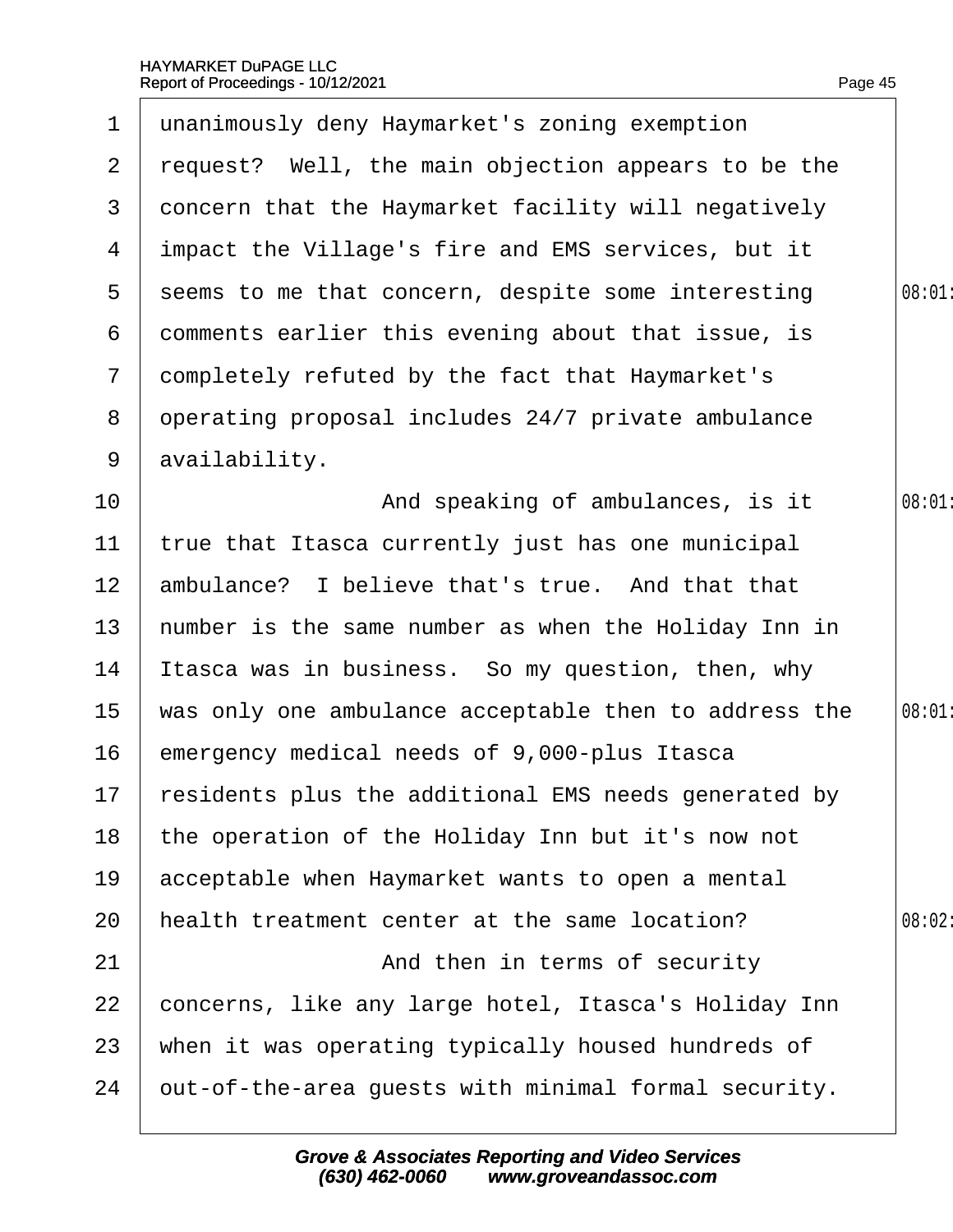<span id="page-45-0"></span>

|                  | 1 unanimously deny Haymarket's zoning exemption         |       |
|------------------|---------------------------------------------------------|-------|
| 2 <sup>1</sup>   | request? Well, the main objection appears to be the     |       |
| 3                | doncern that the Haymarket facility will negatively     |       |
| 4                | impact the Village's fire and EMS services, but it      |       |
| 5 <sup>5</sup>   | seems to me that concern, despite some interesting      | 08:01 |
| 6                | domments earlier this evening about that issue, is      |       |
| $\mathbf{7}$     | dompletely refuted by the fact that Haymarket's         |       |
| 8                | operating proposal includes 24/7 private ambulance      |       |
|                  | 9 availability.                                         |       |
| 10               | And speaking of ambulances, is it                       | 08:01 |
| 11               | true that Itasca currently just has one municipal       |       |
| 12 <sub>2</sub>  | ambulance? I believe that's true. And that that         |       |
| 13 <sup>°</sup>  | humber is the same number as when the Holiday Inn in    |       |
| 14               | Itasca was in business. So my question, then, why       |       |
| 15 <sub>15</sub> | was only one ambulance acceptable then to address the   | 08:01 |
| 16               | emergency medical needs of 9,000-plus Itasca            |       |
|                  | 17 residents plus the additional EMS needs generated by |       |
| 18               | the operation of the Holiday Inn but it's now not       |       |
| 19               | acceptable when Haymarket wants to open a mental        |       |
| 20               | health treatment center at the same location?           | 08:02 |
| 21               | And then in terms of security                           |       |
| 22               | concerns, like any large hotel, Itasca's Holiday Inn    |       |
| 23               | when it was operating typically housed hundreds of      |       |
| 24               | but-of-the-area guests with minimal formal security.    |       |
|                  |                                                         |       |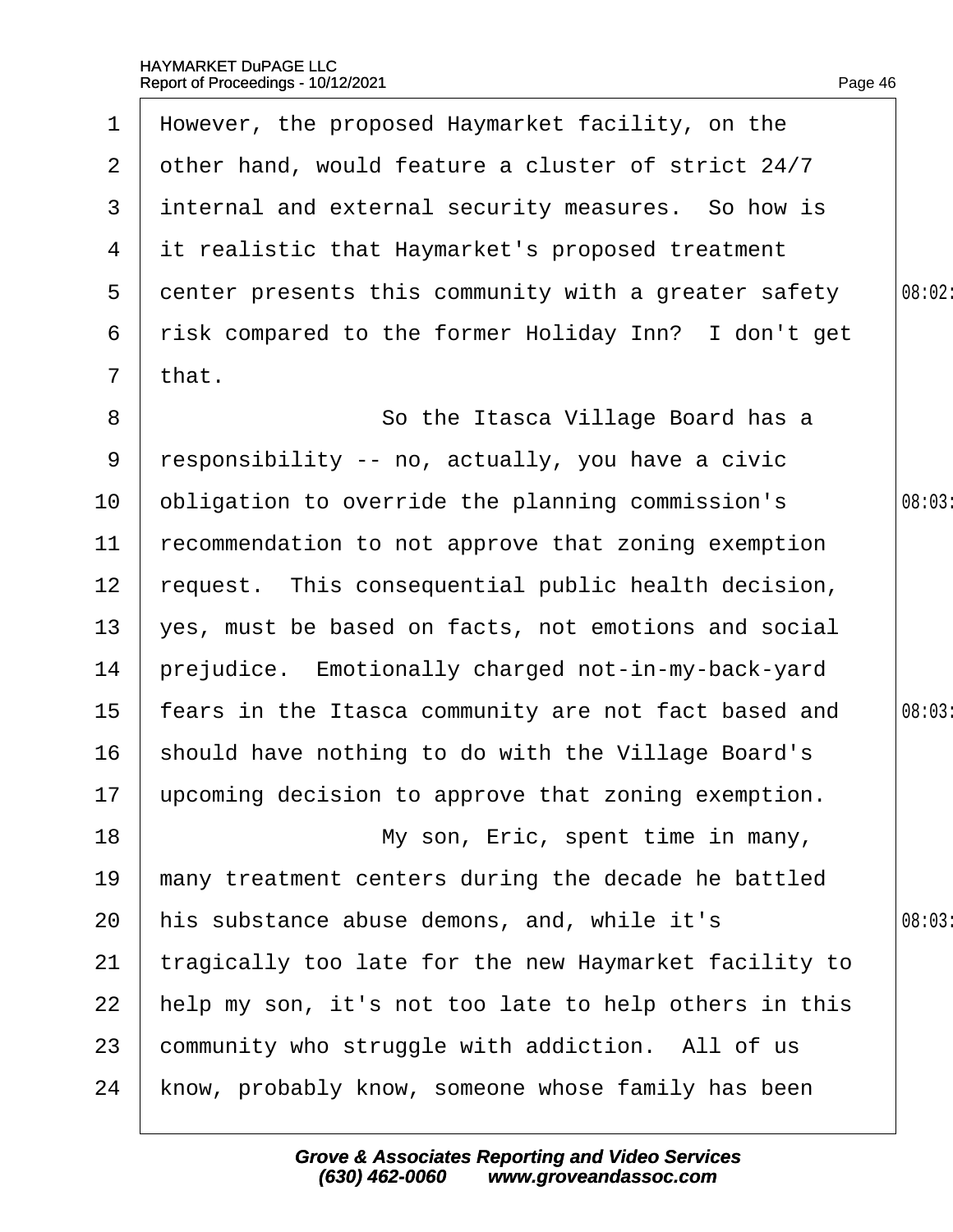<span id="page-46-0"></span>

| $\mathbf 1$      | However, the proposed Haymarket facility, on the       |        |
|------------------|--------------------------------------------------------|--------|
| $\mathbf{2}$     | other hand, would feature a cluster of strict 24/7     |        |
| 3 <sup>1</sup>   | internal and external security measures. So how is     |        |
| 4                | it realistic that Haymarket's proposed treatment       |        |
| 5                | denter presents this community with a greater safety   | 08:02: |
| 6                | risk compared to the former Holiday Inn? I don't get   |        |
| $7\overline{ }$  | that.                                                  |        |
| 8                | So the Itasca Village Board has a                      |        |
| 9                | responsibility -- no, actually, you have a civic       |        |
| 10               | obligation to override the planning commission's       | 08:03  |
| 11               | recommendation to not approve that zoning exemption    |        |
| 12 <sub>2</sub>  | request. This consequential public health decision,    |        |
| 13               | yes, must be based on facts, not emotions and social   |        |
| 14               | prejudice. Emotionally charged not-in-my-back-yard     |        |
| 15 <sub>15</sub> | fears in the Itasca community are not fact based and   | 08:03  |
| 16               | should have nothing to do with the Village Board's     |        |
|                  | 17 upcoming decision to approve that zoning exemption. |        |
| 18               | My son, Eric, spent time in many,                      |        |
| 19               | many treatment centers during the decade he battled    |        |
| 20               | his substance abuse demons, and, while it's            | 08:03  |
| 21               | tragically too late for the new Haymarket facility to  |        |
| 22               | help my son, it's not too late to help others in this  |        |
| 23               | community who struggle with addiction. All of us       |        |
| 24               | know, probably know, someone whose family has been     |        |
|                  |                                                        |        |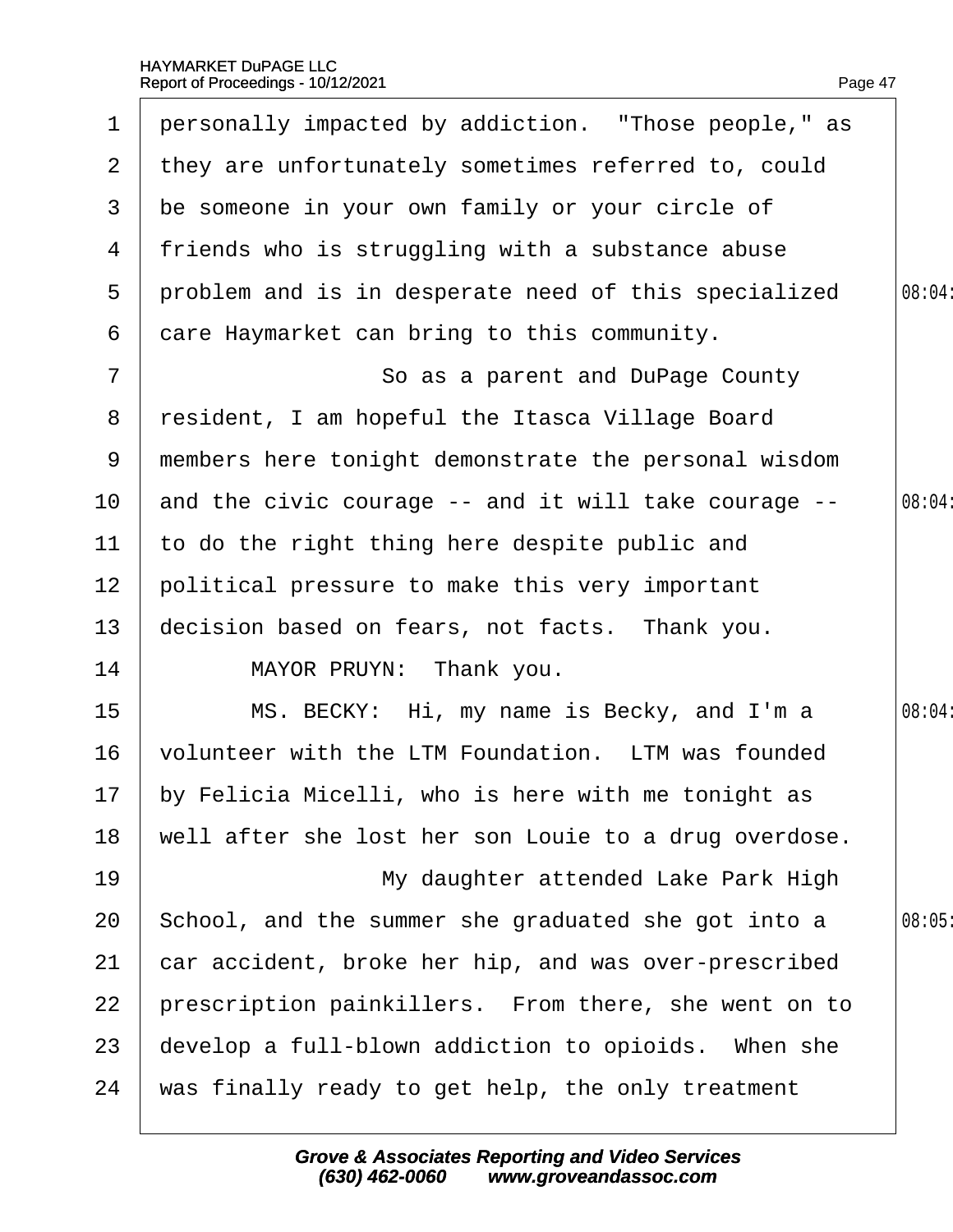<span id="page-47-0"></span>

| $\mathbf 1$     | personally impacted by addiction. "Those people," as  |        |
|-----------------|-------------------------------------------------------|--------|
|                 | 2 they are unfortunately sometimes referred to, could |        |
| 3               | be someone in your own family or your circle of       |        |
| 4               | friends who is struggling with a substance abuse      |        |
| $5^{\circ}$     | problem and is in desperate need of this specialized  | 08:04: |
| 6               | dare Haymarket can bring to this community.           |        |
| $\overline{7}$  | So as a parent and DuPage County                      |        |
| 8               | resident, I am hopeful the Itasca Village Board       |        |
| 9               | members here tonight demonstrate the personal wisdom  |        |
| 10 <sup>°</sup> | and the civic courage -- and it will take courage --  | 08:04  |
| 11              | to do the right thing here despite public and         |        |
| 12 <sub>2</sub> | political pressure to make this very important        |        |
| 13              | decision based on fears, not facts. Thank you.        |        |
| 14              | MAYOR PRUYN: Thank you.                               |        |
| 15              | MS. BECKY: Hi, my name is Becky, and I'm a            | 08:04: |
| 16              | volunteer with the LTM Foundation. LTM was founded    |        |
|                 | 17 by Felicia Micelli, who is here with me tonight as |        |
| 18              | well after she lost her son Louie to a drug overdose. |        |
| 19              | My daughter attended Lake Park High                   |        |
| 20              | School, and the summer she graduated she got into a   | 08:05  |
| 21              | car accident, broke her hip, and was over-prescribed  |        |
| 22              | prescription painkillers. From there, she went on to  |        |
| 23              | develop a full-blown addiction to opioids. When she   |        |
| 24              | was finally ready to get help, the only treatment     |        |
|                 |                                                       |        |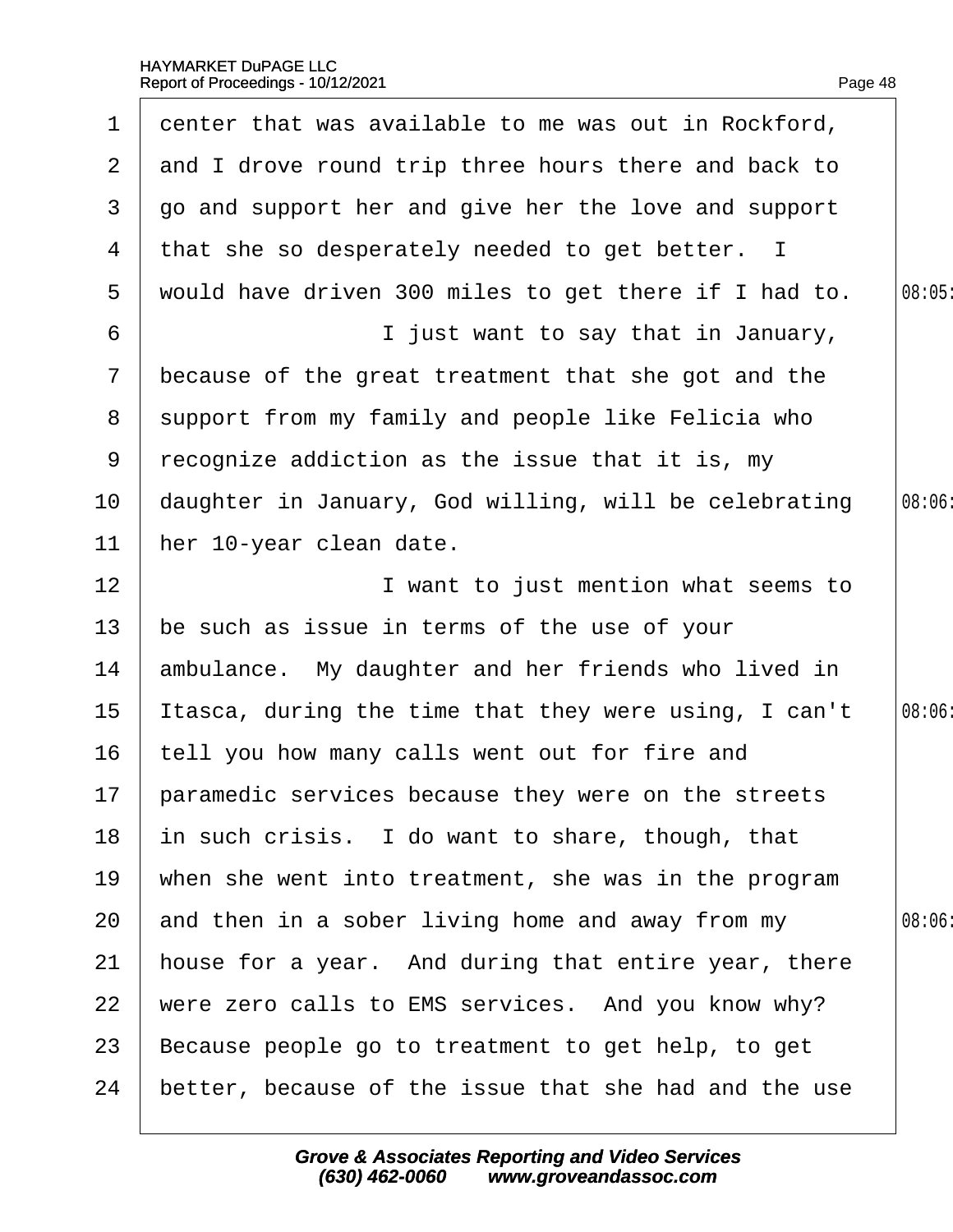<span id="page-48-0"></span>

| 1                     | denter that was available to me was out in Rockford,   |       |
|-----------------------|--------------------------------------------------------|-------|
| $\mathbf{2}^{\prime}$ | and I drove round trip three hours there and back to   |       |
| 3                     | go and support her and give her the love and support   |       |
| 4                     | that she so desperately needed to get better. I        |       |
| 5                     | would have driven 300 miles to get there if I had to.  | 08:05 |
| 6                     | I just want to say that in January,                    |       |
| $\overline{7}$        | because of the great treatment that she got and the    |       |
| 8                     | support from my family and people like Felicia who     |       |
| 9                     | recognize addiction as the issue that it is, my        |       |
| 10                    | daughter in January, God willing, will be celebrating  | 08:06 |
| 11                    | her 10-year clean date.                                |       |
| 12                    | I want to just mention what seems to                   |       |
| 13                    | be such as issue in terms of the use of your           |       |
| 14                    | ambulance. My daughter and her friends who lived in    |       |
| 15                    | Itasca, during the time that they were using, I can't  | 08:06 |
| 16                    | tell you how many calls went out for fire and          |       |
|                       | 17 paramedic services because they were on the streets |       |
| 18                    | in such crisis. I do want to share, though, that       |       |
| 19                    | when she went into treatment, she was in the program   |       |
| 20                    | and then in a sober living home and away from my       | 08:06 |
| 21                    | house for a year. And during that entire year, there   |       |
| 22                    | were zero calls to EMS services. And you know why?     |       |
| 23                    | Because people go to treatment to get help, to get     |       |
| 24                    | better, because of the issue that she had and the use  |       |
|                       |                                                        |       |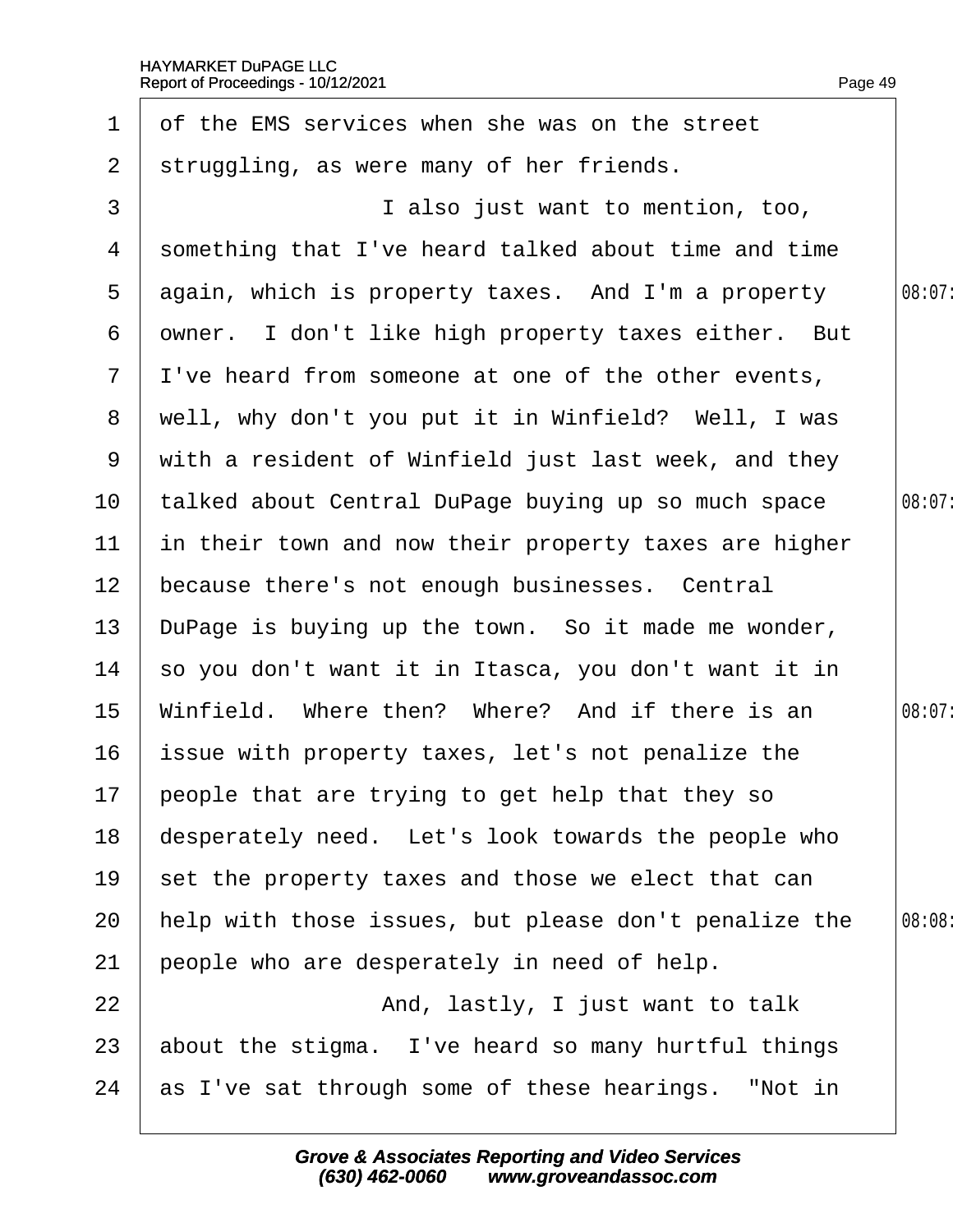<span id="page-49-0"></span>

| $\mathbf 1$     | of the EMS services when she was on the street         |        |
|-----------------|--------------------------------------------------------|--------|
| $\overline{2}$  | struggling, as were many of her friends.               |        |
| 3               | I also just want to mention, too,                      |        |
| 4               | something that I've heard talked about time and time   |        |
| 5               | again, which is property taxes. And I'm a property     | 08:07: |
| 6               | dwner. I don't like high property taxes either. But    |        |
|                 | 7 I've heard from someone at one of the other events,  |        |
| 8               | well, why don't you put it in Winfield? Well, I was    |        |
|                 | 9 with a resident of Winfield just last week, and they |        |
| 10 <sub>1</sub> | talked about Central DuPage buying up so much space    | 08:07: |
| 11              | in their town and now their property taxes are higher  |        |
| 12 <sub>2</sub> | because there's not enough businesses. Central         |        |
| 13 <sup>°</sup> | DuPage is buying up the town. So it made me wonder,    |        |
| 14              | so you don't want it in Itasca, you don't want it in   |        |
| 15              | Winfield. Where then? Where? And if there is an        | 08:07: |
| 16              | issue with property taxes, let's not penalize the      |        |
|                 | 17 people that are trying to get help that they so     |        |
| 18              | desperately need. Let's look towards the people who    |        |
| 19              | set the property taxes and those we elect that can     |        |
| 20              | help with those issues, but please don't penalize the  | 08:08  |
| 21              | people who are desperately in need of help.            |        |
| 22              | And, lastly, I just want to talk                       |        |
| 23              | about the stigma. I've heard so many hurtful things    |        |
| 24              | as I've sat through some of these hearings. "Not in    |        |
|                 |                                                        |        |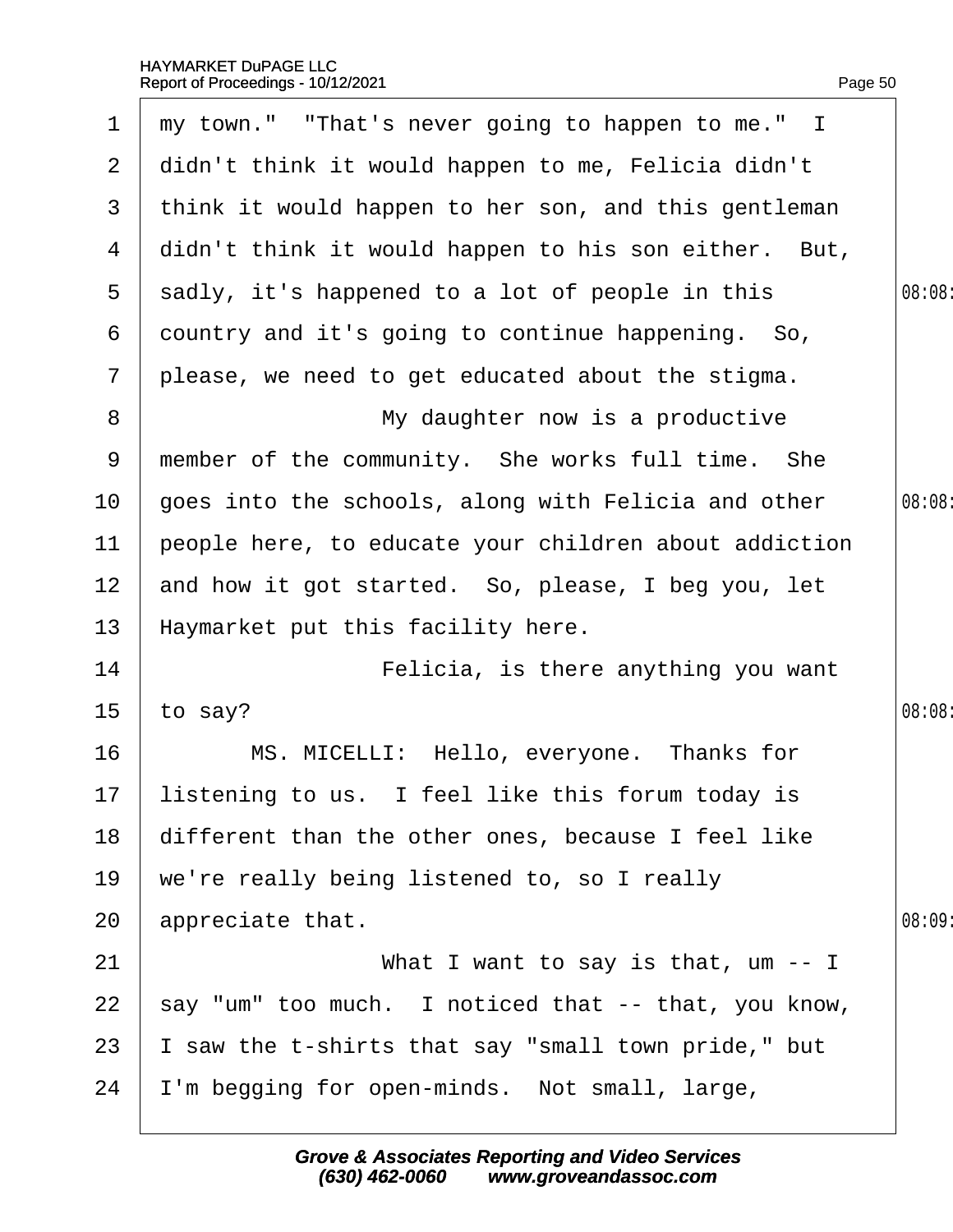<span id="page-50-0"></span>

|                 | Report of Proceedings - 10/12/2021                    | Page 50 |
|-----------------|-------------------------------------------------------|---------|
| 1               | my town." "That's never going to happen to me." I     |         |
| $\overline{2}$  | didn't think it would happen to me, Felicia didn't    |         |
| 3               | think it would happen to her son, and this gentleman  |         |
| 4               | didn't think it would happen to his son either. But,  |         |
| 5               | sadly, it's happened to a lot of people in this       | 08:08   |
| 6               | dountry and it's going to continue happening. So,     |         |
| $\mathbf{7}$    | please, we need to get educated about the stigma.     |         |
| 8               | My daughter now is a productive                       |         |
| 9               | member of the community. She works full time. She     |         |
| 10              | goes into the schools, along with Felicia and other   | 08:08   |
| 11              | people here, to educate your children about addiction |         |
| 12 <sub>2</sub> | and how it got started. So, please, I beg you, let    |         |
| 13              | Haymarket put this facility here.                     |         |
| 14              | Felicia, is there anything you want                   |         |
| 15              | to say?                                               | 08:08:  |
| 16              | MS. MICELLI: Hello, everyone. Thanks for              |         |
| 17              | listening to us. I feel like this forum today is      |         |
| 18              | different than the other ones, because I feel like    |         |
| 19              | we're really being listened to, so I really           |         |
| 20              | appreciate that.                                      | 08:09   |
| 21              | What I want to say is that, um -- I                   |         |
| 22              | say "um" too much. I noticed that -- that, you know,  |         |
| 23              | saw the t-shirts that say "small town pride," but     |         |
| 24              | 'm begging for open-minds. Not small, large,          |         |
|                 |                                                       |         |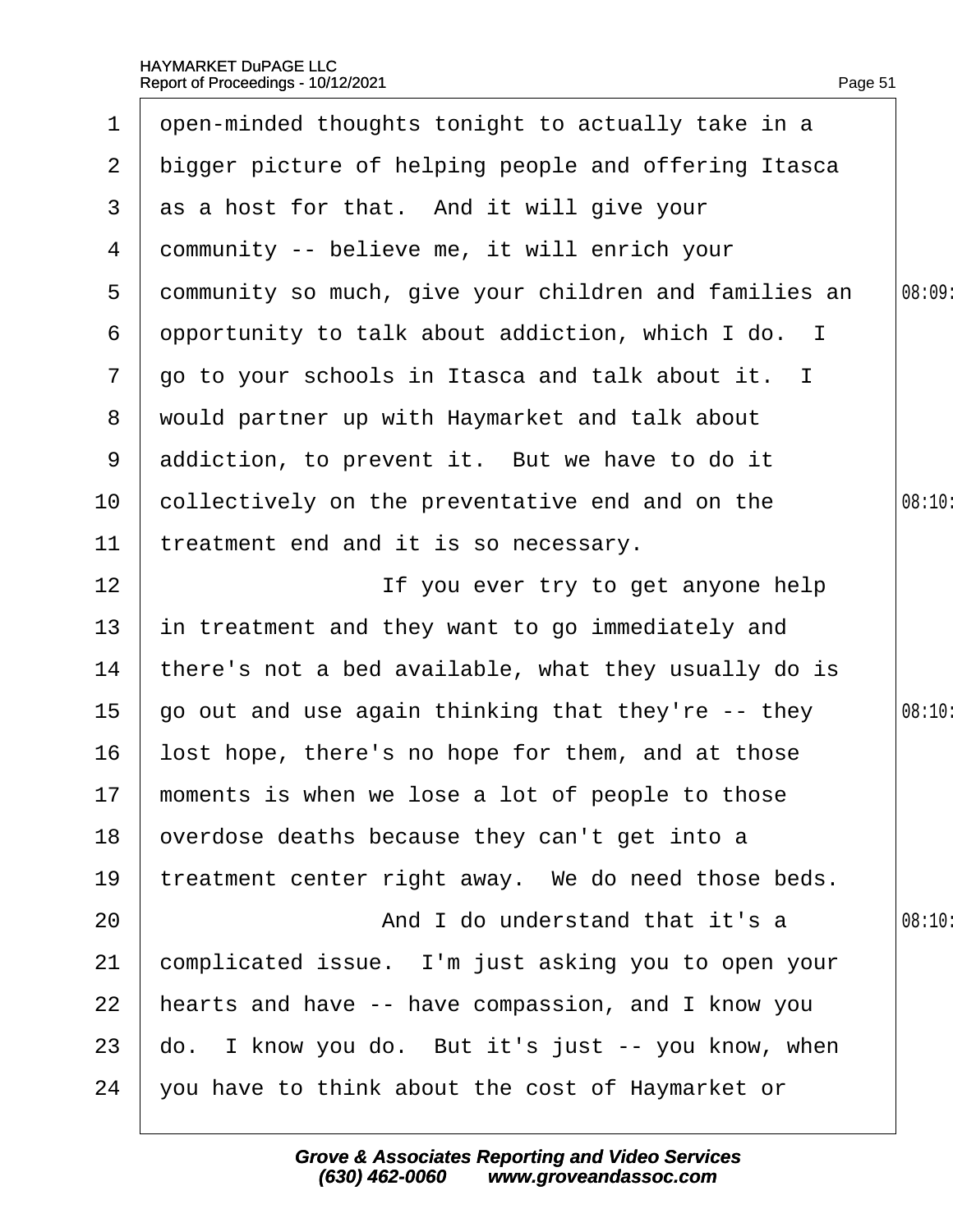<span id="page-51-0"></span>

| 1              | open-minded thoughts tonight to actually take in a    |        |
|----------------|-------------------------------------------------------|--------|
| $\mathbf{2}$   | bigger picture of helping people and offering Itasca  |        |
| 3 <sup>1</sup> | as a host for that. And it will give your             |        |
| 4              | dommunity -- believe me, it will enrich your          |        |
| 5              | dommunity so much, give your children and families an | 08:09: |
| 6              | opportunity to talk about addiction, which I do. I    |        |
| $\overline{7}$ | go to your schools in Itasca and talk about it. I     |        |
| 8              | would partner up with Haymarket and talk about        |        |
| 9              | addiction, to prevent it. But we have to do it        |        |
| 10             | collectively on the preventative end and on the       | 08:10  |
| 11             | treatment end and it is so necessary.                 |        |
| 12             | If you ever try to get anyone help                    |        |
| 13             | in treatment and they want to go immediately and      |        |
| 14             | there's not a bed available, what they usually do is  |        |
| 15             | go out and use again thinking that they're -- they    | 08:10: |
| 16             | lost hope, there's no hope for them, and at those     |        |
|                | 17 moments is when we lose a lot of people to those   |        |
| 18             | overdose deaths because they can't get into a         |        |
| 19             | treatment center right away. We do need those beds.   |        |
| 20             | And I do understand that it's a                       | 08:10: |
| 21             | complicated issue. I'm just asking you to open your   |        |
| 22             | hearts and have -- have compassion, and I know you    |        |
| 23             | do. I know you do. But it's just -- you know, when    |        |
| 24             | you have to think about the cost of Haymarket or      |        |
|                |                                                       |        |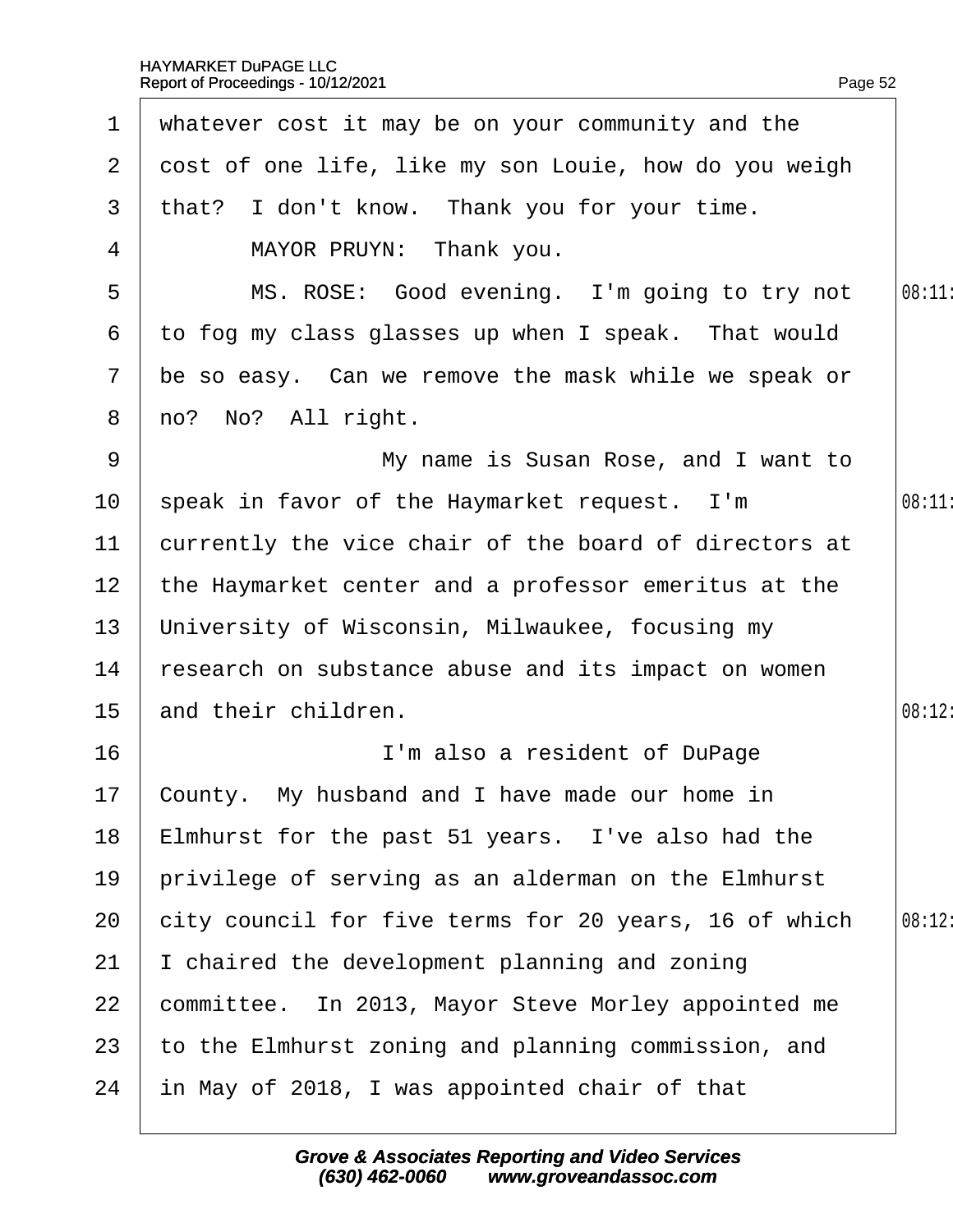<span id="page-52-0"></span>

| $\mathbf 1$     | whatever cost it may be on your community and the       |        |
|-----------------|---------------------------------------------------------|--------|
| $\mathbf{2}$    | dost of one life, like my son Louie, how do you weigh   |        |
| 3 <sup>1</sup>  | that? I don't know. Thank you for your time.            |        |
| 4               | MAYOR PRUYN: Thank you.                                 |        |
| 5               | MS. ROSE: Good evening. I'm going to try not            | 08:11  |
| 6               | to fog my class glasses up when I speak. That would     |        |
|                 | 7 be so easy. Can we remove the mask while we speak or  |        |
|                 | 8 no? No? All right.                                    |        |
| 9               | My name is Susan Rose, and I want to                    |        |
| 10 <sup>°</sup> | speak in favor of the Haymarket request. I'm            | 08:11  |
| 11              | currently the vice chair of the board of directors at   |        |
|                 | 12 the Haymarket center and a professor emeritus at the |        |
| 13 <sup>°</sup> | University of Wisconsin, Milwaukee, focusing my         |        |
| 14              | research on substance abuse and its impact on women     |        |
| 15 <sub>1</sub> | and their children.                                     | 08:12: |
| 16              | I'm also a resident of DuPage                           |        |
|                 | 17 County. My husband and I have made our home in       |        |
| 18              | Elmhurst for the past 51 years. I've also had the       |        |
| 19              | privilege of serving as an alderman on the Elmhurst     |        |
| 20              | city council for five terms for 20 years, 16 of which   | 08:12: |
| 21              | chaired the development planning and zoning             |        |
| 22              | committee. In 2013, Mayor Steve Morley appointed me     |        |
| 23              | to the Elmhurst zoning and planning commission, and     |        |
| 24              | in May of 2018, I was appointed chair of that           |        |
|                 |                                                         |        |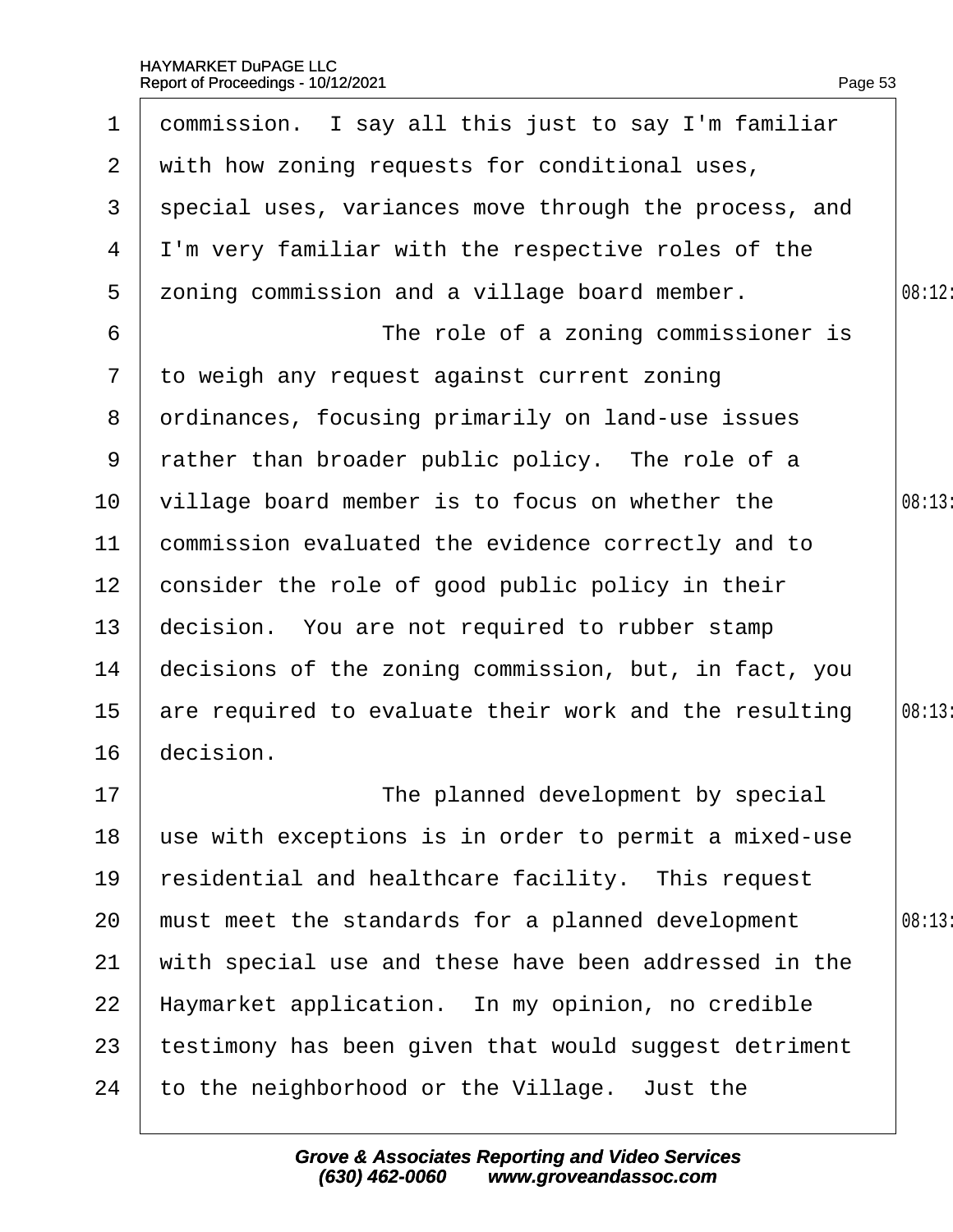| $\mathbf 1$     | dommission. I say all this just to say I'm familiar   |        |
|-----------------|-------------------------------------------------------|--------|
| $\overline{2}$  | with how zoning requests for conditional uses,        |        |
| 3               | special uses, variances move through the process, and |        |
| 4               | I'm very familiar with the respective roles of the    |        |
| 5               | zoning commission and a village board member.         | 08:12: |
| 6               | The role of a zoning commissioner is                  |        |
| $\overline{7}$  | to weigh any request against current zoning           |        |
| 8               | drdinances, focusing primarily on land-use issues     |        |
| 9               | rather than broader public policy. The role of a      |        |
| 10 <sup>°</sup> | village board member is to focus on whether the       | 08:13: |
| 11              | commission evaluated the evidence correctly and to    |        |
| 12 <sub>2</sub> | consider the role of good public policy in their      |        |
| 13              | decision. You are not required to rubber stamp        |        |
| 14              | decisions of the zoning commission, but, in fact, you |        |
| 15              | are required to evaluate their work and the resulting | 08:13: |
| 16              | decision.                                             |        |
| 17              | The planned development by special                    |        |
| 18              | use with exceptions is in order to permit a mixed-use |        |
| 19              | esidential and healthcare facility. This request      |        |
| 20              | must meet the standards for a planned development     | 08:13  |
| 21              | with special use and these have been addressed in the |        |
| 22              | Haymarket application. In my opinion, no credible     |        |
| 23              | testimony has been given that would suggest detriment |        |
| 24              | to the neighborhood or the Village. Just the          |        |
|                 |                                                       |        |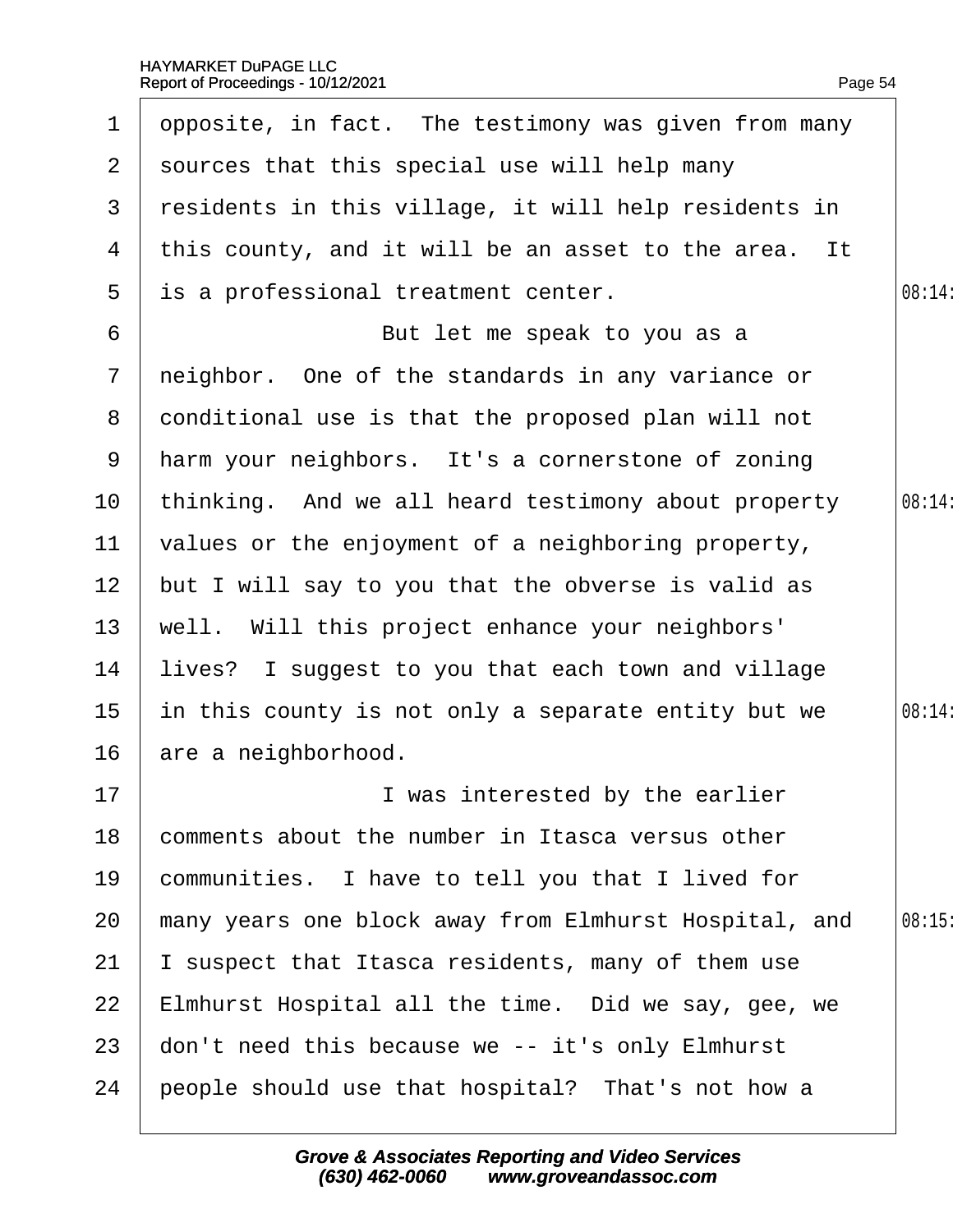<span id="page-54-0"></span>

| $\mathbf 1$     | opposite, in fact. The testimony was given from many   |        |
|-----------------|--------------------------------------------------------|--------|
| 2 <sup>1</sup>  | sources that this special use will help many           |        |
|                 | 3 residents in this village, it will help residents in |        |
| 4               | this county, and it will be an asset to the area. It   |        |
| 5               | is a professional treatment center.                    | 08:14: |
| 6               | But let me speak to you as a                           |        |
| $7\phantom{.}$  | neighbor. One of the standards in any variance or      |        |
| 8               | donditional use is that the proposed plan will not     |        |
| 9               | harm your neighbors. It's a cornerstone of zoning      |        |
| 10              | thinking. And we all heard testimony about property    | 08:14: |
| 11              | values or the enjoyment of a neighboring property,     |        |
| 12 <sub>2</sub> | but I will say to you that the obverse is valid as     |        |
| 13              | well. Will this project enhance your neighbors'        |        |
| 14              | lives? I suggest to you that each town and village     |        |
| 15              | in this county is not only a separate entity but we    | 08:14: |
| 16              | are a neighborhood.                                    |        |
| 17              | I was interested by the earlier                        |        |
| 18              | comments about the number in Itasca versus other       |        |
| 19              | communities. I have to tell you that I lived for       |        |
| 20              | many years one block away from Elmhurst Hospital, and  | 08:15  |
| 21              | suspect that Itasca residents, many of them use        |        |
| 22              | Elmhurst Hospital all the time. Did we say, gee, we    |        |
| 23              | don't need this because we -- it's only Elmhurst       |        |
| 24              | people should use that hospital? That's not how a      |        |
|                 |                                                        |        |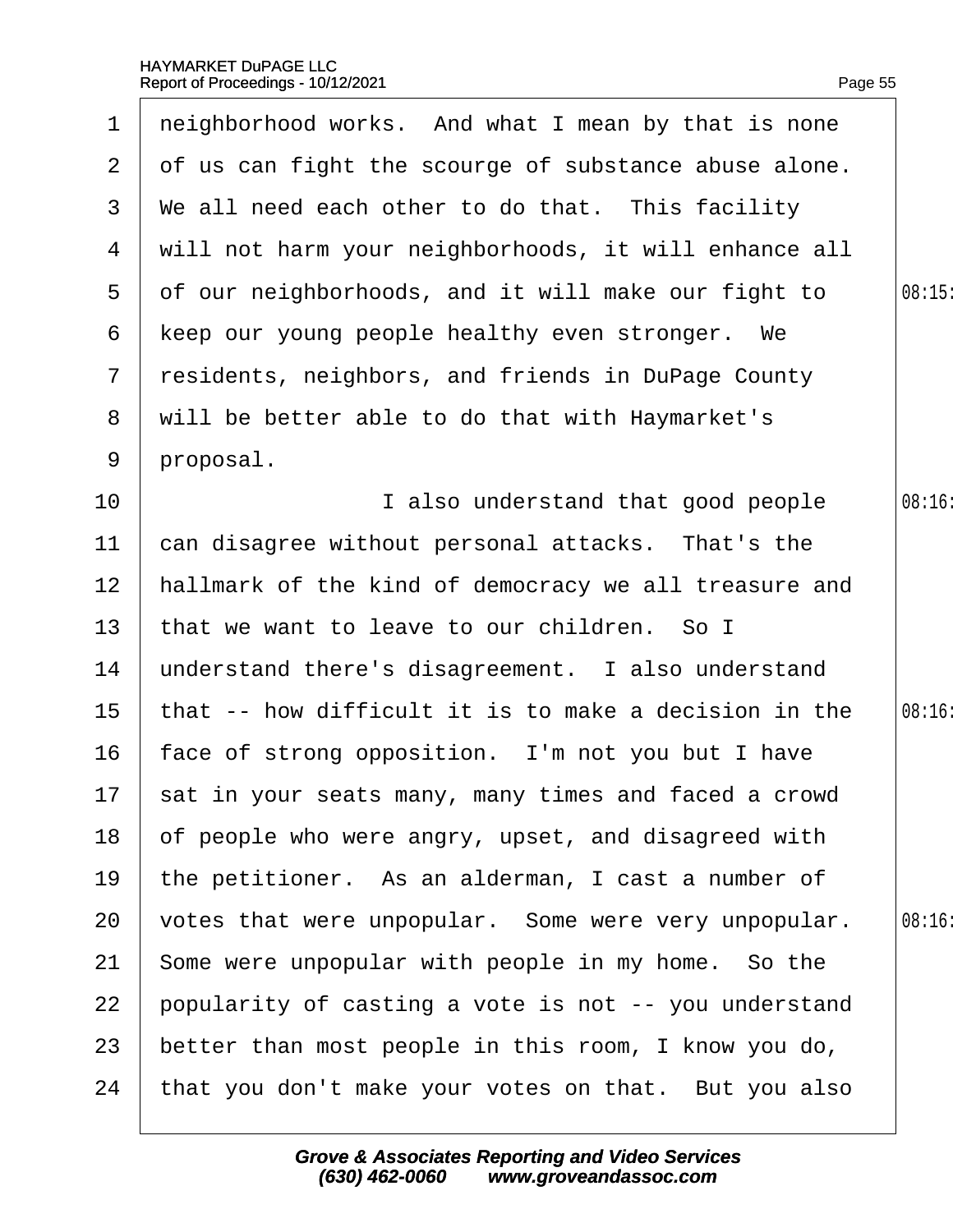<span id="page-55-0"></span>

| $\mathbf 1$     | neighborhood works. And what I mean by that is none     |        |
|-----------------|---------------------------------------------------------|--------|
|                 | 2 of us can fight the scourge of substance abuse alone. |        |
| 3               | We all need each other to do that. This facility        |        |
| 4               | will not harm your neighborhoods, it will enhance all   |        |
| 5               | of our neighborhoods, and it will make our fight to     | 08:15  |
| 6               | keep our young people healthy even stronger. We         |        |
| $\overline{7}$  | residents, neighbors, and friends in DuPage County      |        |
|                 | 8 will be better able to do that with Haymarket's       |        |
| 9               | proposal.                                               |        |
| 10              | I also understand that good people                      | 08:16: |
| 11              | can disagree without personal attacks. That's the       |        |
| 12 <sub>2</sub> | hallmark of the kind of democracy we all treasure and   |        |
| 13 <sup>°</sup> | that we want to leave to our children. So I             |        |
| 14              | understand there's disagreement. I also understand      |        |
| 15 <sub>1</sub> | that -- how difficult it is to make a decision in the   | 08:16  |
| 16              | face of strong opposition. I'm not you but I have       |        |
|                 | 17 sat in your seats many, many times and faced a crowd |        |
| 18              | of people who were angry, upset, and disagreed with     |        |
| 19              | the petitioner. As an alderman, I cast a number of      |        |
| 20              | votes that were unpopular. Some were very unpopular.    | 08:16  |
| 21              | Some were unpopular with people in my home. So the      |        |
| 22              | popularity of casting a vote is not -- you understand   |        |
| 23              | better than most people in this room, I know you do,    |        |
| 24              | that you don't make your votes on that. But you also    |        |
|                 |                                                         |        |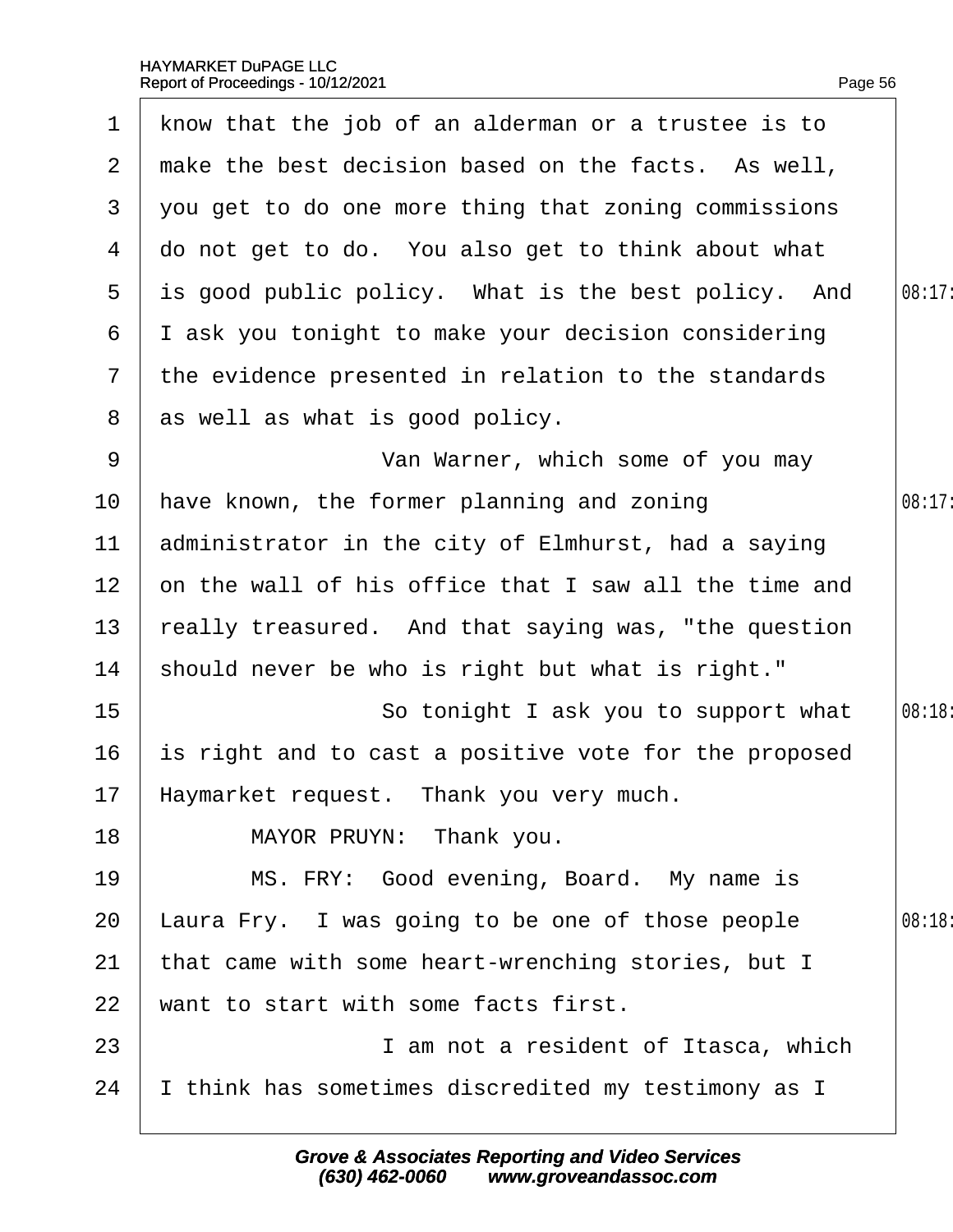<span id="page-56-0"></span>

|                 | 1 know that the job of an alderman or a trustee is to |        |
|-----------------|-------------------------------------------------------|--------|
| $\mathbf{2}$    | make the best decision based on the facts. As well,   |        |
| 3               | you get to do one more thing that zoning commissions  |        |
| 4               | do not get to do. You also get to think about what    |        |
| $5^{\circ}$     | is good public policy. What is the best policy. And   | 08:17: |
| 6               | I ask you tonight to make your decision considering   |        |
| $7\overline{ }$ | the evidence presented in relation to the standards   |        |
| 8               | as well as what is good policy.                       |        |
| 9               | Van Warner, which some of you may                     |        |
| 10              | have known, the former planning and zoning            | 08:17: |
| 11              | administrator in the city of Elmhurst, had a saying   |        |
| 12 <sub>2</sub> | on the wall of his office that I saw all the time and |        |
| 13              | really treasured. And that saying was, "the question  |        |
| 14              | should never be who is right but what is right."      |        |
| 15              | So tonight I ask you to support what                  | 08:18: |
| 16              | is right and to cast a positive vote for the proposed |        |
|                 | 17 Haymarket request. Thank you very much.            |        |
| 18              | MAYOR PRUYN: Thank you.                               |        |
| 19              | MS. FRY: Good evening, Board. My name is              |        |
| 20              | Laura Fry. I was going to be one of those people      | 08:18  |
| 21              | that came with some heart-wrenching stories, but I    |        |
| 22              | want to start with some facts first.                  |        |
| 23              | I am not a resident of Itasca, which                  |        |
| 24              | think has sometimes discredited my testimony as I     |        |
|                 |                                                       |        |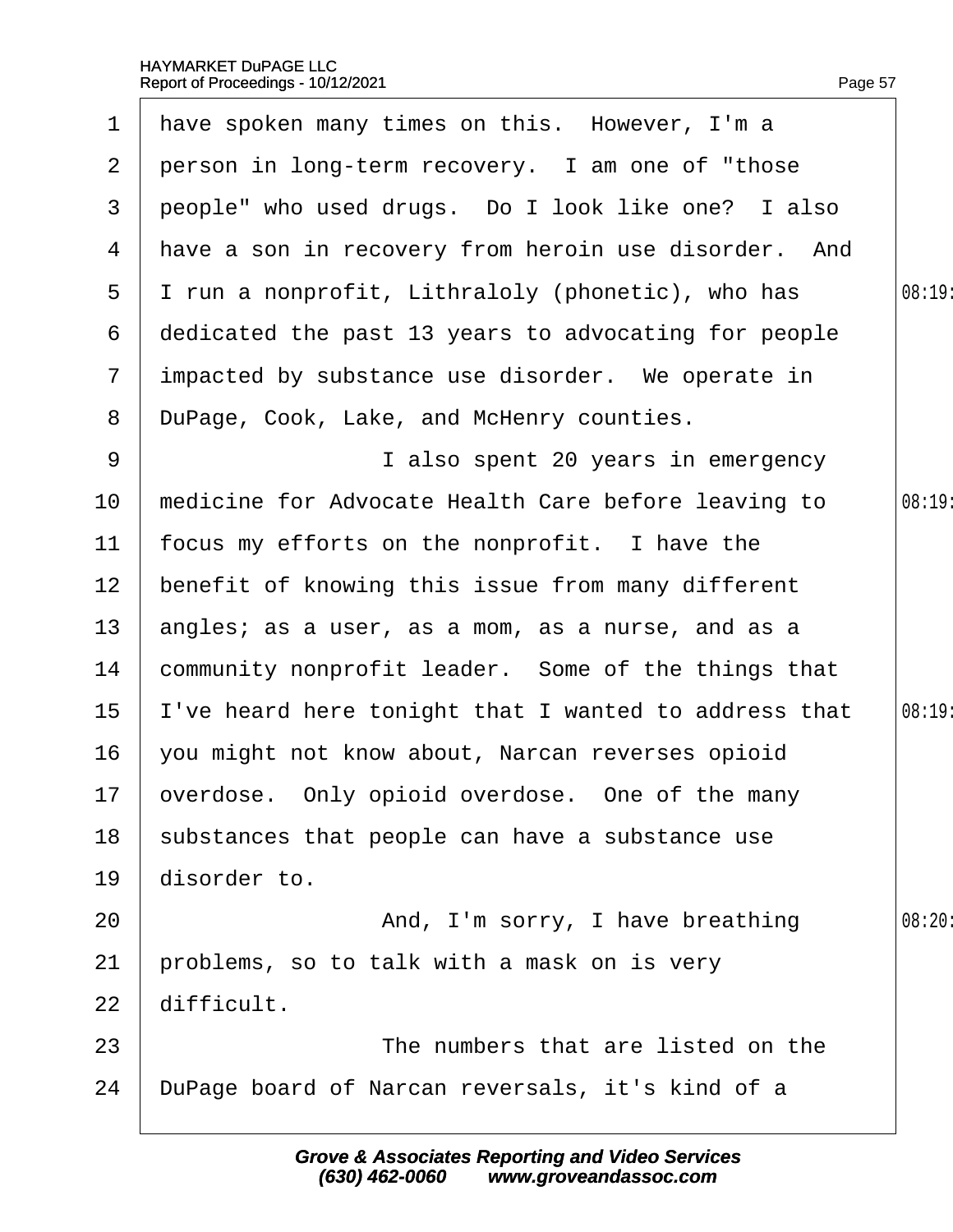<span id="page-57-0"></span>

|                 | 1 have spoken many times on this. However, I'm a     |        |
|-----------------|------------------------------------------------------|--------|
|                 | 2 person in long-term recovery. I am one of "those   |        |
| 3               | people" who used drugs. Do I look like one? I also   |        |
| 4               | have a son in recovery from heroin use disorder. And |        |
| $5^{\circ}$     | I run a nonprofit, Lithraloly (phonetic), who has    | 08:19  |
| 6               | dedicated the past 13 years to advocating for people |        |
| $\overline{7}$  | impacted by substance use disorder. We operate in    |        |
| 8               | DuPage, Cook, Lake, and McHenry counties.            |        |
| 9               | I also spent 20 years in emergency                   |        |
| 10              | medicine for Advocate Health Care before leaving to  | 08:19: |
| 11              | focus my efforts on the nonprofit. I have the        |        |
| 12 <sub>2</sub> | benefit of knowing this issue from many different    |        |
| 13              | angles; as a user, as a mom, as a nurse, and as a    |        |
| 14              | community nonprofit leader. Some of the things that  |        |
| 15              | 've heard here tonight that I wanted to address that | 08:19: |
| 16              | you might not know about, Narcan reverses opioid     |        |
|                 | 17 overdose. Only opioid overdose. One of the many   |        |
| 18              | substances that people can have a substance use      |        |
| 19              | disorder to.                                         |        |
| 20              | And, I'm sorry, I have breathing                     | 08:20  |
| 21              | problems, so to talk with a mask on is very          |        |
| 22              | difficult.                                           |        |
| 23              | The numbers that are listed on the                   |        |
| 24              | DuPage board of Narcan reversals, it's kind of a     |        |
|                 |                                                      |        |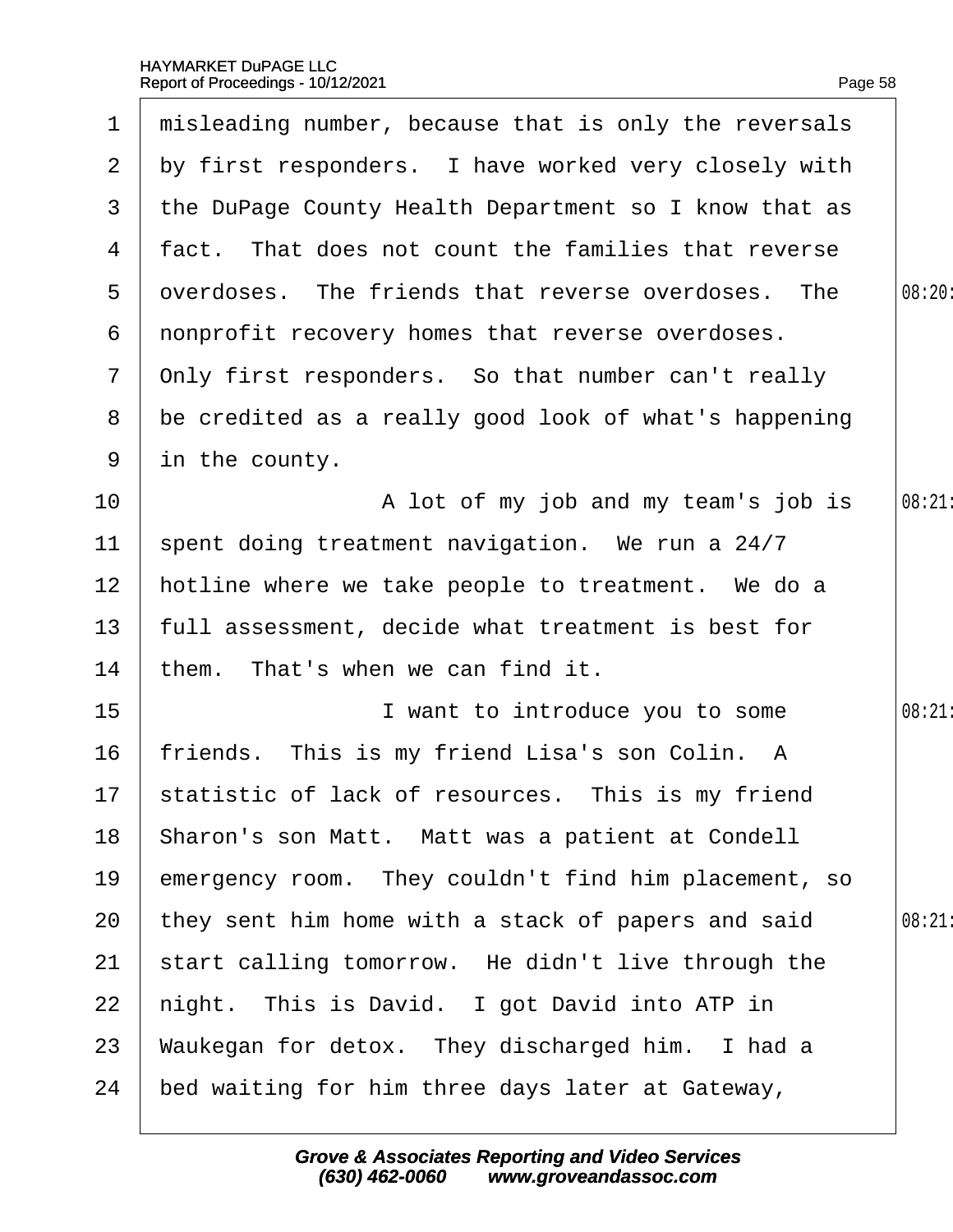<span id="page-58-0"></span>

|                 | 1 misleading number, because that is only the reversals |        |
|-----------------|---------------------------------------------------------|--------|
|                 | 2 by first responders. I have worked very closely with  |        |
| 3               | the DuPage County Health Department so I know that as   |        |
|                 | 4 fact. That does not count the families that reverse   |        |
| 5               | dverdoses. The friends that reverse overdoses. The      | 08:20: |
| 6               | nonprofit recovery homes that reverse overdoses.        |        |
| $\mathbf{7}$    | Only first responders. So that number can't really      |        |
| 8               | be credited as a really good look of what's happening   |        |
| 9               | in the county.                                          |        |
| 10 <sup>°</sup> | A lot of my job and my team's job is                    | 08:21  |
| 11              | spent doing treatment navigation. We run a 24/7         |        |
| 12 <sub>2</sub> | hotline where we take people to treatment. We do a      |        |
| 13              | full assessment, decide what treatment is best for      |        |
| 14              | them. That's when we can find it.                       |        |
| 15              | I want to introduce you to some                         | 08:21  |
| 16              | friends. This is my friend Lisa's son Colin. A          |        |
|                 | 17 statistic of lack of resources. This is my friend    |        |
| 18              | Sharon's son Matt. Matt was a patient at Condell        |        |
| 19              | emergency room. They couldn't find him placement, so    |        |
| 20              | they sent him home with a stack of papers and said      | 08:21  |
| 21              | start calling tomorrow. He didn't live through the      |        |
| 22              | hight. This is David. I got David into ATP in           |        |
| 23              | Waukegan for detox. They discharged him. I had a        |        |
| 24              | bed waiting for him three days later at Gateway,        |        |
|                 |                                                         |        |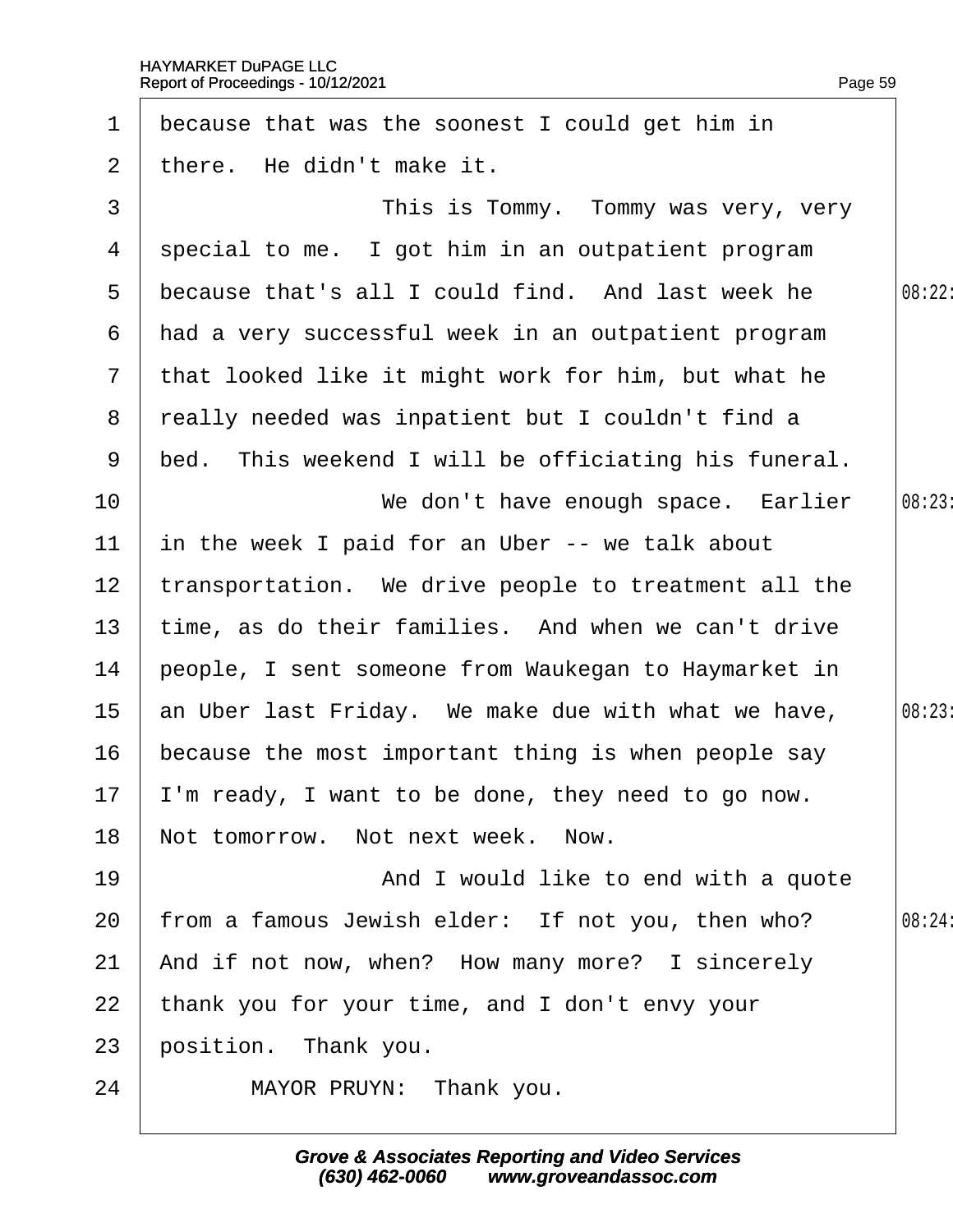<span id="page-59-0"></span>

| $\mathbf 1$     | because that was the soonest I could get him in       |        |
|-----------------|-------------------------------------------------------|--------|
| 2               | there. He didn't make it.                             |        |
| 3               | This is Tommy. Tommy was very, very                   |        |
| 4               | special to me. I got him in an outpatient program     |        |
| 5               | because that's all I could find. And last week he     | 08:22: |
| 6               | had a very successful week in an outpatient program   |        |
| $7\phantom{.}$  | that looked like it might work for him, but what he   |        |
| 8               | really needed was inpatient but I couldn't find a     |        |
| 9               | bed. This weekend I will be officiating his funeral.  |        |
| 10 <sup>°</sup> | We don't have enough space. Earlier                   | 08:23  |
| 11              | in the week I paid for an Uber -- we talk about       |        |
| 12 <sub>2</sub> | transportation. We drive people to treatment all the  |        |
| 13              | time, as do their families. And when we can't drive   |        |
| 14              | people, I sent someone from Waukegan to Haymarket in  |        |
| 15 <sub>2</sub> | an Uber last Friday. We make due with what we have,   | 08:23: |
| 16              | because the most important thing is when people say   |        |
|                 | 17  'm ready, I want to be done, they need to go now. |        |
| 18              | Not tomorrow. Not next week. Now.                     |        |
| 19              | And I would like to end with a quote                  |        |
| 20              | from a famous Jewish elder: If not you, then who?     | 08:24  |
| 21              | And if not now, when? How many more? I sincerely      |        |
| 22              | thank you for your time, and I don't envy your        |        |
| 23              | position. Thank you.                                  |        |
| 24              | MAYOR PRUYN: Thank you.                               |        |
|                 |                                                       |        |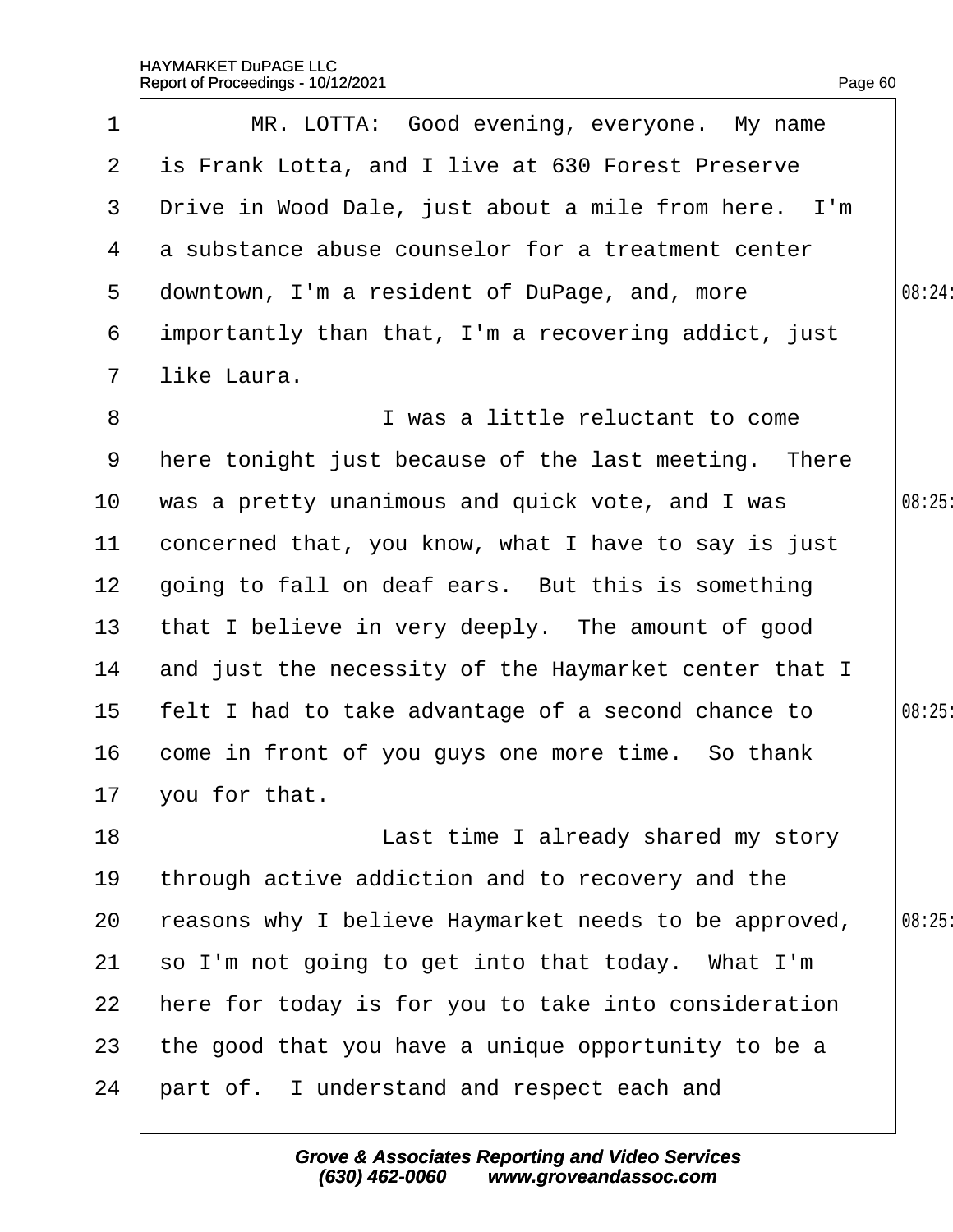<span id="page-60-0"></span>

|                 | Report of Proceedings - 10/12/2021                    | Page 60 |
|-----------------|-------------------------------------------------------|---------|
| 1               | MR. LOTTA: Good evening, everyone. My name            |         |
| $\overline{2}$  | is Frank Lotta, and I live at 630 Forest Preserve     |         |
| 3               | Drive in Wood Dale, just about a mile from here. I'm  |         |
| 4               | a substance abuse counselor for a treatment center    |         |
| 5               | downtown, I'm a resident of DuPage, and, more         | 08:24:  |
| 6               | importantly than that, I'm a recovering addict, just  |         |
| $\mathbf{7}$    | like Laura.                                           |         |
| 8               | I was a little reluctant to come                      |         |
| 9               | Here tonight just because of the last meeting. There  |         |
| 10              | was a pretty unanimous and quick vote, and I was      | 08:25   |
| 11              | concerned that, you know, what I have to say is just  |         |
| 12 <sub>2</sub> | going to fall on deaf ears. But this is something     |         |
| 13              | that I believe in very deeply. The amount of good     |         |
| 14              | and just the necessity of the Haymarket center that I |         |
| 15              | felt I had to take advantage of a second chance to    | 08:25   |
| 16              | come in front of you guys one more time. So thank     |         |
| 17              | you for that.                                         |         |
| 18              | Last time I already shared my story                   |         |
| 19              | through active addiction and to recovery and the      |         |
| 20              | easons why I believe Haymarket needs to be approved,  | 08:25   |
| 21              | so I'm not going to get into that today. What I'm     |         |
| 22              | here for today is for you to take into consideration  |         |
| 23              | the good that you have a unique opportunity to be a   |         |
| 24              | part of. I understand and respect each and            |         |
|                 |                                                       |         |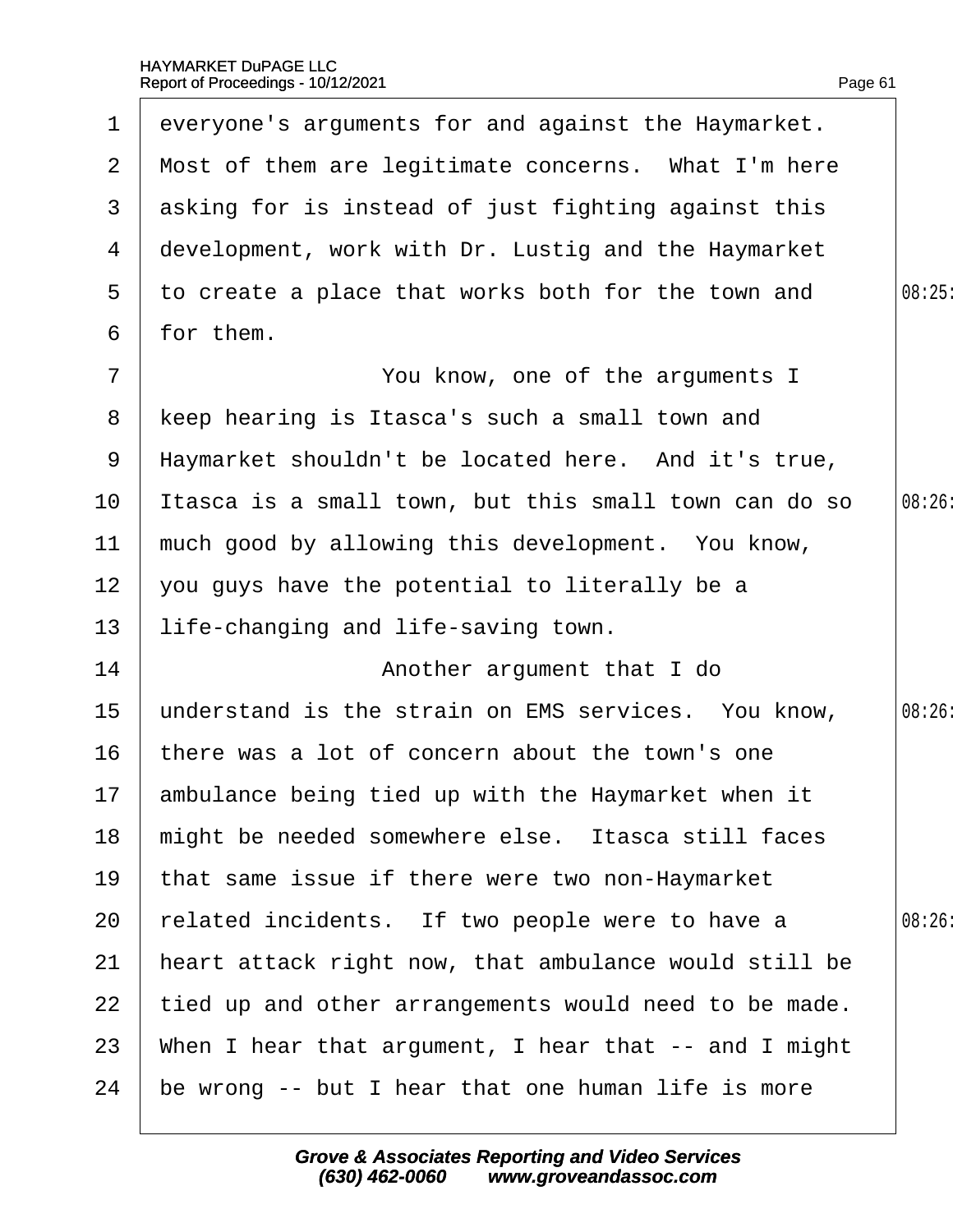<span id="page-61-0"></span>

| $\mathbf 1$     | everyone's arguments for and against the Haymarket.   |        |
|-----------------|-------------------------------------------------------|--------|
|                 | 2 Most of them are legitimate concerns. What I'm here |        |
| 3               | asking for is instead of just fighting against this   |        |
| 4               | development, work with Dr. Lustig and the Haymarket   |        |
| 5               | to create a place that works both for the town and    | 08:25  |
| 6               | for them.                                             |        |
| $\overline{7}$  | You know, one of the arguments I                      |        |
| 8               | keep hearing is Itasca's such a small town and        |        |
| 9               | Haymarket shouldn't be located here. And it's true,   |        |
| 10              | Itasca is a small town, but this small town can do so | 08:26: |
| 11              | much good by allowing this development. You know,     |        |
| 12 <sub>2</sub> | you guys have the potential to literally be a         |        |
| 13              | life-changing and life-saving town.                   |        |
| 14              | Another argument that I do                            |        |
| 15              | understand is the strain on EMS services. You know,   | 08:26: |
| 16              | there was a lot of concern about the town's one       |        |
|                 | 17 ambulance being tied up with the Haymarket when it |        |
| 18              | might be needed somewhere else. Itasca still faces    |        |
| 19              | that same issue if there were two non-Haymarket       |        |
| 20              | related incidents. If two people were to have a       | 08:26: |
| 21              | heart attack right now, that ambulance would still be |        |
| 22              | tied up and other arrangements would need to be made. |        |
| 23              | When I hear that argument, I hear that -- and I might |        |
| 24              | be wrong -- but I hear that one human life is more    |        |
|                 |                                                       |        |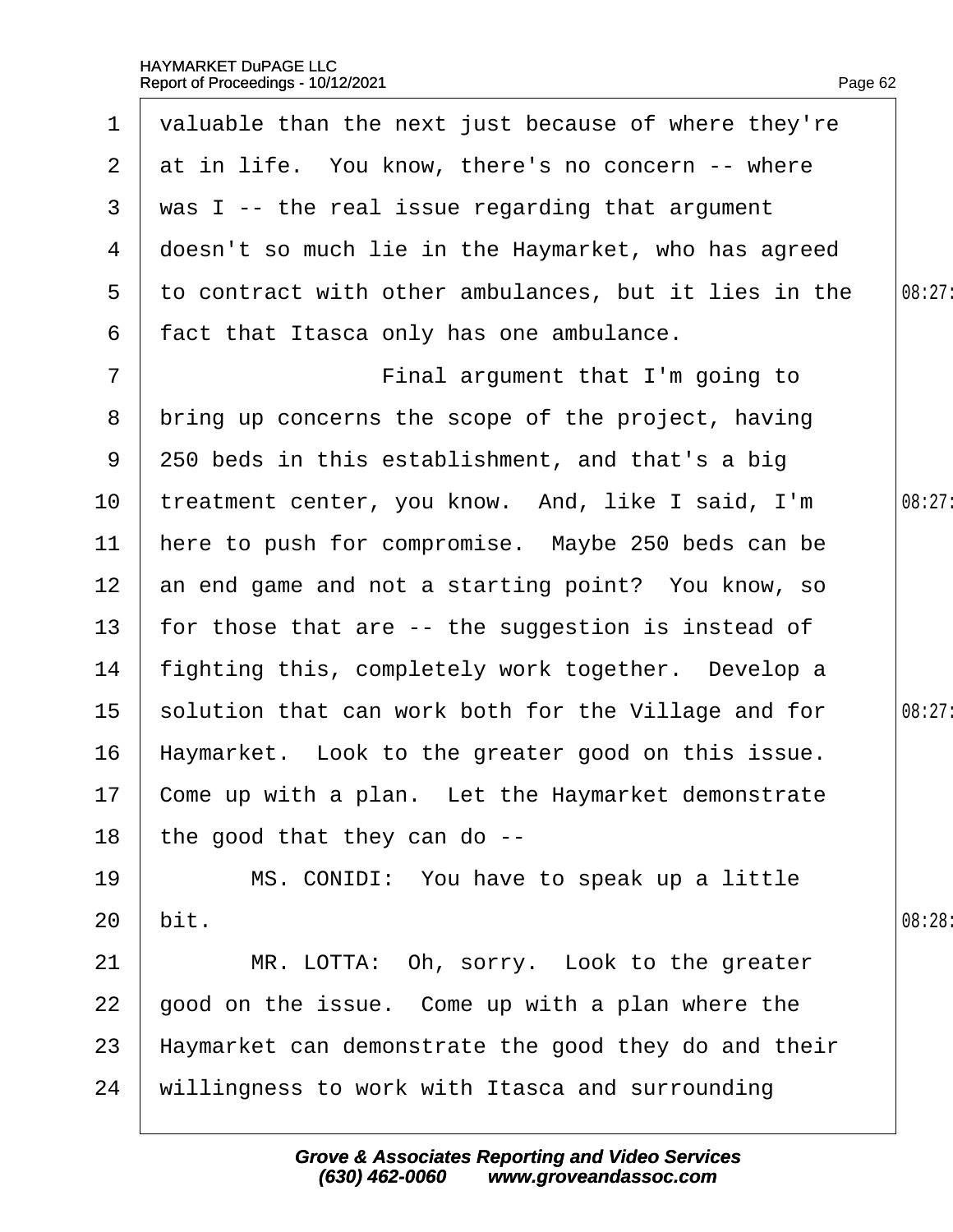<span id="page-62-0"></span>

| $\mathbf 1$     | valuable than the next just because of where they're  |        |
|-----------------|-------------------------------------------------------|--------|
|                 | 2 at in life. You know, there's no concern -- where   |        |
| 3               | was I -- the real issue regarding that argument       |        |
| 4               | doesn't so much lie in the Haymarket, who has agreed  |        |
| 5               | to contract with other ambulances, but it lies in the | 08:27: |
| 6               | fact that Itasca only has one ambulance.              |        |
| $\overline{7}$  | Final argument that I'm going to                      |        |
| 8               | bring up concerns the scope of the project, having    |        |
| 9               | 250 beds in this establishment, and that's a big      |        |
| 10              | treatment center, you know. And, like I said, I'm     | 08:27: |
| 11              | here to push for compromise. Maybe 250 beds can be    |        |
| 12 <sub>2</sub> | an end game and not a starting point? You know, so    |        |
| 13              | for those that are -- the suggestion is instead of    |        |
| 14              | fighting this, completely work together. Develop a    |        |
| 15 <sub>1</sub> | solution that can work both for the Village and for   | 08:27: |
| 16              | Haymarket. Look to the greater good on this issue.    |        |
|                 | 17 Come up with a plan. Let the Haymarket demonstrate |        |
| 18              | the good that they can do --                          |        |
| 19              | MS. CONIDI: You have to speak up a little             |        |
| 20              | bit.                                                  | 08:28: |
| 21              | MR. LOTTA: Oh, sorry. Look to the greater             |        |
| 22              | good on the issue. Come up with a plan where the      |        |
| 23              | Haymarket can demonstrate the good they do and their  |        |
| 24              | willingness to work with Itasca and surrounding       |        |
|                 |                                                       |        |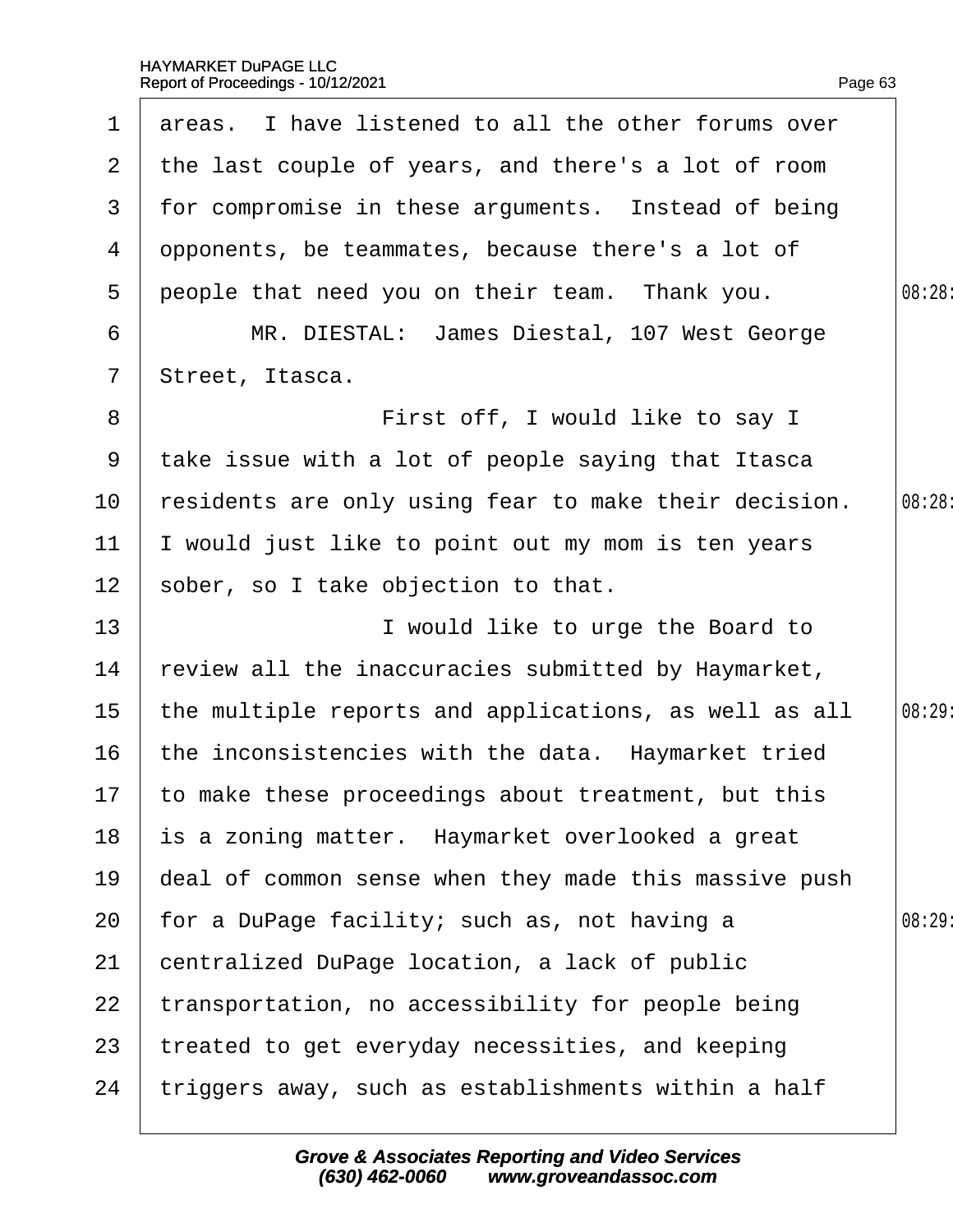<span id="page-63-0"></span>

| $\mathbf 1$    | areas. I have listened to all the other forums over    |        |
|----------------|--------------------------------------------------------|--------|
|                |                                                        |        |
| 2 <sup>1</sup> | the last couple of years, and there's a lot of room    |        |
| 3              | for compromise in these arguments. Instead of being    |        |
| 4              | dpponents, be teammates, because there's a lot of      |        |
| 5              | people that need you on their team. Thank you.         | 08:28  |
| 6              | MR. DIESTAL: James Diestal, 107 West George            |        |
| $\overline{7}$ | Street, Itasca.                                        |        |
| 8              | First off, I would like to say I                       |        |
| 9              | take issue with a lot of people saying that Itasca     |        |
| 10             | residents are only using fear to make their decision.  | 08:28: |
| 11             | would just like to point out my mom is ten years       |        |
| 12             | sober, so I take objection to that.                    |        |
| 13             | I would like to urge the Board to                      |        |
| 14             | review all the inaccuracies submitted by Haymarket,    |        |
| 15             | the multiple reports and applications, as well as all  | 08:29  |
| 16             | the inconsistencies with the data. Haymarket tried     |        |
|                | 17 to make these proceedings about treatment, but this |        |
| 18             | is a zoning matter. Haymarket overlooked a great       |        |
| 19             | deal of common sense when they made this massive push  |        |
| 20             | for a DuPage facility; such as, not having a           | 08:29  |
| 21             | centralized DuPage location, a lack of public          |        |
| 22             | transportation, no accessibility for people being      |        |
| 23             | treated to get everyday necessities, and keeping       |        |
| 24             | triggers away, such as establishments within a half    |        |
|                |                                                        |        |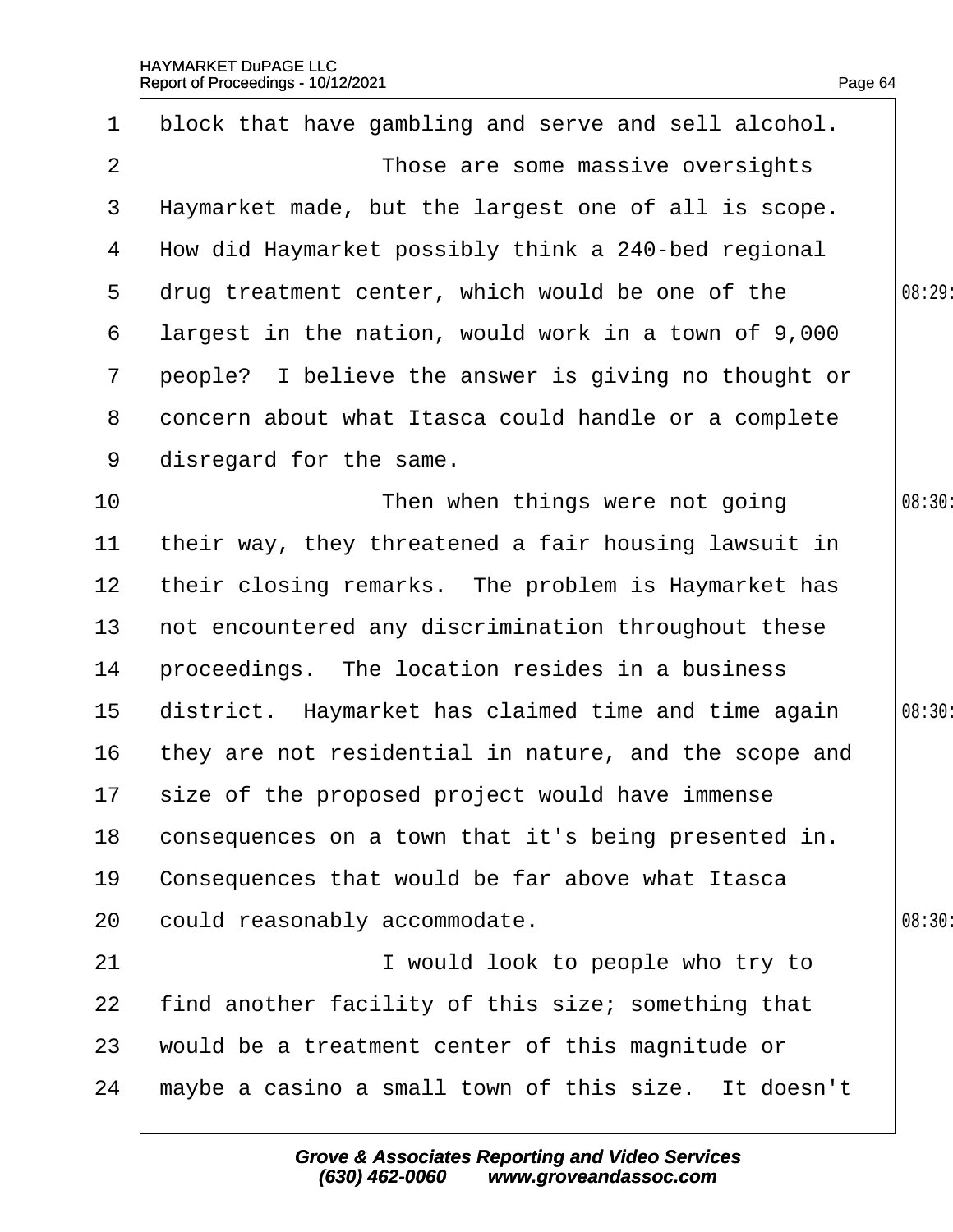<span id="page-64-0"></span>

| $\mathbf 1$     | block that have gambling and serve and sell alcohol.  |        |
|-----------------|-------------------------------------------------------|--------|
|                 |                                                       |        |
| $\overline{2}$  | Those are some massive oversights                     |        |
| 3               | Haymarket made, but the largest one of all is scope.  |        |
| 4               | How did Haymarket possibly think a 240-bed regional   |        |
| 5               | drug treatment center, which would be one of the      | 08:29: |
| 6               | largest in the nation, would work in a town of 9,000  |        |
| $7\phantom{.}$  | people? I believe the answer is giving no thought or  |        |
| 8               | doncern about what Itasca could handle or a complete  |        |
| 9               | disregard for the same.                               |        |
| 10              | Then when things were not going                       | 08:30: |
| 11              | their way, they threatened a fair housing lawsuit in  |        |
| 12 <sub>2</sub> | their closing remarks. The problem is Haymarket has   |        |
| 13 <sup>°</sup> | not encountered any discrimination throughout these   |        |
| 14              | proceedings. The location resides in a business       |        |
| 15 <sub>1</sub> | district. Haymarket has claimed time and time again   | 08:30: |
| 16              | they are not residential in nature, and the scope and |        |
|                 | 17 size of the proposed project would have immense    |        |
| 18              | consequences on a town that it's being presented in.  |        |
| 19              | Consequences that would be far above what Itasca      |        |
| 20              | could reasonably accommodate.                         | 08:30  |
| 21              | I would look to people who try to                     |        |
| 22              | find another facility of this size; something that    |        |
| 23              | would be a treatment center of this magnitude or      |        |
| 24              | maybe a casino a small town of this size. It doesn't  |        |
|                 |                                                       |        |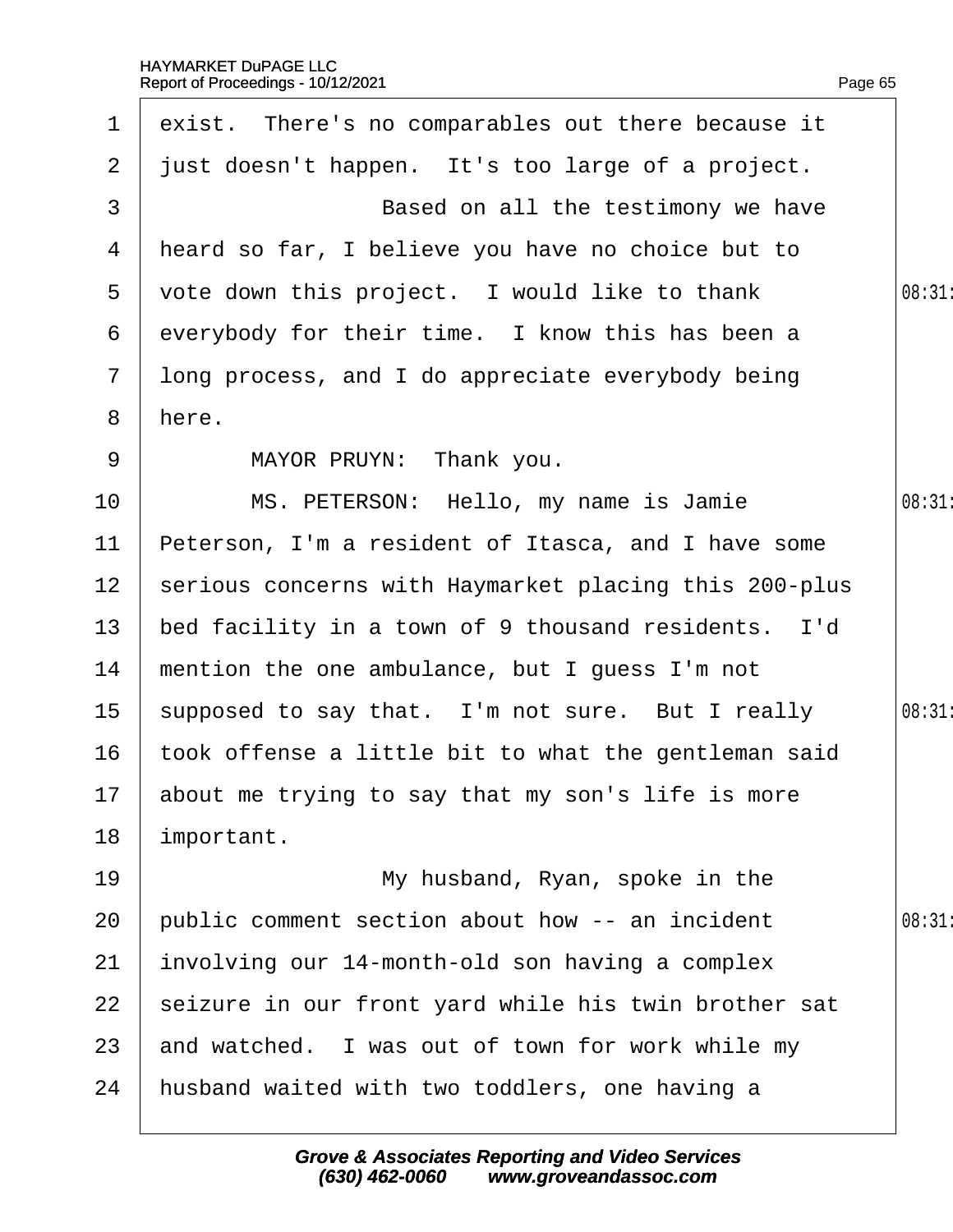<span id="page-65-0"></span>

| $\mathbf 1$     | exist. There's no comparables out there because it    |        |
|-----------------|-------------------------------------------------------|--------|
| 2 <sup>1</sup>  | just doesn't happen. It's too large of a project.     |        |
| 3               | Based on all the testimony we have                    |        |
|                 | 4 Heard so far, I believe you have no choice but to   |        |
| 5               | vote down this project. I would like to thank         | 08:31  |
| 6               | everybody for their time. I know this has been a      |        |
| $7\overline{ }$ | Iong process, and I do appreciate everybody being     |        |
| 8               | here.                                                 |        |
| 9               | MAYOR PRUYN: Thank you.                               |        |
| 10              | MS. PETERSON: Hello, my name is Jamie                 | 08:31  |
| 11              | Peterson, I'm a resident of Itasca, and I have some   |        |
| 12 <sup>1</sup> | serious concerns with Haymarket placing this 200-plus |        |
| 13              | bed facility in a town of 9 thousand residents. I'd   |        |
| 14              | mention the one ambulance, but I guess I'm not        |        |
| 15 <sub>1</sub> | supposed to say that. I'm not sure. But I really      | 08:31: |
| 16              | took offense a little bit to what the gentleman said  |        |
|                 | 17 about me trying to say that my son's life is more  |        |
| 18              | important.                                            |        |
| 19              | My husband, Ryan, spoke in the                        |        |
| 20              | public comment section about how -- an incident       | 08:31  |
| 21              | involving our 14-month-old son having a complex       |        |
| 22              | seizure in our front yard while his twin brother sat  |        |
| 23              | and watched. I was out of town for work while my      |        |
| 24              | husband waited with two toddlers, one having a        |        |
|                 |                                                       |        |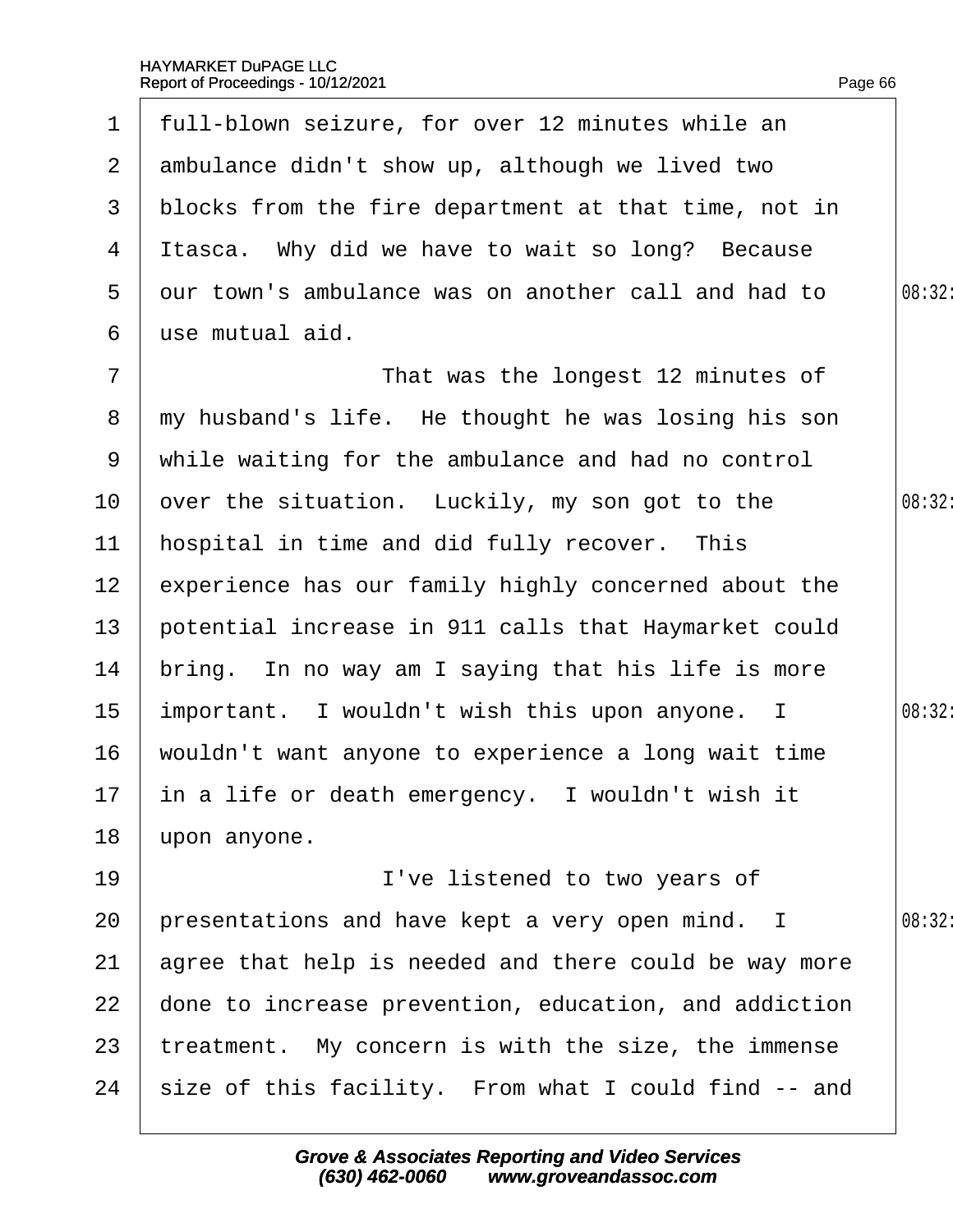<span id="page-66-0"></span>

| $\mathbf 1$     | full-blown seizure, for over 12 minutes while an      |        |
|-----------------|-------------------------------------------------------|--------|
| 2 <sup>1</sup>  | ambulance didn't show up, although we lived two       |        |
| 3               | blocks from the fire department at that time, not in  |        |
| 4               | Itasca. Why did we have to wait so long? Because      |        |
| 5               | dur town's ambulance was on another call and had to   | 08:32: |
| 6               | use mutual aid.                                       |        |
| $\overline{7}$  | That was the longest 12 minutes of                    |        |
| 8               | my husband's life. He thought he was losing his son   |        |
| 9               | while waiting for the ambulance and had no control    |        |
| 10 <sup>°</sup> | over the situation. Luckily, my son got to the        | 08:32: |
| 11              | hospital in time and did fully recover. This          |        |
| 12 <sub>2</sub> | experience has our family highly concerned about the  |        |
| 13 <sup>°</sup> | potential increase in 911 calls that Haymarket could  |        |
| 14              | bring. In no way am I saying that his life is more    |        |
| 15 <sub>1</sub> | important. I wouldn't wish this upon anyone. I        | 08:32: |
| 16              | wouldn't want anyone to experience a long wait time   |        |
|                 | 17 in a life or death emergency. I wouldn't wish it   |        |
| 18              | upon anyone.                                          |        |
| 19              | I've listened to two years of                         |        |
| 20              | presentations and have kept a very open mind. I       | 08:32: |
| 21              | agree that help is needed and there could be way more |        |
| 22              | done to increase prevention, education, and addiction |        |
| 23              | treatment. My concern is with the size, the immense   |        |
| 24              | size of this facility. From what I could find -- and  |        |
|                 |                                                       |        |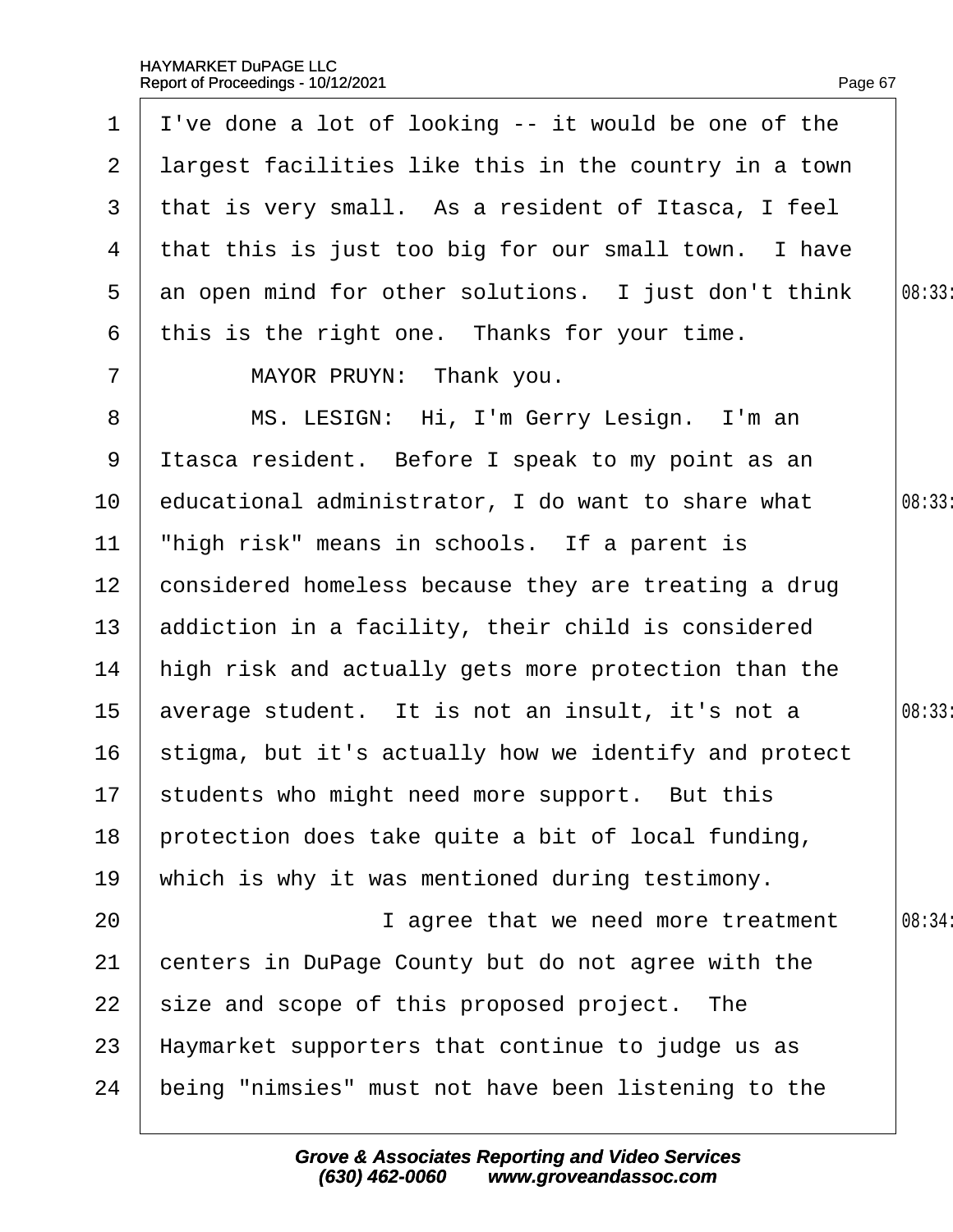<span id="page-67-0"></span>

|                 | 1 $\blacksquare$ I've done a lot of looking -- it would be one of the |        |
|-----------------|-----------------------------------------------------------------------|--------|
| 2 <sup>1</sup>  | largest facilities like this in the country in a town                 |        |
|                 | 3 that is very small. As a resident of Itasca, I feel                 |        |
| 4               | that this is just too big for our small town. I have                  |        |
| 5               | an open mind for other solutions. I just don't think                  | 08:33: |
| 6               | this is the right one. Thanks for your time.                          |        |
| $\overline{7}$  | MAYOR PRUYN: Thank you.                                               |        |
| 8               | MS. LESIGN: Hi, I'm Gerry Lesign. I'm an                              |        |
| 9               | Itasca resident. Before I speak to my point as an                     |        |
| 10              | educational administrator, I do want to share what                    | 08:33: |
| 11              | "high risk" means in schools. If a parent is                          |        |
| 12 <sup>2</sup> | considered homeless because they are treating a drug                  |        |
|                 | 13 addiction in a facility, their child is considered                 |        |
| 14              | high risk and actually gets more protection than the                  |        |
| 15 <sub>1</sub> | average student. It is not an insult, it's not a                      | 08:33: |
| 16              | stigma, but it's actually how we identify and protect                 |        |
|                 | 17 students who might need more support. But this                     |        |
| 18              | protection does take quite a bit of local funding,                    |        |
| 19              | which is why it was mentioned during testimony.                       |        |
| 20              | I agree that we need more treatment                                   | 08:34: |
| 21              | centers in DuPage County but do not agree with the                    |        |
| 22              | size and scope of this proposed project. The                          |        |
| 23              | Haymarket supporters that continue to judge us as                     |        |
| 24              | being "nimsies" must not have been listening to the                   |        |
|                 |                                                                       |        |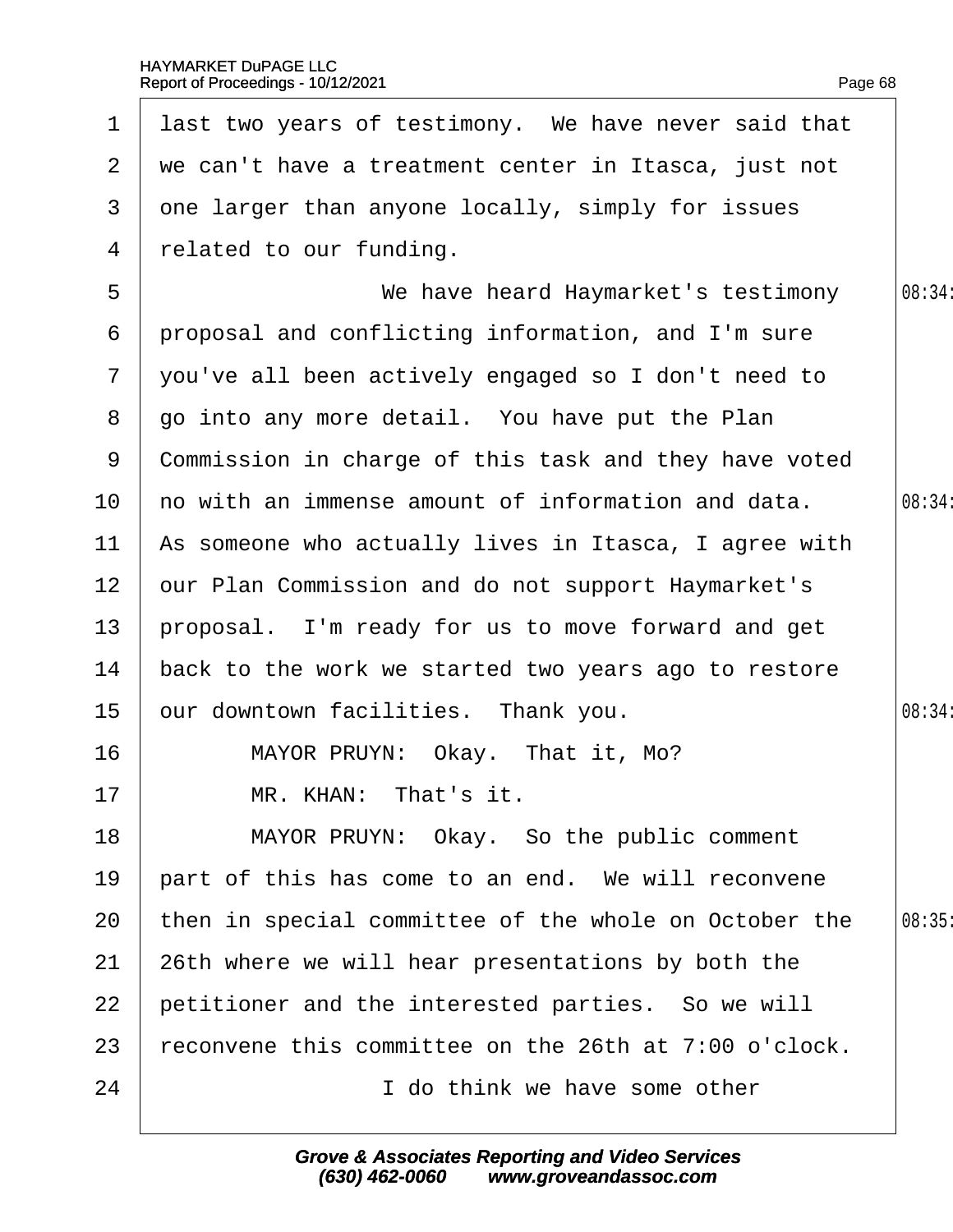<span id="page-68-0"></span>

| $\mathbf 1$    | last two years of testimony. We have never said that  |        |
|----------------|-------------------------------------------------------|--------|
| $\mathbf{2}$   | we can't have a treatment center in Itasca, just not  |        |
| 3              | one larger than anyone locally, simply for issues     |        |
| 4              | related to our funding.                               |        |
| 5              | We have heard Haymarket's testimony                   | 08:34: |
| 6              | proposal and conflicting information, and I'm sure    |        |
| $\overline{7}$ | you've all been actively engaged so I don't need to   |        |
| 8              | go into any more detail. You have put the Plan        |        |
| 9              | Commission in charge of this task and they have voted |        |
| 10             | ho with an immense amount of information and data.    | 08:34: |
| 11             | As someone who actually lives in Itasca, I agree with |        |
| 12             | our Plan Commission and do not support Haymarket's    |        |
| 13             | proposal. I'm ready for us to move forward and get    |        |
| 14             | back to the work we started two years ago to restore  |        |
| 15             | our downtown facilities. Thank you.                   | 08:34: |
| 16             | MAYOR PRUYN: Okay. That it, Mo?                       |        |
| 17             | MR. KHAN: That's it.                                  |        |
| 18             | MAYOR PRUYN: Okay. So the public comment              |        |
| 19             | part of this has come to an end. We will reconvene    |        |
| 20             | then in special committee of the whole on October the | 08:35  |
| 21             | 26th where we will hear presentations by both the     |        |
| 22             | petitioner and the interested parties. So we will     |        |
| 23             | econvene this committee on the 26th at 7:00 o'clock.  |        |
| 24             | I do think we have some other                         |        |
|                |                                                       |        |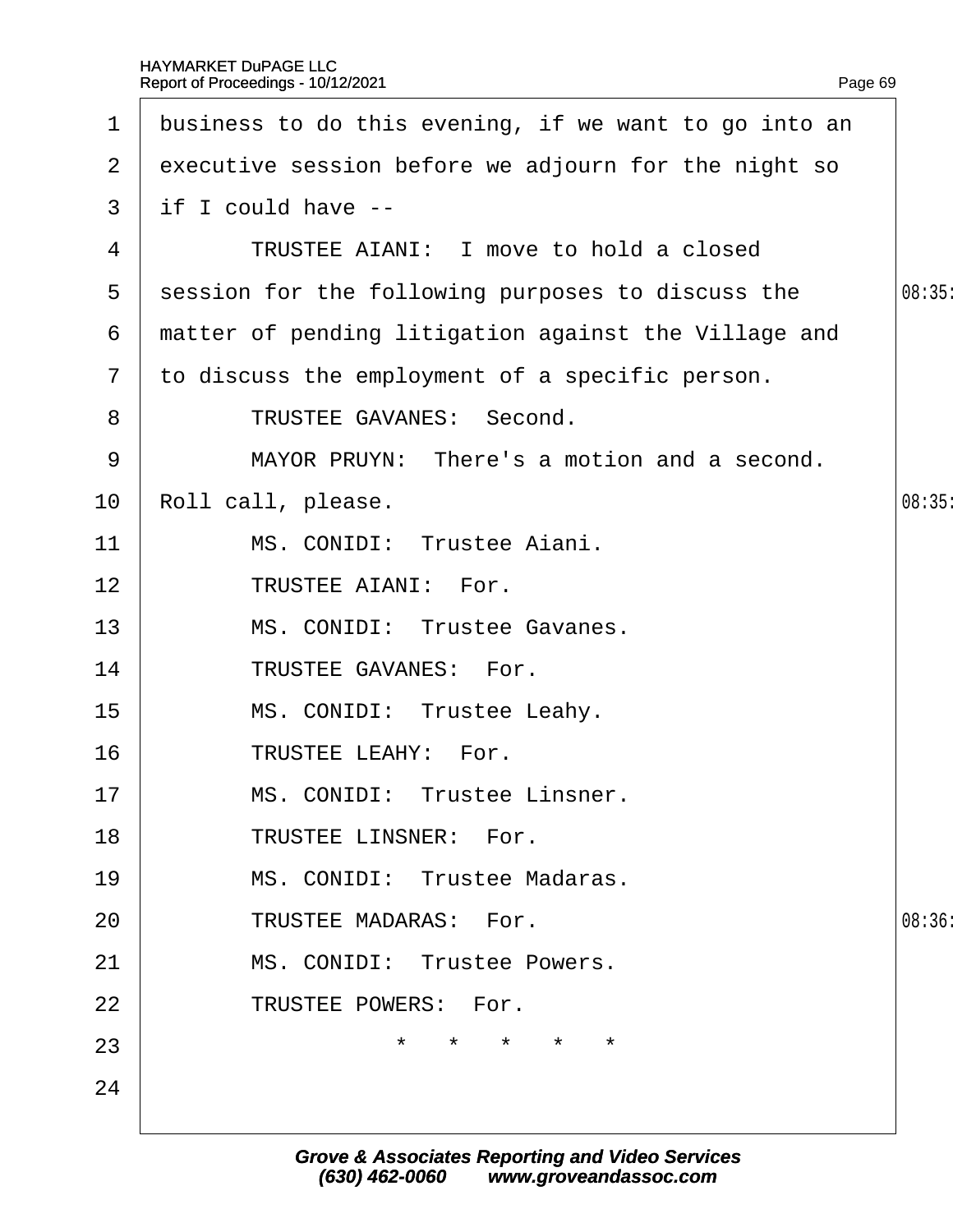| $\mathbf 1$           | business to do this evening, if we want to go into an |       |
|-----------------------|-------------------------------------------------------|-------|
| $\mathbf{2}^{\prime}$ | executive session before we adjourn for the night so  |       |
| 3                     | if I could have --                                    |       |
| 4                     | <b>TRUSTEE AIANI: I move to hold a closed</b>         |       |
| 5                     | session for the following purposes to discuss the     | 08:35 |
| 6                     | matter of pending litigation against the Village and  |       |
| $\overline{7}$        | to discuss the employment of a specific person.       |       |
| 8                     | <b>TRUSTEE GAVANES: Second.</b>                       |       |
| 9                     | MAYOR PRUYN: There's a motion and a second.           |       |
| 10                    | Roll call, please.                                    | 08:35 |
| 11                    | MS. CONIDI: Trustee Aiani.                            |       |
| 12                    | <b>TRUSTEE AIANI: For.</b>                            |       |
| 13                    | MS. CONIDI: Trustee Gavanes.                          |       |
| 14                    | TRUSTEE GAVANES: For.                                 |       |
| 15                    | MS. CONIDI: Trustee Leahy.                            |       |
| 16                    | <b>TRUSTEE LEAHY: For.</b>                            |       |
| 17                    | MS. CONIDI: Trustee Linsner.                          |       |
| 18                    | <b>TRUSTEE LINSNER: For.</b>                          |       |
| 19                    | MS. CONIDI: Trustee Madaras.                          |       |
| 20                    | <b>TRUSTEE MADARAS: For.</b>                          | 08:36 |
| 21                    | MS. CONIDI: Trustee Powers.                           |       |
| 22                    | <b>TRUSTEE POWERS: For.</b>                           |       |
| 23                    | $\star$<br>$\star$                                    |       |
| 24                    |                                                       |       |
|                       |                                                       |       |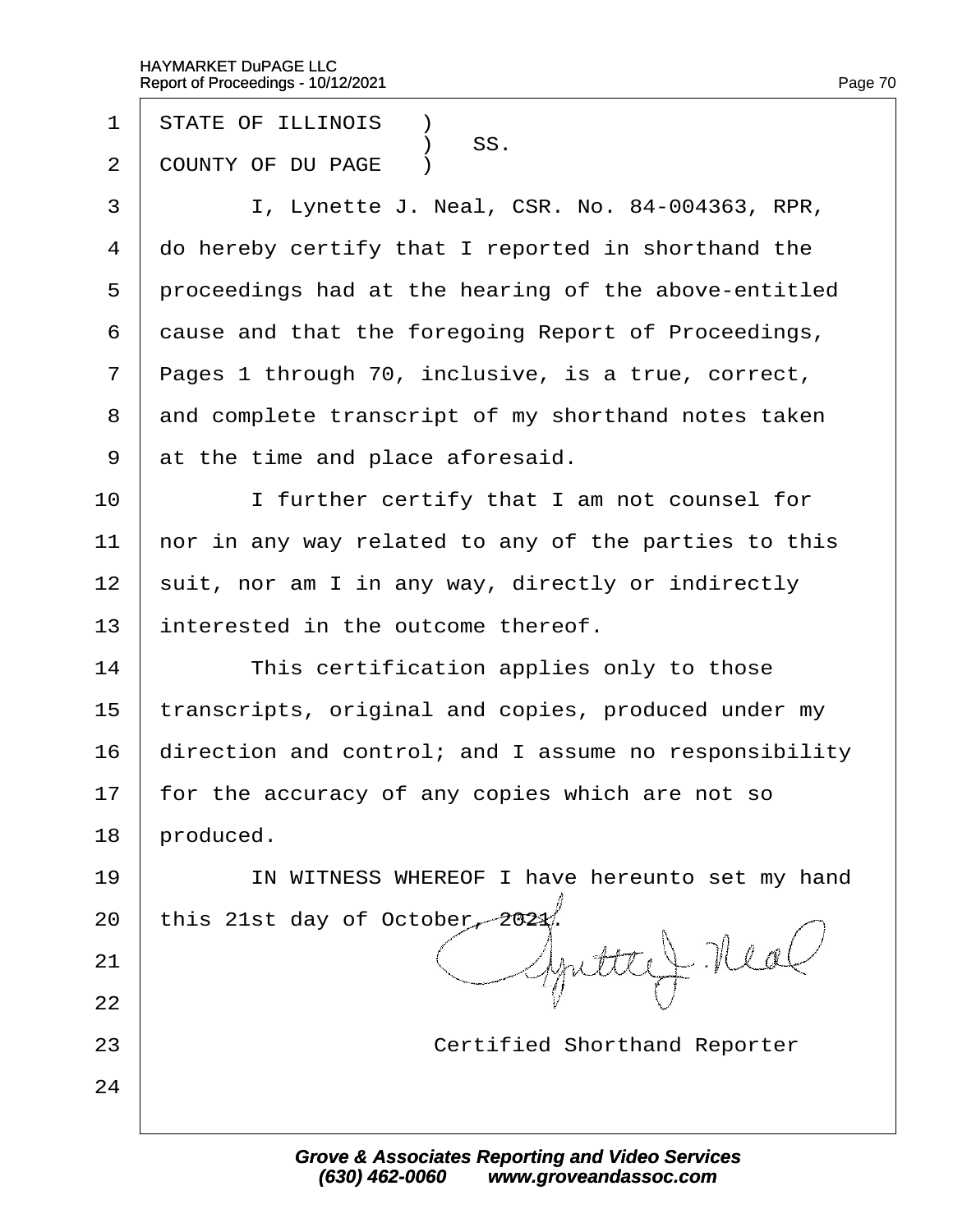- 1 STATE OF ILLINOIS **1**
- SS.<br>2 COUNTY OF DU I COUNTY OF DU PAGE )
- 3 | I, Lynette J. Neal, CSR. No. 84-004363, RPR,
- 4 do hereby certify that I reported in shorthand the
- 5 proceedings had at the hearing of the above-entitled
- 6 dause and that the foregoing Report of Proceedings,
- 7 Pages 1 through 70, inclusive, is a true, correct,
- 8 and complete transcript of my shorthand notes taken
- 9 at the time and place aforesaid.
- 10 **I** I further certify that I am not counsel for
- 11 hor in any way related to any of the parties to this
- 12 suit, nor am I in any way, directly or indirectly
- 13 interested in the outcome thereof.
- $14$  This certification applies only to those
- 15 transcripts, original and copies, produced under my
- 16 direction and control; and I assume no responsibility
- 17 for the accuracy of any copies which are not so
- 18 **broduced**.

21

22

24

- 19 | IN WITNESS WHEREOF I have hereunto set my hand
- 20 this 21st day of October, 2021.
- 23 **Certified Shorthand Reporter**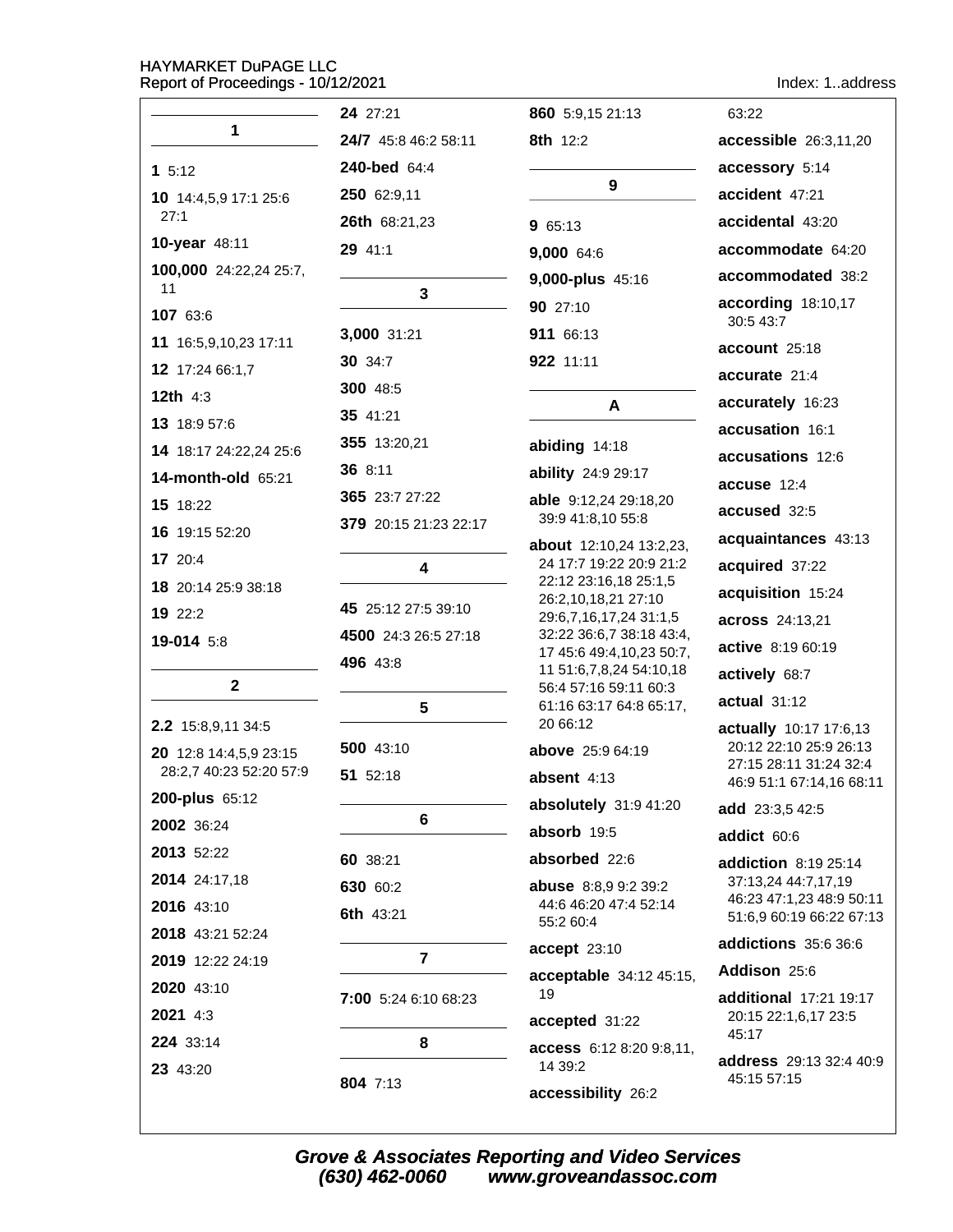| eport of Proceedings - 10/12/2021 |                       |                                                      | Index: 1address                                    |
|-----------------------------------|-----------------------|------------------------------------------------------|----------------------------------------------------|
|                                   | 24 27:21              | 860 5:9,15 21:13                                     | 63:22                                              |
| 1                                 | 24/7 45:8 46:2 58:11  | <b>8th</b> 12:2                                      | accessible 26:3,11,20                              |
| 15:12                             | 240-bed 64:4          |                                                      | accessory 5:14                                     |
| 10 14:4,5,9 17:1 25:6             | 250 62:9,11           | 9                                                    | accident 47:21                                     |
| 27:1                              | 26th 68:21,23         | 9 65:13                                              | accidental 43:20                                   |
| 10-year 48:11                     | 29 41:1               | 9,000 64:6                                           | accommodate 64:20                                  |
| 100,000 24:22,24 25:7,            |                       | 9,000-plus 45:16                                     | accommodated 38:2                                  |
| 11                                | 3                     | 90 27:10                                             | according 18:10,17                                 |
| 107 63:6                          | 3,000 31:21           | 911 66:13                                            | 30:5 43:7                                          |
| 11 16:5,9,10,23 17:11             | <b>30</b> 34:7        | 922 11:11                                            | account 25:18                                      |
| 12 17:24 66:1,7                   | <b>300 48:5</b>       |                                                      | accurate 21:4                                      |
| <b>12th 4:3</b>                   | 35 41:21              | A                                                    | accurately 16:23                                   |
| 13 18:9 57:6                      |                       |                                                      | accusation 16:1                                    |
| 14 18:17 24:22,24 25:6            | 355 13:20,21          | abiding 14:18                                        | accusations 12:6                                   |
| 14-month-old 65:21                | 36 8:11               | ability 24:9 29:17                                   | accuse 12:4                                        |
| 15 18:22                          | 365 23:7 27:22        | able 9:12,24 29:18,20<br>39:9 41:8,10 55:8           | accused 32:5                                       |
| 16 19:15 52:20                    | 379 20:15 21:23 22:17 | about 12:10,24 13:2,23,                              | acquaintances 43:13                                |
| 17 20:4                           | 4                     | 24 17:7 19:22 20:9 21:2                              | acquired 37:22                                     |
| 18 20:14 25:9 38:18               |                       | 22:12 23:16,18 25:1,5<br>26:2,10,18,21 27:10         | acquisition 15:24                                  |
| 19 22:2                           | 45 25:12 27:5 39:10   | 29:6,7,16,17,24 31:1,5                               | across 24:13,21                                    |
| 19-014 5:8                        | 4500 24:3 26:5 27:18  | 32:22 36:6,7 38:18 43:4,<br>17 45:6 49:4,10,23 50:7, | active 8:19 60:19                                  |
|                                   | 496 43:8              | 11 51:6,7,8,24 54:10,18                              | actively 68:7                                      |
| $\mathbf{2}$                      |                       | 56:4 57:16 59:11 60:3                                | actual 31:12                                       |
| 2.2 15:8,9,11 34:5                | 5                     | 61:16 63:17 64:8 65:17,<br>20 66:12                  | actually 10:17 17:6,13                             |
| 20 12:8 14:4,5,9 23:15            | 500 43:10             | above 25:9 64:19                                     | 20:12 22:10 25:9 26:13                             |
| 28:2,7 40:23 52:20 57:9           | 51 52:18              | absent $4:13$                                        | 27:15 28:11 31:24 32:4<br>46:9 51:1 67:14,16 68:11 |
| 200-plus 65:12                    |                       | absolutely 31:9 41:20                                | add 23:3,5 42:5                                    |
| 2002 36:24                        | 6                     | absorb 19:5                                          | addict 60:6                                        |
| 2013 52:22                        | 60 38:21              | absorbed 22:6                                        | addiction 8:19 25:14                               |
| 2014 24:17,18                     | 630 60:2              | <b>abuse</b> $8:8,99:239:2$                          | 37:13,24 44:7,17,19                                |
| 2016 43:10                        | <b>6th 43:21</b>      | 44:6 46:20 47:4 52:14                                | 46:23 47:1,23 48:9 50:11                           |
| 2018 43:21 52:24                  |                       | 55:2 60:4                                            | 51:6,9 60:19 66:22 67:13                           |
| 2019 12:22 24:19                  | $\overline{7}$        | accept 23:10                                         | addictions 35:6 36:6                               |
| 2020 43:10                        |                       | acceptable 34:12 45:15,                              | Addison 25:6                                       |
| 2021 4:3                          | 7:00 5:24 6:10 68:23  | 19                                                   | additional 17:21 19:17<br>20:15 22:1,6,17 23:5     |
| 224 33:14                         | 8                     | accepted 31:22                                       | 45:17                                              |
| 23 43:20                          |                       | access 6:12 8:20 9:8,11,<br>14 39:2                  | address 29:13 32:4 40:9                            |
|                                   | 804 7:13              | accessibility 26:2                                   | 45:15 57:15                                        |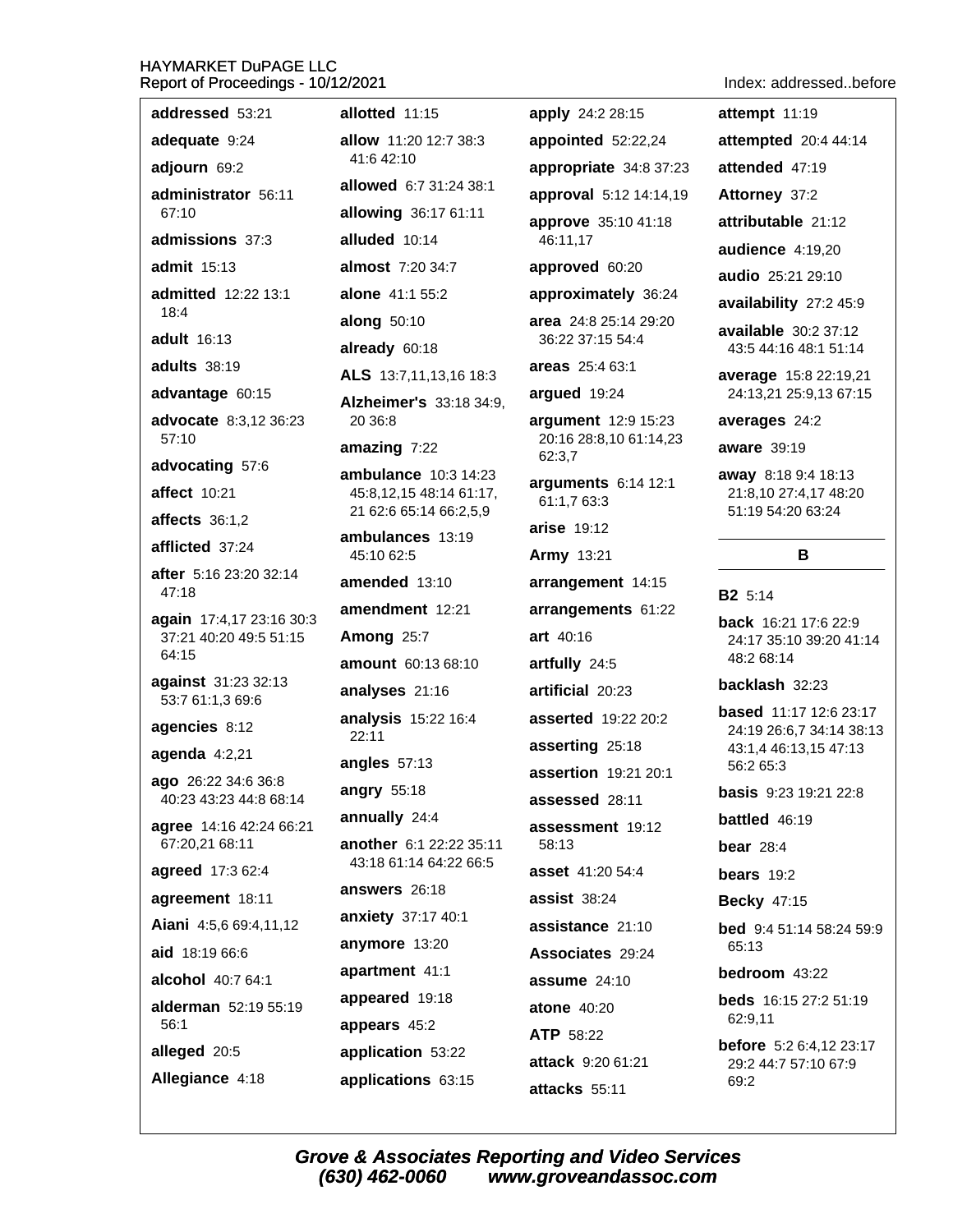| addressed 53:21                 | allotted 11:15                                           | apply 24:2 28:15                              | attempt 11:19                                             |
|---------------------------------|----------------------------------------------------------|-----------------------------------------------|-----------------------------------------------------------|
| adequate 9:24                   | allow 11:20 12:7 38:3                                    | appointed 52:22,24                            | attempted 20:4 44:14                                      |
| adjourn 69:2                    | 41:6 42:10                                               | appropriate 34:8 37:23                        | attended 47:19                                            |
| administrator 56:11             | allowed 6:7 31:24 38:1                                   | approval 5:12 14:14,19                        | Attorney 37:2                                             |
| 67:10                           | allowing 36:17 61:11                                     | approve 35:10 41:18                           | attributable 21:12                                        |
| admissions 37:3                 | alluded 10:14                                            | 46:11,17                                      | audience 4:19,20                                          |
| <b>admit</b> 15:13              | almost 7:20 34:7                                         | approved 60:20                                | audio 25:21 29:10                                         |
| admitted 12:22 13:1<br>18:4     | alone 41:1 55:2                                          | approximately 36:24                           | availability 27:2 45:9                                    |
| adult 16:13                     | along 50:10                                              | area 24:8 25:14 29:20                         | available 30:2 37:12                                      |
| <b>adults</b> 38:19             | already 60:18                                            | 36:22 37:15 54:4                              | 43:5 44:16 48:1 51:14                                     |
|                                 | ALS 13:7,11,13,16 18:3                                   | areas 25:4 63:1                               | average 15:8 22:19,21                                     |
| advantage 60:15                 | Alzheimer's 33:18 34:9,                                  | argued 19:24                                  | 24:13,21 25:9,13 67:15                                    |
| advocate 8:3,12 36:23<br>57:10  | 20 36:8                                                  | argument 12:9 15:23<br>20:16 28:8,10 61:14,23 | averages 24:2                                             |
| advocating 57:6                 | amazing 7:22                                             | 62:3,7                                        | <b>aware</b> 39:19                                        |
| <b>affect</b> 10:21             | ambulance 10:3 14:23<br>45:8,12,15 48:14 61:17,          | arguments 6:14 12:1                           | away 8:18 9:4 18:13<br>21:8,10 27:4,17 48:20              |
| affects $36:1,2$                | 21 62:6 65:14 66:2,5,9                                   | 61:1,7 63:3                                   | 51:19 54:20 63:24                                         |
| afflicted 37:24                 | ambulances 13:19                                         | arise 19:12                                   |                                                           |
| after 5:16 23:20 32:14          | 45:10 62:5                                               | <b>Army 13:21</b>                             | B                                                         |
| 47:18                           | amended 13:10                                            | arrangement 14:15                             | <b>B2</b> 5:14                                            |
| again 17:4,17 23:16 30:3        | amendment 12:21                                          | arrangements 61:22                            | <b>back</b> 16:21 17:6 22:9                               |
| 37:21 40:20 49:5 51:15<br>64:15 | Among 25:7                                               | art 40:16                                     | 24:17 35:10 39:20 41:14                                   |
| against 31:23 32:13             | amount 60:13 68:10                                       | artfully 24:5                                 | 48:2 68:14                                                |
| 53:7 61:1,3 69:6                | analyses 21:16                                           | artificial 20:23                              | backlash 32:23                                            |
| agencies 8:12                   | analysis 15:22 16:4                                      | asserted 19:22 20:2                           | <b>based</b> 11:17 12:6 23:17<br>24:19 26:6,7 34:14 38:13 |
| agenda $4:2,21$                 | 22:11                                                    | asserting 25:18                               | 43:1,4 46:13,15 47:13                                     |
| ago 26:22 34:6 36:8             | angles 57:13                                             | assertion 19:21 20:1                          | 56:2 65:3                                                 |
| 40:23 43:23 44:8 68:14          | angry 55:18                                              | assessed 28:11                                | <b>basis</b> 9:23 19:21 22:8                              |
| agree 14:16 42:24 66:21         | annually 24:4                                            | assessment 19:12                              | <b>battled</b> 46:19                                      |
| 67:20,21 68:11                  | <b>another</b> 6:1 22:22 35:11<br>43:18 61:14 64:22 66:5 | 58:13                                         | bear $28:4$                                               |
| agreed 17:3 62:4                | answers 26:18                                            | <b>asset</b> 41:20 54:4                       | bears $19:2$                                              |
| agreement 18:11                 | anxiety 37:17 40:1                                       | assist 38:24                                  | <b>Becky 47:15</b>                                        |
| Aiani 4:5,6 69:4,11,12          | anymore 13:20                                            | assistance 21:10                              | <b>bed</b> 9:4 51:14 58:24 59:9                           |
| aid 18:19 66:6                  | apartment 41:1                                           | Associates 29:24                              | 65:13                                                     |
| alcohol 40:7 64:1               | appeared 19:18                                           | assume 24:10                                  | bedroom 43:22                                             |
| alderman 52:19 55:19<br>56:1    |                                                          | <b>atone 40:20</b>                            | <b>beds</b> 16:15 27:2 51:19<br>62:9,11                   |
|                                 | appears 45:2                                             | <b>ATP 58:22</b>                              | <b>before</b> $5:26:4,1223:17$                            |
| alleged 20:5                    | application 53:22                                        | attack 9:20 61:21                             | 29:2 44:7 57:10 67:9                                      |
| Allegiance 4:18                 | applications 63:15                                       | attacks 55:11                                 | 69:2                                                      |

Index: addressed..before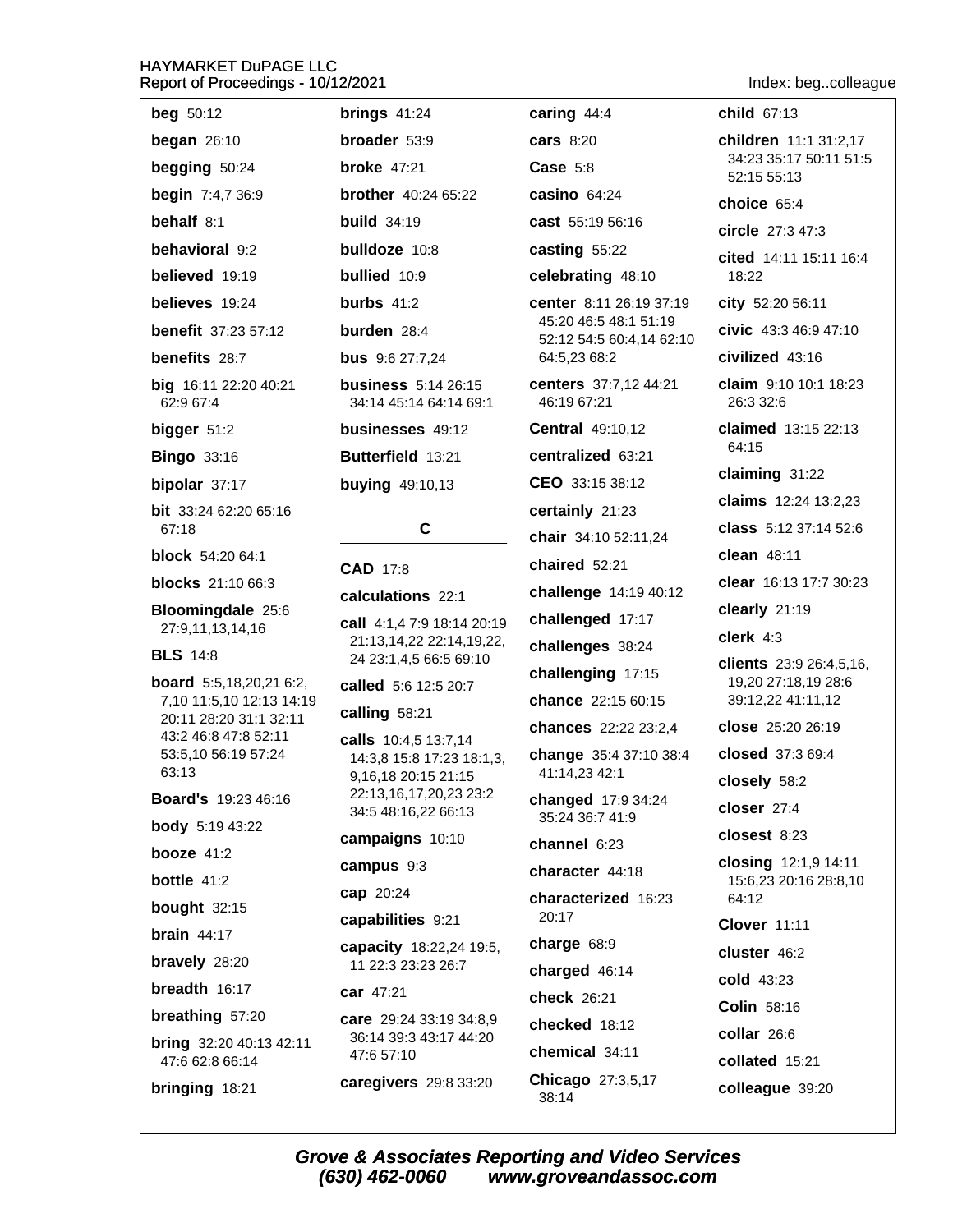| <b>beg</b> 50:12                                           | brings $41:24$                                             |
|------------------------------------------------------------|------------------------------------------------------------|
| began $26:10$                                              | broader 53:9                                               |
| begging 50:24                                              | broke $47:21$                                              |
| begin 7:4,7 36:9                                           | <b>brother</b> 40:24 65:22                                 |
| behalf $8:1$                                               | <b>build</b> $34:19$                                       |
| behavioral 9:2                                             | bulldoze 10:8                                              |
| believed 19:19                                             | bullied 10:9                                               |
| believes 19:24                                             | burbs $41:2$                                               |
| <b>benefit</b> 37:23 57:12                                 | burden $28:4$                                              |
| benefits 28:7                                              | <b>bus</b> 9:6 27:7,24                                     |
| big 16:11 22:20 40:21<br>62:9 67:4                         | <b>business</b> 5:14 26:15<br>34:14 45:14 64:14 69:1       |
| bigger 51:2                                                | businesses 49:12                                           |
| <b>Bingo 33:16</b>                                         | Butterfield 13:21                                          |
| bipolar 37:17                                              | <b>buying 49:10,13</b>                                     |
| <b>bit</b> 33:24 62:20 65:16<br>67:18                      | C                                                          |
| <b>block</b> 54:20 64:1                                    | <b>CAD</b> 17:8                                            |
| <b>blocks</b> 21:10 66:3                                   | calculations 22:1                                          |
| Bloomingdale 25:6<br>27:9,11,13,14,16                      | <b>call</b> 4:1,4 7:9 18:14 20:1<br>21:13,14,22 22:14,19,2 |
| <b>BLS</b> 14:8                                            | 24 23:1,4,5 66:5 69:10                                     |
| <b>board</b> 5:5,18,20,21 6:2,<br>7,10 11:5,10 12:13 14:19 | called 5:6 12:5 20:7                                       |
| 20:11 28:20 31:1 32:11                                     | calling 58:21                                              |
| 43:2 46:8 47:8 52:11<br>53:5,10 56:19 57:24                | calls 10:4,5 13:7,14                                       |
| 63:13                                                      | 14:3,8 15:8 17:23 18:1,<br>9,16,18 20:15 21:15             |
| <b>Board's</b> 19:23 46:16                                 | 22:13,16,17,20,23 23:2                                     |
| <b>body</b> 5:19 43:22                                     | 34:5 48:16,22 66:13                                        |
| booze $41:2$                                               | campaigns 10:10                                            |
| <b>bottle</b> 41:2                                         | campus 9:3                                                 |
| bought 32:15                                               | cap 20:24                                                  |
| brain $44:17$                                              | capabilities 9:21                                          |
| bravely 28:20                                              | capacity 18:22,24 19:5<br>11 22:3 23:23 26:7               |
| breadth 16:17                                              | car 47:21                                                  |
| breathing 57:20                                            | care 29:24 33:19 34:8,9<br>36:14 39:3 43:17 44:20          |
| <b>bring</b> 32:20 40:13 42:11<br>47:6 62:8 66:14          | 47:6 57:10                                                 |
| <b>bringing 18:21</b>                                      | caregivers 29:8 33:20                                      |

caring  $44:4$ **cars** 8:20  $Case 5:8$  $:22$ casino 64:24 cast 55:19 56:16 casting 55:22 celebrating 48:10 center 8:11 26:19 37:19 45:20 46:5 48:1 51:19 52:12 54:5 60:4,14 62:10 64:5,23 68:2 centers 37:7,12 44:21 6:15 46:19 67:21 4 69:1 Central 49:10,12  $\overline{2}$ centralized 63:21 CEO 33:15 38:12 certainly 21:23 chair 34:10 52:11,24 chaired 52:21 challenge 14:19 40:12 challenged 17:17 4 20:19 4,19,22, challenges 38:24 69:10 challenging 17:15  $0:7$ chance 22:15 60:15 chances 22:22 23:2,4  $14$ change 35:4 37:10 38:4  $18:1,3$ 41:14,23 42:1  $:15$  $323:2$ changed 17:9 34:24  $:13$ 35:24 36:7 41:9 channel 6:23 character 44:18 characterized 16:23  $20:17$ charge 68:9 4 19:5, charged 46:14 check 26:21 34:8,9 checked 18:12 44:20 chemical 34:11 Chicago 27:3,5,17 38:14

Index: beg..colleague

child 67:13 children 11:1 31:2.17

34:23 35:17 50:11 51:5 52:15 55:13

choice 65:4

circle 27:3 47:3

cited 14:11 15:11 16:4 18:22

city 52:20 56:11

civic  $43:346:947:10$ 

civilized 43:16

claim 9:10 10:1 18:23 26:3 32:6

claimed 13:15 22:13 64:15

claiming 31:22

claims 12:24 13:2.23

class 5:12 37:14 52:6

clean 48:11

clear 16:13 17:7 30:23

clearly 21:19

clerk  $4:3$ 

clients 23:9 26:4,5,16, 19,20 27:18,19 28:6 39:12,22 41:11,12

close 25:20 26:19

closed 37:3 69:4

closely 58:2

closer 27:4

closest 8:23

closing 12:1,9 14:11 15:6,23 20:16 28:8,10 64:12

**Clover 11:11** 

cluster 46:2

cold 43:23

Colin 58:16

collar 26:6

collated 15:21

colleague 39:20

**Grove & Associates Reporting and Video Services** (630) 462-0060 www.groveandassoc.com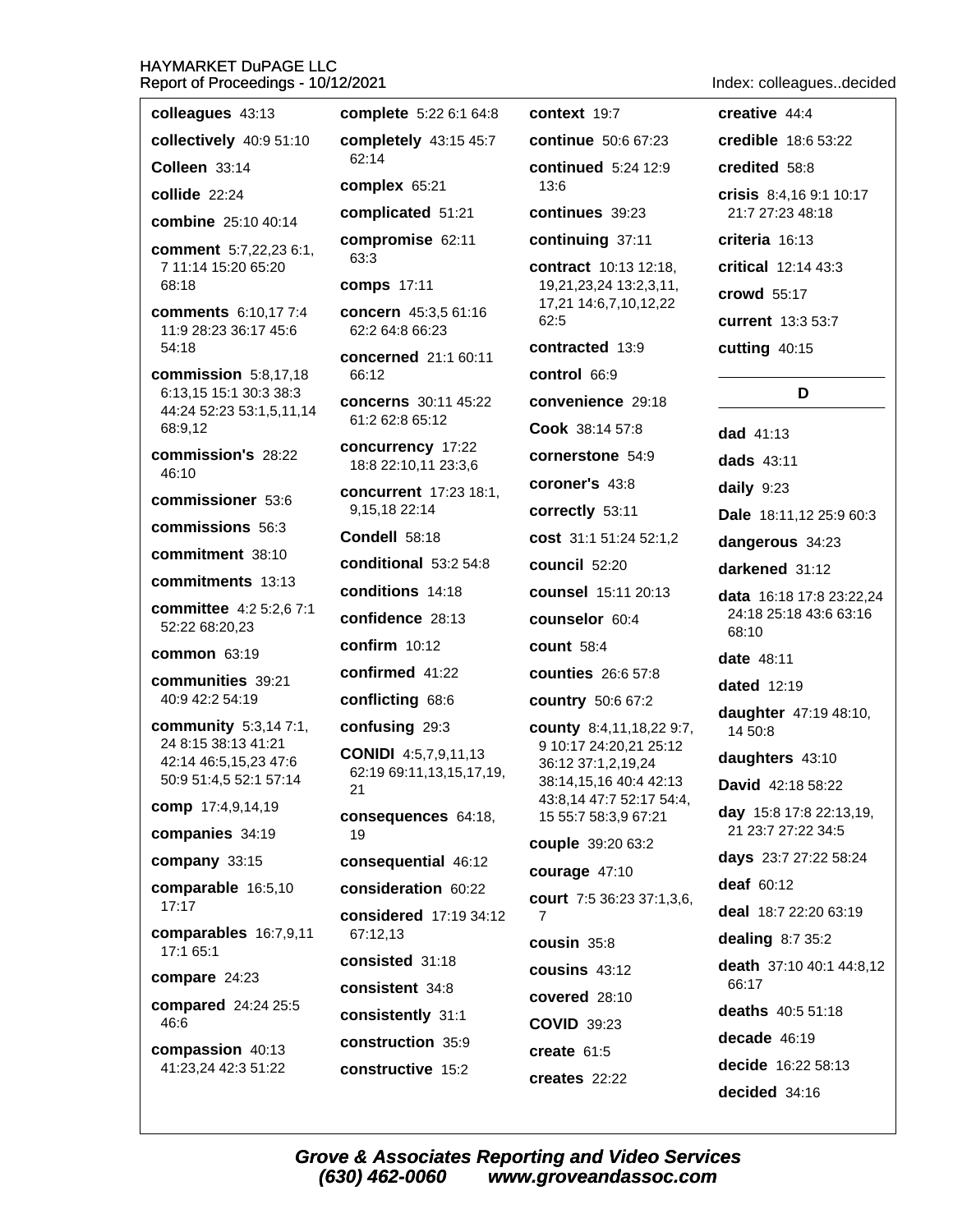| eport of Proceedings - 10/12/2021              | Index: colleaguesdecided                                |                                                    |                                   |
|------------------------------------------------|---------------------------------------------------------|----------------------------------------------------|-----------------------------------|
| colleagues 43:13                               | complete 5:22 6:1 64:8                                  | context 19:7                                       | creative 44:4                     |
| collectively 40:9 51:10                        | completely 43:15 45:7                                   | <b>continue</b> 50:6 67:23                         | credible 18:6 53:22               |
| Colleen 33:14                                  | 62:14                                                   | <b>continued</b> 5:24 12:9                         | credited 58:8                     |
| collide 22:24                                  | complex 65:21                                           | 13:6                                               | crisis 8:4,16 9:1 10:17           |
| combine 25:10 40:14                            | complicated 51:21                                       | continues 39:23                                    | 21:7 27:23 48:18                  |
| comment 5:7,22,23 6:1,                         | compromise 62:11<br>63:3                                | continuing 37:11                                   | criteria 16:13                    |
| 7 11:14 15:20 65:20<br>68:18                   | <b>comps</b> 17:11                                      | contract 10:13 12:18,<br>19,21,23,24 13:2,3,11,    | critical 12:14 43:3               |
| <b>comments</b> 6:10,17 7:4                    | concern 45:3,5 61:16                                    | 17,21 14:6,7,10,12,22                              | <b>crowd</b> 55:17                |
| 11:9 28:23 36:17 45:6                          | 62:2 64:8 66:23                                         | 62:5                                               | <b>current</b> 13:3 53:7          |
| 54:18                                          | concerned 21:1 60:11                                    | contracted 13:9                                    | cutting 40:15                     |
| commission 5:8,17,18<br>6:13,15 15:1 30:3 38:3 | 66:12                                                   | control 66:9                                       | D                                 |
| 44:24 52:23 53:1,5,11,14                       | <b>concerns</b> 30:11 45:22<br>61:2 62:8 65:12          | convenience 29:18                                  |                                   |
| 68:9,12                                        | concurrency 17:22                                       | Cook 38:14 57:8                                    | $dad$ 41:13                       |
| commission's 28:22<br>46:10                    | 18:8 22:10,11 23:3,6                                    | cornerstone 54:9                                   | dads 43:11                        |
| commissioner 53:6                              | <b>concurrent</b> 17:23 18:1,                           | coroner's 43:8                                     | daily 9:23                        |
| commissions 56:3                               | 9,15,18 22:14                                           | correctly 53:11                                    | Dale 18:11,12 25:9 60:3           |
| commitment 38:10                               | Condell 58:18                                           | cost 31:1 51:24 52:1,2                             | dangerous 34:23                   |
| commitments 13:13                              | conditional 53:2 54:8                                   | council 52:20                                      | darkened 31:12                    |
| committee 4:2 5:2,6 7:1                        | conditions 14:18                                        | <b>counsel</b> 15:11 20:13                         | <b>data</b> 16:18 17:8 23:22,24   |
| 52:22 68:20,23                                 | confidence 28:13                                        | counselor 60:4                                     | 24:18 25:18 43:6 63:16<br>68:10   |
| <b>common 63:19</b>                            | confirm $10:12$                                         | <b>count 58:4</b>                                  | <b>date</b> 48:11                 |
| communities 39:21                              | confirmed 41:22                                         | counties 26:6 57:8                                 | <b>dated</b> 12:19                |
| 40:9 42:2 54:19                                | conflicting 68:6                                        | country 50:6 67:2                                  | daughter 47:19 48:10,             |
| community 5:3,14 7:1,<br>24 8:15 38:13 41:21   | confusing 29:3                                          | county 8:4,11,18,22 9:7,<br>9 10:17 24:20,21 25:12 | 14 50:8                           |
| 42:14 46:5,15,23 47:6                          | <b>CONIDI</b> 4:5,7,9,11,13<br>62:19 69:11,13,15,17,19, | 36:12 37:1,2,19,24                                 | daughters 43:10                   |
| 50:9 51:4,5 52:1 57:14                         | 21                                                      | 38:14,15,16 40:4 42:13<br>43:8,14 47:7 52:17 54:4, | David 42:18 58:22                 |
| comp 17:4,9,14,19                              | <b>consequences</b> 64:18,                              | 15 55:7 58:3,9 67:21                               | day 15:8 17:8 22:13,19,           |
| companies 34:19                                | 19                                                      | couple 39:20 63:2                                  | 21 23:7 27:22 34:5                |
| company 33:15                                  | consequential 46:12                                     | courage 47:10                                      | days 23:7 27:22 58:24             |
| comparable 16:5,10                             | consideration 60:22                                     | court 7:5 36:23 37:1,3,6,                          | deaf 60:12                        |
| 17:17<br>comparables 16:7,9,11<br>17:1 65:1    | considered 17:19 34:12<br>67:12,13                      | 7                                                  | deal 18:7 22:20 63:19             |
|                                                | consisted 31:18                                         | cousin 35:8                                        | dealing $8:735:2$                 |
| compare 24:23                                  | consistent 34:8                                         | cousins 43:12                                      | death 37:10 40:1 44:8,12<br>66:17 |
| compared 24:24 25:5                            | consistently 31:1                                       | covered 28:10                                      | deaths 40:5 51:18                 |
| 46:6                                           | construction 35:9                                       | <b>COVID 39:23</b>                                 | decade 46:19                      |
| compassion 40:13                               | constructive 15:2                                       | create 61:5                                        | decide 16:22 58:13                |
| 41:23,24 42:3 51:22                            |                                                         | creates 22:22                                      |                                   |

decided 34:16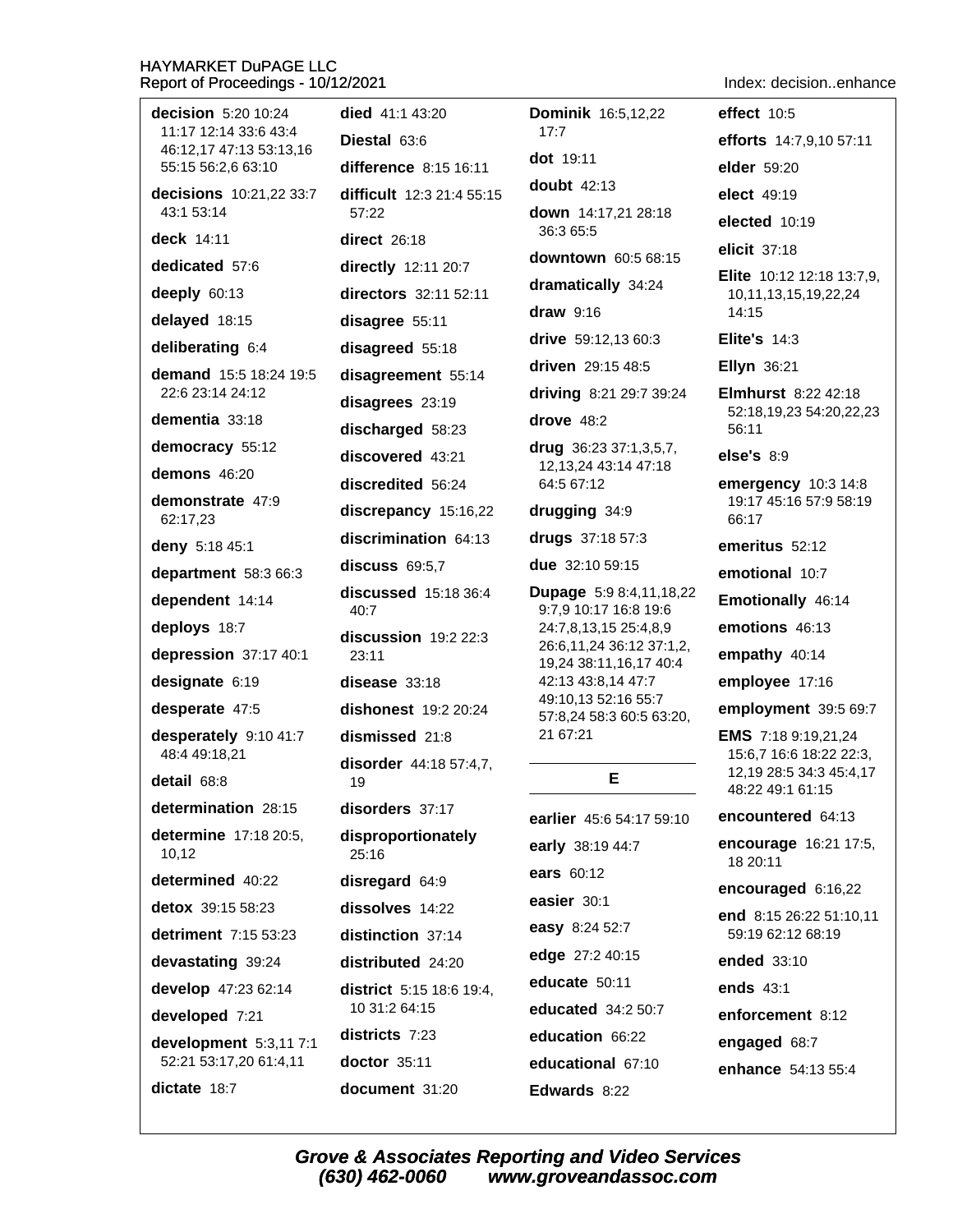Index: decision..enhance

| Report of Proceedings - TV/TZ/ZUZT               |                              |                                                         | muex. decisionennant                                    |
|--------------------------------------------------|------------------------------|---------------------------------------------------------|---------------------------------------------------------|
| decision 5:20 10:24                              | died $41:143:20$             | <b>Dominik 16:5,12,22</b>                               | effect 10:5                                             |
| 11:17 12:14 33:6 43:4<br>46:12,17 47:13 53:13,16 | Diestal 63:6                 | 17:7                                                    | efforts 14:7,9,10 57:11                                 |
| 55:15 56:2,6 63:10                               | difference 8:15 16:11        | dot 19:11                                               | elder 59:20                                             |
| decisions 10:21,22 33:7                          | difficult 12:3 21:4 55:15    | <b>doubt</b> 42:13                                      | elect 49:19                                             |
| 43:1 53:14                                       | 57:22                        | down 14:17,21 28:18<br>36:3 65:5                        | elected 10:19                                           |
| deck 14:11                                       | <b>direct</b> 26:18          | downtown 60:5 68:15                                     | elicit 37:18                                            |
| dedicated 57:6                                   | directly 12:11 20:7          |                                                         | <b>Elite</b> 10:12 12:18 13:7,9,                        |
| deeply 60:13                                     | directors 32:11 52:11        | dramatically 34:24                                      | 10,11,13,15,19,22,24                                    |
| delayed 18:15                                    | disagree 55:11               | draw 9:16                                               | 14:15                                                   |
| deliberating 6:4                                 | disagreed 55:18              | drive 59:12,13 60:3                                     | Elite's $14:3$                                          |
| demand 15:5 18:24 19:5                           | disagreement 55:14           | driven 29:15 48:5                                       | <b>Ellyn 36:21</b>                                      |
| 22:6 23:14 24:12                                 | disagrees 23:19              | driving 8:21 29:7 39:24                                 | <b>Elmhurst</b> 8:22 42:18<br>52:18,19,23 54:20,22,23   |
| dementia 33:18                                   | discharged 58:23             | drove $48:2$                                            | 56:11                                                   |
| democracy 55:12                                  | discovered 43:21             | drug 36:23 37:1,3,5,7,<br>12, 13, 24 43: 14 47: 18      | else's 8:9                                              |
| demons 46:20                                     | discredited 56:24            | 64:5 67:12                                              | emergency 10:3 14:8                                     |
| demonstrate 47:9<br>62:17,23                     | discrepancy 15:16,22         | drugging 34:9                                           | 19:17 45:16 57:9 58:19<br>66:17                         |
| deny 5:18 45:1                                   | discrimination 64:13         | drugs 37:18 57:3                                        | emeritus 52:12                                          |
| department 58:3 66:3                             | discuss $69:5,7$             | due 32:10 59:15                                         | emotional 10:7                                          |
| dependent 14:14                                  | discussed 15:18 36:4<br>40:7 | Dupage 5:9 8:4,11,18,22<br>9:7,9 10:17 16:8 19:6        | Emotionally 46:14                                       |
| deploys 18:7                                     | discussion 19:2 22:3         | 24:7,8,13,15 25:4,8,9                                   | emotions 46:13                                          |
| depression 37:17 40:1                            | 23:11                        | 26:6, 11, 24 36: 12 37: 1, 2,<br>19,24 38:11,16,17 40:4 | empathy 40:14                                           |
| designate 6:19                                   | disease 33:18                | 42:13 43:8,14 47:7<br>49:10,13 52:16 55:7               | employee 17:16                                          |
| desperate 47:5                                   | dishonest 19:2 20:24         | 57:8,24 58:3 60:5 63:20,                                | employment 39:5 69:7                                    |
| desperately 9:10 41:7                            | dismissed 21:8               | 21 67:21                                                | <b>EMS</b> 7:18 9:19,21,24                              |
| 48:4 49:18,21                                    | disorder 44:18 57:4,7,       | Е.                                                      | 15:6,7 16:6 18:22 22:3,<br>12, 19 28: 5 34: 3 45: 4, 17 |
| detail 68:8                                      | 19                           |                                                         | 48:22 49:1 61:15                                        |
| determination 28:15                              | disorders 37:17              | earlier 45:6 54:17 59:10                                | encountered 64:13                                       |
| determine 17:18 20:5,<br>10,12                   | disproportionately<br>25:16  | early 38:19 44:7                                        | encourage 16:21 17:5,<br>18 20:11                       |
| determined 40:22                                 | disregard 64:9               | ears 60:12                                              | encouraged 6:16,22                                      |
| detox 39:15 58:23                                | dissolves 14:22              | easier 30:1                                             | end 8:15 26:22 51:10,11                                 |
| detriment 7:15 53:23                             | distinction 37:14            | easy 8:24 52:7                                          | 59:19 62:12 68:19                                       |
| devastating 39:24                                | distributed 24:20            | edge 27:2 40:15                                         | ended 33:10                                             |
| develop 47:23 62:14                              | district 5:15 18:6 19:4,     | educate 50:11                                           | ends 43:1                                               |
| developed 7:21                                   | 10 31:2 64:15                | educated 34:2 50:7                                      | enforcement 8:12                                        |
| development 5:3,117:1                            | districts 7:23               | education 66:22                                         | engaged 68:7                                            |
| 52:21 53:17,20 61:4,11                           | $doctor$ 35:11               | educational 67:10                                       | enhance 54:13 55:4                                      |
| dictate 18:7                                     | document 31:20               | Edwards 8:22                                            |                                                         |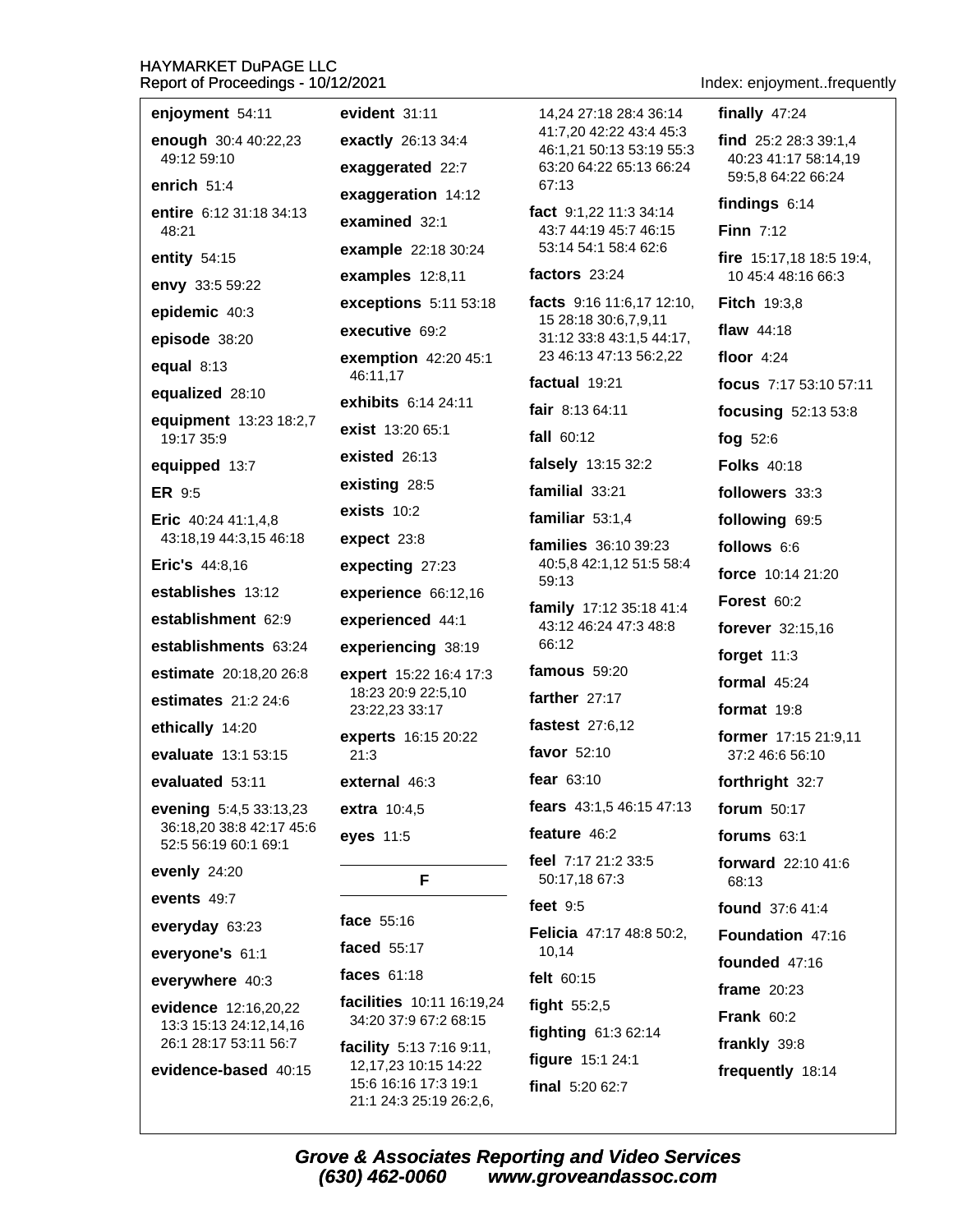| enjoyment 54:11                                    | evident 31:11                                                               | 14,24 27:18 28:4 36:14                              | finally $47:24$                            |
|----------------------------------------------------|-----------------------------------------------------------------------------|-----------------------------------------------------|--------------------------------------------|
| enough 30:4 40:22,23                               | exactly 26:13 34:4                                                          | 41:7,20 42:22 43:4 45:3<br>46:1,21 50:13 53:19 55:3 | find 25:2 28:3 39:1,4                      |
| 49:12 59:10                                        | exaggerated 22:7                                                            | 63:20 64:22 65:13 66:24                             | 40:23 41:17 58:14,19<br>59:5,8 64:22 66:24 |
| enrich $51:4$                                      | exaggeration 14:12                                                          | 67:13                                               | findings $6:14$                            |
| entire 6:12 31:18 34:13<br>48:21                   | examined 32:1                                                               | fact 9:1,22 11:3 34:14<br>43:7 44:19 45:7 46:15     | Finn $7:12$                                |
| entity 54:15                                       | example 22:18 30:24                                                         | 53:14 54:1 58:4 62:6                                | fire 15:17,18 18:5 19:4,                   |
| envy 33:5 59:22                                    | examples 12:8,11                                                            | factors $23:24$                                     | 10 45:4 48:16 66:3                         |
| epidemic 40:3                                      | exceptions 5:11 53:18                                                       | facts $9:16$ 11:6,17 12:10,<br>15 28:18 30:6,7,9,11 | <b>Fitch 19:3,8</b>                        |
| episode 38:20                                      | executive 69:2                                                              | 31:12 33:8 43:1,5 44:17,                            | flaw $44:18$                               |
| equal $8:13$                                       | exemption 42:20 45:1<br>46:11,17                                            | 23 46:13 47:13 56:2,22                              | floor $4:24$                               |
| equalized 28:10                                    | exhibits 6:14 24:11                                                         | factual 19:21                                       | focus 7:17 53:10 57:11                     |
| equipment 13:23 18:2,7                             | exist 13:20 65:1                                                            | fair $8:1364:11$                                    | focusing 52:13 53:8                        |
| 19:17 35:9                                         | existed $26:13$                                                             | <b>fall</b> 60:12                                   | fog $52:6$                                 |
| equipped 13:7                                      |                                                                             | falsely 13:15 32:2                                  | <b>Folks</b> 40:18                         |
| <b>ER 9:5</b>                                      | existing 28:5                                                               | familial 33:21                                      | followers 33:3                             |
| Eric 40:24 41:1,4,8                                | exists $10:2$                                                               | familiar $53:1,4$                                   | following 69:5                             |
| 43:18,19 44:3,15 46:18<br>Eric's 44:8,16           | expect 23:8                                                                 | families 36:10 39:23<br>40:5,8 42:1,12 51:5 58:4    | follows 6:6                                |
| establishes 13:12                                  | expecting 27:23                                                             | 59:13                                               | force 10:14 21:20                          |
| establishment 62:9                                 | experience 66:12,16                                                         | family 17:12 35:18 41:4                             | Forest $60:2$                              |
|                                                    | experienced 44:1                                                            | 43:12 46:24 47:3 48:8<br>66:12                      | forever 32:15,16                           |
| establishments 63:24                               | experiencing 38:19                                                          | famous $59:20$                                      | forget $11:3$                              |
| estimate 20:18,20 26:8                             | expert 15:22 16:4 17:3<br>18:23 20:9 22:5,10                                | farther $27:17$                                     | formal $45:24$                             |
| estimates 21:2 24:6                                | 23:22,23 33:17                                                              | fastest 27:6,12                                     | format 19:8                                |
| ethically 14:20                                    | experts 16:15 20:22                                                         | favor 52:10                                         | former 17:15 21:9,11                       |
| evaluate 13:1 53:15                                | 21:3                                                                        | fear $63:10$                                        | 37:2 46:6 56:10                            |
| evaluated 53:11                                    | external 46:3                                                               | <b>fears</b> $43:1,546:1547:13$                     | forthright 32:7                            |
| evening 5:4,5 33:13,23<br>36:18,20 38:8 42:17 45:6 | extra 10:4,5                                                                | feature 46:2                                        | forum 50:17                                |
| 52:5 56:19 60:1 69:1                               | eyes 11:5                                                                   | feel 7:17 21:2 33:5                                 | forums 63:1                                |
| evenly 24:20                                       | F                                                                           | 50:17,18 67:3                                       | forward 22:10 41:6<br>68:13                |
| events 49:7                                        |                                                                             | feet $9:5$                                          | <b>found</b> 37:6 41:4                     |
| everyday 63:23                                     | face 55:16                                                                  | Felicia 47:17 48:8 50:2,                            | Foundation 47:16                           |
| everyone's 61:1                                    | faced 55:17                                                                 | 10,14                                               | founded 47:16                              |
| everywhere 40:3                                    | faces 61:18                                                                 | felt 60:15                                          | frame $20:23$                              |
| evidence 12:16,20,22                               | facilities 10:11 16:19,24<br>34:20 37:9 67:2 68:15                          | fight 55:2,5                                        | <b>Frank 60:2</b>                          |
| 13:3 15:13 24:12,14,16<br>26:1 28:17 53:11 56:7    | facility 5:13 7:16 9:11,                                                    | fighting 61:3 62:14                                 | frankly 39:8                               |
| evidence-based 40:15                               | 12, 17, 23 10: 15 14: 22<br>15:6 16:16 17:3 19:1<br>21:1 24:3 25:19 26:2,6, | figure 15:1 24:1<br>final 5:20 62:7                 | frequently 18:14                           |

Grove & Associates Reporting and Video Services<br>(630) 462-0060 www.groveandassoc.com

### Index: enjoyment..frequently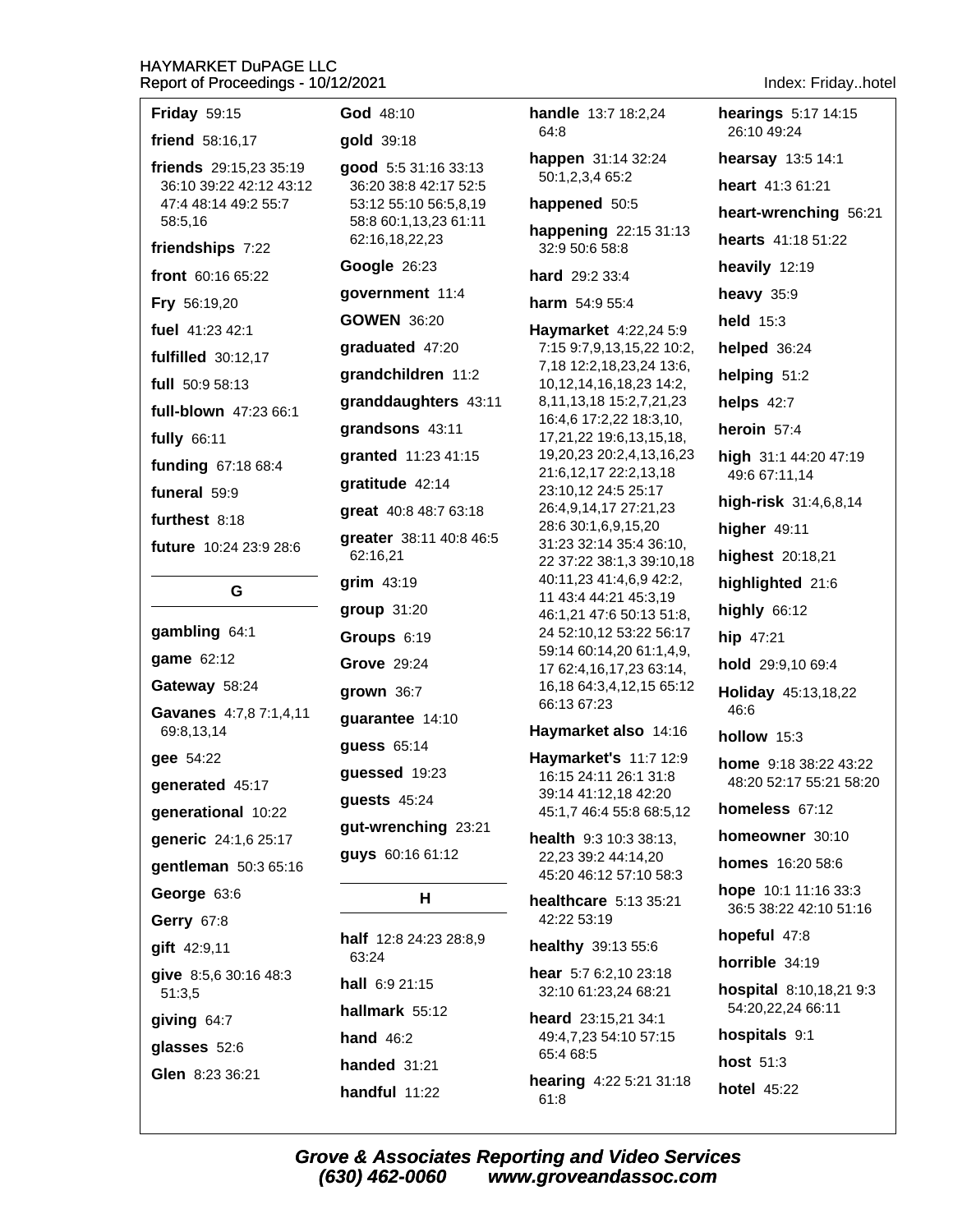| <b>Friday 59:15</b>                                                                  | <b>God 48:10</b>                                                                                |
|--------------------------------------------------------------------------------------|-------------------------------------------------------------------------------------------------|
| friend 58:16,17                                                                      | gold 39:18                                                                                      |
| friends 29:15,23 35:19<br>36:10 39:22 42:12 43:12<br>47:4 48:14 49:2 55:7<br>58:5,16 | good 5:5 31:16 33:13<br>36:20 38:8 42:17 52:5<br>53:12 55:10 56:5,8,19<br>58:8 60:1,13,23 61:11 |
| friendships 7:22                                                                     | 62:16,18,22,23                                                                                  |
| front 60:16 65:22                                                                    | <b>Google 26:23</b>                                                                             |
| Fry 56:19,20                                                                         | government 11:4                                                                                 |
| fuel 41:23 42:1                                                                      | <b>GOWEN 36:20</b>                                                                              |
| fulfilled 30:12,17                                                                   | graduated 47:20                                                                                 |
| full 50:9 58:13                                                                      | grandchildren 11:2                                                                              |
| <b>full-blown</b> 47:23 66:1                                                         | granddaughters 43:1                                                                             |
| fully 66:11                                                                          | grandsons 43:11                                                                                 |
| funding 67:18 68:4                                                                   | granted 11:23 41:15                                                                             |
| funeral 59:9                                                                         | gratitude 42:14                                                                                 |
| furthest $8:18$                                                                      | great 40:8 48:7 63:18                                                                           |
| <b>future</b> 10:24 23:9 28:6                                                        | greater 38:11 40:8 46:<br>62:16,21                                                              |
| G                                                                                    | grim 43:19                                                                                      |
|                                                                                      | group 31:20                                                                                     |
| gambling 64:1                                                                        | Groups 6:19                                                                                     |
| game 62:12                                                                           | Grove 29:24                                                                                     |
| Gateway 58:24                                                                        | grown 36:7                                                                                      |
| Gavanes 4:7,8 7:1,4,11<br>69:8,13,14                                                 | guarantee 14:10                                                                                 |
| gee 54:22                                                                            | <b>quess</b> 65:14                                                                              |
| generated 45:17                                                                      | guessed 19:23                                                                                   |
| generational 10:22                                                                   | guests 45:24                                                                                    |
| generic 24:1,6 25:17                                                                 | gut-wrenching 23:21                                                                             |
| gentleman 50:3 65:16                                                                 | guys 60:16 61:12                                                                                |
| George 63:6                                                                          | н                                                                                               |
| Gerry 67:8                                                                           |                                                                                                 |
| gift 42:9,11                                                                         | <b>half</b> $12:824:2328:8,9$<br>63:24                                                          |
| give 8:5,6 30:16 48:3<br>51:3,5                                                      | hall 6:9 21:15                                                                                  |
| giving 64:7                                                                          | hallmark 55:12                                                                                  |
| glasses 52:6                                                                         | hand $46:2$                                                                                     |
| Glen 8:23 36:21                                                                      | handed 31:21                                                                                    |

handle 13:7 18:2.24 64:8 happen 31:14 32:24 50:1,2,3,4 65:2 happened 50:5 happening 22:15 31:13 32:9 50:6 58:8 hard 29:2 33:4 harm 54:9 55:4 Haymarket 4:22,24 5:9 7:15 9:7,9,13,15,22 10:2, 7,18 12:2,18,23,24 13:6, 10, 12, 14, 16, 18, 23 14: 2, 43:11 8,11,13,18 15:2,7,21,23 16:4,6 17:2,22 18:3,10, 17,21,22 19:6,13,15,18, 19,20,23 20:2,4,13,16,23 21:6,12,17 22:2,13,18 23:10,12 24:5 25:17 26:4,9,14,17 27:21,23 28:6 30:1.6.9.15.20 8 4 6:5 31:23 32:14 35:4 36:10, 22 37:22 38:1,3 39:10,18 40:11,23 41:4,6,9 42:2, 11 43:4 44:21 45:3,19 46:1,21 47:6 50:13 51:8, 24 52:10,12 53:22 56:17 59:14 60:14,20 61:1,4,9, 17 62:4,16,17,23 63:14, 16,18 64:3,4,12,15 65:12 66:13 67:23 Haymarket also 14:16 Haymarket's 11:7 12:9 16:15 24:11 26:1 31:8 39:14 41:12,18 42:20 45:1,7 46:4 55:8 68:5,12

> health 9:3 10:3 38:13, 22,23 39:2 44:14,20 45:20 46:12 57:10 58:3

healthcare 5:13 35:21 42:22 53:19

healthy 39:13 55:6

hear 5:7 6:2,10 23:18 32:10 61:23,24 68:21

heard 23:15,21 34:1 49:4,7,23 54:10 57:15 65:4 68:5

hearing 4:22 5:21 31:18 61:8

Index: Friday..hotel

hearings 5:17 14:15 26:10 49:24 hearsay 13:5 14:1 heart 41:3 61:21 heart-wrenching 56:21 hearts 41:18 51:22 heavily 12:19 heavy  $35:9$ held 15:3 helped 36:24 helping 51:2 helps 42:7 heroin 57:4 high 31:1 44:20 47:19 49:6 67:11,14 high-risk 31:4,6,8,14 higher 49:11 highest 20:18,21 highlighted 21:6 highly  $66:12$ hip 47:21 hold 29:9,10 69:4 Holiday 45:13,18,22 46:6 hollow 15:3 home 9:18 38:22 43:22 48:20 52:17 55:21 58:20 homeless 67:12 homeowner 30:10 homes 16:20 58:6 hope 10:1 11:16 33:3 36:5 38:22 42:10 51:16 hopeful 47:8 horrible 34:19 hospital 8:10,18,21 9:3 54:20,22,24 66:11 hospitals 9:1 host 51:3 **hotel 45:22** 

**Grove & Associates Reporting and Video Services** (630) 462-0060 www.groveandassoc.com

handful 11:22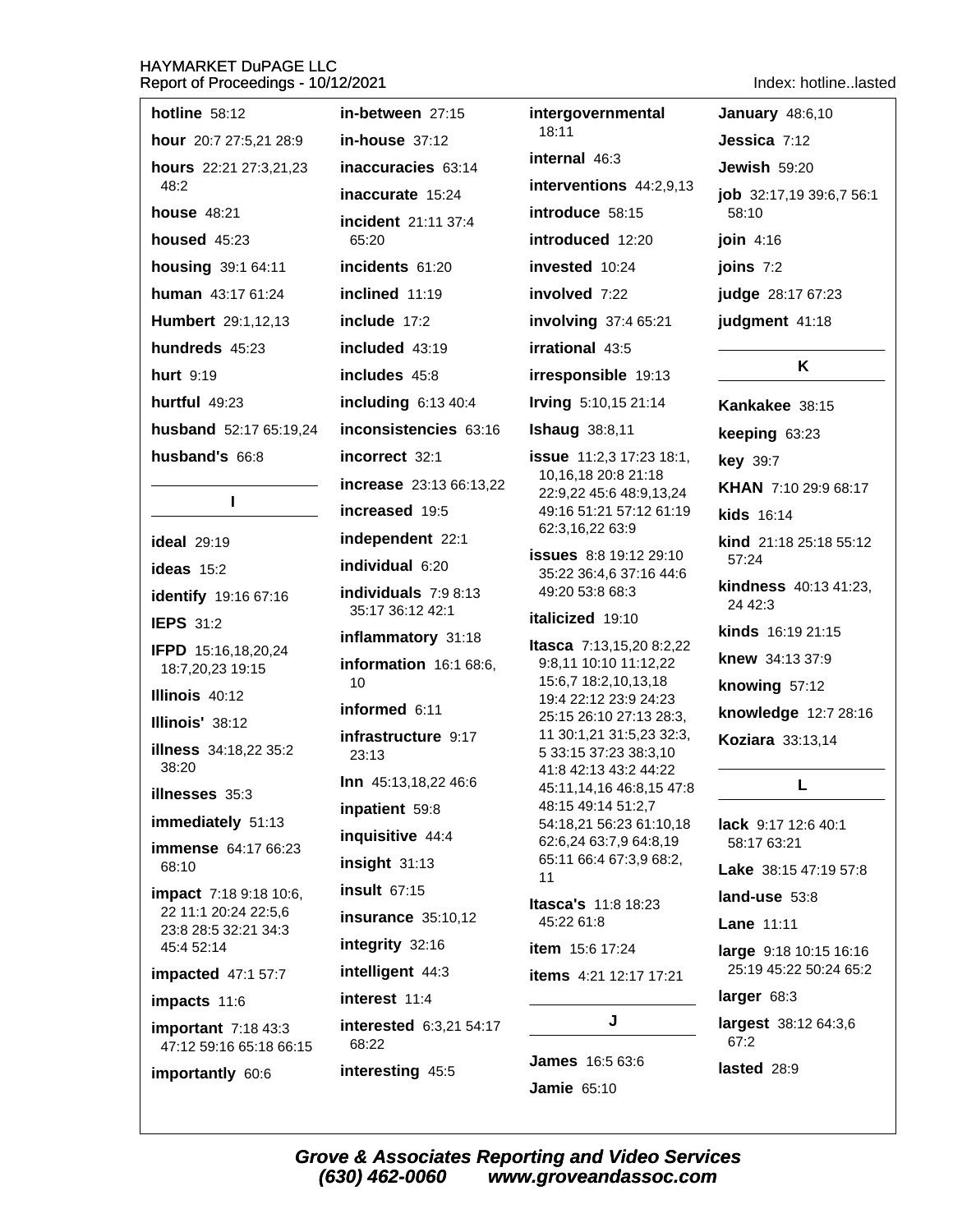| hotline $58:12$                                 | in-between 27:15                 | intergovernmental                                         | <b>January 48:6,10</b>           |
|-------------------------------------------------|----------------------------------|-----------------------------------------------------------|----------------------------------|
| hour 20:7 27:5,21 28:9                          | in-house 37:12                   | 18:11                                                     | <b>Jessica</b> $7:12$            |
| hours 22:21 27:3,21,23                          | inaccuracies 63:14               | internal 46:3                                             | Jewish 59:20                     |
| 48:2                                            | inaccurate 15:24                 | interventions 44:2,9,13                                   | job 32:17,19 39:6,7 56:1         |
| <b>house</b> 48:21                              | incident 21:11 37:4              | introduce 58:15                                           | 58:10                            |
| housed $45:23$                                  | 65:20                            | introduced 12:20                                          | join 4:16                        |
| housing 39:1 64:11                              | incidents 61:20                  | invested 10:24                                            | joins $7:2$                      |
| human 43:17 61:24                               | inclined 11:19                   | involved 7:22                                             | judge 28:17 67:23                |
| Humbert 29:1,12,13                              | include 17:2                     | involving 37:4 65:21                                      | judgment 41:18                   |
| hundreds 45:23                                  | included 43:19                   | irrational 43:5                                           |                                  |
| hurt 9:19                                       | includes 45:8                    | irresponsible 19:13                                       | Κ                                |
| hurtful 49:23                                   | including $6:1340:4$             | Irving 5:10,15 21:14                                      | Kankakee 38:15                   |
| husband 52:17 65:19,24                          | inconsistencies 63:16            | <b>Ishaug</b> 38:8,11                                     | keeping 63:23                    |
| husband's 66:8                                  | incorrect 32:1                   | <b>issue</b> 11:2,3 17:23 18:1,                           | <b>key</b> 39:7                  |
|                                                 | increase 23:13 66:13,22          | 10,16,18 20:8 21:18<br>22:9,22 45:6 48:9,13,24            | KHAN 7:10 29:9 68:17             |
| L                                               | increased 19:5                   | 49:16 51:21 57:12 61:19                                   | <b>kids</b> 16:14                |
| <b>ideal</b> 29:19                              | independent 22:1                 | 62:3,16,22 63:9<br><b>issues</b> 8:8 19:12 29:10          | kind 21:18 25:18 55:12           |
| ideas $15:2$                                    | individual 6:20                  | 35:22 36:4,6 37:16 44:6                                   | 57:24                            |
| identify 19:16 67:16                            | individuals 7:9 8:13             | 49:20 53:8 68:3                                           | kindness 40:13 41:23,<br>24 42:3 |
| <b>IEPS 31:2</b>                                | 35:17 36:12 42:1                 | italicized 19:10                                          | kinds 16:19 21:15                |
| <b>IFPD</b> 15:16,18,20,24                      | inflammatory 31:18               | <b>Itasca</b> $7:13,15,208:2,22$<br>9:8,11 10:10 11:12,22 | knew 34:13 37:9                  |
| 18:7,20,23 19:15                                | information 16:1 68:6,<br>10     | 15:6,7 18:2,10,13,18                                      | knowing 57:12                    |
| Illinois 40:12                                  | informed 6:11                    | 19:4 22:12 23:9 24:23                                     | knowledge 12:7 28:16             |
| Illinois' 38:12                                 | infrastructure 9:17              | 25:15 26:10 27:13 28:3,<br>11 30:1,21 31:5,23 32:3,       | <b>Koziara</b> 33:13,14          |
| illness 34:18,22 35:2<br>38:20                  | 23:13                            | 5 33:15 37:23 38:3,10<br>41:8 42:13 43:2 44:22            |                                  |
| <b>illnesses</b> 35:3                           | Inn 45:13,18,22 46:6             | 45:11,14,16 46:8,15 47:8                                  | L                                |
| immediately 51:13                               | inpatient 59:8                   | 48:15 49:14 51:2,7<br>54:18,21 56:23 61:10,18             | lack 9:17 12:6 40:1              |
| immense 64:17 66:23                             | inquisitive 44:4                 | 62:6,24 63:7,9 64:8,19                                    | 58:17 63:21                      |
| 68:10                                           | insight 31:13                    | 65:11 66:4 67:3,9 68:2,<br>11                             | <b>Lake</b> 38:15 47:19 57:8     |
| <b>impact</b> 7:18 9:18 10:6,                   | insult 67:15                     | Itasca's 11:8 18:23                                       | land-use 53:8                    |
| 22 11:1 20:24 22:5,6<br>23:8 28:5 32:21 34:3    | <b>insurance</b> 35:10,12        | 45:22 61:8                                                | <b>Lane 11:11</b>                |
| 45:4 52:14                                      | integrity 32:16                  | item 15:6 17:24                                           | large 9:18 10:15 16:16           |
| <b>impacted</b> 47:1 57:7                       | intelligent 44:3                 | <b>items</b> 4:21 12:17 17:21                             | 25:19 45:22 50:24 65:2           |
| impacts 11:6                                    | interest 11:4                    | J                                                         | larger 68:3                      |
| important $7:1843:3$<br>47:12 59:16 65:18 66:15 | interested 6:3,21 54:17<br>68:22 |                                                           | largest 38:12 64:3,6<br>67:2     |
| importantly 60:6                                | interesting 45:5                 | <b>James</b> 16:5 63:6                                    | lasted 28:9                      |
|                                                 |                                  | <b>Jamie 65:10</b>                                        |                                  |

Index: hotline..lasted

Grove & Associates Reporting and Video Services<br>(630) 462-0060 www.groveandassoc.com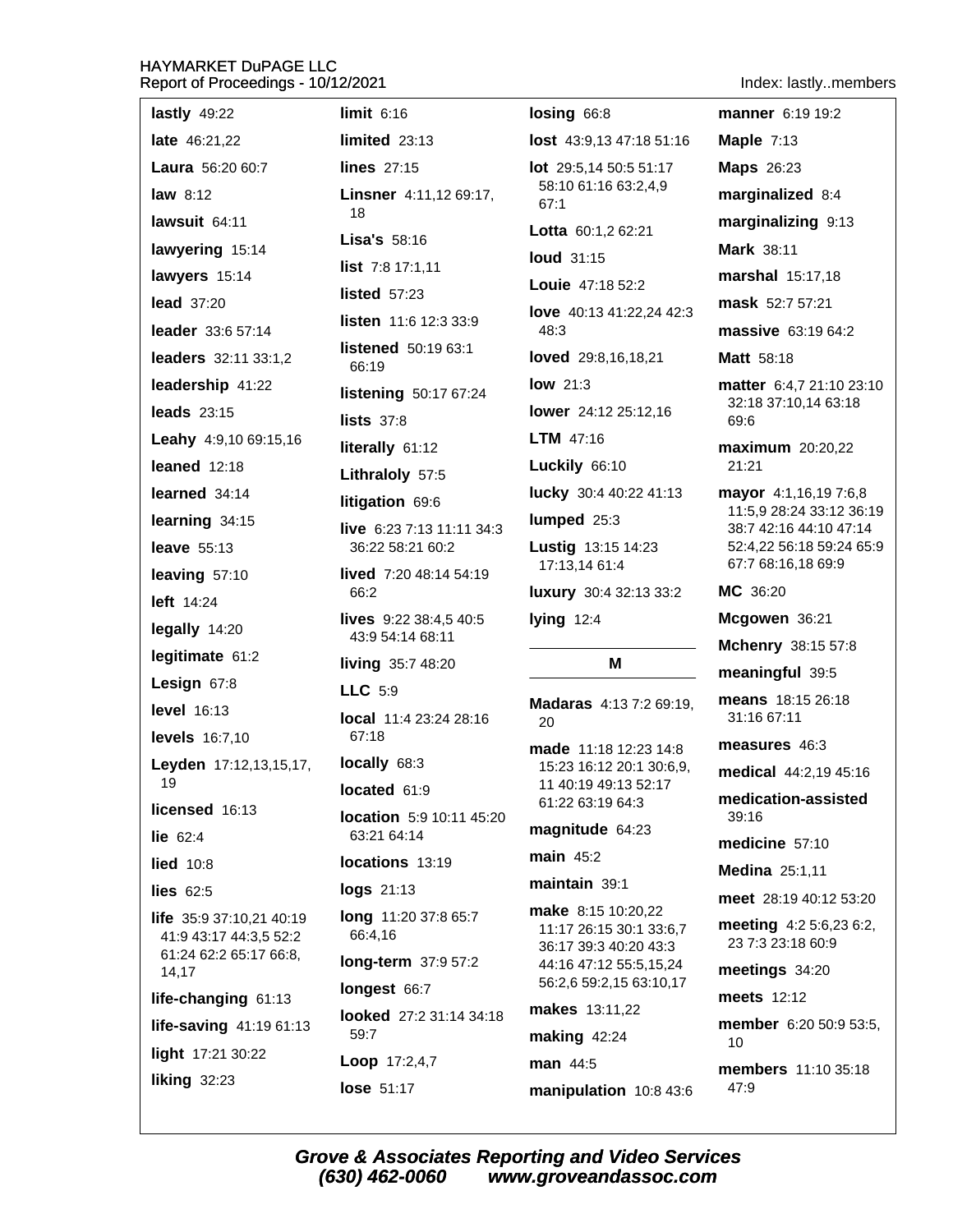Indev: lastly members

| Report of Proceedings - TV/TZ/ZUZT<br>muex. lastlymembers |                                                         |                                                   |                                                    |  |
|-----------------------------------------------------------|---------------------------------------------------------|---------------------------------------------------|----------------------------------------------------|--|
| lastly $49:22$                                            | limit 6:16                                              | $\log$ ing $66:8$                                 | manner 6:19 19:2                                   |  |
| late 46:21,22                                             | $limited$ 23:13                                         | lost 43:9,13 47:18 51:16                          | Maple $7:13$                                       |  |
| Laura 56:20 60:7                                          | <b>lines</b> 27:15                                      | <b>lot</b> 29:5,14 50:5 51:17                     | <b>Maps</b> 26:23                                  |  |
| law $8:12$                                                | Linsner 4:11,12 69:17,                                  | 58:10 61:16 63:2,4,9<br>67:1                      | marginalized 8:4                                   |  |
| lawsuit 64:11                                             | 18                                                      | Lotta 60:1,2 62:21                                | marginalizing 9:13                                 |  |
| lawyering 15:14                                           | Lisa's 58:16                                            | <b>loud</b> 31:15                                 | <b>Mark 38:11</b>                                  |  |
| lawyers 15:14                                             | <b>list</b> $7:8$ 17:1,11                               | Louie 47:18 52:2                                  | marshal 15:17,18                                   |  |
| <b>lead</b> 37:20                                         | <b>listed</b> 57:23                                     | love 40:13 41:22,24 42:3                          | mask 52:7 57:21                                    |  |
| leader 33:6 57:14                                         | listen 11:6 12:3 33:9                                   | 48:3                                              | massive 63:19 64:2                                 |  |
| leaders 32:11 33:1,2                                      | listened 50:19 63:1<br>66:19                            | loved 29:8,16,18,21                               | <b>Matt</b> 58:18                                  |  |
| leadership 41:22                                          | listening 50:17 67:24                                   | <b>low</b> 21:3                                   | matter 6:4,7 21:10 23:10                           |  |
| <b>leads</b> 23:15                                        | lists $37:8$                                            | lower 24:12 25:12,16                              | 32:18 37:10,14 63:18<br>69:6                       |  |
| Leahy 4:9,10 69:15,16                                     | literally 61:12                                         | <b>LTM</b> $47:16$                                | maximum 20:20,22                                   |  |
| leaned $12:18$                                            | Lithraloly 57:5                                         | Luckily 66:10                                     | 21:21                                              |  |
| learned 34:14                                             | litigation 69:6                                         | lucky 30:4 40:22 41:13                            | mayor 4:1,16,19 7:6,8<br>11:5,9 28:24 33:12 36:19  |  |
| learning 34:15                                            | live 6:23 7:13 11:11 34:3                               | lumped 25:3                                       | 38:7 42:16 44:10 47:14                             |  |
| <b>leave</b> 55:13                                        | 36:22 58:21 60:2                                        | Lustig 13:15 14:23                                | 52:4,22 56:18 59:24 65:9                           |  |
| leaving 57:10                                             | lived 7:20 48:14 54:19                                  | 17:13,14 61:4                                     | 67:7 68:16,18 69:9<br>MC 36:20                     |  |
| left 14:24                                                | 66:2                                                    | luxury 30:4 32:13 33:2                            |                                                    |  |
| legally 14:20                                             | <b>lives</b> $9:22$ $38:4,5$ $40:5$<br>43:9 54:14 68:11 | lying 12:4                                        | Mcgowen 36:21<br>Mchenry 38:15 57:8                |  |
| legitimate 61:2                                           | living 35:7 48:20                                       | Μ                                                 | meaningful 39:5                                    |  |
| Lesign 67:8                                               | <b>LLC</b> 5:9                                          |                                                   | means 18:15 26:18                                  |  |
| <b>level</b> 16:13                                        | <b>local</b> 11:4 23:24 28:16                           | Madaras 4:13 7:2 69:19,<br>20                     | 31:16 67:11                                        |  |
| <b>levels</b> 16:7,10                                     | 67:18                                                   | made 11:18 12:23 14:8                             | measures 46:3                                      |  |
| Leyden 17:12,13,15,17,                                    | locally 68:3                                            | 15:23 16:12 20:1 30:6,9,                          | medical 44:2,19 45:16                              |  |
| 19                                                        | located 61:9                                            | 11 40:19 49:13 52:17<br>61:22 63:19 64:3          | medication-assisted                                |  |
| licensed 16:13<br>lie $62:4$                              | location 5:9 10:11 45:20<br>63:21 64:14                 | magnitude 64:23                                   | 39:16                                              |  |
| <b>lied</b> 10:8                                          | locations 13:19                                         | $main$ 45:2                                       | medicine 57:10                                     |  |
| lies $62:5$                                               | logs 21:13                                              | maintain 39:1                                     | Medina 25:1,11                                     |  |
| life 35:9 37:10,21 40:19                                  | long 11:20 37:8 65:7                                    | make 8:15 10:20,22                                | meet 28:19 40:12 53:20                             |  |
| 41:9 43:17 44:3,5 52:2                                    | 66:4,16                                                 | 11:17 26:15 30:1 33:6,7<br>36:17 39:3 40:20 43:3  | <b>meeting</b> $4:25:6,236:2$<br>23 7:3 23:18 60:9 |  |
| 61:24 62:2 65:17 66:8,<br>14,17                           | long-term 37:9 57:2                                     | 44:16 47:12 55:5,15,24<br>56:2,6 59:2,15 63:10,17 | meetings 34:20                                     |  |
| life-changing 61:13                                       | longest 66:7                                            | makes 13:11,22                                    | <b>meets</b> 12:12                                 |  |
| life-saving 41:19 61:13                                   | looked 27:2 31:14 34:18<br>59:7                         | making 42:24                                      | member 6:20 50:9 53:5,                             |  |
| light 17:21 30:22                                         | Loop 17:2,4,7                                           | man 44:5                                          | 10                                                 |  |
| liking $32:23$                                            | lose 51:17                                              | manipulation 10:8 43:6                            | members 11:10 35:18<br>47:9                        |  |
|                                                           |                                                         |                                                   |                                                    |  |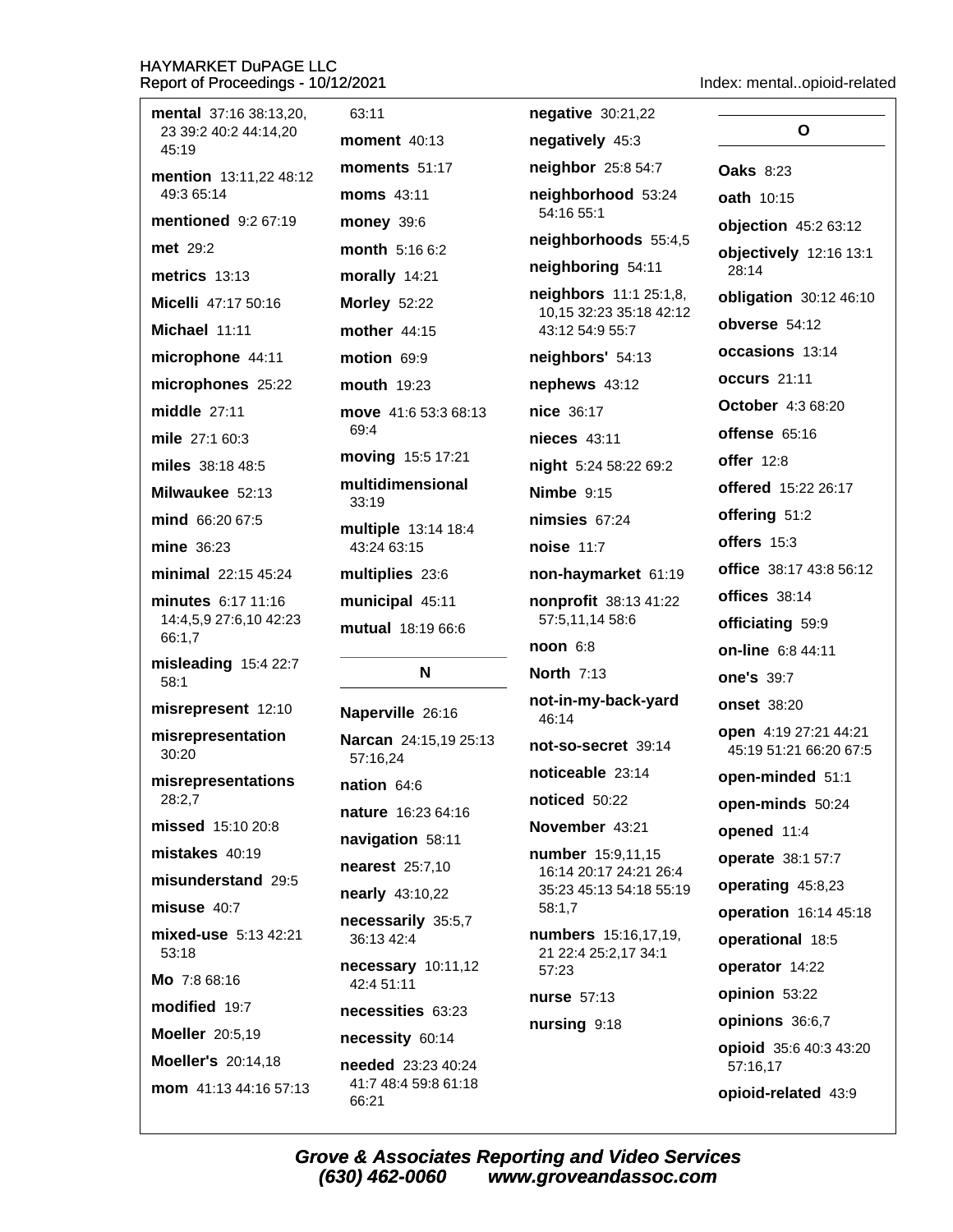| mental 37:16 38:13,20,                              | 63:11                                        | negative 30:21,22                                 |                                                 |
|-----------------------------------------------------|----------------------------------------------|---------------------------------------------------|-------------------------------------------------|
| 23 39:2 40:2 44:14,20<br>45:19                      | <b>moment</b> 40:13                          | negatively 45:3                                   | O                                               |
| mention 13:11,22 48:12                              | moments $51:17$                              | neighbor 25:8 54:7                                | <b>Oaks 8:23</b>                                |
| 49:3 65:14                                          | <b>moms</b> 43:11                            | neighborhood 53:24                                | <b>oath</b> 10:15                               |
| mentioned 9:2 67:19                                 | <b>money 39:6</b>                            | 54:16 55:1                                        | objection 45:2 63:12                            |
| <b>met</b> 29:2                                     | month 5:16 6:2                               | neighborhoods 55:4,5                              | objectively 12:16 13:1                          |
| metrics $13:13$                                     | morally 14:21                                | neighboring 54:11                                 | 28:14                                           |
| Micelli 47:17 50:16                                 | <b>Morley 52:22</b>                          | neighbors 11:1 25:1,8,<br>10,15 32:23 35:18 42:12 | obligation 30:12 46:10                          |
| Michael 11:11                                       | <b>mother</b> 44:15                          | 43:12 54:9 55:7                                   | obverse 54:12                                   |
| microphone 44:11                                    | motion 69:9                                  | neighbors' 54:13                                  | occasions 13:14                                 |
| microphones 25:22                                   | <b>mouth</b> 19:23                           | nephews 43:12                                     | occurs 21:11                                    |
| middle 27:11                                        | move 41:6 53:3 68:13                         | nice 36:17                                        | <b>October</b> 4:3 68:20                        |
| mile 27:1 60:3                                      | 69:4                                         | nieces 43:11                                      | offense $65:16$                                 |
| miles 38:18 48:5                                    | moving 15:5 17:21                            | night 5:24 58:22 69:2                             | offer $12:8$                                    |
| Milwaukee 52:13                                     | multidimensional<br>33:19                    | <b>Nimbe</b> 9:15                                 | <b>offered</b> 15:22 26:17                      |
| mind 66:20 67:5                                     | multiple 13:14 18:4                          | nimsies $67:24$                                   | offering 51:2                                   |
| mine 36:23                                          | 43:24 63:15                                  | <b>noise 11:7</b>                                 | offers 15:3                                     |
| minimal 22:15 45:24                                 | multiplies 23:6                              | non-haymarket 61:19                               | <b>office</b> 38:17 43:8 56:12                  |
| minutes 6:17 11:16                                  | municipal 45:11                              | nonprofit 38:13 41:22                             | offices 38:14                                   |
| 14:4,5,9 27:6,10 42:23<br>66:1,7                    | mutual 18:19 66:6                            | 57:5,11,14 58:6                                   | officiating 59:9                                |
| misleading 15:4 22:7                                |                                              | $noon 6:8$                                        | on-line 6:8 44:11                               |
| 58:1                                                | N                                            | <b>North 7:13</b>                                 | <b>one's 39:7</b>                               |
| misrepresent 12:10                                  | Naperville 26:16                             | not-in-my-back-yard<br>46:14                      | <b>onset</b> 38:20                              |
| misrepresentation<br>30:20                          | Narcan 24:15,19 25:13                        | not-so-secret 39:14                               | open 4:19 27:21 44:21<br>45:19 51:21 66:20 67:5 |
| misrepresentations                                  | 57:16,24                                     | noticeable 23:14                                  | open-minded 51:1                                |
| 28:2,7                                              | nation 64:6                                  | noticed 50:22                                     | open-minds 50:24                                |
| missed 15:10 20:8                                   | nature 16:23 64:16                           | November 43:21                                    | opened 11:4                                     |
| mistakes 40:19                                      | navigation 58:11                             | number 15:9,11,15                                 | operate 38:1 57:7                               |
| misunderstand 29:5                                  | <b>nearest</b> 25:7,10                       | 16:14 20:17 24:21 26:4<br>35:23 45:13 54:18 55:19 | operating 45:8,23                               |
| misuse 40:7                                         | <b>nearly</b> 43:10,22                       | 58:1,7                                            | operation 16:14 45:18                           |
| mixed-use 5:13 42:21<br>53:18                       | necessarily 35:5,7<br>36:13 42:4             | numbers 15:16,17,19,                              | operational 18:5                                |
| Mo 7:8 68:16                                        | necessary 10:11,12                           | 21 22:4 25:2,17 34:1<br>57:23                     | operator 14:22                                  |
| modified 19:7                                       | 42:4 51:11                                   | nurse 57:13                                       | opinion 53:22                                   |
|                                                     | necessities 63:23                            | nursing 9:18                                      | opinions 36:6,7                                 |
| <b>Moeller</b> 20:5,19<br><b>Moeller's 20:14,18</b> | necessity 60:14<br><b>needed</b> 23:23 40:24 |                                                   | opioid 35:6 40:3 43:20<br>57:16,17              |
| mom 41:13 44:16 57:13                               | 41:7 48:4 59:8 61:18<br>66.21                |                                                   | opioid-related 43:9                             |

Index: mental..opioid-related

66:21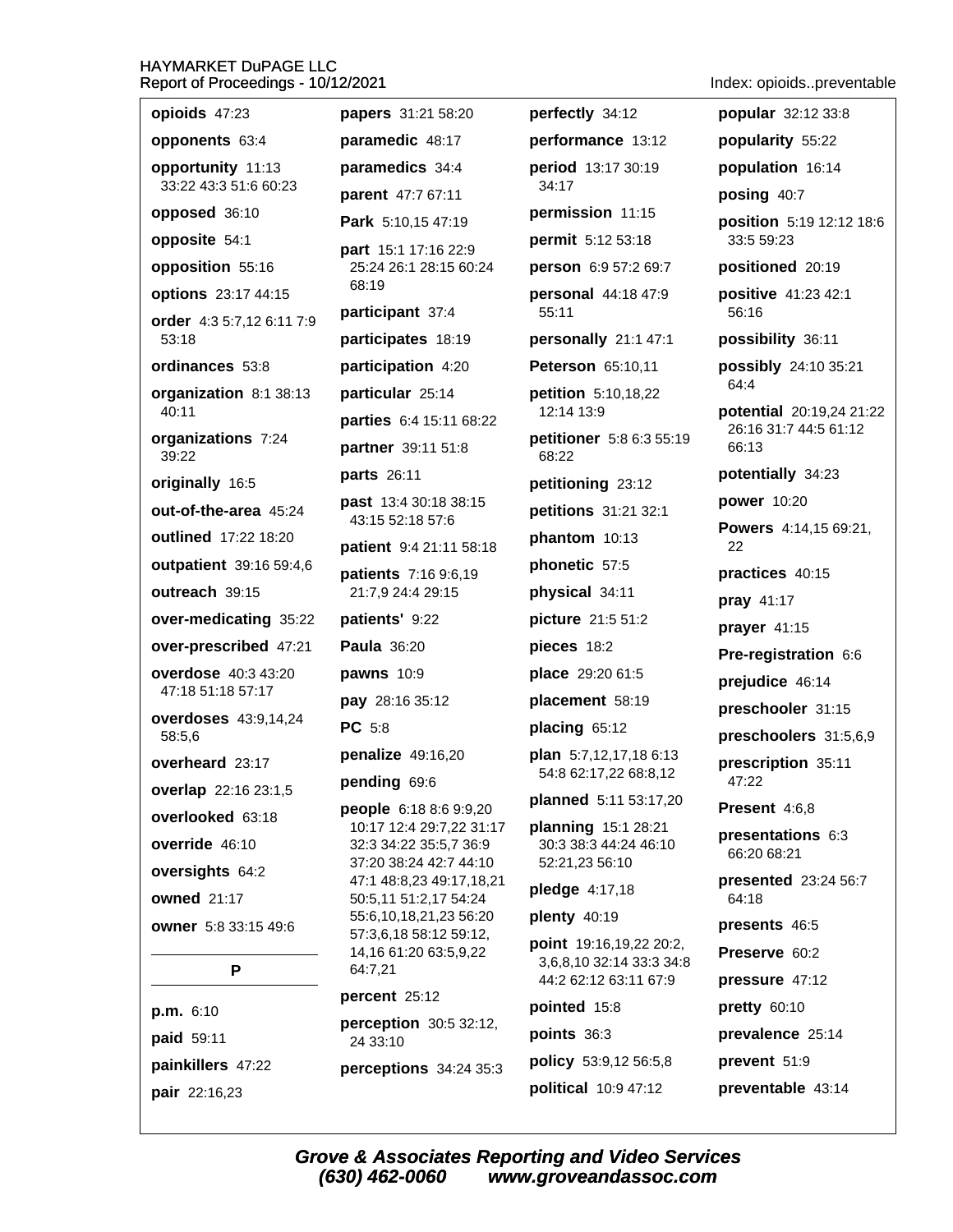| opioids 47:23                      | papers 31:21 58:20                                 | perfectly 34:12                                   | popular 32:12 33:8             |
|------------------------------------|----------------------------------------------------|---------------------------------------------------|--------------------------------|
| opponents 63:4                     | paramedic 48:17                                    | performance 13:12                                 | popularity 55:22               |
| opportunity 11:13                  | paramedics 34:4                                    | period 13:17 30:19                                | population 16:14               |
| 33:22 43:3 51:6 60:23              | parent 47:7 67:11                                  | 34:17                                             | posing 40:7                    |
| opposed 36:10                      | Park 5:10,15 47:19                                 | permission 11:15                                  | position 5:19 12:12 18:6       |
| opposite 54:1                      | part 15:1 17:16 22:9                               | permit 5:12 53:18                                 | 33:5 59:23                     |
| opposition 55:16                   | 25:24 26:1 28:15 60:24<br>68:19                    | person 6:9 57:2 69:7                              | positioned 20:19               |
| options 23:17 44:15                | participant 37:4                                   | personal 44:18 47:9<br>55:11                      | positive 41:23 42:1<br>56:16   |
| order 4:3 5:7,12 6:11 7:9<br>53:18 | participates 18:19                                 | personally 21:1 47:1                              | possibility 36:11              |
| ordinances 53:8                    | participation 4:20                                 | Peterson 65:10,11                                 | possibly 24:10 35:21           |
| organization 8:1 38:13             | particular 25:14                                   | petition 5:10,18,22                               | 64:4                           |
| 40:11                              | parties 6:4 15:11 68:22                            | 12:14 13:9                                        | potential 20:19,24 21:22       |
| organizations 7:24<br>39:22        | partner 39:11 51:8                                 | petitioner 5:8 6:3 55:19<br>68:22                 | 26:16 31:7 44:5 61:12<br>66:13 |
| originally 16:5                    | parts 26:11                                        | petitioning 23:12                                 | potentially 34:23              |
| out-of-the-area 45:24              | <b>past</b> 13:4 30:18 38:15                       | petitions 31:21 32:1                              | power 10:20                    |
| outlined 17:22 18:20               | 43:15 52:18 57:6<br>patient 9:4 21:11 58:18        | phantom 10:13                                     | Powers 4:14,15 69:21,<br>22    |
| outpatient 39:16 59:4,6            | patients 7:16 9:6,19                               | phonetic 57:5                                     | practices 40:15                |
| outreach 39:15                     | 21:7,9 24:4 29:15                                  | physical 34:11                                    | pray 41:17                     |
| over-medicating 35:22              | patients' 9:22                                     | picture 21:5 51:2                                 | prayer 41:15                   |
| over-prescribed 47:21              | <b>Paula 36:20</b>                                 | pieces 18:2                                       | Pre-registration 6:6           |
| overdose 40:3 43:20                | pawns 10:9                                         | place 29:20 61:5                                  | prejudice 46:14                |
| 47:18 51:18 57:17                  | pay 28:16 35:12                                    | placement 58:19                                   | preschooler 31:15              |
| overdoses 43:9,14,24<br>58:5,6     | PC 5:8                                             | placing 65:12                                     | preschoolers 31:5,6,9          |
| overheard 23:17                    | penalize 49:16,20                                  | plan 5:7,12,17,18 6:13                            | prescription 35:11             |
| overlap 22:16 23:1,5               | pending 69:6                                       | 54:8 62:17,22 68:8,12                             | 47:22                          |
| overlooked 63:18                   | people 6:18 8:6 9:9,20                             | planned 5:11 53:17,20                             | Present 4:6,8                  |
| override 46:10                     | 10:17 12:4 29:7,22 31:17<br>32:3 34:22 35:5,7 36:9 | planning 15:1 28:21<br>30:3 38:3 44:24 46:10      | presentations 6:3              |
| oversights 64:2                    | 37:20 38:24 42:7 44:10                             | 52:21,23 56:10                                    | 66:20 68:21                    |
| <b>owned</b> 21:17                 | 47:1 48:8,23 49:17,18,21<br>50:5,11 51:2,17 54:24  | pledge 4:17,18                                    | presented 23:24 56:7<br>64:18  |
| owner 5:8 33:15 49:6               | 55:6,10,18,21,23 56:20                             | plenty 40:19                                      | presents 46:5                  |
|                                    | 57:3,6,18 58:12 59:12,<br>14,16 61:20 63:5,9,22    | point 19:16,19,22 20:2,                           | Preserve 60:2                  |
| P                                  | 64:7,21                                            | 3,6,8,10 32:14 33:3 34:8<br>44:2 62:12 63:11 67:9 | pressure 47:12                 |
|                                    | percent 25:12                                      | pointed 15:8                                      | pretty 60:10                   |
| p.m. 6:10<br>paid 59:11            | perception 30:5 32:12,<br>24 33:10                 | points 36:3                                       | prevalence 25:14               |
| painkillers 47:22                  | perceptions 34:24 35:3                             | policy 53:9,12 56:5,8                             | prevent 51:9                   |
|                                    |                                                    |                                                   |                                |

Index: opioids..preventable

pair 22:16,23

**Grove & Associates Reporting and Video Services** (630) 462-0060 www.groveandassoc.com

political 10:9 47:12 preventable 43:14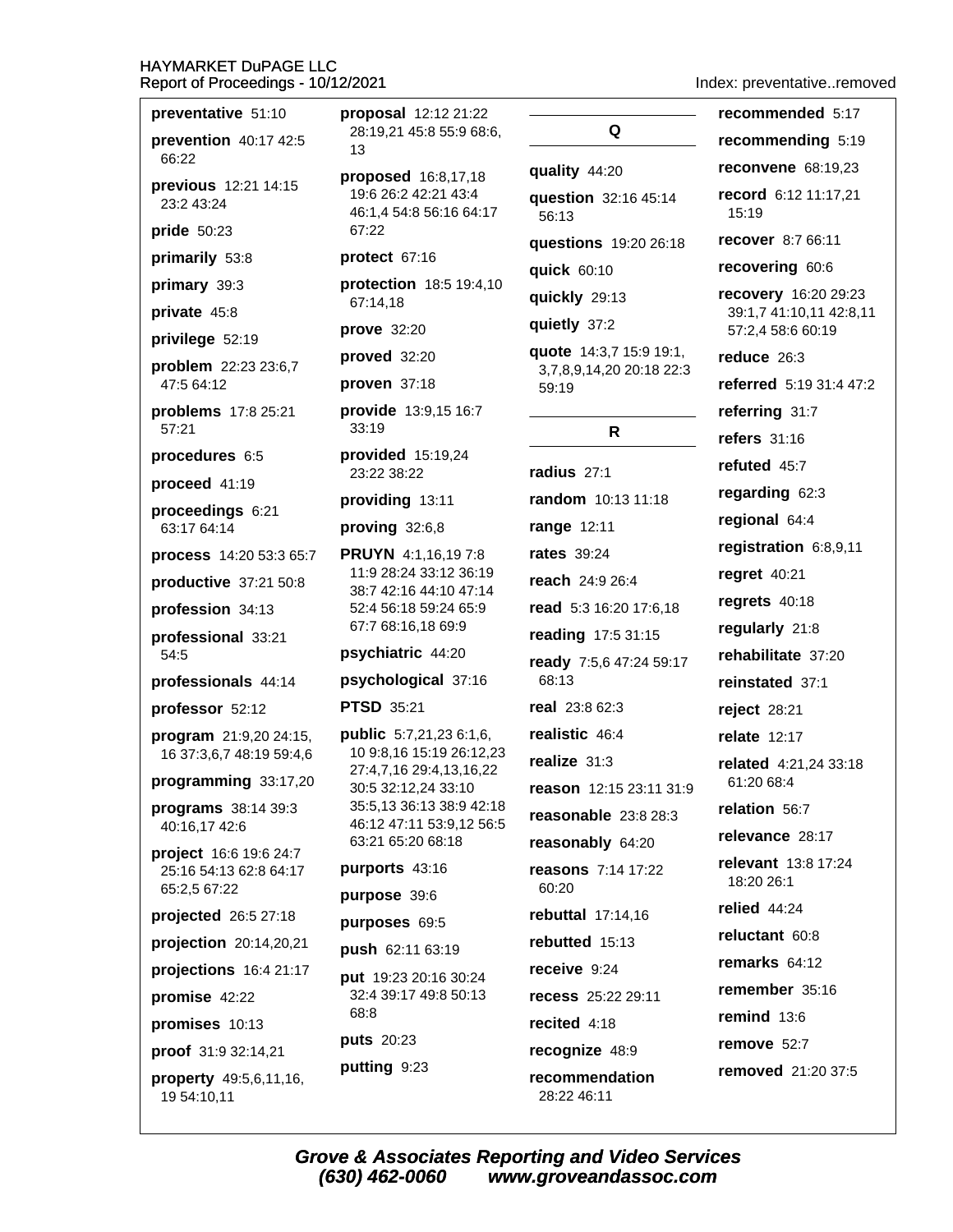| preventative 51:10               |  |  |
|----------------------------------|--|--|
| prevention $40:17$ 42:5<br>66:22 |  |  |

previous 12:21 14:15 23:2 43:24

**pride** 50:23

primarily 53:8

primary 39:3

private 45:8

privilege 52:19

problem 22:23 23:6,7 47:5 64:12

problems 17:8 25:21 57:21

procedures 6:5

proceed 41:19

proceedings 6:21 63:17 64:14

process 14:20 53:3 65:7

productive 37:21 50:8

profession 34:13

professional 33:21 54:5

professionals 44:14

professor 52:12

program 21:9,20 24:15, 16 37:3,6,7 48:19 59:4,6

programming 33:17,20

programs 38:14 39:3 40:16,17 42:6

project 16:6 19:6 24:7 25:16 54:13 62:8 64:17 65:2,5 67:22

projected 26:5 27:18

projection 20:14,20,21

projections 16:4 21:17

promise 42:22

promises 10:13

proof 31:9 32:14,21

property 49:5,6,11,16, 19 54:10,11

proposal 12:12 21:22 28:19.21 45:8 55:9 68:6.  $13$ 

proposed 16:8,17,18 19:6 26:2 42:21 43:4 46:1,4 54:8 56:16 64:17 67:22

protect 67:16

protection 18:5 19:4,10 67:14.18

prove 32:20

proved 32:20 proven 37:18

provide 13:9,15 16:7

33:19

provided 15:19,24 23:22 38:22

providing 13:11

proving  $32:6,8$ 

**PRUYN** 4:1.16.197:8 11:9 28:24 33:12 36:19 38:7 42:16 44:10 47:14 52:4 56:18 59:24 65:9 67:7 68:16,18 69:9

#### psychiatric 44:20

**psychological** 37:16

**PTSD 35:21** 

**public** 5:7,21,23 6:1,6, 10 9:8,16 15:19 26:12,23 27:4,7,16 29:4,13,16,22 30:5 32:12,24 33:10 35:5,13 36:13 38:9 42:18 46:12 47:11 53:9,12 56:5 63:21 65:20 68:18

### purports 43:16

purpose 39:6

purposes 69:5

push 62:11 63:19

put 19:23 20:16 30:24 32:4 39:17 49:8 50:13 68:8 puts 20:23

putting 9:23

Q quality 44:20 question 32:16 45:14 56:13 **auestions** 19:20 26:18 **quick** 60:10 quickly 29:13 quietly 37:2 quote 14:3,7 15:9 19:1, 3,7,8,9,14,20 20:18 22:3 59:19  $\mathsf{R}$ radius 27:1 random 10:13 11:18 range 12:11 **rates** 39:24 reach 24:9 26:4 read 5:3 16:20 17:6,18 reading 17:5 31:15 ready 7:5,6 47:24 59:17  $68.13$ real 23:8 62:3 realistic 46:4 realize 31:3 reason 12:15 23:11 31:9 reasonable 23:8 28:3 reasonably 64:20 reasons 7:14 17:22 60:20 rebuttal 17:14,16 rebutted 15:13 receive 9:24 recess 25:22 29:11 recited 4:18 recognize 48:9 recommendation

Index: preventative..removed

recommended 5:17 recommending 5:19 **reconvene** 68:19,23 record 6:12 11:17,21 15:19 recover 8:7 66:11 recovering 60:6 recovery 16:20 29:23 39:1.7 41:10.11 42:8.11 57:2.4 58:6 60:19 reduce 26:3 referred 5:19 31:4 47:2 referring 31:7 refers 31:16 refuted 45:7 regarding 62:3 regional 64:4 registration 6:8,9,11 regret 40:21 regrets  $40:18$ regularly 21:8 rehabilitate 37:20 reinstated 37:1 reject 28:21 **relate** 12:17 related 4:21,24 33:18 61:20 68:4 relation 56:7 relevance 28:17 relevant 13:8 17:24 18:20 26:1 relied  $44:24$ reluctant 60:8 remarks 64:12 remember 35:16 remind  $13:6$ remove 52:7 removed 21:20 37:5

**Grove & Associates Reporting and Video Services** (630) 462-0060 www.groveandassoc.com

28:22 46:11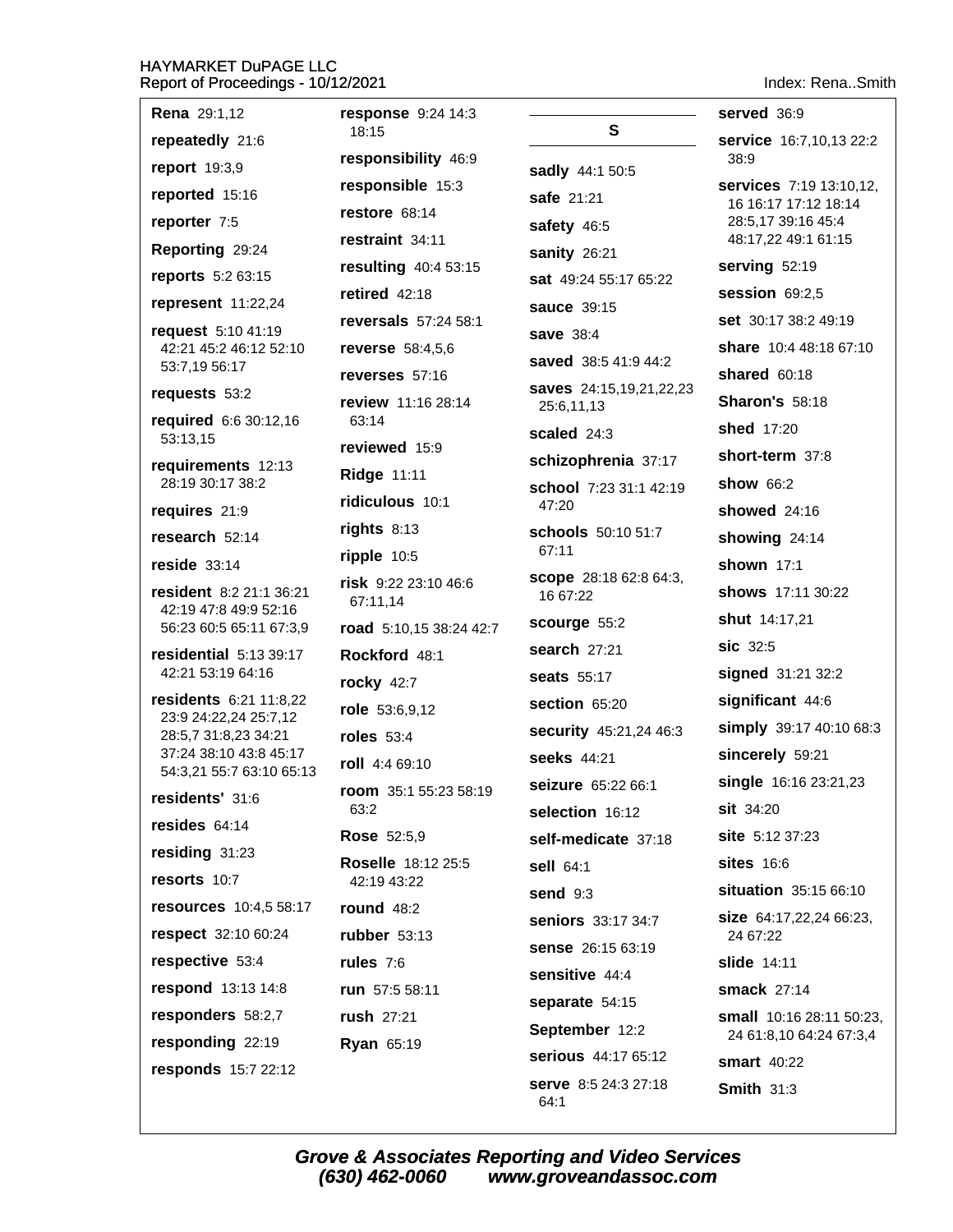Index: Rena..Smith

| Report of Filococomigo                           |                                  |                                    |                                                 |
|--------------------------------------------------|----------------------------------|------------------------------------|-------------------------------------------------|
| <b>Rena</b> 29:1,12                              | response 9:24 14:3               |                                    | served 36:9                                     |
| repeatedly 21:6                                  | 18:15                            | S                                  | service 16:7,10,13 22:2                         |
| report 19:3,9                                    | responsibility 46:9              | sadly 44:1 50:5                    | 38:9                                            |
| reported 15:16                                   | responsible 15:3                 | safe 21:21                         | services 7:19 13:10,12,<br>16 16:17 17:12 18:14 |
| reporter 7:5                                     | restore 68:14                    | safety 46:5                        | 28:5,17 39:16 45:4                              |
| Reporting 29:24                                  | restraint 34:11                  | sanity 26:21                       | 48:17,22 49:1 61:15                             |
| reports 5:2 63:15                                | resulting 40:4 53:15             | sat 49:24 55:17 65:22              | serving 52:19                                   |
| represent 11:22,24                               | retired $42:18$                  | sauce 39:15                        | session 69:2,5                                  |
| request 5:10 41:19                               | reversals 57:24 58:1             | save 38:4                          | set 30:17 38:2 49:19                            |
| 42:21 45:2 46:12 52:10                           | <b>reverse</b> 58:4,5,6          | saved 38:5 41:9 44:2               | share 10:4 48:18 67:10                          |
| 53:7,19 56:17                                    | reverses 57:16                   | saves 24:15,19,21,22,23            | shared 60:18                                    |
| requests 53:2                                    | review 11:16 28:14               | 25:6,11,13                         | <b>Sharon's 58:18</b>                           |
| required 6:6 30:12,16<br>53:13,15                | 63:14                            | scaled 24:3                        | shed 17:20                                      |
| requirements 12:13                               | reviewed 15:9                    | schizophrenia 37:17                | short-term 37:8                                 |
| 28:19 30:17 38:2                                 | <b>Ridge 11:11</b>               | school 7:23 31:1 42:19             | <b>show 66:2</b>                                |
| requires 21:9                                    | ridiculous 10:1                  | 47:20                              | <b>showed</b> 24:16                             |
| research 52:14                                   | rights 8:13                      | schools 50:10 51:7<br>67:11        | showing 24:14                                   |
| reside $33:14$                                   | $ripple$ 10:5                    |                                    | shown 17:1                                      |
| resident 8:2 21:1 36:21<br>42:19 47:8 49:9 52:16 | risk 9:22 23:10 46:6<br>67:11,14 | scope 28:18 62:8 64:3,<br>16 67:22 | shows 17:11 30:22                               |
| 56:23 60:5 65:11 67:3,9                          | road 5:10,15 38:24 42:7          | scourge 55:2                       | <b>shut</b> 14:17,21                            |
| residential 5:13 39:17                           | Rockford 48:1                    | search 27:21                       | sic 32:5                                        |
| 42:21 53:19 64:16                                | <b>rocky</b> 42:7                | <b>seats</b> 55:17                 | signed 31:21 32:2                               |
| residents 6:21 11:8,22                           | role 53:6,9,12                   | section 65:20                      | significant 44:6                                |
| 23:9 24:22,24 25:7,12<br>28:5,7 31:8,23 34:21    | roles $53:4$                     | security 45:21,24 46:3             | simply 39:17 40:10 68:3                         |
| 37:24 38:10 43:8 45:17                           | roll 4:4 69:10                   | seeks 44:21                        | sincerely 59:21                                 |
| 54:3,21 55:7 63:10 65:13                         | room 35:1 55:23 58:19            | seizure 65:22 66:1                 | single 16:16 23:21,23                           |
| residents' 31:6                                  | 63:2                             | selection 16:12                    | $s$ it 34:20                                    |
| resides $64:14$                                  | <b>Rose</b> 52:5,9               | self-medicate 37:18                | site 5:12 37:23                                 |
| residing 31:23                                   | Roselle 18:12 25:5               | sell 64:1                          | <b>sites</b> 16:6                               |
| resorts 10:7                                     | 42:19 43:22                      | send $9:3$                         | situation 35:15 66:10                           |
| resources 10:4,5 58:17                           | <b>round 48:2</b>                | seniors 33:17 34:7                 | <b>size</b> 64:17,22,24 66:23,                  |
| respect 32:10 60:24                              | rubber 53:13                     | sense 26:15 63:19                  | 24 67:22                                        |
| respective 53:4                                  | rules $7:6$                      | sensitive 44:4                     | <b>slide</b> 14:11                              |
| respond 13:13 14:8                               | run 57:5 58:11                   | separate 54:15                     | smack 27:14                                     |
| responders 58:2,7                                | rush 27:21                       | September 12:2                     | small 10:16 28:11 50:23,                        |
| responding 22:19                                 | <b>Ryan 65:19</b>                | serious 44:17 65:12                | 24 61:8,10 64:24 67:3,4<br><b>smart</b> 40:22   |
| responds 15:7 22:12                              |                                  | <b>serve</b> 8:5 24:3 27:18        |                                                 |
|                                                  |                                  | 64:1                               | <b>Smith 31:3</b>                               |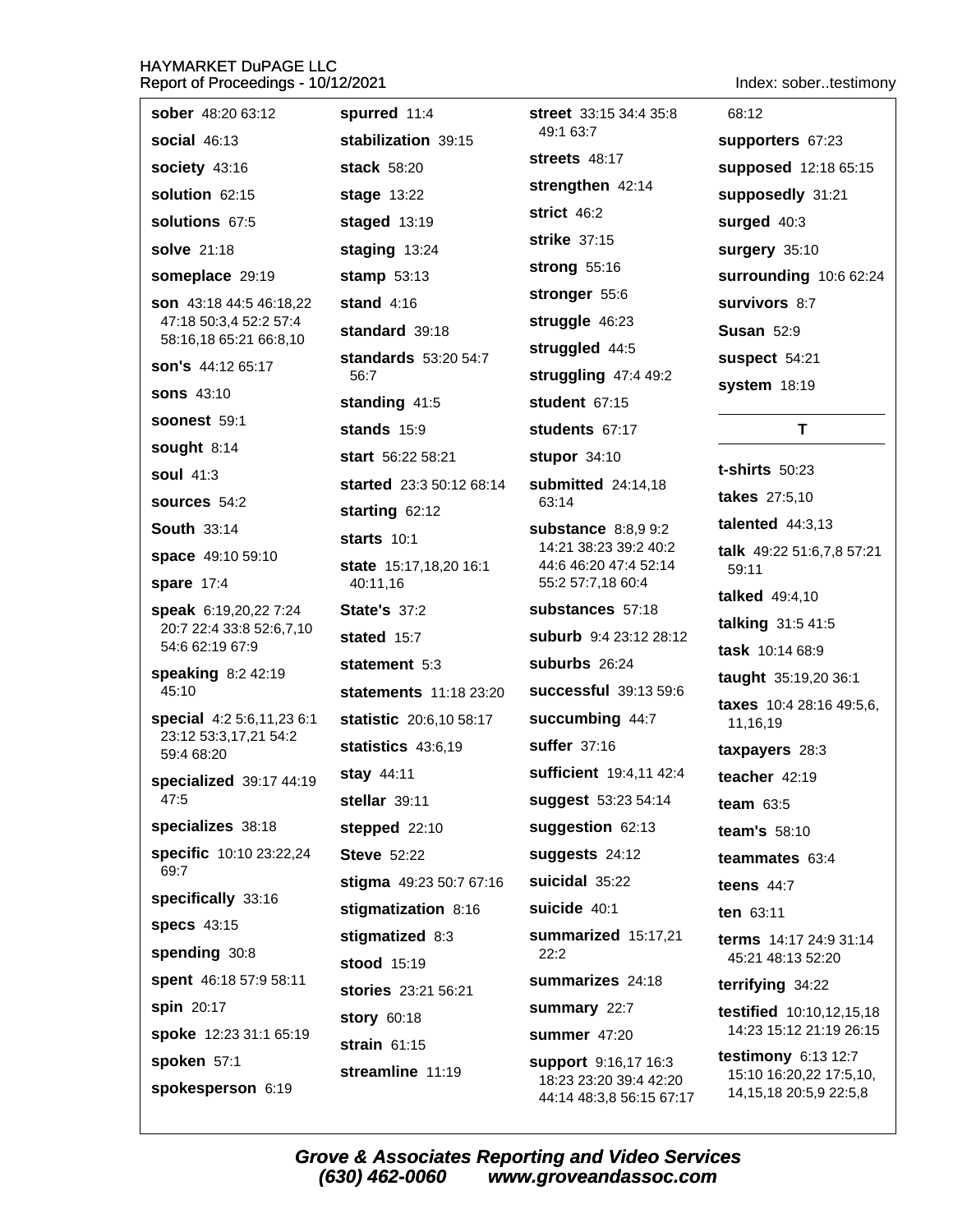# HAYMARKET DuPAGE LLC

Indov: cohor tostim

| Report of Proceedings - 10/12/2021                                                                |                                    |                                                    | Index: sobertestimony                                   |
|---------------------------------------------------------------------------------------------------|------------------------------------|----------------------------------------------------|---------------------------------------------------------|
| sober 48:20 63:12                                                                                 | spurred 11:4                       | <b>street</b> 33:15 34:4 35:8                      | 68:12                                                   |
| <b>social 46:13</b>                                                                               | stabilization 39:15                | 49:1 63:7                                          | supporters 67:23                                        |
| society 43:16                                                                                     | stack 58:20                        | streets 48:17                                      | supposed 12:18 65:15                                    |
| solution 62:15                                                                                    | <b>stage 13:22</b>                 | strengthen 42:14                                   | supposedly 31:21                                        |
| solutions 67:5                                                                                    | staged 13:19                       | strict 46:2                                        | surged 40:3                                             |
| solve 21:18                                                                                       | staging 13:24                      | strike 37:15                                       | surgery 35:10                                           |
| someplace 29:19                                                                                   | stamp $53:13$                      | strong 55:16                                       | surrounding 10:6 62:24                                  |
| <b>son</b> 43:18 44:5 46:18,22<br>47:18 50:3,4 52:2 57:4<br>58:16,18 65:21 66:8,10                | stand $4:16$                       | stronger 55:6                                      | <b>Survivors 8:7</b>                                    |
|                                                                                                   | standard 39:18                     | struggle 46:23                                     | <b>Susan 52:9</b>                                       |
| son's 44:12 65:17                                                                                 | standards 53:20 54:7               | struggled 44:5                                     | suspect 54:21                                           |
| <b>sons 43:10</b>                                                                                 | 56:7                               | struggling 47:4 49:2                               | system 18:19                                            |
| <b>soonest 59:1</b>                                                                               | standing 41:5                      | student 67:15                                      |                                                         |
|                                                                                                   | stands 15:9                        | students 67:17                                     | T                                                       |
| sought 8:14<br><b>soul</b> 41:3                                                                   | start 56:22 58:21                  | stupor 34:10                                       | <b>t-shirts</b> 50:23                                   |
|                                                                                                   | started 23:3 50:12 68:14           | submitted 24:14,18                                 | <b>takes</b> 27:5,10                                    |
| sources 54:2                                                                                      | starting 62:12                     | 63:14                                              | talented $44:3,13$                                      |
| <b>South 33:14</b>                                                                                | starts $10:1$                      | substance 8:8,9 9:2<br>14:21 38:23 39:2 40:2       | <b>talk</b> 49:22 51:6,7,8 57:21                        |
| space 49:10 59:10                                                                                 | state 15:17,18,20 16:1             | 44:6 46:20 47:4 52:14                              | 59:11                                                   |
| <b>spare</b> 17:4                                                                                 | 40:11,16                           | 55:2 57:7,18 60:4<br>substances 57:18              | <b>talked</b> 49:4,10                                   |
| <b>speak</b> 6:19,20,22 7:24<br>20:7 22:4 33:8 52:6,7,10<br>54:6 62:19 67:9<br>speaking 8:2 42:19 | <b>State's 37:2</b><br>stated 15:7 | <b>suburb</b> 9:4 23:12 28:12                      | talking 31:5 41:5                                       |
|                                                                                                   |                                    | suburbs 26:24                                      | task 10:14 68:9                                         |
|                                                                                                   | statement 5:3                      |                                                    | taught 35:19,20 36:1                                    |
| 45:10                                                                                             | <b>statements</b> 11:18 23:20      | successful 39:13 59:6                              | taxes 10:4 28:16 49:5,6,                                |
| special 4:2 5:6,11,23 6:1<br>23:12 53:3,17,21 54:2                                                | statistic 20:6,10 58:17            | succumbing 44:7                                    | 11,16,19                                                |
| 59:4 68:20                                                                                        | statistics 43:6,19                 | <b>suffer</b> 37:16                                | taxpayers 28:3                                          |
| specialized 39:17 44:19                                                                           | stay $44:11$                       | sufficient 19:4,11 42:4                            | teacher 42:19                                           |
| 47:5                                                                                              | stellar 39:11                      | suggest 53:23 54:14                                | team $63:5$                                             |
| specializes 38:18                                                                                 | stepped 22:10                      | suggestion 62:13                                   | team's 58:10                                            |
| specific 10:10 23:22,24<br>69:7                                                                   | <b>Steve 52:22</b>                 | suggests 24:12                                     | teammates 63:4                                          |
| specifically 33:16                                                                                | stigma 49:23 50:7 67:16            | suicidal 35:22                                     | teens $44:7$                                            |
| <b>specs</b> 43:15                                                                                | stigmatization 8:16                | suicide 40:1                                       | ten 63:11                                               |
| spending 30:8                                                                                     | stigmatized 8:3                    | summarized 15:17,21<br>22:2                        | <b>terms</b> 14:17 24:9 31:14<br>45:21 48:13 52:20      |
| spent 46:18 57:9 58:11                                                                            | stood 15:19                        | summarizes 24:18                                   | terrifying 34:22                                        |
| spin 20:17                                                                                        | stories 23:21 56:21                | summary 22:7                                       | <b>testified</b> 10:10,12,15,18                         |
| spoke 12:23 31:1 65:19                                                                            | story 60:18                        | <b>summer</b> 47:20                                | 14:23 15:12 21:19 26:15                                 |
| spoken 57:1                                                                                       | strain $61:15$                     | <b>support</b> 9:16,17 16:3                        | testimony 6:13 12:7                                     |
| spokesperson 6:19                                                                                 | streamline 11:19                   | 18:23 23:20 39:4 42:20<br>44:14 48:3,8 56:15 67:17 | 15:10 16:20,22 17:5,10,<br>14, 15, 18 20: 5, 9 22: 5, 8 |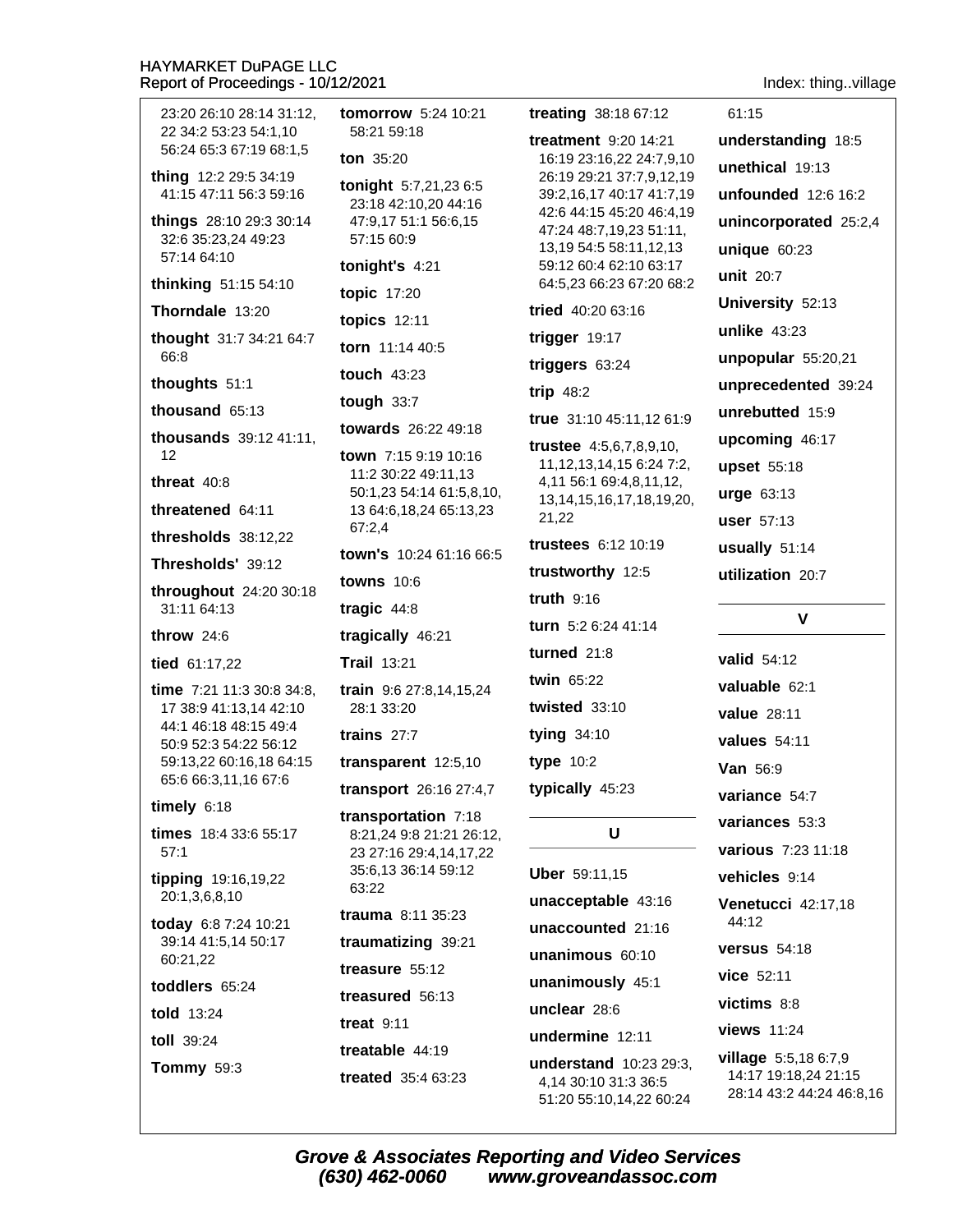23:20 26:10 28:14 31:12. 22 34:2 53:23 54:1.10 58:21 59:18 56:24 65:3 67:19 68:1.5 ton  $35:20$ thing 12:2 29:5 34:19 41:15 47:11 56:3 59:16 things 28:10 29:3 30:14 32:6 35:23,24 49:23 57:15 60:9 57:14 64:10 tonight's  $4:21$ thinking 51:15 54:10 topic 17:20 Thorndale 13:20 topics  $12:11$ thought 31:7 34:21 64:7 torn 11:14 40:5 66:8 touch 43:23 thoughts 51:1 tough  $33:7$ thousand  $65:13$ thousands 39:12 41:11,  $12$ threat  $40:8$ threatened 64.11 67:2,4 thresholds 38:12,22 Thresholds' 39:12 **towns** 10:6 throughout 24:20 30:18 31:11 64:13 tragic  $44:8$ throw  $24:6$ tragically 46:21 tied 61:17.22 **Trail 13:21** time 7:21 11:3 30:8 34:8,  $28.1.33.20$ 17 38:9 41:13,14 42:10 44:1 46:18 48:15 49:4 trains  $27:7$ 50:9 52:3 54:22 56:12 59:13,22 60:16,18 64:15 65:6 66:3,11,16 67:6 timely  $6:18$ times 18:4 33:6 55:17  $57.1$ tipping 19:16,19,22 63:22 20:1,3,6,8,10 trauma  $8:11$  35:23 today 6:8 7:24 10:21 39:14 41:5,14 50:17 60:21,22 treasure 55:12 toddlers 65:24 treasured 56:13 told 13:24 treat  $9:11$ toll 39:24 treatable 44:19 **Tommy 59:3** treated 35:4 63:23

**tomorrow** 5:24 10:21 tonight 5:7,21,23 6:5 23:18 42:10,20 44:16 47:9.17 51:1 56:6.15 **towards** 26:22 49:18 town 7:15 9:19 10:16 11:2 30:22 49:11,13 50:1,23 54:14 61:5,8,10, 13 64:6, 18, 24 65: 13, 23 town's 10:24 61:16 66:5 train 9:6 27:8.14.15.24 transparent 12:5,10 transport 26:16 27:4,7 transportation 7:18 8:21,24 9:8 21:21 26:12, 23 27:16 29:4,14,17,22 35:6,13 36:14 59:12 traumatizing 39:21

treating 38:18 67:12

treatment  $9:20,14:21$ 16:19 23:16,22 24:7,9,10 26:19 29:21 37:7,9,12,19 39:2,16,17 40:17 41:7,19 42:6 44:15 45:20 46:4,19 47:24 48:7,19,23 51:11, 13,19 54:5 58:11,12,13 59:12 60:4 62:10 63:17 64:5,23 66:23 67:20 68:2 tried 40:20 63:16 trigger 19:17 triggers  $63:24$ trip  $48:2$ true 31:10 45:11,12 61:9 **trustee**  $4:5,6,7,8,9,10,$ 11, 12, 13, 14, 15 6: 24 7: 2, 4,11 56:1 69:4,8,11,12, 13, 14, 15, 16, 17, 18, 19, 20, 21.22 trustees 6:12 10:19 trustworthy 12:5 truth  $9:16$ turn 5:2 6:24 41:14 turned  $21:8$ twin 65:22 twisted  $33:10$ tying 34:10 type  $10:2$ typically 45:23

### U

Uber 59:11,15 unacceptable 43:16 unaccounted 21:16 unanimous 60:10 unanimously 45:1 unclear 28:6 undermine 12:11 understand 10:23 29:3. 4.14 30:10 31:3 36:5 51:20 55:10,14,22 60:24 Index: thing..village

61:15

understanding 18:5 unethical 19:13 unfounded 12:6 16:2 unincorporated 25:2,4 unique  $60:23$ unit 20:7 University 52:13 unlike  $43:23$ unpopular  $55:20,21$ unprecedented 39:24 unrebutted 15:9 upcoming 46:17 upset 55:18 urge 63:13 user 57:13 usually  $51:14$ utilization 20:7 V

valid 54:12 valuable 62:1 **value** 28:11 values  $54:11$ Van 56:9 variance 54:7 variances 53:3 various 7:23 11:18 vehicles 9:14 Venetucci 42:17.18 44:12 versus  $54:18$ vice 52:11 victims 8:8 views 11:24 **village**  $5:5,186:7,9$ 14:17 19:18,24 21:15 28:14 43:2 44:24 46:8,16